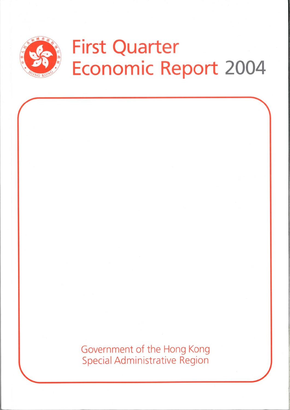

Government of the Hong Kong **Special Administrative Region**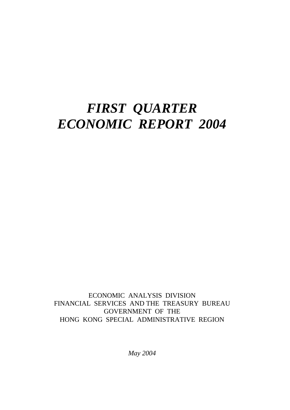## *FIRST QUARTER ECONOMIC REPORT 2004*

ECONOMIC ANALYSIS DIVISION FINANCIAL SERVICES AND THE TREASURY BUREAU GOVERNMENT OF THE HONG KONG SPECIAL ADMINISTRATIVE REGION

*May 2004*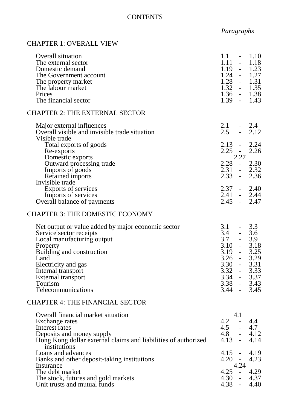## **CONTENTS**

## *Paragraphs*

## CHAPTER 1: OVERALL VIEW

| Overall situation<br>The external sector<br>Domestic demand<br>The Government account<br>The property market<br>The labour market<br>Prices<br>The financial sector                                                                                              | $1.1\,$<br>1.11<br>1.19<br>$1.24 - 1.27$<br>$1.28 - 1.31$<br>$1.32 - 1.35$<br>$1.36 - 1.38$<br>$1.39 - 1.43$                                                   | $\omega_{\rm{max}}$ | $-1.10$<br>1.18<br>$-1.23$ |
|------------------------------------------------------------------------------------------------------------------------------------------------------------------------------------------------------------------------------------------------------------------|----------------------------------------------------------------------------------------------------------------------------------------------------------------|---------------------|----------------------------|
| <b>CHAPTER 2: THE EXTERNAL SECTOR</b>                                                                                                                                                                                                                            |                                                                                                                                                                |                     |                            |
| Major external influences<br>Overall visible and invisible trade situation<br>Visible trade                                                                                                                                                                      | $2.1 - 2.4$<br>2.5                                                                                                                                             |                     | $-2.12$                    |
| Total exports of goods<br>Re-exports<br>Domestic exports                                                                                                                                                                                                         | $2.13 -$<br>$2.25 -$                                                                                                                                           | 2.27                | 2.24<br>2.26               |
| Outward processing trade<br>Imports of goods<br>Retained imports                                                                                                                                                                                                 | $2.28 - 2.30$<br>$2.31 - 2.32$<br>$2.33 - 2.36$                                                                                                                |                     |                            |
| Invisible trade<br><b>Exports of services</b><br>Imports of services<br>Overall balance of payments                                                                                                                                                              | $2.37 - 2.40$<br>$2.41 - 2.44$<br>$2.45 -$                                                                                                                     |                     | 2.47                       |
| <b>CHAPTER 3: THE DOMESTIC ECONOMY</b>                                                                                                                                                                                                                           |                                                                                                                                                                |                     |                            |
| Net output or value added by major economic sector<br>Service sector receipts<br>Local manufacturing output<br>Property<br>Building and construction<br>Land<br>Electricity and gas<br>Internal transport<br>External transport<br>Tourism<br>Telecommunications | $3.1 - 3.3$<br>$3.4 - 3.6$<br>$3.7 - 3.9$<br>$3.10 -$<br>$3.19 - 3.25$<br>$3.26 - 3.29$<br>3.30<br>$3.32 -$<br>$3.34 - 3.37$<br>$3.38 - 3.43$<br>$3.44 - 3.45$ |                     | 3.18<br>3.31<br>3.33       |
| <b>CHAPTER 4: THE FINANCIAL SECTOR</b>                                                                                                                                                                                                                           |                                                                                                                                                                |                     |                            |
| Overall financial market situation<br>Exchange rates<br>Interest rates<br>Deposits and money supply<br>Hong Kong dollar external claims and liabilities of authorized<br>institutions                                                                            | $4.2 - 4.4$<br>$4.5 - 4.7$<br>$4.8 - 4.12$<br>$4.13 -$                                                                                                         | 4.1                 | 4.14                       |
| Loans and advances<br>Banks and other deposit-taking institutions<br>Insurance                                                                                                                                                                                   | $4.15 - 4.19$<br>$4.20 -$                                                                                                                                      | 4.24                | 4.23                       |
| The debt market<br>The stock, futures and gold markets<br>Unit trusts and mutual funds                                                                                                                                                                           | $4.25 -$<br>$4.30 - 4.37$<br>$4.38 -$                                                                                                                          |                     | 4.29<br>4.40               |
|                                                                                                                                                                                                                                                                  |                                                                                                                                                                |                     |                            |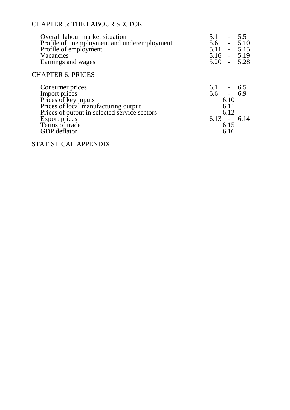## CHAPTER 5: THE LABOUR SECTOR

| Overall labour market situation<br>Profile of unemployment and underemployment<br>Profile of employment<br>Vacancies<br>Earnings and wages                                                                 | $5.1 - 5.5$<br>$5.6 - 5.10$<br>$5.11 - 5.15$<br>$5.16 - 5.19$<br>$5.20 - 5.28$      |
|------------------------------------------------------------------------------------------------------------------------------------------------------------------------------------------------------------|-------------------------------------------------------------------------------------|
| <b>CHAPTER 6: PRICES</b>                                                                                                                                                                                   |                                                                                     |
| Consumer prices<br>Import prices<br>Prices of key inputs<br>Prices of local manufacturing output<br>Prices of output in selected service sectors<br>Export prices<br>Terms of trade<br><b>GDP</b> deflator | $6.1 - 6.5$<br>$6.6 - 6.9$<br>6.10<br>6.11<br>6.12<br>$6.13 - 6.14$<br>6.15<br>6.16 |

STATISTICAL APPENDIX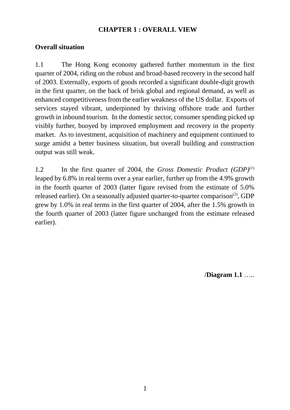## **CHAPTER 1 : OVERALL VIEW**

## **Overall situation**

1.1 The Hong Kong economy gathered further momentum in the first quarter of 2004, riding on the robust and broad-based recovery in the second half of 2003. Externally, exports of goods recorded a significant double-digit growth in the first quarter, on the back of brisk global and regional demand, as well as enhanced competitiveness from the earlier weakness of the US dollar. Exports of services stayed vibrant, underpinned by thriving offshore trade and further growth in inbound tourism. In the domestic sector, consumer spending picked up visibly further, buoyed by improved employment and recovery in the property market. As to investment, acquisition of machinery and equipment continued to surge amidst a better business situation, but overall building and construction output was still weak.

1.2 In the first quarter of 2004, the *Gross Domestic Product (GDP)*(1) leaped by 6.8% in real terms over a year earlier, further up from the 4.9% growth in the fourth quarter of 2003 (latter figure revised from the estimate of 5.0% released earlier). On a seasonally adjusted quarter-to-quarter comparison<sup>(2)</sup>, GDP grew by 1.0% in real terms in the first quarter of 2004, after the 1.5% growth in the fourth quarter of 2003 (latter figure unchanged from the estimate released earlier).

/**Diagram 1.1** …..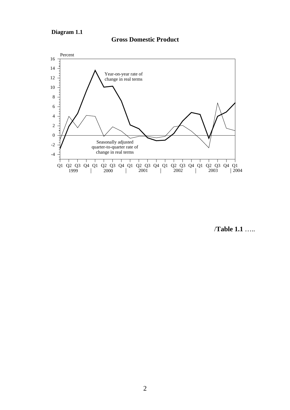**Diagram 1.1**



#### **Gross Domestic Product**

/**Table 1.1** …..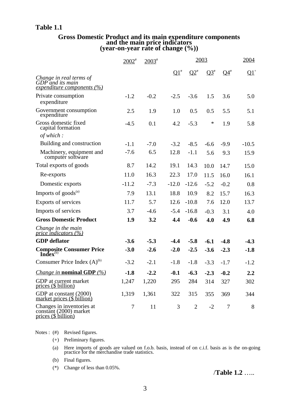#### **Table 1.1**

# **Gross Domestic Product and its main expenditure components and the main price indicators (year-on-year rate of change (%))**

|                                                                                   | $2002$ <sup>#</sup> | $2003$ <sup>#</sup> |                 |                | 2003   |        | 2004            |
|-----------------------------------------------------------------------------------|---------------------|---------------------|-----------------|----------------|--------|--------|-----------------|
|                                                                                   |                     |                     | $\mathbf{Q1}^*$ | $Q2^*$         | $Q3^*$ | $Q4^*$ | $\mathbf{Q1}^+$ |
| Change in real terms of<br>$GDP$ and its main<br>expenditure components (%)       |                     |                     |                 |                |        |        |                 |
| Private consumption<br>expenditure                                                | $-1.2$              | $-0.2$              | $-2.5$          | $-3.6$         | 1.5    | 3.6    | 5.0             |
| Government consumption<br>expenditure                                             | 2.5                 | 1.9                 | 1.0             | 0.5            | 0.5    | 5.5    | 5.1             |
| Gross domestic fixed<br>capital formation                                         | $-4.5$              | 0.1                 | 4.2             | $-5.3$         | *      | 1.9    | 5.8             |
| of which:                                                                         |                     |                     |                 |                |        |        |                 |
| Building and construction                                                         | $-1.1$              | $-7.0$              | $-3.2$          | $-8.5$         | $-6.6$ | $-9.9$ | $-10.5$         |
| Machinery, equipment and<br>computer software                                     | $-7.6$              | 6.5                 | 12.8            | $-1.1$         | 5.6    | 9.3    | 15.9            |
| Total exports of goods                                                            | 8.7                 | 14.2                | 19.1            | 14.3           | 10.0   | 14.7   | 15.0            |
| Re-exports                                                                        | 11.0                | 16.3                | 22.3            | 17.0           | 11.5   | 16.0   | 16.1            |
| Domestic exports                                                                  | $-11.2$             | $-7.3$              | $-12.0$         | $-12.6$        | $-5.2$ | $-0.2$ | 0.8             |
| Imports of $goods^{(a)}$                                                          | 7.9                 | 13.1                | 18.8            | 10.9           | 8.2    | 15.7   | 16.3            |
| Exports of services                                                               | 11.7                | 5.7                 | 12.6            | $-10.8$        | 7.6    | 12.0   | 13.7            |
| Imports of services                                                               | 3.7                 | $-4.6$              | $-5.4$          | $-16.8$        | $-0.3$ | 3.1    | 4.0             |
| <b>Gross Domestic Product</b>                                                     | 1.9                 | 3.2                 | 4.4             | $-0.6$         | 4.0    | 4.9    | 6.8             |
| Change in the main<br>price indicators $(%)$                                      |                     |                     |                 |                |        |        |                 |
| <b>GDP</b> deflator                                                               | $-3.6$              | $-5.3$              | $-4.4$          | $-5.8$         | $-6.1$ | $-4.8$ | $-4.3$          |
| <b>Composite Consumer Price Index</b> <sup>(b)</sup>                              | $-3.0$              | $-2.6$              | $-2.0$          | $-2.5$         | $-3.6$ | $-2.3$ | $-1.8$          |
| Consumer Price Index $(A)$ <sup>(b)</sup>                                         | $-3.2$              | $-2.1$              | $-1.8$          | $-1.8$         | $-3.3$ | $-1.7$ | $-1.2$          |
| <i>Change in nominal GDP</i> $(\%)$                                               | $-1.8$              | $-2.2$              | $-0.1$          | $-6.3$         | $-2.3$ | $-0.2$ | $2.2\,$         |
| GDP at current market<br>prices (\$ billion)                                      | 1,247               | 1,220               | 295             | 284            | 314    | 327    | 302             |
| GDP at constant (2000)<br>market prices (\$ billion)                              | 1,319               | 1,361               | 322             | 315            | 355    | 369    | 344             |
| Changes in inventories at<br>constant (2000) market<br><u>prices (\$ billion)</u> | 7                   | 11                  | 3               | $\overline{2}$ | $-2$   | 7      | 8               |

Notes : (#) Revised figures.

(+) Preliminary figures.

(a) Here imports of goods are valued on f.o.b. basis, instead of on c.i.f. basis as is the on-going practice for the merchandise trade statistics.

(b) Final figures.

(\*) Change of less than 0.05%.

/**Table 1.2** …..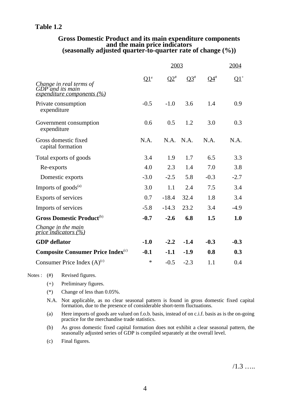#### **Table 1.2**

## **Gross Domestic Product and its main expenditure components and the main price indicators (seasonally adjusted quarter-to-quarter rate of change (%))**

|                                                                           |        | 2003      |           |           | 2004   |
|---------------------------------------------------------------------------|--------|-----------|-----------|-----------|--------|
| Change in real terms of<br>GDP and its main<br>expenditure components (%) | $Q1^*$ | $Q2^*$    | $Q3^{\#}$ | $Q4^{\#}$ | $Q1^+$ |
| Private consumption<br>expenditure                                        | $-0.5$ | $-1.0$    | 3.6       | 1.4       | 0.9    |
| Government consumption<br>expenditure                                     | 0.6    | 0.5       | 1.2       | 3.0       | 0.3    |
| Gross domestic fixed<br>capital formation                                 | N.A.   | N.A. N.A. |           | N.A.      | N.A.   |
| Total exports of goods                                                    | 3.4    | 1.9       | 1.7       | 6.5       | 3.3    |
| Re-exports                                                                | 4.0    | 2.3       | 1.4       | 7.0       | 3.8    |
| Domestic exports                                                          | $-3.0$ | $-2.5$    | 5.8       | $-0.3$    | $-2.7$ |
| Imports of goods <sup>(a)</sup>                                           | 3.0    | 1.1       | 2.4       | 7.5       | 3.4    |
| Exports of services                                                       | 0.7    | $-18.4$   | 32.4      | 1.8       | 3.4    |
| Imports of services                                                       | $-5.8$ | $-14.3$   | 23.2      | 3.4       | $-4.9$ |
| <b>Gross Domestic Product</b> <sup>(b)</sup>                              | $-0.7$ | $-2.6$    | 6.8       | 1.5       | 1.0    |
| Change in the main<br>price indicators $(%)$                              |        |           |           |           |        |
| <b>GDP</b> deflator                                                       | $-1.0$ | $-2.2$    | $-1.4$    | $-0.3$    | $-0.3$ |
| <b>Composite Consumer Price Index</b> <sup>(c)</sup>                      | $-0.1$ | $-1.1$    | $-1.9$    | 0.8       | 0.3    |
| Consumer Price Index $(A)^{(c)}$                                          | $\ast$ | $-0.5$    | $-2.3$    | 1.1       | 0.4    |

Notes : (#) Revised figures.

- (+) Preliminary figures.
- (\*) Change of less than 0.05%.
- N.A. Not applicable, as no clear seasonal pattern is found in gross domestic fixed capital formation, due to the presence of considerable short-term fluctuations.
- (a) Here imports of goods are valued on f.o.b. basis, instead of on c.i.f. basis as is the on-going practice for the merchandise trade statistics.
- (b) As gross domestic fixed capital formation does not exhibit a clear seasonal pattern, the seasonally adjusted series of GDP is compiled separately at the overall level.
- (c) Final figures.

 $/1.3$  …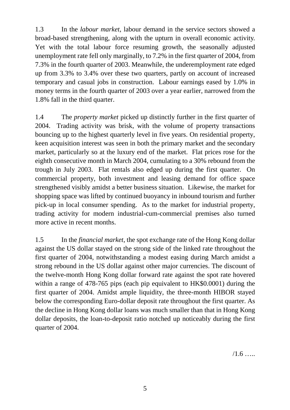1.3 In the *labour market*, labour demand in the service sectors showed a broad-based strengthening, along with the upturn in overall economic activity. Yet with the total labour force resuming growth, the seasonally adjusted unemployment rate fell only marginally, to 7.2% in the first quarter of 2004, from 7.3% in the fourth quarter of 2003. Meanwhile, the underemployment rate edged up from 3.3% to 3.4% over these two quarters, partly on account of increased temporary and casual jobs in construction. Labour earnings eased by 1.0% in money terms in the fourth quarter of 2003 over a year earlier, narrowed from the 1.8% fall in the third quarter.

1.4 The *property market* picked up distinctly further in the first quarter of 2004. Trading activity was brisk, with the volume of property transactions bouncing up to the highest quarterly level in five years. On residential property, keen acquisition interest was seen in both the primary market and the secondary market, particularly so at the luxury end of the market. Flat prices rose for the eighth consecutive month in March 2004, cumulating to a 30% rebound from the trough in July 2003. Flat rentals also edged up during the first quarter. On commercial property, both investment and leasing demand for office space strengthened visibly amidst a better business situation. Likewise, the market for shopping space was lifted by continued buoyancy in inbound tourism and further pick-up in local consumer spending. As to the market for industrial property, trading activity for modern industrial-cum-commercial premises also turned more active in recent months.

1.5 In the *financial market*, the spot exchange rate of the Hong Kong dollar against the US dollar stayed on the strong side of the linked rate throughout the first quarter of 2004, notwithstanding a modest easing during March amidst a strong rebound in the US dollar against other major currencies. The discount of the twelve-month Hong Kong dollar forward rate against the spot rate hovered within a range of 478-765 pips (each pip equivalent to HK\$0.0001) during the first quarter of 2004. Amidst ample liquidity, the three-month HIBOR stayed below the corresponding Euro-dollar deposit rate throughout the first quarter. As the decline in Hong Kong dollar loans was much smaller than that in Hong Kong dollar deposits, the loan-to-deposit ratio notched up noticeably during the first quarter of 2004.

 $/1.6$  ……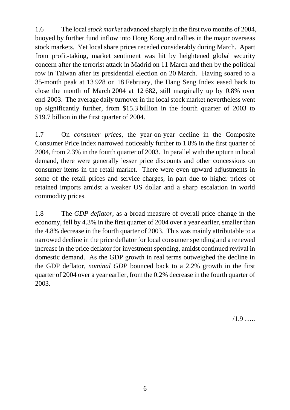1.6 The local *stock market* advanced sharply in the first two months of 2004, buoyed by further fund inflow into Hong Kong and rallies in the major overseas stock markets. Yet local share prices receded considerably during March. Apart from profit-taking, market sentiment was hit by heightened global security concern after the terrorist attack in Madrid on 11 March and then by the political row in Taiwan after its presidential election on 20 March. Having soared to a 35-month peak at 13 928 on 18 February, the Hang Seng Index eased back to close the month of March 2004 at 12 682, still marginally up by 0.8% over end-2003. The average daily turnover in the local stock market nevertheless went up significantly further, from \$15.3 billion in the fourth quarter of 2003 to \$19.7 billion in the first quarter of 2004.

1.7 On *consumer prices*, the year-on-year decline in the Composite Consumer Price Index narrowed noticeably further to 1.8% in the first quarter of 2004, from 2.3% in the fourth quarter of 2003. In parallel with the upturn in local demand, there were generally lesser price discounts and other concessions on consumer items in the retail market. There were even upward adjustments in some of the retail prices and service charges, in part due to higher prices of retained imports amidst a weaker US dollar and a sharp escalation in world commodity prices.

1.8 The *GDP deflator*, as a broad measure of overall price change in the economy, fell by 4.3% in the first quarter of 2004 over a year earlier, smaller than the 4.8% decrease in the fourth quarter of 2003. This was mainly attributable to a narrowed decline in the price deflator for local consumer spending and a renewed increase in the price deflator for investment spending, amidst continued revival in domestic demand. As the GDP growth in real terms outweighed the decline in the GDP deflator, *nominal GDP* bounced back to a 2.2% growth in the first quarter of 2004 over a year earlier, from the 0.2% decrease in the fourth quarter of 2003.

 $/1.9$  …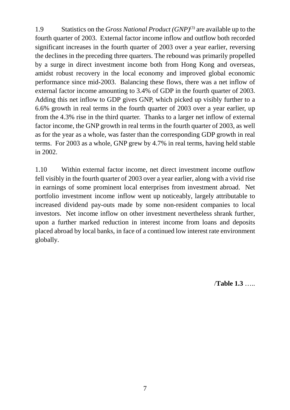1.9 Statistics on the *Gross National Product (GNP)*(3) are available up to the fourth quarter of 2003. External factor income inflow and outflow both recorded significant increases in the fourth quarter of 2003 over a year earlier, reversing the declines in the preceding three quarters. The rebound was primarily propelled by a surge in direct investment income both from Hong Kong and overseas, amidst robust recovery in the local economy and improved global economic performance since mid-2003. Balancing these flows, there was a net inflow of external factor income amounting to 3.4% of GDP in the fourth quarter of 2003. Adding this net inflow to GDP gives GNP, which picked up visibly further to a 6.6% growth in real terms in the fourth quarter of 2003 over a year earlier, up from the 4.3% rise in the third quarter. Thanks to a larger net inflow of external factor income, the GNP growth in real terms in the fourth quarter of 2003, as well as for the year as a whole, was faster than the corresponding GDP growth in real terms. For 2003 as a whole, GNP grew by 4.7% in real terms, having held stable in 2002.

1.10 Within external factor income, net direct investment income outflow fell visibly in the fourth quarter of 2003 over a year earlier, along with a vivid rise in earnings of some prominent local enterprises from investment abroad. Net portfolio investment income inflow went up noticeably, largely attributable to increased dividend pay-outs made by some non-resident companies to local investors. Net income inflow on other investment nevertheless shrank further, upon a further marked reduction in interest income from loans and deposits placed abroad by local banks, in face of a continued low interest rate environment globally.

/**Table 1.3** …..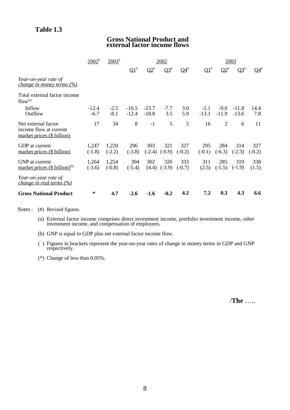#### **Gross National Product and external factor income flows**

|                                                                                  | $2002^{*}$        | $2003$ <sup>#</sup> |                    |                    | 2002            |                          |                   |                   | 2003               |                 |
|----------------------------------------------------------------------------------|-------------------|---------------------|--------------------|--------------------|-----------------|--------------------------|-------------------|-------------------|--------------------|-----------------|
|                                                                                  |                   |                     | $\Omega^*$         | $\Omega^*$         | $Q3^{\#}$       | $\mathbf{Q}4^{\text{*}}$ | $\Omega^*$        | $\Omega^*$        | $Q3^{\#}$          | $Q4^*$          |
| Year-on-year rate of<br><i>change in money terms (%)</i>                         |                   |                     |                    |                    |                 |                          |                   |                   |                    |                 |
| Total external factor income<br>flow <sup>(a)</sup>                              |                   |                     |                    |                    |                 |                          |                   |                   |                    |                 |
| Inflow<br>Outflow                                                                | $-12.4$<br>$-6.7$ | $-2.5$<br>$-8.1$    | $-16.5$<br>$-12.4$ | $-23.7$<br>$-18.8$ | $-7.7$<br>3.5   | 3.0<br>5.9               | $-2.1$<br>$-13.1$ | $-9.0$<br>$-11.9$ | $-11.8$<br>$-13.6$ | 14.4<br>7.8     |
| Net external factor<br>income flow at current<br>market prices (\$ billion)      | 17                | 34                  | 8                  | $-1$               | 5               | 5                        | 16                | 2                 | 6                  | 11              |
| GDP at current<br>market prices (\$ billion)                                     | 1,247<br>$(-1.8)$ | 1,220<br>$(-2.2)$   | 296<br>$(-3.8)$    | 303<br>$(-2.4)$    | 321<br>$(-0.9)$ | 327<br>$(-0.2)$          | 295<br>$(-0.1)$   | 284<br>$(-6.3)$   | 314<br>$(-2.3)$    | 327<br>$(-0.2)$ |
| GNP at current<br>market prices $(\$ billion)^{(b)}$                             | 1,264<br>$(-3.6)$ | 1,254<br>$(-0.8)$   | 304<br>$(-5.4)$    | 302<br>(4.4)       | 326<br>$(-3.9)$ | 333<br>$(-0.7)$          | 311<br>(2.5)      | 285<br>$(-5.5)$   | 319<br>$(-1.9)$    | 338<br>(1.5)    |
| Year-on-year rate of<br><i>change in real terms <math>(\frac{\%}{\%})</math></i> |                   |                     |                    |                    |                 |                          |                   |                   |                    |                 |
| <b>Gross National Product</b>                                                    | ∗                 | 4.7                 | $-2.6$             | $-1.6$             | $-0.2$          | 4.2                      | 7.2               | 0.3               | 4.3                | 6.6             |

Notes : (#) Revised figures.

- (a) External factor income comprises direct investment income, portfolio investment income, other investment income, and compensation of employees.
- (b) GNP is equal to GDP plus net external factor income flow.
- ( ) Figures in brackets represent the year-on-year rates of change in money terms in GDP and GNP respectively.
- (\*) Change of less than 0.05%.

/**The** …..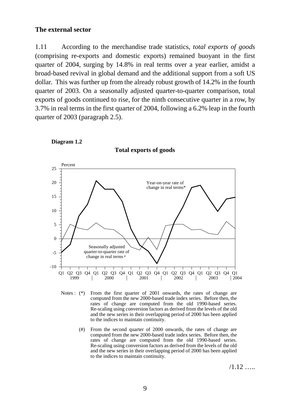#### **The external sector**

1.11 According to the merchandise trade statistics, *total exports of goods* (comprising re-exports and domestic exports) remained buoyant in the first quarter of 2004, surging by 14.8% in real terms over a year earlier, amidst a broad-based revival in global demand and the additional support from a soft US dollar. This was further up from the already robust growth of 14.2% in the fourth quarter of 2003. On a seasonally adjusted quarter-to-quarter comparison, total exports of goods continued to rise, for the ninth consecutive quarter in a row, by 3.7% in real terms in the first quarter of 2004, following a 6.2% leap in the fourth quarter of 2003 (paragraph 2.5).





**Total exports of goods**

- Notes : (\*) From the first quarter of 2001 onwards, the rates of change are computed from the new 2000-based trade index series. Before then, the rates of change are computed from the old 1990-based series. Re-scaling using conversion factors as derived from the levels of the old and the new series in their overlapping period of 2000 has been applied to the indices to maintain continuity.
	- (#) From the second quarter of 2000 onwards, the rates of change are computed from the new 2000-based trade index series. Before then, the rates of change are computed from the old 1990-based series. Re-scaling using conversion factors as derived from the levels of the old and the new series in their overlapping period of 2000 has been applied to the indices to maintain continuity.

 $/1.12$  …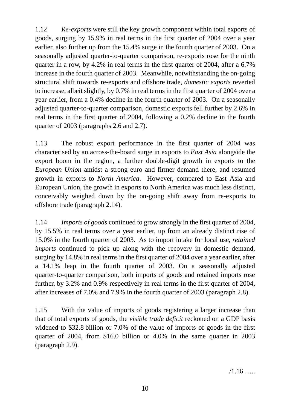1.12 *Re-exports* were still the key growth component within total exports of goods, surging by 15.9% in real terms in the first quarter of 2004 over a year earlier, also further up from the 15.4% surge in the fourth quarter of 2003. On a seasonally adjusted quarter-to-quarter comparison, re-exports rose for the ninth quarter in a row, by 4.2% in real terms in the first quarter of 2004, after a 6.7% increase in the fourth quarter of 2003. Meanwhile, notwithstanding the on-going structural shift towards re-exports and offshore trade, *domestic exports* reverted to increase, albeit slightly, by 0.7% in real terms in the first quarter of 2004 over a year earlier, from a 0.4% decline in the fourth quarter of 2003. On a seasonally adjusted quarter-to-quarter comparison, domestic exports fell further by 2.6% in real terms in the first quarter of 2004, following a 0.2% decline in the fourth quarter of 2003 (paragraphs 2.6 and 2.7).

1.13 The robust export performance in the first quarter of 2004 was characterised by an across-the-board surge in exports to *East Asia* alongside the export boom in the region, a further double-digit growth in exports to the *European Union* amidst a strong euro and firmer demand there, and resumed growth in exports to *North America*. However, compared to East Asia and European Union, the growth in exports to North America was much less distinct, conceivably weighed down by the on-going shift away from re-exports to offshore trade (paragraph 2.14).

1.14 *Imports of goods* continued to grow strongly in the first quarter of 2004, by 15.5% in real terms over a year earlier, up from an already distinct rise of 15.0% in the fourth quarter of 2003. As to import intake for local use, *retained imports* continued to pick up along with the recovery in domestic demand, surging by 14.8% in real terms in the first quarter of 2004 over a year earlier, after a 14.1% leap in the fourth quarter of 2003. On a seasonally adjusted quarter-to-quarter comparison, both imports of goods and retained imports rose further, by 3.2% and 0.9% respectively in real terms in the first quarter of 2004, after increases of 7.0% and 7.9% in the fourth quarter of 2003 (paragraph 2.8).

1.15 With the value of imports of goods registering a larger increase than that of total exports of goods, the *visible trade deficit* reckoned on a GDP basis widened to \$32.8 billion or 7.0% of the value of imports of goods in the first quarter of 2004, from \$16.0 billion or 4.0% in the same quarter in 2003 (paragraph 2.9).

 $/1.16$  …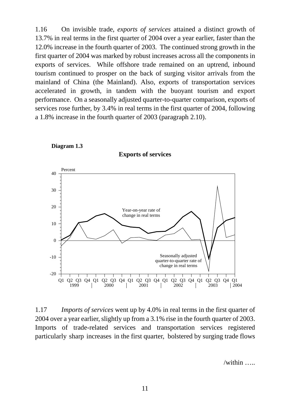1.16 On invisible trade, *exports of services* attained a distinct growth of 13.7% in real terms in the first quarter of 2004 over a year earlier, faster than the 12.0% increase in the fourth quarter of 2003. The continued strong growth in the first quarter of 2004 was marked by robust increases across all the components in exports of services. While offshore trade remained on an uptrend, inbound tourism continued to prosper on the back of surging visitor arrivals from the mainland of China (the Mainland). Also, exports of transportation services accelerated in growth, in tandem with the buoyant tourism and export performance. On a seasonally adjusted quarter-to-quarter comparison, exports of services rose further, by 3.4% in real terms in the first quarter of 2004, following a 1.8% increase in the fourth quarter of 2003 (paragraph 2.10).



**Diagram 1.3**

1.17 *Imports of services* went up by 4.0% in real terms in the first quarter of 2004 over a year earlier, slightly up from a 3.1% rise in the fourth quarter of 2003. Imports of trade-related services and transportation services registered particularly sharp increases in the first quarter, bolstered by surging trade flows

/within …..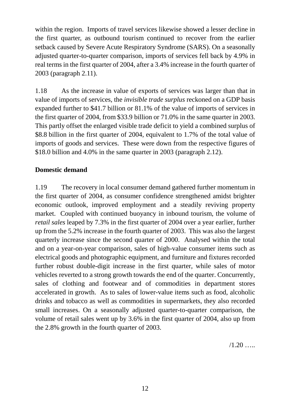within the region. Imports of travel services likewise showed a lesser decline in the first quarter, as outbound tourism continued to recover from the earlier setback caused by Severe Acute Respiratory Syndrome (SARS). On a seasonally adjusted quarter-to-quarter comparison, imports of services fell back by 4.9% in real terms in the first quarter of 2004, after a 3.4% increase in the fourth quarter of 2003 (paragraph 2.11).

1.18 As the increase in value of exports of services was larger than that in value of imports of services, the *invisible trade surplus* reckoned on a GDP basis expanded further to \$41.7 billion or 81.1% of the value of imports of services in the first quarter of 2004, from \$33.9 billion or 71.0% in the same quarter in 2003. This partly offset the enlarged visible trade deficit to yield a combined surplus of \$8.8 billion in the first quarter of 2004, equivalent to 1.7% of the total value of imports of goods and services. These were down from the respective figures of \$18.0 billion and 4.0% in the same quarter in 2003 (paragraph 2.12).

## **Domestic demand**

1.19 The recovery in local consumer demand gathered further momentum in the first quarter of 2004, as consumer confidence strengthened amidst brighter economic outlook, improved employment and a steadily reviving property market. Coupled with continued buoyancy in inbound tourism, the volume of *retail sales* leaped by 7.3% in the first quarter of 2004 over a year earlier, further up from the 5.2% increase in the fourth quarter of 2003. This was also the largest quarterly increase since the second quarter of 2000. Analysed within the total and on a year-on-year comparison, sales of high-value consumer items such as electrical goods and photographic equipment, and furniture and fixtures recorded further robust double-digit increase in the first quarter, while sales of motor vehicles reverted to a strong growth towards the end of the quarter. Concurrently, sales of clothing and footwear and of commodities in department stores accelerated in growth. As to sales of lower-value items such as food, alcoholic drinks and tobacco as well as commodities in supermarkets, they also recorded small increases. On a seasonally adjusted quarter-to-quarter comparison, the volume of retail sales went up by 3.6% in the first quarter of 2004, also up from the 2.8% growth in the fourth quarter of 2003.

 $/1.20$  …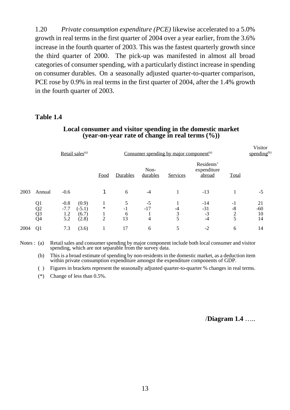1.20 *Private consumption expenditure (PCE)* likewise accelerated to a 5.0% growth in real terms in the first quarter of 2004 over a year earlier, from the 3.6% increase in the fourth quarter of 2003. This was the fastest quarterly growth since the third quarter of 2000. The pick-up was manifested in almost all broad categories of consumer spending, with a particularly distinct increase in spending on consumer durables. On a seasonally adjusted quarter-to-quarter comparison, PCE rose by 0.9% in real terms in the first quarter of 2004, after the 1.4% growth in the fourth quarter of 2003.

#### **Table 1.4**

#### **Local consumer and visitor spending in the domestic market (year-on-year rate of change in real terms (%))**

|      |                                   | Retail sales <sup>(a)</sup>                                           |                               | Consumer spending by major component <sup>(a)</sup> |                    |              |                                     |                             |                         |  |  |  |  |  |  |  |  | Visitor<br>spending $^{(b)}$ |
|------|-----------------------------------|-----------------------------------------------------------------------|-------------------------------|-----------------------------------------------------|--------------------|--------------|-------------------------------------|-----------------------------|-------------------------|--|--|--|--|--|--|--|--|------------------------------|
|      |                                   |                                                                       | Food                          | Durables                                            | Non-<br>durables   | Services     | Residents'<br>expenditure<br>abroad | Total                       |                         |  |  |  |  |  |  |  |  |                              |
| 2003 | Annual                            | $-0.6$                                                                |                               | 6                                                   | $-4$               |              | $-13$                               |                             | $-5$                    |  |  |  |  |  |  |  |  |                              |
|      | Q <sub>1</sub><br>$\frac{Q2}{Q3}$ | $-0.8$<br>(0.9)<br>$-7.7$<br>$(-5.1)$<br>(6.7)<br>1.2<br>5.2<br>(2.8) | $\ast$<br>1<br>$\overline{2}$ | 5<br>$-1$<br>6<br>13                                | $-5$<br>$-17$<br>4 | -4<br>3<br>5 | $-14$<br>$-31$<br>$-3$<br>$-4$      | $-1$<br>$-8$<br>$rac{2}{5}$ | 21<br>$-60$<br>10<br>14 |  |  |  |  |  |  |  |  |                              |
| 2004 | Q <sub>1</sub>                    | 7.3<br>(3.6)                                                          |                               | 17                                                  | 6                  | 5            | $-2$                                | 6                           | 14                      |  |  |  |  |  |  |  |  |                              |

Notes : (a) Retail sales and consumer spending by major component include both local consumer and visitor spending, which are not separable from the survey data.

(b) This is a broad estimate of spending by non-residents in the domestic market, as a deduction item within private consumption expenditure amongst the expenditure components of GDP.

( ) Figures in brackets represent the seasonally adjusted quarter-to-quarter % changes in real terms.

(\*) Change of less than 0.5%.

/**Diagram 1.4** …..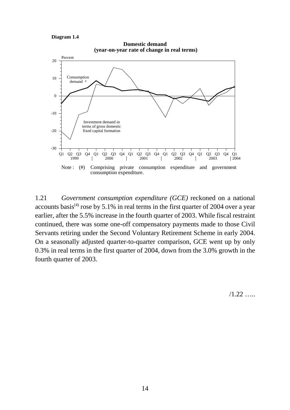**Diagram 1.4**





1.21 *Government consumption expenditure (GCE)* reckoned on a national accounts basis<sup>(4)</sup> rose by 5.1% in real terms in the first quarter of 2004 over a year earlier, after the 5.5% increase in the fourth quarter of 2003. While fiscal restraint continued, there was some one-off compensatory payments made to those Civil Servants retiring under the Second Voluntary Retirement Scheme in early 2004. On a seasonally adjusted quarter-to-quarter comparison, GCE went up by only 0.3% in real terms in the first quarter of 2004, down from the 3.0% growth in the fourth quarter of 2003.

 $/1.22$  …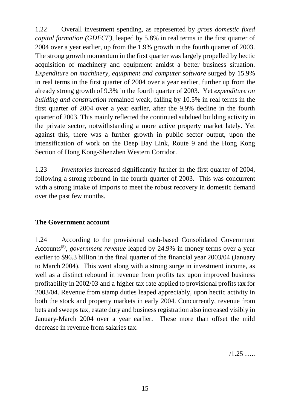1.22 Overall investment spending, as represented by *gross domestic fixed capital formation (GDFCF)*, leaped by 5.8% in real terms in the first quarter of 2004 over a year earlier, up from the 1.9% growth in the fourth quarter of 2003. The strong growth momentum in the first quarter was largely propelled by hectic acquisition of machinery and equipment amidst a better business situation. *Expenditure on machinery, equipment and computer software* surged by 15.9% in real terms in the first quarter of 2004 over a year earlier, further up from the already strong growth of 9.3% in the fourth quarter of 2003. Yet *expenditure on building and construction* remained weak, falling by 10.5% in real terms in the first quarter of 2004 over a year earlier, after the 9.9% decline in the fourth quarter of 2003. This mainly reflected the continued subdued building activity in the private sector, notwithstanding a more active property market lately. Yet against this, there was a further growth in public sector output, upon the intensification of work on the Deep Bay Link, Route 9 and the Hong Kong Section of Hong Kong-Shenzhen Western Corridor.

1.23 *Inventories* increased significantly further in the first quarter of 2004, following a strong rebound in the fourth quarter of 2003. This was concurrent with a strong intake of imports to meet the robust recovery in domestic demand over the past few months.

## **The Government account**

1.24 According to the provisional cash-based Consolidated Government Accounts<sup>(5)</sup>, *government revenue* leaped by 24.9% in money terms over a year earlier to \$96.3 billion in the final quarter of the financial year 2003/04 (January to March 2004). This went along with a strong surge in investment income, as well as a distinct rebound in revenue from profits tax upon improved business profitability in 2002/03 and a higher tax rate applied to provisional profits tax for 2003/04. Revenue from stamp duties leaped appreciably, upon hectic activity in both the stock and property markets in early 2004. Concurrently, revenue from bets and sweeps tax, estate duty and business registration also increased visibly in January-March 2004 over a year earlier. These more than offset the mild decrease in revenue from salaries tax.

 $/1.25$  …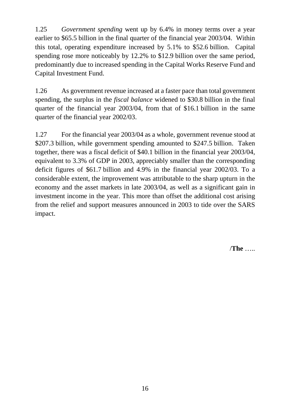1.25 *Government spending* went up by 6.4% in money terms over a year earlier to \$65.5 billion in the final quarter of the financial year 2003/04. Within this total, operating expenditure increased by 5.1% to \$52.6 billion. Capital spending rose more noticeably by 12.2% to \$12.9 billion over the same period, predominantly due to increased spending in the Capital Works Reserve Fund and Capital Investment Fund.

1.26 As government revenue increased at a faster pace than total government spending, the surplus in the *fiscal balance* widened to \$30.8 billion in the final quarter of the financial year 2003/04, from that of \$16.1 billion in the same quarter of the financial year 2002/03.

1.27 For the financial year 2003/04 as a whole, government revenue stood at \$207.3 billion, while government spending amounted to \$247.5 billion. Taken together, there was a fiscal deficit of \$40.1 billion in the financial year 2003/04, equivalent to 3.3% of GDP in 2003, appreciably smaller than the corresponding deficit figures of \$61.7 billion and 4.9% in the financial year 2002/03. To a considerable extent, the improvement was attributable to the sharp upturn in the economy and the asset markets in late 2003/04, as well as a significant gain in investment income in the year. This more than offset the additional cost arising from the relief and support measures announced in 2003 to tide over the SARS impact.

/**The** …..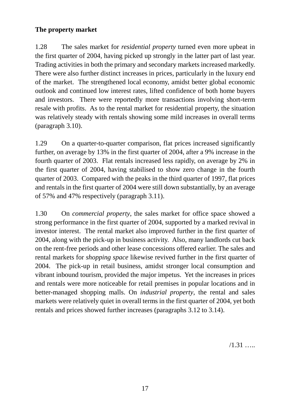## **The property market**

1.28 The sales market for *residential property* turned even more upbeat in the first quarter of 2004, having picked up strongly in the latter part of last year. Trading activities in both the primary and secondary markets increased markedly. There were also further distinct increases in prices, particularly in the luxury end of the market. The strengthened local economy, amidst better global economic outlook and continued low interest rates, lifted confidence of both home buyers and investors. There were reportedly more transactions involving short-term resale with profits. As to the rental market for residential property, the situation was relatively steady with rentals showing some mild increases in overall terms (paragraph 3.10).

1.29 On a quarter-to-quarter comparison, flat prices increased significantly further, on average by 13% in the first quarter of 2004, after a 9% increase in the fourth quarter of 2003. Flat rentals increased less rapidly, on average by 2% in the first quarter of 2004, having stabilised to show zero change in the fourth quarter of 2003. Compared with the peaks in the third quarter of 1997, flat prices and rentals in the first quarter of 2004 were still down substantially, by an average of 57% and 47% respectively (paragraph 3.11).

1.30 On *commercial property*, the sales market for office space showed a strong performance in the first quarter of 2004, supported by a marked revival in investor interest. The rental market also improved further in the first quarter of 2004, along with the pick-up in business activity. Also, many landlords cut back on the rent-free periods and other lease concessions offered earlier. The sales and rental markets for *shopping space* likewise revived further in the first quarter of 2004. The pick-up in retail business, amidst stronger local consumption and vibrant inbound tourism, provided the major impetus. Yet the increases in prices and rentals were more noticeable for retail premises in popular locations and in better-managed shopping malls. On *industrial property*, the rental and sales markets were relatively quiet in overall terms in the first quarter of 2004, yet both rentals and prices showed further increases (paragraphs 3.12 to 3.14).

 $/1.31$  ……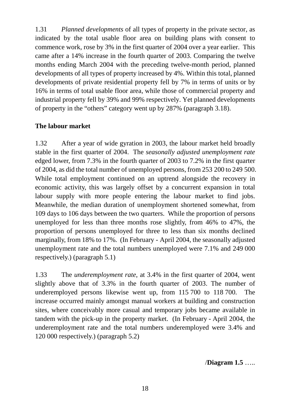1.31 *Planned developments* of all types of property in the private sector, as indicated by the total usable floor area on building plans with consent to commence work, rose by 3% in the first quarter of 2004 over a year earlier. This came after a 14% increase in the fourth quarter of 2003. Comparing the twelve months ending March 2004 with the preceding twelve-month period, planned developments of all types of property increased by 4%. Within this total, planned developments of private residential property fell by 7% in terms of units or by 16% in terms of total usable floor area, while those of commercial property and industrial property fell by 39% and 99% respectively. Yet planned developments of property in the "others" category went up by 287% (paragraph 3.18).

## **The labour market**

1.32 After a year of wide gyration in 2003, the labour market held broadly stable in the first quarter of 2004. The *seasonally adjusted unemployment rate* edged lower, from 7.3% in the fourth quarter of 2003 to 7.2% in the first quarter of 2004, as did the total number of unemployed persons, from 253 200 to 249 500. While total employment continued on an uptrend alongside the recovery in economic activity, this was largely offset by a concurrent expansion in total labour supply with more people entering the labour market to find jobs. Meanwhile, the median duration of unemployment shortened somewhat, from 109 days to 106 days between the two quarters. While the proportion of persons unemployed for less than three months rose slightly, from 46% to 47%, the proportion of persons unemployed for three to less than six months declined marginally, from 18% to 17%. (In February - April 2004, the seasonally adjusted unemployment rate and the total numbers unemployed were 7.1% and 249 000 respectively.) (paragraph 5.1)

1.33 The *underemployment rate*, at 3.4% in the first quarter of 2004, went slightly above that of 3.3% in the fourth quarter of 2003. The number of underemployed persons likewise went up, from 115 700 to 118 700. The increase occurred mainly amongst manual workers at building and construction sites, where conceivably more casual and temporary jobs became available in tandem with the pick-up in the property market. (In February - April 2004, the underemployment rate and the total numbers underemployed were 3.4% and 120 000 respectively.) (paragraph 5.2)

/**Diagram 1.5** …..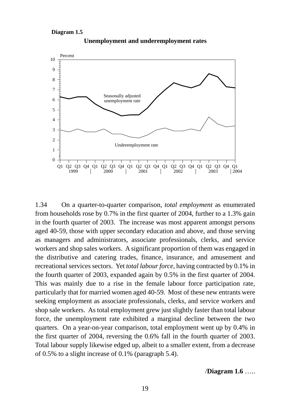**Diagram 1.5**



**Unemployment and underemployment rates**

1.34 On a quarter-to-quarter comparison, *total employment* as enumerated from households rose by 0.7% in the first quarter of 2004, further to a 1.3% gain in the fourth quarter of 2003. The increase was most apparent amongst persons aged 40-59, those with upper secondary education and above, and those serving as managers and administrators, associate professionals, clerks, and service workers and shop sales workers. A significant proportion of them was engaged in the distributive and catering trades, finance, insurance, and amusement and recreational services sectors. Yet *total labour force*, having contracted by 0.1% in the fourth quarter of 2003, expanded again by 0.5% in the first quarter of 2004. This was mainly due to a rise in the female labour force participation rate, particularly that for married women aged 40-59. Most of these new entrants were seeking employment as associate professionals, clerks, and service workers and shop sale workers. As total employment grew just slightly faster than total labour force, the unemployment rate exhibited a marginal decline between the two quarters. On a year-on-year comparison, total employment went up by 0.4% in the first quarter of 2004, reversing the 0.6% fall in the fourth quarter of 2003. Total labour supply likewise edged up, albeit to a smaller extent, from a decrease of 0.5% to a slight increase of 0.1% (paragraph 5.4).

/**Diagram 1.6** …..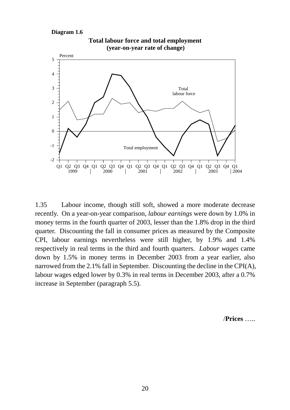#### **Diagram 1.6**



1.35 Labour income, though still soft, showed a more moderate decrease recently. On a year-on-year comparison, *labour earnings* were down by 1.0% in money terms in the fourth quarter of 2003, lesser than the 1.8% drop in the third quarter. Discounting the fall in consumer prices as measured by the Composite CPI, labour earnings nevertheless were still higher, by 1.9% and 1.4% respectively in real terms in the third and fourth quarters. *Labour wages* came down by 1.5% in money terms in December 2003 from a year earlier, also narrowed from the 2.1% fall in September. Discounting the decline in the CPI(A), labour wages edged lower by 0.3% in real terms in December 2003, after a 0.7% increase in September (paragraph 5.5).

/**Prices** …..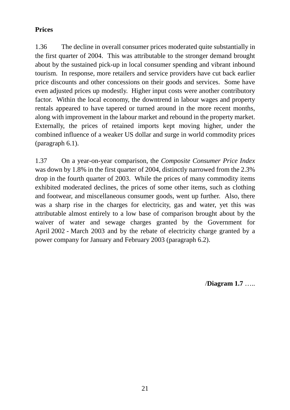## **Prices**

1.36 The decline in overall consumer prices moderated quite substantially in the first quarter of 2004. This was attributable to the stronger demand brought about by the sustained pick-up in local consumer spending and vibrant inbound tourism. In response, more retailers and service providers have cut back earlier price discounts and other concessions on their goods and services. Some have even adjusted prices up modestly. Higher input costs were another contributory factor. Within the local economy, the downtrend in labour wages and property rentals appeared to have tapered or turned around in the more recent months, along with improvement in the labour market and rebound in the property market. Externally, the prices of retained imports kept moving higher, under the combined influence of a weaker US dollar and surge in world commodity prices (paragraph 6.1).

1.37 On a year-on-year comparison, the *Composite Consumer Price Index* was down by 1.8% in the first quarter of 2004, distinctly narrowed from the 2.3% drop in the fourth quarter of 2003. While the prices of many commodity items exhibited moderated declines, the prices of some other items, such as clothing and footwear, and miscellaneous consumer goods, went up further. Also, there was a sharp rise in the charges for electricity, gas and water, yet this was attributable almost entirely to a low base of comparison brought about by the waiver of water and sewage charges granted by the Government for April 2002 - March 2003 and by the rebate of electricity charge granted by a power company for January and February 2003 (paragraph 6.2).

/**Diagram 1.7** …..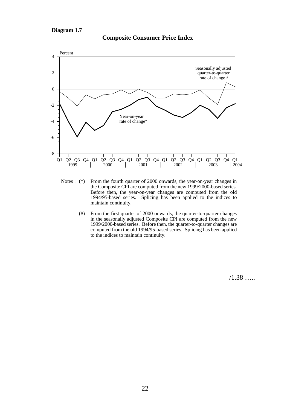

#### **Composite Consumer Price Index**

- Notes : (\*) From the fourth quarter of 2000 onwards, the year-on-year changes in the Composite CPI are computed from the new 1999/2000-based series. Before then, the year-on-year changes are computed from the old 1994/95-based series. Splicing has been applied to the indices to maintain continuity.
	- (#) From the first quarter of 2000 onwards, the quarter-to-quarter changes in the seasonally adjusted Composite CPI are computed from the new 1999/2000-based series. Before then, the quarter-to-quarter changes are computed from the old 1994/95-based series. Splicing has been applied to the indices to maintain continuity.

/1.38 …..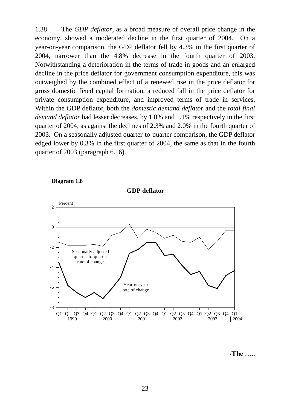1.38 The *GDP deflator*, as a broad measure of overall price change in the economy, showed a moderated decline in the first quarter of 2004. On a year-on-year comparison, the GDP deflator fell by 4.3% in the first quarter of 2004, narrower than the 4.8% decrease in the fourth quarter of 2003. Notwithstanding a deterioration in the terms of trade in goods and an enlarged decline in the price deflator for government consumption expenditure, this was outweighed by the combined effect of a renewed rise in the price deflator for gross domestic fixed capital formation, a reduced fall in the price deflator for private consumption expenditure, and improved terms of trade in services. Within the GDP deflator, both the *domestic demand deflator* and the *total final demand deflator* had lesser decreases, by 1.0% and 1.1% respectively in the first quarter of 2004, as against the declines of 2.3% and 2.0% in the fourth quarter of 2003. On a seasonally adjusted quarter-to-quarter comparison, the GDP deflator edged lower by 0.3% in the first quarter of 2004, the same as that in the fourth quarter of 2003 (paragraph 6.16).



**Diagram 1.8**

/**The** …..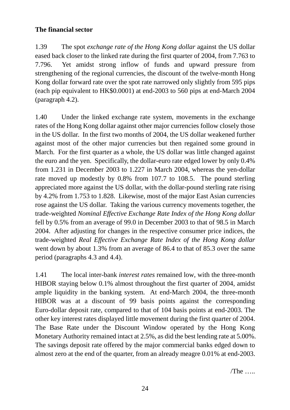## **The financial sector**

1.39 The spot *exchange rate of the Hong Kong dollar* against the US dollar eased back closer to the linked rate during the first quarter of 2004, from 7.763 to 7.796. Yet amidst strong inflow of funds and upward pressure from strengthening of the regional currencies, the discount of the twelve-month Hong Kong dollar forward rate over the spot rate narrowed only slightly from 595 pips (each pip equivalent to HK\$0.0001) at end-2003 to 560 pips at end-March 2004 (paragraph 4.2).

1.40 Under the linked exchange rate system, movements in the exchange rates of the Hong Kong dollar against other major currencies follow closely those in the US dollar. In the first two months of 2004, the US dollar weakened further against most of the other major currencies but then regained some ground in March. For the first quarter as a whole, the US dollar was little changed against the euro and the yen. Specifically, the dollar-euro rate edged lower by only 0.4% from 1.231 in December 2003 to 1.227 in March 2004, whereas the yen-dollar rate moved up modestly by 0.8% from 107.7 to 108.5. The pound sterling appreciated more against the US dollar, with the dollar-pound sterling rate rising by 4.2% from 1.753 to 1.828. Likewise, most of the major East Asian currencies rose against the US dollar. Taking the various currency movements together, the trade-weighted *Nominal Effective Exchange Rate Index of the Hong Kong dollar* fell by 0.5% from an average of 99.0 in December 2003 to that of 98.5 in March 2004. After adjusting for changes in the respective consumer price indices, the trade-weighted *Real Effective Exchange Rate Index of the Hong Kong dollar* went down by about 1.3% from an average of 86.4 to that of 85.3 over the same period (paragraphs 4.3 and 4.4).

1.41 The local inter-bank *interest rates* remained low, with the three-month HIBOR staying below 0.1% almost throughout the first quarter of 2004, amidst ample liquidity in the banking system. At end-March 2004, the three-month HIBOR was at a discount of 99 basis points against the corresponding Euro-dollar deposit rate, compared to that of 104 basis points at end-2003. The other key interest rates displayed little movement during the first quarter of 2004. The Base Rate under the Discount Window operated by the Hong Kong Monetary Authority remained intact at 2.5%, as did the best lending rate at 5.00%. The savings deposit rate offered by the major commercial banks edged down to almost zero at the end of the quarter, from an already meagre 0.01% at end-2003.

 $/$ The  $\ldots$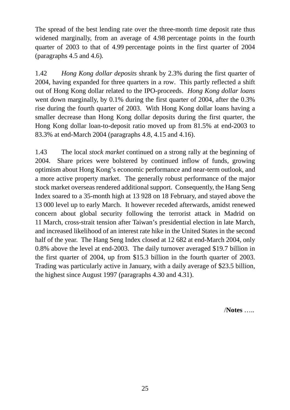The spread of the best lending rate over the three-month time deposit rate thus widened marginally, from an average of 4.98 percentage points in the fourth quarter of 2003 to that of 4.99 percentage points in the first quarter of 2004 (paragraphs 4.5 and 4.6).

1.42 *Hong Kong dollar deposits* shrank by 2.3% during the first quarter of 2004, having expanded for three quarters in a row. This partly reflected a shift out of Hong Kong dollar related to the IPO-proceeds. *Hong Kong dollar loans* went down marginally, by 0.1% during the first quarter of 2004, after the 0.3% rise during the fourth quarter of 2003. With Hong Kong dollar loans having a smaller decrease than Hong Kong dollar deposits during the first quarter, the Hong Kong dollar loan-to-deposit ratio moved up from 81.5% at end-2003 to 83.3% at end-March 2004 (paragraphs 4.8, 4.15 and 4.16).

1.43 The local *stock market* continued on a strong rally at the beginning of 2004. Share prices were bolstered by continued inflow of funds, growing optimism about Hong Kong's economic performance and near-term outlook, and a more active property market. The generally robust performance of the major stock market overseas rendered additional support. Consequently, the Hang Seng Index soared to a 35-month high at 13 928 on 18 February, and stayed above the 13 000 level up to early March. It however receded afterwards, amidst renewed concern about global security following the terrorist attack in Madrid on 11 March, cross-strait tension after Taiwan's presidential election in late March, and increased likelihood of an interest rate hike in the United States in the second half of the year. The Hang Seng Index closed at 12 682 at end-March 2004, only 0.8% above the level at end-2003. The daily turnover averaged \$19.7 billion in the first quarter of 2004, up from \$15.3 billion in the fourth quarter of 2003. Trading was particularly active in January, with a daily average of \$23.5 billion, the highest since August 1997 (paragraphs 4.30 and 4.31).

/**Notes** …..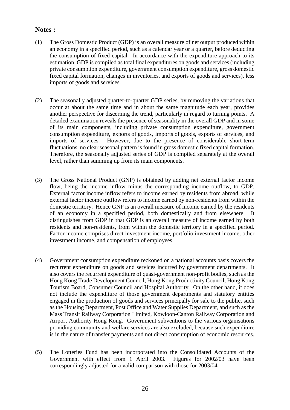#### **Notes :**

- (1) The Gross Domestic Product (GDP) is an overall measure of net output produced within an economy in a specified period, such as a calendar year or a quarter, before deducting the consumption of fixed capital. In accordance with the expenditure approach to its estimation, GDP is compiled as total final expenditures on goods and services (including private consumption expenditure, government consumption expenditure, gross domestic fixed capital formation, changes in inventories, and exports of goods and services), less imports of goods and services.
- (2) The seasonally adjusted quarter-to-quarter GDP series, by removing the variations that occur at about the same time and in about the same magnitude each year, provides another perspective for discerning the trend, particularly in regard to turning points. A detailed examination reveals the presence of seasonality in the overall GDP and in some of its main components, including private consumption expenditure, government consumption expenditure, exports of goods, imports of goods, exports of services, and imports of services. However, due to the presence of considerable short-term fluctuations, no clear seasonal pattern is found in gross domestic fixed capital formation. Therefore, the seasonally adjusted series of GDP is compiled separately at the overall level, rather than summing up from its main components.
- (3) The Gross National Product (GNP) is obtained by adding net external factor income flow, being the income inflow minus the corresponding income outflow, to GDP. External factor income inflow refers to income earned by residents from abroad, while external factor income outflow refers to income earned by non-residents from within the domestic territory. Hence GNP is an overall measure of income earned by the residents of an economy in a specified period, both domestically and from elsewhere. It distinguishes from GDP in that GDP is an overall measure of income earned by both residents and non-residents, from within the domestic territory in a specified period. Factor income comprises direct investment income, portfolio investment income, other investment income, and compensation of employees.
- (4) Government consumption expenditure reckoned on a national accounts basis covers the recurrent expenditure on goods and services incurred by government departments. It also covers the recurrent expenditure of quasi-government non-profit bodies, such as the Hong Kong Trade Development Council, Hong Kong Productivity Council, Hong Kong Tourism Board, Consumer Council and Hospital Authority. On the other hand, it does not include the expenditure of those government departments and statutory entities engaged in the production of goods and services principally for sale to the public, such as the Housing Department, Post Office and Water Supplies Department, and such as the Mass Transit Railway Corporation Limited, Kowloon-Canton Railway Corporation and Airport Authority Hong Kong. Government subventions to the various organisations providing community and welfare services are also excluded, because such expenditure is in the nature of transfer payments and not direct consumption of economic resources.
- (5) The Lotteries Fund has been incorporated into the Consolidated Accounts of the Government with effect from 1 April 2003. Figures for 2002/03 have been correspondingly adjusted for a valid comparison with those for 2003/04.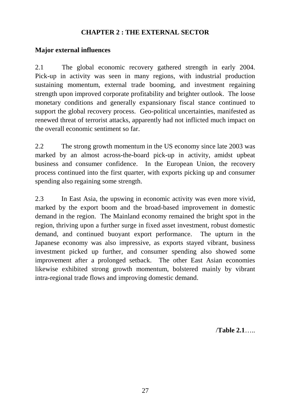## **CHAPTER 2 : THE EXTERNAL SECTOR**

## **Major external influences**

2.1 The global economic recovery gathered strength in early 2004. Pick-up in activity was seen in many regions, with industrial production sustaining momentum, external trade booming, and investment regaining strength upon improved corporate profitability and brighter outlook. The loose monetary conditions and generally expansionary fiscal stance continued to support the global recovery process. Geo-political uncertainties, manifested as renewed threat of terrorist attacks, apparently had not inflicted much impact on the overall economic sentiment so far.

2.2 The strong growth momentum in the US economy since late 2003 was marked by an almost across-the-board pick-up in activity, amidst upbeat business and consumer confidence. In the European Union, the recovery process continued into the first quarter, with exports picking up and consumer spending also regaining some strength.

2.3 In East Asia, the upswing in economic activity was even more vivid, marked by the export boom and the broad-based improvement in domestic demand in the region. The Mainland economy remained the bright spot in the region, thriving upon a further surge in fixed asset investment, robust domestic demand, and continued buoyant export performance. The upturn in the Japanese economy was also impressive, as exports stayed vibrant, business investment picked up further, and consumer spending also showed some improvement after a prolonged setback. The other East Asian economies likewise exhibited strong growth momentum, bolstered mainly by vibrant intra-regional trade flows and improving domestic demand.

/**Table 2.1**…..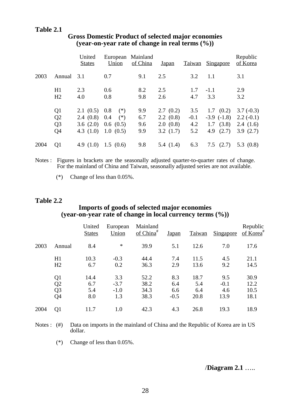#### **Table 2.1**

|      |                                                          | United<br><b>States</b>                   | European<br>Union                                     | Mainland<br>of China     | <u>Japan</u>                                      |                             | Taiwan Singapore                                                 | Republic<br>of Korea                               |
|------|----------------------------------------------------------|-------------------------------------------|-------------------------------------------------------|--------------------------|---------------------------------------------------|-----------------------------|------------------------------------------------------------------|----------------------------------------------------|
| 2003 | Annual                                                   | 3.1                                       | 0.7                                                   | 9.1                      | 2.5                                               | 3.2                         | 1.1                                                              | 3.1                                                |
|      | H1<br>H2                                                 | 2.3<br>4.0                                | 0.6<br>0.8                                            | 8.2<br>9.8               | 2.5<br>2.6                                        | 1.7<br>4.7                  | $-1.1$<br>3.3                                                    | 2.9<br>3.2                                         |
|      | Q <sub>1</sub><br>Q <sub>2</sub><br>Q <sub>3</sub><br>Q4 | 2.1(0.5)0.8<br>2.4(0.8)0.4<br>4.3 $(1.0)$ | $(*)$<br>$(*)$<br>3.6 $(2.0)$ 0.6 $(0.5)$<br>1.0(0.5) | 9.9<br>6.7<br>9.6<br>9.9 | 2.7(0.2)<br>$2.2 \ (0.8)$<br>2.0(0.8)<br>3.2(1.7) | 3.5<br>$-0.1$<br>4.2<br>5.2 | $1.7 \quad (0.2)$<br>$-3.9$ $(-1.8)$<br>1.7(3.8)<br>(2.7)<br>4.9 | $3.7(-0.3)$<br>$2.2(-0.1)$<br>2.4(1.6)<br>3.9(2.7) |
| 2004 | Q1                                                       | 4.9 $(1.0)$                               | 1.5(0.6)                                              | 9.8                      | 5.4(1.4)                                          | 6.3                         | $7.5$ $(2.7)$                                                    | 5.3 $(0.8)$                                        |

## **Gross Domestic Product of selected major economies (year-on-year rate of change in real terms (%))**

Notes : Figures in brackets are the seasonally adjusted quarter-to-quarter rates of change. For the mainland of China and Taiwan, seasonally adjusted series are not available.

(\*) Change of less than 0.05%.

#### **Table 2.2**

### **Imports of goods of selected major economies (year-on-year rate of change in local currency terms (%))**

|      |                                              | United<br><b>States</b>   | European<br>Union              | Mainland<br>of $China^{\#}$  | Japan                       | Taiwan                     | Singapore                    | Republic<br>of Korea <sup>#</sup> |
|------|----------------------------------------------|---------------------------|--------------------------------|------------------------------|-----------------------------|----------------------------|------------------------------|-----------------------------------|
| 2003 | Annual                                       | 8.4                       | $\ast$                         | 39.9                         | 5.1                         | 12.6                       | 7.0                          | 17.6                              |
|      | H1<br>H <sub>2</sub>                         | 10.3<br>6.7               | $-0.3$<br>0.2                  | 44.4<br>36.3                 | 7.4<br>2.9                  | 11.5<br>13.6               | 4.5<br>9.2                   | 21.1<br>14.5                      |
|      | Q <sub>1</sub><br>Q2<br>Q <sub>3</sub><br>Q4 | 14.4<br>6.7<br>5.4<br>8.0 | 3.3<br>$-3.7$<br>$-1.0$<br>1.3 | 52.2<br>38.2<br>34.3<br>38.3 | 8.3<br>6.4<br>6.6<br>$-0.5$ | 18.7<br>5.4<br>6.4<br>20.8 | 9.5<br>$-0.1$<br>4.6<br>13.9 | 30.9<br>12.2<br>10.5<br>18.1      |
| 2004 | Q <sub>1</sub>                               | 11.7                      | 1.0                            | 42.3                         | 4.3                         | 26.8                       | 19.3                         | 18.9                              |

Notes : (#) Data on imports in the mainland of China and the Republic of Korea are in US dollar.

(\*) Change of less than 0.05%.

#### /**Diagram 2.1** …..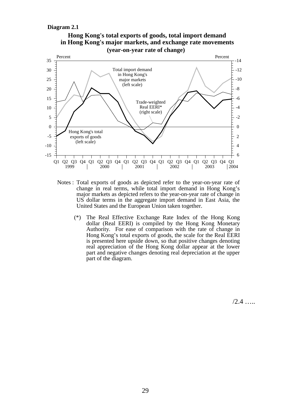#### **Diagram 2.1**



- Notes : Total exports of goods as depicted refer to the year-on-year rate of change in real terms, while total import demand in Hong Kong's major markets as depicted refers to the year-on-year rate of change in US dollar terms in the aggregate import demand in East Asia, the United States and the European Union taken together.
	- (\*) The Real Effective Exchange Rate Index of the Hong Kong dollar (Real EERI) is compiled by the Hong Kong Monetary Authority. For ease of comparison with the rate of change in Hong Kong's total exports of goods, the scale for the Real EERI is presented here upside down, so that positive changes denoting real appreciation of the Hong Kong dollar appear at the lower part and negative changes denoting real depreciation at the upper part of the diagram.

 $/2.4$  …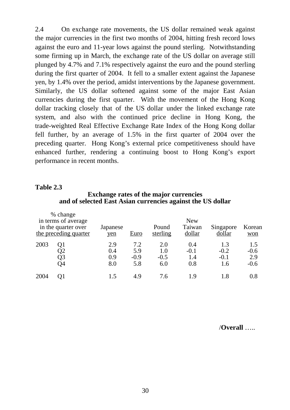2.4 On exchange rate movements, the US dollar remained weak against the major currencies in the first two months of 2004, hitting fresh record lows against the euro and 11-year lows against the pound sterling. Notwithstanding some firming up in March, the exchange rate of the US dollar on average still plunged by 4.7% and 7.1% respectively against the euro and the pound sterling during the first quarter of 2004. It fell to a smaller extent against the Japanese yen, by 1.4% over the period, amidst interventions by the Japanese government. Similarly, the US dollar softened against some of the major East Asian currencies during the first quarter. With the movement of the Hong Kong dollar tracking closely that of the US dollar under the linked exchange rate system, and also with the continued price decline in Hong Kong, the trade-weighted Real Effective Exchange Rate Index of the Hong Kong dollar fell further, by an average of 1.5% in the first quarter of 2004 over the preceding quarter. Hong Kong's external price competitiveness should have enhanced further, rendering a continuing boost to Hong Kong's export performance in recent months.

#### **Table 2.3**

#### **Exchange rates of the major currencies and of selected East Asian currencies against the US dollar**

|      | % change<br>in terms of average<br>in the quarter over<br>the preceding quarter | Japanese<br>yen          | <b>Euro</b>                 | Pound<br>sterling           | <b>New</b><br>Taiwan<br>dollar | Singapore<br>dollar            | Korean<br>won                  |
|------|---------------------------------------------------------------------------------|--------------------------|-----------------------------|-----------------------------|--------------------------------|--------------------------------|--------------------------------|
| 2003 | Q1<br>Q2<br>Q3<br>Q4                                                            | 2.9<br>0.4<br>0.9<br>8.0 | 7.2<br>5.9<br>$-0.9$<br>5.8 | 2.0<br>1.0<br>$-0.5$<br>6.0 | 0.4<br>$-0.1$<br>1.4<br>0.8    | 1.3<br>$-0.2$<br>$-0.1$<br>1.6 | 1.5<br>$-0.6$<br>2.9<br>$-0.6$ |
| 2004 | O1                                                                              | 1.5                      | 4.9                         | 7.6                         | 1.9                            | 1.8                            | 0.8                            |

/**Overall** …..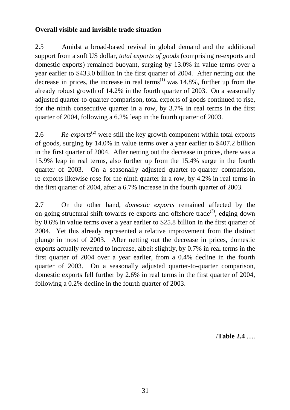## **Overall visible and invisible trade situation**

2.5 Amidst a broad-based revival in global demand and the additional support from a soft US dollar, *total exports of goods* (comprising re-exports and domestic exports) remained buoyant, surging by 13.0% in value terms over a year earlier to \$433.0 billion in the first quarter of 2004. After netting out the decrease in prices, the increase in real terms<sup> $(1)$ </sup> was 14.8%, further up from the already robust growth of 14.2% in the fourth quarter of 2003. On a seasonally adjusted quarter-to-quarter comparison, total exports of goods continued to rise, for the ninth consecutive quarter in a row, by 3.7% in real terms in the first quarter of 2004, following a 6.2% leap in the fourth quarter of 2003.

2.6 *Re-exports*<sup>(2)</sup> were still the key growth component within total exports of goods, surging by 14.0% in value terms over a year earlier to \$407.2 billion in the first quarter of 2004. After netting out the decrease in prices, there was a 15.9% leap in real terms, also further up from the 15.4% surge in the fourth quarter of 2003. On a seasonally adjusted quarter-to-quarter comparison, re-exports likewise rose for the ninth quarter in a row, by 4.2% in real terms in the first quarter of 2004, after a 6.7% increase in the fourth quarter of 2003.

2.7 On the other hand, *domestic exports* remained affected by the on-going structural shift towards re-exports and offshore trade<sup>(3)</sup>, edging down by 0.6% in value terms over a year earlier to \$25.8 billion in the first quarter of 2004. Yet this already represented a relative improvement from the distinct plunge in most of 2003. After netting out the decrease in prices, domestic exports actually reverted to increase, albeit slightly, by 0.7% in real terms in the first quarter of 2004 over a year earlier, from a 0.4% decline in the fourth quarter of 2003. On a seasonally adjusted quarter-to-quarter comparison, domestic exports fell further by 2.6% in real terms in the first quarter of 2004, following a 0.2% decline in the fourth quarter of 2003.

/**Table 2.4** .....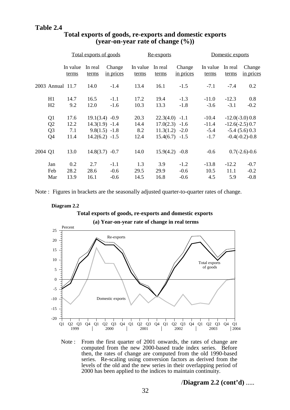|         |                                                                      | Total exports of goods      |                                                                             |                            |                             | Re-exports                                                                   |                            | Domestic exports                       |                        |                                                                               |
|---------|----------------------------------------------------------------------|-----------------------------|-----------------------------------------------------------------------------|----------------------------|-----------------------------|------------------------------------------------------------------------------|----------------------------|----------------------------------------|------------------------|-------------------------------------------------------------------------------|
|         |                                                                      | In value<br>terms           | In real<br>terms                                                            | Change<br>in prices        | In value<br>terms           | In real<br>terms                                                             | Change<br>in prices        | In value<br>terms                      | In real<br>terms       | Change<br>in prices                                                           |
|         | 2003 Annual 11.7                                                     |                             | 14.0                                                                        | $-1.4$                     | 13.4                        | 16.1                                                                         | $-1.5$                     | $-7.1$                                 | $-7.4$                 | 0.2                                                                           |
|         | H1<br>H2                                                             | 14.7<br>9.2                 | 16.5<br>12.0                                                                | $-1.1$<br>$-1.6$           | 17.2<br>10.3                | 19.4<br>13.3                                                                 | $-1.3$<br>$-1.8$           | $-11.0$<br>$-3.6$                      | $-12.3$<br>$-3.1$      | 0.8<br>$-0.2$                                                                 |
|         | Q <sub>1</sub><br>Q <sub>2</sub><br>Q <sub>3</sub><br>Q <sub>4</sub> | 17.6<br>12.2<br>7.1<br>11.4 | $19.1(3.4) -0.9$<br>$14.3(1.9) -1.4$<br>$9.8(1.5) -1.8$<br>$14.2(6.2) -1.5$ |                            | 20.3<br>14.4<br>8.2<br>12.4 | $22.3(4.0) -1.1$<br>$17.0(2.3) -1.6$<br>$11.3(1.2) -2.0$<br>$15.4(6.7) -1.5$ |                            | $-10.4$<br>$-11.4$<br>$-5.4$<br>$-1.7$ |                        | $-12.0(-3.0)0.8$<br>$-12.6(-2.5)$ 0.7<br>$-5.4$ (5.6) 0.3<br>$-0.4(-0.2)-0.8$ |
| 2004 Q1 |                                                                      | 13.0                        | $14.8(3.7) -0.7$                                                            |                            | 14.0                        | 15.9(4.2)                                                                    | $-0.8$                     | $-0.6$                                 |                        | $0.7(-2.6)-0.6$                                                               |
|         | Jan<br>Feb<br>Mar                                                    | 0.2<br>28.2<br>13.9         | 2.7<br>28.6<br>16.1                                                         | $-1.1$<br>$-0.6$<br>$-0.6$ | 1.3<br>29.5<br>14.5         | 3.9<br>29.9<br>16.8                                                          | $-1.2$<br>$-0.6$<br>$-0.6$ | $-13.8$<br>10.5<br>4.5                 | $-12.2$<br>11.1<br>5.9 | $-0.7$<br>$-0.2$<br>$-0.8$                                                    |

## **Total exports of goods, re-exports and domestic exports (year-on-year rate of change (%))**

Note : Figures in brackets are the seasonally adjusted quarter-to-quarter rates of change.

**Diagram 2.2**



**(a) Year-on-year rate of change in real terms**



Note : From the first quarter of 2001 onwards, the rates of change are computed from the new 2000-based trade index series. Before then, the rates of change are computed from the old 1990-based series. Re-scaling using conversion factors as derived from the levels of the old and the new series in their overlapping period of 2000 has been applied to the indices to maintain continuity.

/**Diagram 2.2 (cont'd)** .....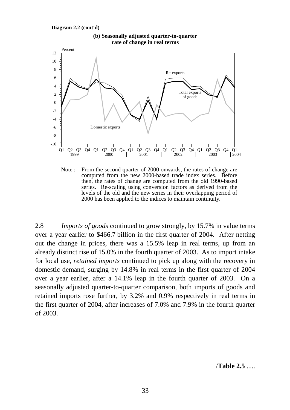**Diagram 2.2 (cont'd)**



**(b) Seasonally adjusted quarter-to-quarter rate of change in real terms**

Note : From the second quarter of 2000 onwards, the rates of change are computed from the new 2000-based trade index series. Before then, the rates of change are computed from the old 1990-based series. Re-scaling using conversion factors as derived from the levels of the old and the new series in their overlapping period of 2000 has been applied to the indices to maintain continuity.

2.8 *Imports of goods* continued to grow strongly, by 15.7% in value terms over a year earlier to \$466.7 billion in the first quarter of 2004. After netting out the change in prices, there was a 15.5% leap in real terms, up from an already distinct rise of 15.0% in the fourth quarter of 2003. As to import intake for local use, *retained imports* continued to pick up along with the recovery in domestic demand, surging by 14.8% in real terms in the first quarter of 2004 over a year earlier, after a 14.1% leap in the fourth quarter of 2003. On a seasonally adjusted quarter-to-quarter comparison, both imports of goods and retained imports rose further, by 3.2% and 0.9% respectively in real terms in the first quarter of 2004, after increases of 7.0% and 7.9% in the fourth quarter of 2003.

/**Table 2.5** .....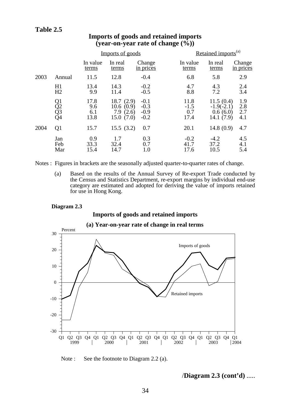## **Table 2.5**

|      |                      |                            | Imports of goods                                            |                                      |                               | Retained imports <sup>(a)</sup>                    |                          |  |  |
|------|----------------------|----------------------------|-------------------------------------------------------------|--------------------------------------|-------------------------------|----------------------------------------------------|--------------------------|--|--|
|      |                      | In value<br>terms          | In real<br>terms                                            | Change<br>in prices                  | In value<br>terms             | In real<br>terms                                   | Change<br>in prices      |  |  |
| 2003 | Annual               | 11.5                       | 12.8                                                        | $-0.4$                               | 6.8                           | 5.8                                                | 2.9                      |  |  |
|      | H1<br>H2             | 13.4<br>9.9                | 14.3<br>11.4                                                | $-0.2$<br>$-0.5$                     | 4.7<br>8.8                    | 4.3<br>7.2                                         | 2.4<br>3.4               |  |  |
|      | Q1<br>Q2<br>Q3<br>Q4 | 17.8<br>9.6<br>6.1<br>13.8 | 18.7(2.9)<br>10.6<br>(0.9)<br>(2.6)<br>7.9<br>15.0<br>(7.0) | $-0.1$<br>$-0.3$<br>$-0.9$<br>$-0.2$ | 11.8<br>$-1.5$<br>0.7<br>17.4 | 11.5(0.4)<br>$-1.9(-2.1)$<br>0.6(6.0)<br>14.1(7.9) | 1.9<br>2.8<br>2.7<br>4.1 |  |  |
| 2004 | Q1                   | 15.7                       | 15.5(3.2)                                                   | 0.7                                  | 20.1                          | 14.8(0.9)                                          | 4.7                      |  |  |
|      | Jan<br>Feb<br>Mar    | 0.9<br>33.3<br>15.4        | 1.7<br>32.4<br>14.7                                         | 0.3<br>0.7<br>1.0                    | $-0.2$<br>41.7<br>17.6        | $-4.2$<br>37.2<br>10.5                             | 4.5<br>4.1<br>5.4        |  |  |

## **Imports of goods and retained imports (year-on-year rate of change**  $(\sqrt{6})$ **)**

Notes : Figures in brackets are the seasonally adjusted quarter-to-quarter rates of change.

(a) Based on the results of the Annual Survey of Re-export Trade conducted by the Census and Statistics Department, re-export margins by individual end-use category are estimated and adopted for deriving the value of imports retained for use in Hong Kong.

#### **Diagram 2.3**

#### **Imports of goods and retained imports**



**(a) Year-on-year rate of change in real terms**

Note : See the footnote to Diagram 2.2 (a).

/**Diagram 2.3 (cont'd)** .....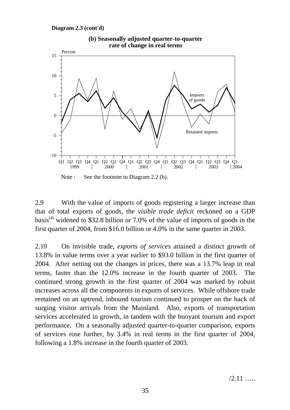**Diagram 2.3 (cont'd)**



**(b) Seasonally adjusted quarter-to-quarter rate of change in real terms**

2.9 With the value of imports of goods registering a larger increase than that of total exports of goods, the *visible trade deficit* reckoned on a GDP basis<sup>(4)</sup> widened to \$32.8 billion or 7.0% of the value of imports of goods in the first quarter of 2004, from \$16.0 billion or 4.0% in the same quarter in 2003.

2.10 On invisible trade, *exports of services* attained a distinct growth of 13.8% in value terms over a year earlier to \$93.0 billion in the first quarter of 2004. After netting out the changes in prices, there was a 13.7% leap in real terms, faster than the 12.0% increase in the fourth quarter of 2003. The continued strong growth in the first quarter of 2004 was marked by robust increases across all the components in exports of services. While offshore trade remained on an uptrend, inbound tourism continued to prosper on the back of surging visitor arrivals from the Mainland. Also, exports of transportation services accelerated in growth, in tandem with the buoyant tourism and export performance. On a seasonally adjusted quarter-to-quarter comparison, exports of services rose further, by 3.4% in real terms in the first quarter of 2004, following a 1.8% increase in the fourth quarter of 2003.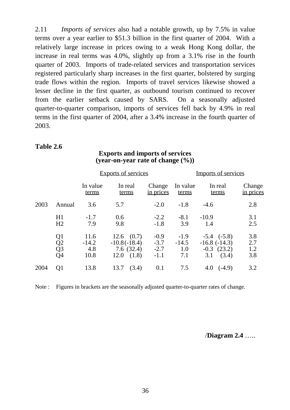2.11 *Imports of services* also had a notable growth, up by 7.5% in value terms over a year earlier to \$51.3 billion in the first quarter of 2004. With a relatively large increase in prices owing to a weak Hong Kong dollar, the increase in real terms was 4.0%, slightly up from a 3.1% rise in the fourth quarter of 2003. Imports of trade-related services and transportation services registered particularly sharp increases in the first quarter, bolstered by surging trade flows within the region. Imports of travel services likewise showed a lesser decline in the first quarter, as outbound tourism continued to recover from the earlier setback caused by SARS. On a seasonally adjusted quarter-to-quarter comparison, imports of services fell back by 4.9% in real terms in the first quarter of 2004, after a 3.4% increase in the fourth quarter of 2003.

#### **Table 2.6**

#### **Exports and imports of services (year-on-year rate of change (%))**

|      |                                                |                                | <b>Exports of services</b>                                     |                                      | <b>Imports of services</b>      |                                                                         |                            |  |
|------|------------------------------------------------|--------------------------------|----------------------------------------------------------------|--------------------------------------|---------------------------------|-------------------------------------------------------------------------|----------------------------|--|
|      |                                                | In value<br>terms              | In real<br>terms                                               | Change<br>in prices                  | In value<br>terms               | In real<br>terms                                                        | Change<br><u>in prices</u> |  |
| 2003 | Annual                                         | 3.6                            | 5.7                                                            | $-2.0$                               | $-1.8$                          | $-4.6$                                                                  | 2.8                        |  |
|      | H1<br>H2                                       | $-1.7$<br>7.9                  | 0.6<br>9.8                                                     | $-2.2$<br>$-1.8$                     | $-8.1$<br>3.9                   | $-10.9$<br>1.4                                                          | 3.1<br>2.5                 |  |
|      | Q1<br>Q2<br>$\overline{Q}$ 3<br>Q <sub>4</sub> | 11.6<br>$-14.2$<br>4.8<br>10.8 | $12.6$ $(0.7)$<br>$-10.8(-18.4)$<br>7.6(32.4)<br>12.0<br>(1.8) | $-0.9$<br>$-3.7$<br>$-2.7$<br>$-1.1$ | $-1.9$<br>$-14.5$<br>1.0<br>7.1 | $-5.4$ $(-5.8)$<br>$-16.8$ $(-14.3)$<br>$-0.3$ $(23.2)$<br>(3.4)<br>3.1 | 3.8<br>2.7<br>1.2<br>3.8   |  |
| 2004 | Q <sub>1</sub>                                 | 13.8                           | (3.4)<br>13.7                                                  | 0.1                                  | 7.5                             | $4.0 \quad (-4.9)$                                                      | 3.2                        |  |

Note : Figures in brackets are the seasonally adjusted quarter-to-quarter rates of change.

/**Diagram 2.4** …..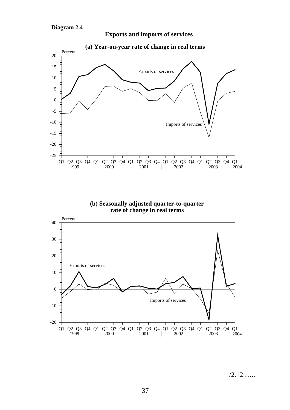

**Exports and imports of services**





 $/2.12$  ……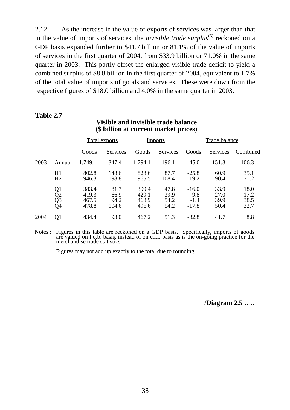2.12 As the increase in the value of exports of services was larger than that in the value of imports of services, the *invisible trade surplus*<sup>(5)</sup> reckoned on a GDP basis expanded further to \$41.7 billion or 81.1% of the value of imports of services in the first quarter of 2004, from \$33.9 billion or 71.0% in the same quarter in 2003. This partly offset the enlarged visible trade deficit to yield a combined surplus of \$8.8 billion in the first quarter of 2004, equivalent to 1.7% of the total value of imports of goods and services. These were down from the respective figures of \$18.0 billion and 4.0% in the same quarter in 2003.

#### **Table 2.7**

|      |                                  | <b>Total exports</b>             |                               | <b>Imports</b>                   |                              | <b>Trade balance</b>                   |                              |                              |
|------|----------------------------------|----------------------------------|-------------------------------|----------------------------------|------------------------------|----------------------------------------|------------------------------|------------------------------|
|      |                                  | Goods                            | <u>Services</u>               | Goods                            | Services                     | Goods                                  | Services                     | Combined                     |
| 2003 | Annual                           | 1,749.1                          | 347.4                         | 1,794.1                          | 196.1                        | $-45.0$                                | 151.3                        | 106.3                        |
|      | H1<br>H <sub>2</sub>             | 802.8<br>946.3                   | 148.6<br>198.8                | 828.6<br>965.5                   | 87.7<br>108.4                | $-25.8$<br>$-19.2$                     | 60.9<br>90.4                 | 35.1<br>71.2                 |
|      | Q1<br>Q <sub>2</sub><br>Q3<br>Q4 | 383.4<br>419.3<br>467.5<br>478.8 | 81.7<br>66.9<br>94.2<br>104.6 | 399.4<br>429.1<br>468.9<br>496.6 | 47.8<br>39.9<br>54.2<br>54.2 | $-16.0$<br>$-9.8$<br>$-1.4$<br>$-17.8$ | 33.9<br>27.0<br>39.9<br>50.4 | 18.0<br>17.2<br>38.5<br>32.7 |
| 2004 | Q1                               | 434.4                            | 93.0                          | 467.2                            | 51.3                         | $-32.8$                                | 41.7                         | 8.8                          |

#### **Visible and invisible trade balance (\$ billion at current market prices)**

Notes : Figures in this table are reckoned on a GDP basis. Specifically, imports of goods are valued on f.o.b. basis, instead of on c.i.f. basis as is the on-going practice for the merchandise trade statistics.

Figures may not add up exactly to the total due to rounding.

/**Diagram 2.5** …..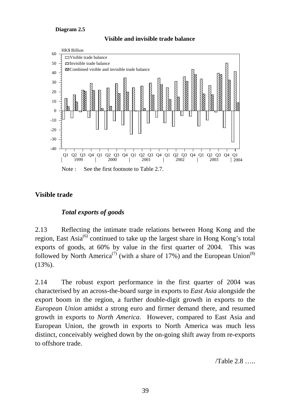#### **Diagram 2.5**





#### **Visible trade**

#### *Total exports of goods*

2.13 Reflecting the intimate trade relations between Hong Kong and the region, East Asia<sup>(6)</sup> continued to take up the largest share in Hong Kong's total exports of goods, at 60% by value in the first quarter of 2004. This was followed by North America<sup>(7)</sup> (with a share of 17%) and the European Union<sup>(8)</sup> (13%).

2.14 The robust export performance in the first quarter of 2004 was characterised by an across-the-board surge in exports to *East Asia* alongside the export boom in the region, a further double-digit growth in exports to the *European Union* amidst a strong euro and firmer demand there, and resumed growth in exports to *North America*. However, compared to East Asia and European Union, the growth in exports to North America was much less distinct, conceivably weighed down by the on-going shift away from re-exports to offshore trade.

/Table 2.8 …..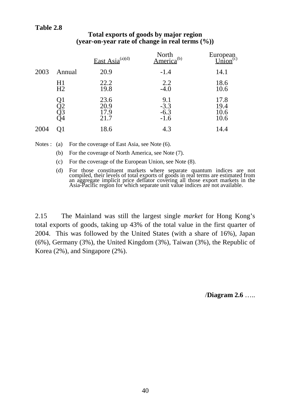## **Table 2.8**

|      |                      | East Asia <sup>(a)(d)</sup>  | North<br>America <sup>(b)</sup> | European<br>Union <sup>(c)</sup> |
|------|----------------------|------------------------------|---------------------------------|----------------------------------|
| 2003 | Annual               | 20.9                         | $-1.4$                          | 14.1                             |
|      | H1<br>H2             | 22.2<br>19.8                 | 2.2<br>$-4.0$                   | 18.6<br>10.6                     |
|      | 21<br>22<br>Q3<br>Q4 | 23.6<br>20.9<br>17.9<br>21.7 | $9.1 - 3.3 - 6.3$<br>$-1.6$     | 17.8<br>19.4<br>10.6<br>10.6     |
| 2004 | O1                   | 18.6                         | 4.3                             | 14.4                             |

## **Total exports of goods by major region (year-on-year rate of change in real terms (%))**

Notes : (a) For the coverage of East Asia, see Note (6).

(b) For the coverage of North America, see Note (7).

- (c) For the coverage of the European Union, see Note (8).
- (d) For those constituent markets where separate quantum indices are not compiled, their levels of total exports of goods in real terms are estimated from an aggregate implicit price deflator covering all those export mark Asia-Pacific region for which separate unit value indices are not available.

2.15 The Mainland was still the largest single *market* for Hong Kong's total exports of goods, taking up 43% of the total value in the first quarter of 2004. This was followed by the United States (with a share of 16%), Japan (6%), Germany (3%), the United Kingdom (3%), Taiwan (3%), the Republic of Korea (2%), and Singapore (2%).

/**Diagram 2.6** …..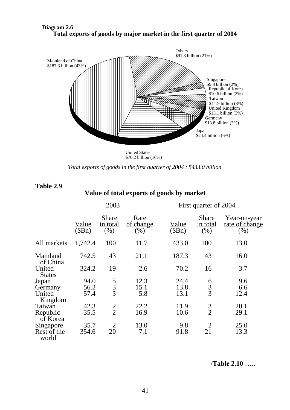

**Diagram 2.6 Total exports of goods by major market in the first quarter of 2004**

> United States \$70.2 billion (16%)

*Total exports of goods in the first quarter of 2004 : \$433.0 billion*

| Table 2.9 |  |
|-----------|--|
|-----------|--|

#### **Value of total exports of goods by market**

|                         | 2003                  |                                  |                              | First quarter of 2004  |                                  |                                       |  |
|-------------------------|-----------------------|----------------------------------|------------------------------|------------------------|----------------------------------|---------------------------------------|--|
|                         | <u>Value</u><br>(SBn) | <b>Share</b><br>in total<br>(% ) | Rate<br>of change<br>$(\% )$ | <u>Value</u><br>\$Bn\$ | Share<br><u>in total</u><br>(% ) | Year-on-year<br>rate of change<br>(%) |  |
| All markets             | 1,742.4               | 100                              | 11.7                         | 433.0                  | 100                              | 13.0                                  |  |
| Mainland<br>of China    | 742.5                 | 43                               | 21.1                         | 187.3                  | 43                               | 16.0                                  |  |
| United<br><b>States</b> | 324.2                 | 19                               | $-2.6$                       | 70.2                   | 16                               | 3.7                                   |  |
| Japan                   | 94.0                  |                                  | 12.3                         | 24.4                   |                                  | 9.6                                   |  |
| Germany                 | 56.2                  | $\frac{5}{3}$                    | 15.1                         | 13.8                   | $\frac{6}{3}$                    | 6.6                                   |  |
| United<br>Kingdom       | 57.4                  |                                  | 5.8                          | 13.1                   |                                  | 12.4                                  |  |
| Taiwan                  | 42.3                  |                                  | 22.2                         | 11.9                   | 3                                | 20.1                                  |  |
| Republic<br>of Korea    | 35.5                  | $\frac{2}{2}$                    | 16.9                         | 10.6                   | $\overline{2}$                   | 29.1                                  |  |
| Singapore               | 35.7                  | $\overline{2}$                   | 13.0                         | 9.8                    |                                  | 25.0                                  |  |
| Rest of the<br>world    | 354.6                 | 20                               | 7.1                          | 91.8                   | 21                               | 13.3                                  |  |

/**Table 2.10** …..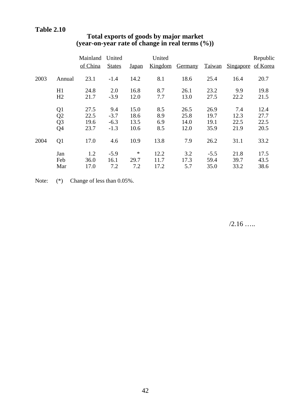|      |                | Mainland | United        |              | United  |         |               |           | Republic |
|------|----------------|----------|---------------|--------------|---------|---------|---------------|-----------|----------|
|      |                | of China | <b>States</b> | <b>Japan</b> | Kingdom | Germany | <u>Taiwan</u> | Singapore | of Korea |
| 2003 | Annual         | 23.1     | $-1.4$        | 14.2         | 8.1     | 18.6    | 25.4          | 16.4      | 20.7     |
|      | H1             | 24.8     | 2.0           | 16.8         | 8.7     | 26.1    | 23.2          | 9.9       | 19.8     |
|      | H2             | 21.7     | $-3.9$        | 12.0         | 7.7     | 13.0    | 27.5          | 22.2      | 21.5     |
|      | Q <sub>1</sub> | 27.5     | 9.4           | 15.0         | 8.5     | 26.5    | 26.9          | 7.4       | 12.4     |
|      | Q2             | 22.5     | $-3.7$        | 18.6         | 8.9     | 25.8    | 19.7          | 12.3      | 27.7     |
|      | Q <sub>3</sub> | 19.6     | $-6.3$        | 13.5         | 6.9     | 14.0    | 19.1          | 22.5      | 22.5     |
|      | Q4             | 23.7     | $-1.3$        | 10.6         | 8.5     | 12.0    | 35.9          | 21.9      | 20.5     |
| 2004 | Q <sub>1</sub> | 17.0     | 4.6           | 10.9         | 13.8    | 7.9     | 26.2          | 31.1      | 33.2     |
|      | Jan            | 1.2      | $-5.9$        | $\ast$       | 12.2    | 3.2     | $-5.5$        | 21.8      | 17.5     |
|      | Feb            | 36.0     | 16.1          | 29.7         | 11.7    | 17.3    | 59.4          | 39.7      | 43.5     |
|      | Mar            | 17.0     | 7.2           | 7.2          | 17.2    | 5.7     | 35.0          | 33.2      | 38.6     |

# **Total exports of goods by major market (year-on-year rate of change in real terms (%))**

Note:  $(*)$  Change of less than 0.05%.

/2.16 …..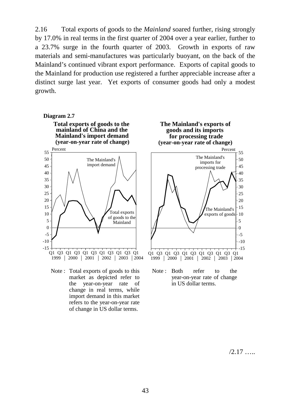2.16 Total exports of goods to the *Mainland* soared further, rising strongly by 17.0% in real terms in the first quarter of 2004 over a year earlier, further to a 23.7% surge in the fourth quarter of 2003. Growth in exports of raw materials and semi-manufactures was particularly buoyant, on the back of the Mainland's continued vibrant export performance. Exports of capital goods to the Mainland for production use registered a further appreciable increase after a distinct surge last year. Yet exports of consumer goods had only a modest growth.

#### **Diagram 2.7**

**Total exports of goods to the mainland of China and the (year-on-year rate of change)**



Note : Total exports of goods to this market as depicted refer to the year-on-year rate of change in real terms, while import demand in this market refers to the year-on-year rate of change in US dollar terms.



 $/2.17$  ……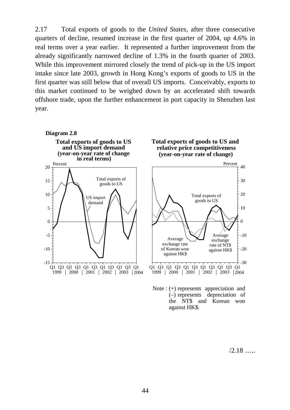2.17 Total exports of goods to the *United States*, after three consecutive quarters of decline, resumed increase in the first quarter of 2004, up 4.6% in real terms over a year earlier. It represented a further improvement from the already significantly narrowed decline of 1.3% in the fourth quarter of 2003. While this improvement mirrored closely the trend of pick-up in the US import intake since late 2003, growth in Hong Kong's exports of goods to US in the first quarter was still below that of overall US imports. Conceivably, exports to this market continued to be weighed down by an accelerated shift towards offshore trade, upon the further enhancement in port capacity in Shenzhen last year.



/2.18 …..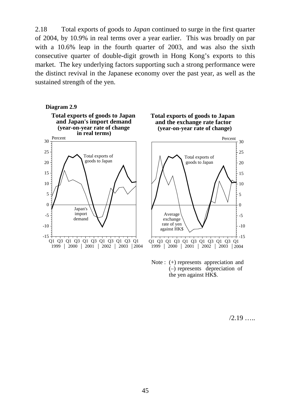2.18 Total exports of goods to *Japan* continued to surge in the first quarter of 2004, by 10.9% in real terms over a year earlier. This was broadly on par with a 10.6% leap in the fourth quarter of 2003, and was also the sixth consecutive quarter of double-digit growth in Hong Kong's exports to this market. The key underlying factors supporting such a strong performance were the distinct revival in the Japanese economy over the past year, as well as the sustained strength of the yen.



Note : (+) represents appreciation and (–) represents depreciation of the yen against HK\$.

 $/2.19$  …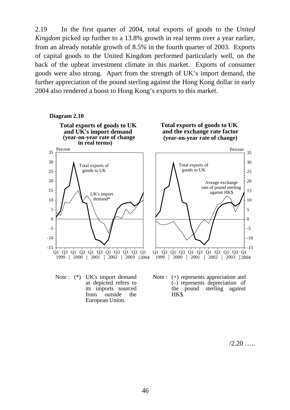2.19 In the first quarter of 2004, total exports of goods to the *United Kingdom* picked up further to a 13.8% growth in real terms over a year earlier, from an already notable growth of 8.5% in the fourth quarter of 2003. Exports of capital goods to the United Kingdom performed particularly well, on the back of the upbeat investment climate in this market. Exports of consumer goods were also strong. Apart from the strength of UK's import demand, the further appreciation of the pound sterling against the Hong Kong dollar in early 2004 also rendered a boost to Hong Kong's exports to this market.





as depicted refers to its imports sourced from outside the European Union.

 $/2.20$  …

the pound sterling against

HK\$.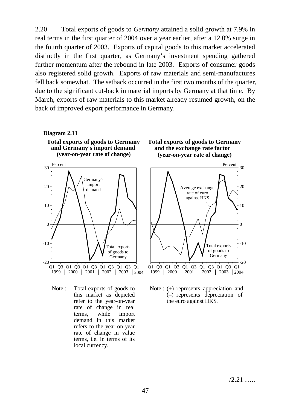2.20 Total exports of goods to *Germany* attained a solid growth at 7.9% in real terms in the first quarter of 2004 over a year earlier, after a 12.0% surge in the fourth quarter of 2003. Exports of capital goods to this market accelerated distinctly in the first quarter, as Germany's investment spending gathered further momentum after the rebound in late 2003. Exports of consumer goods also registered solid growth. Exports of raw materials and semi-manufactures fell back somewhat. The setback occurred in the first two months of the quarter, due to the significant cut-back in material imports by Germany at that time. By March, exports of raw materials to this market already resumed growth, on the back of improved export performance in Germany.



**Diagram 2.11**

Note : Total exports of goods to this market as depicted refer to the year-on-year rate of change in real terms, while import demand in this market refers to the year-on-year rate of change in value terms, i.e. in terms of its local currency.





Note : (+) represents appreciation and (–) represents depreciation of the euro against HK\$.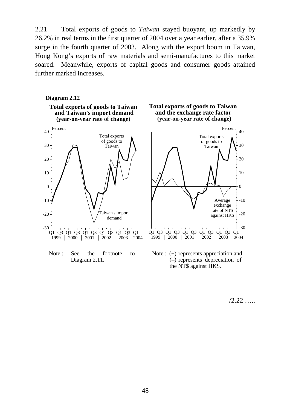2.21 Total exports of goods to *Taiwan* stayed buoyant, up markedly by 26.2% in real terms in the first quarter of 2004 over a year earlier, after a 35.9% surge in the fourth quarter of 2003. Along with the export boom in Taiwan, Hong Kong's exports of raw materials and semi-manufactures to this market soared. Meanwhile, exports of capital goods and consumer goods attained further marked increases.



Note: See the footnote to Diagram 2.11.



 $/2.22$  ……

 $\theta$ 

-10

Average exchange

-20

 $+$  -30

10

20

30

40

Percent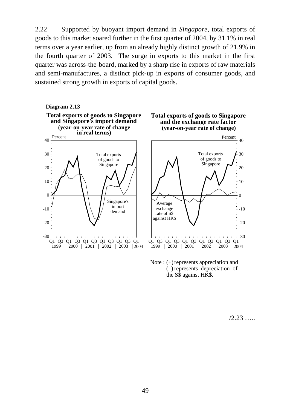2.22 Supported by buoyant import demand in *Singapore*, total exports of goods to this market soared further in the first quarter of 2004, by 31.1% in real terms over a year earlier, up from an already highly distinct growth of 21.9% in the fourth quarter of 2003. The surge in exports to this market in the first quarter was across-the-board, marked by a sharp rise in exports of raw materials and semi-manufactures, a distinct pick-up in exports of consumer goods, and sustained strong growth in exports of capital goods.



(–) represents depreciation of the S\$ against HK\$.

/2.23 …..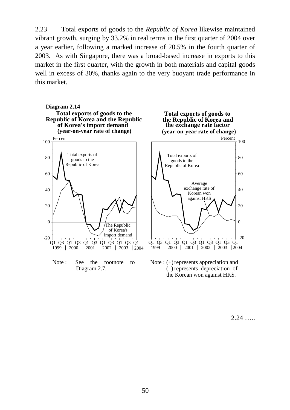2.23 Total exports of goods to the *Republic of Korea* likewise maintained vibrant growth, surging by 33.2% in real terms in the first quarter of 2004 over a year earlier, following a marked increase of 20.5% in the fourth quarter of 2003. As with Singapore, there was a broad-based increase in exports to this market in the first quarter, with the growth in both materials and capital goods well in excess of 30%, thanks again to the very buoyant trade performance in this market.







the Korean won against HK\$.

2.24 …..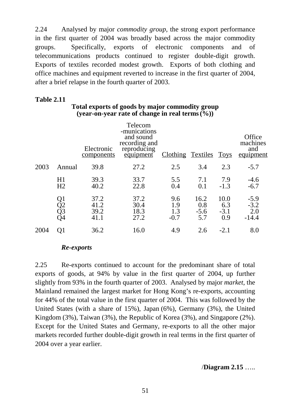2.24 Analysed by major *commodity group*, the strong export performance in the first quarter of 2004 was broadly based across the major commodity groups. Specifically, exports of electronic components and of telecommunications products continued to register double-digit growth. Exports of textiles recorded modest growth. Exports of both clothing and office machines and equipment reverted to increase in the first quarter of 2004, after a brief relapse in the fourth quarter of 2003.

# **Table 2.11**

|      |                      | Electronic<br>components     | Telecom<br>-munications<br>and sound<br>recording and<br>reproducing<br>equipment | Clothing Textiles Toys      |                              |                              | Office<br>machines<br>and<br>equipment |
|------|----------------------|------------------------------|-----------------------------------------------------------------------------------|-----------------------------|------------------------------|------------------------------|----------------------------------------|
| 2003 | Annual               | 39.8                         | 27.2                                                                              | 2.5                         | 3.4                          | 2.3                          | $-5.7$                                 |
|      | H1<br>H2             | 39.3<br>40.2                 | 33.7<br>22.8                                                                      | 5.5<br>0.4                  | 7.1<br>0.1                   | 7.9<br>$-1.3$                | $-4.6$<br>$-6.7$                       |
|      | Q1<br>Q2<br>Q3<br>Q4 | 37.2<br>41.2<br>39.2<br>41.1 | 37.2<br>30.4<br>18.3<br>27.2                                                      | 9.6<br>1.9<br>1.3<br>$-0.7$ | 16.2<br>0.8<br>$-5.6$<br>5.7 | 10.0<br>6.3<br>$-3.1$<br>0.9 | $-5.9$<br>$-3.2$<br>2.0<br>$-14.4$     |
| 2004 | Q1                   | 36.2                         | 16.0                                                                              | 4.9                         | 2.6                          | $-2.1$                       | 8.0                                    |

## **Total exports of goods by major commodity group (year-on-year rate of change in real terms(%))**

## *Re-exports*

2.25 Re-exports continued to account for the predominant share of total exports of goods, at 94% by value in the first quarter of 2004, up further slightly from 93% in the fourth quarter of 2003. Analysed by major *market*, the Mainland remained the largest market for Hong Kong's re-exports, accounting for 44% of the total value in the first quarter of 2004. This was followed by the United States (with a share of 15%), Japan (6%), Germany (3%), the United Kingdom (3%), Taiwan (3%), the Republic of Korea (3%), and Singapore (2%). Except for the United States and Germany, re-exports to all the other major markets recorded further double-digit growth in real terms in the first quarter of 2004 over a year earlier.

## /**Diagram 2.15** …..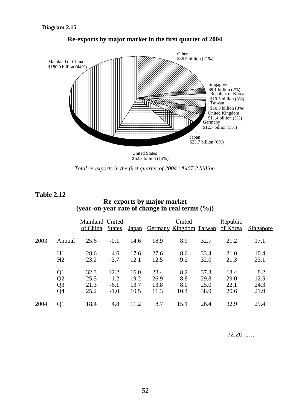

**Re-exports by major market in the first quarter of 2004**

*Total re-exports in the first quarter of 2004 : \$407.2 billion*

**Table 2.12**

## **Re-exports by major market (year-on-year rate of change in real terms (%))**

|      |                                                | Mainland United<br>of China  | <b>States</b>                      | <u>Japan</u>                 |                              | United<br>Germany Kingdom Taiwan |                              | Republic<br>of Korea         | <u>Singapore</u>            |
|------|------------------------------------------------|------------------------------|------------------------------------|------------------------------|------------------------------|----------------------------------|------------------------------|------------------------------|-----------------------------|
| 2003 | Annual                                         | 25.6                         | $-0.1$                             | 14.6                         | 18.9                         | 8.9                              | 32.7                         | 21.2                         | 17.1                        |
|      | H1<br>H <sub>2</sub>                           | 28.6<br>23.2                 | 4.6<br>$-3.7$                      | 17.6<br>12.1                 | 27.6<br>12.5                 | 8.6<br>9.2                       | 33.4<br>32.0                 | 21.0<br>21.3                 | 10.4<br>23.1                |
|      | Q1<br>$\overline{Q2}$<br>$\overline{Q}3$<br>Q4 | 32.3<br>25.5<br>21.3<br>25.2 | 12.2<br>$-1.2$<br>$-6.1$<br>$-1.0$ | 16.0<br>19.2<br>13.7<br>10.5 | 28.4<br>26.9<br>13.8<br>11.3 | 8.2<br>8.8<br>8.0<br>10.4        | 37.3<br>29.8<br>25.0<br>38.9 | 13.4<br>29.0<br>22.1<br>20.6 | 8.2<br>12.5<br>24.3<br>21.9 |
| 2004 | Q <sub>1</sub>                                 | 18.4                         | 4.8                                | 11.2                         | 8.7                          | 15.1                             | 26.4                         | 32.9                         | 29.4                        |

 $/2.26$  …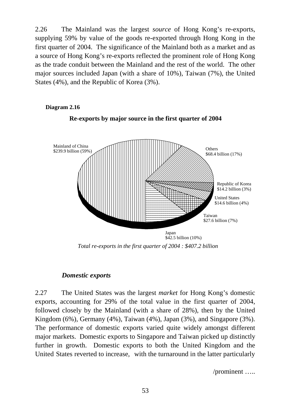2.26 The Mainland was the largest *source* of Hong Kong's re-exports, supplying 59% by value of the goods re-exported through Hong Kong in the first quarter of 2004. The significance of the Mainland both as a market and as a source of Hong Kong's re-exports reflected the prominent role of Hong Kong as the trade conduit between the Mainland and the rest of the world. The other major sources included Japan (with a share of 10%), Taiwan (7%), the United States (4%), and the Republic of Korea (3%).

# **Re-exports by major source in the first quarter of 2004** Mainland of China \$239.9 billion (59%) United States \$14.6 billion (4%) Japan  $\hat{42.5}$  billion (10%) Republic of Korea \$14.2 billion (3%) Taiwan \$27.6 billion (7%) **Others** \$68.4 billion (17%)

*Total re-exports in the first quarter of 2004 : \$407.2 billion*

#### *Domestic exports*

**Diagram 2.16**

2.27 The United States was the largest *market* for Hong Kong's domestic exports, accounting for 29% of the total value in the first quarter of 2004, followed closely by the Mainland (with a share of 28%), then by the United Kingdom (6%), Germany (4%), Taiwan (4%), Japan (3%), and Singapore (3%). The performance of domestic exports varied quite widely amongst different major markets. Domestic exports to Singapore and Taiwan picked up distinctly further in growth. Domestic exports to both the United Kingdom and the United States reverted to increase, with the turnaround in the latter particularly

/prominent …..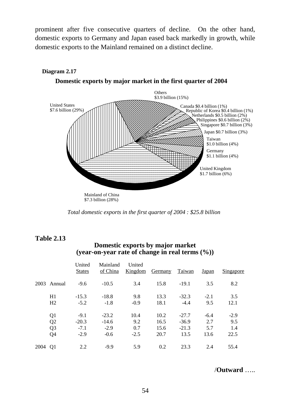prominent after five consecutive quarters of decline. On the other hand, domestic exports to Germany and Japan eased back markedly in growth, while domestic exports to the Mainland remained on a distinct decline.



#### **Diagram 2.17**



*Total domestic exports in the first quarter of 2004 : \$25.8 billion*

## **Table 2.13**

#### **Domestic exports by major market (year-on-year rate of change in real terms (%))**

|      |                | United<br><b>States</b> | Mainland<br>of China | United<br>Kingdom | Germany | <b>Taiwan</b> | Japan  | Singapore |
|------|----------------|-------------------------|----------------------|-------------------|---------|---------------|--------|-----------|
| 2003 | Annual         | $-9.6$                  | $-10.5$              | 3.4               | 15.8    | $-19.1$       | 3.5    | 8.2       |
|      | H1             | $-15.3$                 | $-18.8$              | 9.8               | 13.3    | $-32.3$       | $-2.1$ | 3.5       |
|      | H2             | $-5.2$                  | $-1.8$               | $-0.9$            | 18.1    | $-4.4$        | 9.5    | 12.1      |
|      | Q <sub>1</sub> | $-9.1$                  | $-23.2$              | 10.4              | 10.2    | $-27.7$       | $-6.4$ | $-2.9$    |
|      | Q <sub>2</sub> | $-20.3$                 | $-14.6$              | 9.2               | 16.5    | $-36.9$       | 2.7    | 9.5       |
|      | Q <sub>3</sub> | $-7.1$                  | $-2.9$               | 0.7               | 15.6    | $-21.3$       | 5.7    | 1.4       |
|      | Q <sub>4</sub> | $-2.9$                  | $-0.6$               | $-2.5$            | 20.7    | 13.5          | 13.6   | 22.5      |
| 2004 | Q1             | 2.2                     | $-9.9$               | 5.9               | 0.2     | 23.3          | 2.4    | 55.4      |

/**Outward** …..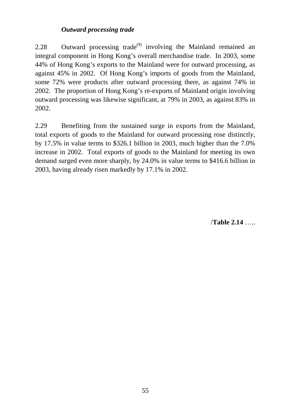# *Outward processing trade*

2.28 Outward processing trade<sup>(9)</sup> involving the Mainland remained an integral component in Hong Kong's overall merchandise trade. In 2003, some 44% of Hong Kong's exports to the Mainland were for outward processing, as against 45% in 2002. Of Hong Kong's imports of goods from the Mainland, some 72% were products after outward processing there, as against 74% in 2002. The proportion of Hong Kong's re-exports of Mainland origin involving outward processing was likewise significant, at 79% in 2003, as against 83% in 2002.

2.29 Benefiting from the sustained surge in exports from the Mainland, total exports of goods to the Mainland for outward processing rose distinctly, by 17.5% in value terms to \$326.1 billion in 2003, much higher than the 7.0% increase in 2002. Total exports of goods to the Mainland for meeting its own demand surged even more sharply, by 24.0% in value terms to \$416.6 billion in 2003, having already risen markedly by 17.1% in 2002.

/**Table 2.14** …..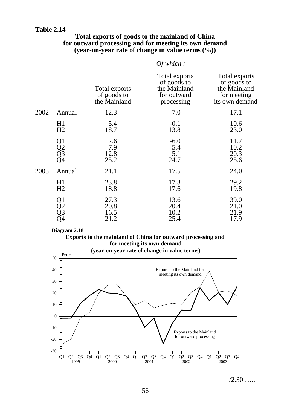#### **Table 2.14**

#### **Total exports of goods to the mainland of China for outward processing and for meeting its own demand (year-on-year rate of change in value terms (%))**

|      |                      |                                              | Of which:                                                                 |                                                                               |
|------|----------------------|----------------------------------------------|---------------------------------------------------------------------------|-------------------------------------------------------------------------------|
|      |                      | Total exports<br>of goods to<br>the Mainland | Total exports<br>of goods to<br>the Mainland<br>for outward<br>processing | Total exports<br>of goods to<br>the Mainland<br>for meeting<br>its own demand |
| 2002 | Annual               | 12.3                                         | 7.0                                                                       | 17.1                                                                          |
|      | H1<br>H2             | 5.4<br>18.7                                  | $-0.1$<br>13.8                                                            | 10.6<br>23.0                                                                  |
|      | Q1<br>Q2<br>Q3<br>Q4 | 2.6<br>7.9<br>12.8<br>25.2                   | $-6.0$<br>5.4<br>5.1<br>24.7                                              | 11.2<br>10.2<br>20.3<br>25.6                                                  |
| 2003 | Annual               | 21.1                                         | 17.5                                                                      | 24.0                                                                          |
|      | H1<br>H <sub>2</sub> | 23.8<br>18.8                                 | 17.3<br>17.6                                                              | 29.2<br>19.8                                                                  |
|      | Q1<br>Q2<br>Q3<br>Q4 | 27.3<br>20.8<br>16.5<br>21.2                 | 13.6<br>20.4<br>10.2<br>25.4                                              | 39.0<br>21.0<br>21.9<br>17.9                                                  |

#### **Diagram 2.18**

# **Exports to the mainland of China for outward processing and for meeting its own demand**



 $/2.30$  …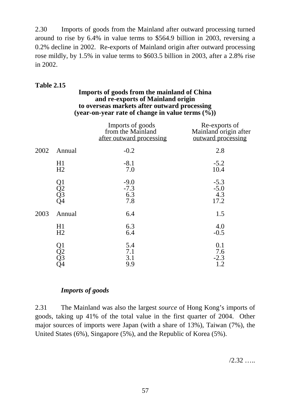2.30 Imports of goods from the Mainland after outward processing turned around to rise by 6.4% in value terms to \$564.9 billion in 2003, reversing a 0.2% decline in 2002. Re-exports of Mainland origin after outward processing rose mildly, by 1.5% in value terms to \$603.5 billion in 2003, after a 2.8% rise in 2002.

# **Table 2.15**

#### **Imports of goods from the mainland of China and re-exports of Mainland origin to overseas markets after outward processing (year-on-year rate of change in value terms (%))**

|      |                                                                                 | Imports of goods<br>from the Mainland<br>after outward processing | Re-exports of<br>Mainland origin after<br>outward processing |
|------|---------------------------------------------------------------------------------|-------------------------------------------------------------------|--------------------------------------------------------------|
| 2002 | Annual                                                                          | $-0.2$                                                            | 2.8                                                          |
|      | H1<br>H2                                                                        | $-8.1$<br>7.0                                                     | $-5.2$<br>10.4                                               |
|      | $\begin{array}{c} \text{Q1} \\ \text{Q2} \\ \text{Q3} \\ \text{Q4} \end{array}$ | $-9.0$<br>$-7.3$<br>6.3<br>7.8                                    | $-5.3$<br>$-5.0$<br>4.3<br>17.2                              |
| 2003 | Annual                                                                          | 6.4                                                               | 1.5                                                          |
|      | H1<br>H2                                                                        | 6.3<br>6.4                                                        | 4.0<br>$-0.5$                                                |
|      | Q1<br>Q2<br>Q3<br>Q4                                                            | 5.4<br>7.1<br>3.1<br>9.9                                          | 0.1<br>7.6<br>$-2.3$<br>1.2                                  |

# *Imports of goods*

2.31 The Mainland was also the largest *source* of Hong Kong's imports of goods, taking up 41% of the total value in the first quarter of 2004. Other major sources of imports were Japan (with a share of 13%), Taiwan (7%), the United States (6%), Singapore (5%), and the Republic of Korea (5%).

 $/2.32$  ….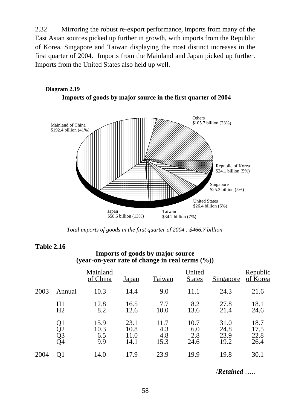2.32 Mirroring the robust re-export performance, imports from many of the East Asian sources picked up further in growth, with imports from the Republic of Korea, Singapore and Taiwan displaying the most distinct increases in the first quarter of 2004. Imports from the Mainland and Japan picked up further. Imports from the United States also held up well.



**Diagram 2.19 Imports of goods by major source in the first quarter of 2004**

*Total imports of goods in the first quarter of 2004 : \$466.7 billion*

#### **Table 2.16**

#### **Imports of goods by major source (year-on-year rate of change in real terms (%))**

|      |                      | Mainland<br>of China       | <u>Japan</u>                 | Taiwan                     | United<br><b>States</b>    | <u>Singapore</u>             | Republic<br>of Korea         |
|------|----------------------|----------------------------|------------------------------|----------------------------|----------------------------|------------------------------|------------------------------|
| 2003 | Annual               | 10.3                       | 14.4                         | 9.0                        | 11.1                       | 24.3                         | 21.6                         |
|      | H1<br>H2             | 12.8<br>8.2                | 16.5<br>12.6                 | 7.7<br>10.0                | 8.2<br>13.6                | 27.8<br>21.4                 | 18.1<br>24.6                 |
|      | Q1<br>Q2<br>Q3<br>Q4 | 15.9<br>10.3<br>6.5<br>9.9 | 23.1<br>10.8<br>11.0<br>14.1 | 11.7<br>4.3<br>4.8<br>15.3 | 10.7<br>6.0<br>2.8<br>24.6 | 31.0<br>24.8<br>23.9<br>19.2 | 18.7<br>17.5<br>22.8<br>26.4 |
| 2004 | O1                   | 14.0                       | 17.9                         | 23.9                       | 19.9                       | 19.8                         | 30.1                         |

/*Retained* …..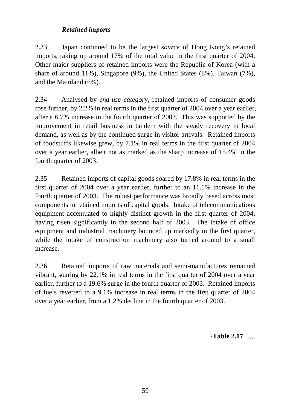# *Retained imports*

2.33 Japan continued to be the largest *source* of Hong Kong's retained imports, taking up around 17% of the total value in the first quarter of 2004. Other major suppliers of retained imports were the Republic of Korea (with a share of around 11%), Singapore (9%), the United States (8%), Taiwan (7%), and the Mainland (6%).

2.34 Analysed by *end-use category*, retained imports of consumer goods rose further, by 2.2% in real terms in the first quarter of 2004 over a year earlier, after a 6.7% increase in the fourth quarter of 2003. This was supported by the improvement in retail business in tandem with the steady recovery in local demand, as well as by the continued surge in visitor arrivals. Retained imports of foodstuffs likewise grew, by 7.1% in real terms in the first quarter of 2004 over a year earlier, albeit not as marked as the sharp increase of 15.4% in the fourth quarter of 2003.

2.35 Retained imports of capital goods soared by 17.8% in real terms in the first quarter of 2004 over a year earlier, further to an 11.1% increase in the fourth quarter of 2003. The robust performance was broadly based across most components in retained imports of capital goods. Intake of telecommunications equipment accentuated to highly distinct growth in the first quarter of 2004, having risen significantly in the second half of 2003. The intake of office equipment and industrial machinery bounced up markedly in the first quarter, while the intake of construction machinery also turned around to a small increase.

2.36 Retained imports of raw materials and semi-manufactures remained vibrant, soaring by 22.1% in real terms in the first quarter of 2004 over a year earlier, further to a 19.6% surge in the fourth quarter of 2003. Retained imports of fuels reverted to a 9.1% increase in real terms in the first quarter of 2004 over a year earlier, from a 1.2% decline in the fourth quarter of 2003.

/**Table 2.17** …..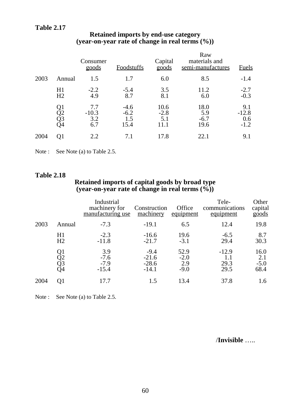# **Table 2.17**

|      |                      | Consumer<br>goods            | <b>Foodstuffs</b>               | Capital<br>goods      | Raw<br>materials and<br>semi-manufactures | <b>Fuels</b>                    |
|------|----------------------|------------------------------|---------------------------------|-----------------------|-------------------------------------------|---------------------------------|
| 2003 | Annual               | 1.5                          | 1.7                             | 6.0                   | 8.5                                       | $-1.4$                          |
|      | H1<br>H <sub>2</sub> | $-2.2$<br>4.9                | $-5.4$<br>8.7                   | 3.5<br>8.1            | 11.2<br>6.0                               | $-2.7$<br>$-0.3$                |
|      | Q1<br>Q2<br>Q3<br>Q4 | 7.7<br>$-10.3$<br>3.2<br>6.7 | $-4.6$<br>$-6.2$<br>1.5<br>15.4 | 10.6<br>$-2.8$<br>5.1 | 18.0<br>5.9<br>$-6.7$<br>19.6             | 9.1<br>$-12.8$<br>0.6<br>$-1.2$ |
| 2004 | O1                   | 2.2                          | 7.1                             | 17.8                  | 22.1                                      | 9.1                             |

#### **Retained imports by end-use category (year-on-year rate of change in real terms (%))**

Note : See Note (a) to Table 2.5.

#### **Table 2.18**

#### **Retained imports of capital goods by broad type (year-on-year rate of change in real terms (%))**

|      |                      | Industrial<br>machinery for<br>manufacturing use | Construction<br>machinery               | Office<br>equipment             | Tele-<br>communications<br>equipment | Other<br>capital<br>goods     |
|------|----------------------|--------------------------------------------------|-----------------------------------------|---------------------------------|--------------------------------------|-------------------------------|
| 2003 | Annual               | $-7.3$                                           | $-19.1$                                 | 6.5                             | 12.4                                 | 19.8                          |
|      | H1<br>H2             | $-2.3$<br>$-11.8$                                | $-16.6$<br>$-21.7$                      | 19.6<br>$-3.1$                  | $-6.5$<br>29.4                       | 8.7<br>30.3                   |
|      | Q1<br>Q2<br>Q3<br>Q4 | 3.9<br>$-7.6$<br>$-7.9$<br>$-15.4$               | $-9.4$<br>$-21.6$<br>$-28.6$<br>$-14.1$ | 52.9<br>$-2.0$<br>2.9<br>$-9.0$ | $-12.9$<br>1.1<br>29.3<br>29.5       | 16.0<br>2.1<br>$-5.0$<br>68.4 |
| 2004 | O1                   | 17.7                                             | 1.5                                     | 13.4                            | 37.8                                 | 1.6                           |

Note : See Note (a) to Table 2.5.

/**Invisible** …..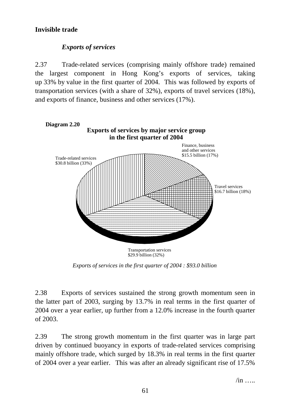# **Invisible trade**

# *Exports of services*

2.37 Trade-related services (comprising mainly offshore trade) remained the largest component in Hong Kong's exports of services, taking up 33% by value in the first quarter of 2004. This was followed by exports of transportation services (with a share of 32%), exports of travel services (18%), and exports of finance, business and other services (17%).



*Exports of services in the first quarter of 2004 : \$93.0 billion*

2.38 Exports of services sustained the strong growth momentum seen in the latter part of 2003, surging by 13.7% in real terms in the first quarter of 2004 over a year earlier, up further from a 12.0% increase in the fourth quarter of 2003.

2.39 The strong growth momentum in the first quarter was in large part driven by continued buoyancy in exports of trade-related services comprising mainly offshore trade, which surged by 18.3% in real terms in the first quarter of 2004 over a year earlier. This was after an already significant rise of 17.5%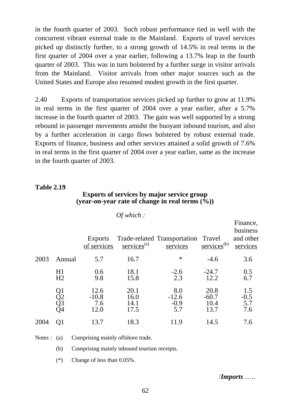in the fourth quarter of 2003. Such robust performance tied in well with the concurrent vibrant external trade in the Mainland. Exports of travel services picked up distinctly further, to a strong growth of 14.5% in real terms in the first quarter of 2004 over a year earlier, following a 13.7% leap in the fourth quarter of 2003. This was in turn bolstered by a further surge in visitor arrivals from the Mainland. Visitor arrivals from other major sources such as the United States and Europe also resumed modest growth in the first quarter.

2.40 Exports of transportation services picked up further to grow at 11.9% in real terms in the first quarter of 2004 over a year earlier, after a 5.7% increase in the fourth quarter of 2003. The gain was well supported by a strong rebound in passenger movements amidst the buoyant inbound tourism, and also by a further acceleration in cargo flows bolstered by robust external trade. Exports of finance, business and other services attained a solid growth of 7.6% in real terms in the first quarter of 2004 over a year earlier, same as the increase in the fourth quarter of 2003.

#### **Table 2.19**

#### **Exports of services by major service group (year-on-year rate of change in real terms (%))**

|      |                      |                                | Of which:                    |                                                 |                                 |                                               |
|------|----------------------|--------------------------------|------------------------------|-------------------------------------------------|---------------------------------|-----------------------------------------------|
|      |                      | <b>Exports</b><br>of services  | $s$ ervices <sup>(a)</sup>   | Trade-related Transportation Travel<br>services | $s$ ervices <sup>(b)</sup>      | Finance,<br>business<br>and other<br>services |
| 2003 | Annual               | 5.7                            | 16.7                         | $\ast$                                          | $-4.6$                          | 3.6                                           |
|      | H1<br>H <sub>2</sub> | 0.6<br>9.8                     | 18.1<br>15.8                 | $-2.6$<br>2.3                                   | $-24.7$<br>12.2                 | 0.5<br>6.7                                    |
|      | Q1<br>Q2<br>Q3<br>Q4 | 12.6<br>$-10.8$<br>7.6<br>12.0 | 20.1<br>16.0<br>14.1<br>17.5 | 8.0<br>$-12.6$<br>$-0.9$<br>5.7                 | 20.8<br>$-60.7$<br>10.4<br>13.7 | 1.5<br>$-0.5$<br>5.7<br>7.6                   |
| 2004 | O1                   | 13.7                           | 18.3                         | 11.9                                            | 14.5                            | 7.6                                           |

Notes : (a) Comprising mainly offshore trade.

(b) Comprising mainly inbound tourism receipts.

(\*) Change of less than 0.05%.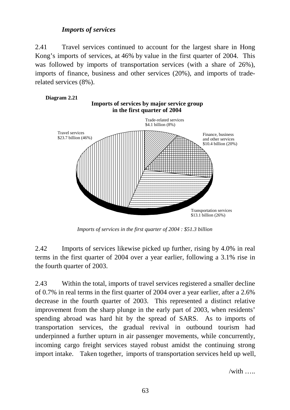# *Imports of services*

2.41 Travel services continued to account for the largest share in Hong Kong's imports of services, at 46% by value in the first quarter of 2004. This was followed by imports of transportation services (with a share of 26%), imports of finance, business and other services (20%), and imports of traderelated services (8%).



*Imports of services in the first quarter of 2004 : \$51.3 billion*

2.42 Imports of services likewise picked up further, rising by 4.0% in real terms in the first quarter of 2004 over a year earlier, following a 3.1% rise in the fourth quarter of 2003.

2.43 Within the total, imports of travel services registered a smaller decline of 0.7% in real terms in the first quarter of 2004 over a year earlier, after a 2.6% decrease in the fourth quarter of 2003. This represented a distinct relative improvement from the sharp plunge in the early part of 2003, when residents' spending abroad was hard hit by the spread of SARS. As to imports of transportation services, the gradual revival in outbound tourism had underpinned a further upturn in air passenger movements, while concurrently, incoming cargo freight services stayed robust amidst the continuing strong import intake. Taken together, imports of transportation services held up well,

 $\overline{\mathsf{with}}$  …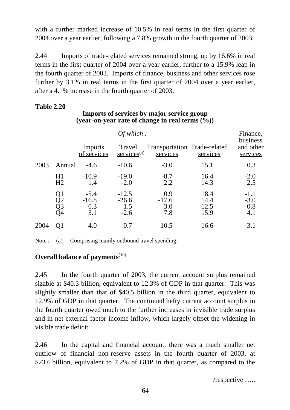with a further marked increase of 10.5% in real terms in the first quarter of 2004 over a year earlier, following a 7.8% growth in the fourth quarter of 2003.

2.44 Imports of trade-related services remained strong, up by 16.6% in real terms in the first quarter of 2004 over a year earlier, further to a 15.9% leap in the fourth quarter of 2003. Imports of finance, business and other services rose further by 3.1% in real terms in the first quarter of 2004 over a year earlier, after a 4.1% increase in the fourth quarter of 2003.

# **Table 2.20**

# **Imports of services by major service group (year-on-year rate of change in real terms (%))**

|      |                      |                                    | Of which:                              |                                          | Finance,<br>business         |                                |  |  |  |
|------|----------------------|------------------------------------|----------------------------------------|------------------------------------------|------------------------------|--------------------------------|--|--|--|
|      |                      | Imports<br>of services             | Travel<br>$s$ ervices <sup>(a)</sup>   | Transportation Trade-related<br>services | services                     | and other<br>services          |  |  |  |
| 2003 | Annual               | $-4.6$                             | $-10.6$                                | $-3.0$                                   | 15.1                         | 0.3                            |  |  |  |
|      | H1<br>H <sub>2</sub> | $-10.9$<br>1.4                     | $-19.0$<br>$-2.0$                      | $-8.7$<br>2.2                            | 16.4<br>14.3                 | $-2.0$<br>2.5                  |  |  |  |
|      | Q1<br>Q2<br>Q3<br>Q4 | $-5.4$<br>$-16.8$<br>$-0.3$<br>3.1 | $-12.5$<br>$-26.6$<br>$-1.5$<br>$-2.6$ | 0.9<br>$-17.6$<br>$-3.0$<br>7.8          | 18.4<br>14.4<br>12.5<br>15.9 | $-1.1$<br>$-3.0$<br>0.8<br>4.1 |  |  |  |
| 2004 | O1                   | 4.0                                | $-0.7$                                 | 10.5                                     | 16.6                         | 3.1                            |  |  |  |

Note : (a) Comprising mainly outbound travel spending.

# **Overall balance of payments**<sup>(10)</sup>

2.45 In the fourth quarter of 2003, the current account surplus remained sizable at \$40.3 billion, equivalent to 12.3% of GDP in that quarter. This was slightly smaller than that of \$40.5 billion in the third quarter, equivalent to 12.9% of GDP in that quarter. The continued hefty current account surplus in the fourth quarter owed much to the further increases in invisible trade surplus and in net external factor income inflow, which largely offset the widening in visible trade deficit.

2.46 In the capital and financial account, there was a much smaller net outflow of financial non-reserve assets in the fourth quarter of 2003, at \$23.6 billion, equivalent to 7.2% of GDP in that quarter, as compared to the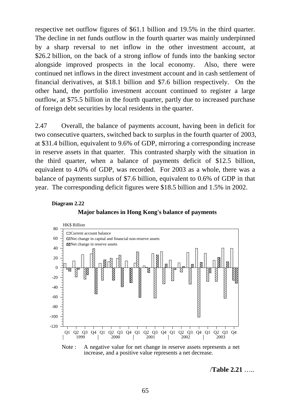respective net outflow figures of \$61.1 billion and 19.5% in the third quarter. The decline in net funds outflow in the fourth quarter was mainly underpinned by a sharp reversal to net inflow in the other investment account, at \$26.2 billion, on the back of a strong inflow of funds into the banking sector alongside improved prospects in the local economy. Also, there were continued net inflows in the direct investment account and in cash settlement of financial derivatives, at \$18.1 billion and \$7.6 billion respectively. On the other hand, the portfolio investment account continued to register a large outflow, at \$75.5 billion in the fourth quarter, partly due to increased purchase of foreign debt securities by local residents in the quarter.

2.47 Overall, the balance of payments account, having been in deficit for two consecutive quarters, switched back to surplus in the fourth quarter of 2003, at \$31.4 billion, equivalent to 9.6% of GDP, mirroring a corresponding increase in reserve assets in that quarter. This contrasted sharply with the situation in the third quarter, when a balance of payments deficit of \$12.5 billion, equivalent to 4.0% of GDP, was recorded. For 2003 as a whole, there was a balance of payments surplus of \$7.6 billion, equivalent to 0.6% of GDP in that year. The corresponding deficit figures were \$18.5 billion and 1.5% in 2002.

#### **Diagram 2.22**





Note : A negative value for net change in reserve assets represents a net increase, and a positive value represents a net decrease.

/**Table 2.21** …..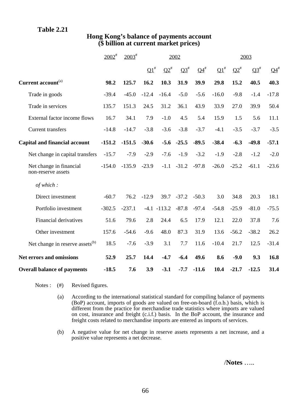## **Table 2.21**

|                                               | $2002^{\text{#}}$ | $2003^{\text{*}}$ | 2002                       |                |           |                           | 2003       |                    |           |                           |
|-----------------------------------------------|-------------------|-------------------|----------------------------|----------------|-----------|---------------------------|------------|--------------------|-----------|---------------------------|
|                                               |                   |                   | $\overline{\mathbf{Q1}}^*$ | $Q2^{\#}$      | $Q3^{\#}$ | $\mathbf{Q4}^{\text{\#}}$ | $\Omega^*$ | $\mathbf{Q2}^{\#}$ | $Q3^{\#}$ | $\mathbf{Q4}^{\text{\#}}$ |
| Current account <sup>(a)</sup>                | 98.2              | 125.7             | 16.2                       | 10.3           | 31.9      | 39.9                      | 29.8       | 15.2               | 40.5      | 40.3                      |
| Trade in goods                                | $-39.4$           | $-45.0$           | $-12.4$                    | $-16.4$        | $-5.0$    | $-5.6$                    | $-16.0$    | $-9.8$             | $-1.4$    | $-17.8$                   |
| Trade in services                             | 135.7             | 151.3             | 24.5                       | 31.2           | 36.1      | 43.9                      | 33.9       | 27.0               | 39.9      | 50.4                      |
| External factor income flows                  | 16.7              | 34.1              | 7.9                        | $-1.0$         | 4.5       | 5.4                       | 15.9       | 1.5                | 5.6       | 11.1                      |
| <b>Current transfers</b>                      | $-14.8$           | $-14.7$           | $-3.8$                     | $-3.6$         | $-3.8$    | $-3.7$                    | $-4.1$     | $-3.5$             | $-3.7$    | $-3.5$                    |
| <b>Capital and financial account</b>          | $-151.2$          | $-151.5$          | $-30.6$                    | $-5.6$         | $-25.5$   | $-89.5$                   | $-38.4$    | $-6.3$             | $-49.8$   | $-57.1$                   |
| Net change in capital transfers               | $-15.7$           | $-7.9$            | $-2.9$                     | $-7.6$         | $-1.9$    | $-3.2$                    | $-1.9$     | $-2.8$             | $-1.2$    | $-2.0$                    |
| Net change in financial<br>non-reserve assets | $-154.0$          | $-135.9$          | $-23.9$                    | $-1.1$         | $-31.2$   | $-97.8$                   | $-26.0$    | $-25.2$            | $-61.1$   | $-23.6$                   |
| of which:                                     |                   |                   |                            |                |           |                           |            |                    |           |                           |
| Direct investment                             | $-60.7$           | 76.2              | $-12.9$                    | 39.7           | $-37.2$   | $-50.3$                   | 3.0        | 34.8               | 20.3      | 18.1                      |
| Portfolio investment                          | $-302.5$          | $-237.1$          |                            | $-4.1 - 113.2$ | $-87.8$   | $-97.4$                   | $-54.8$    | $-25.9$            | $-81.0$   | $-75.5$                   |
| <b>Financial derivatives</b>                  | 51.6              | 79.6              | 2.8                        | 24.4           | 6.5       | 17.9                      | 12.1       | 22.0               | 37.8      | 7.6                       |
| Other investment                              | 157.6             | $-54.6$           | $-9.6$                     | 48.0           | 87.3      | 31.9                      | 13.6       | $-56.2$            | $-38.2$   | 26.2                      |
| Net change in reserve assets <sup>(b)</sup>   | 18.5              | $-7.6$            | $-3.9$                     | 3.1            | 7.7       | 11.6                      | $-10.4$    | 21.7               | 12.5      | $-31.4$                   |
| <b>Net errors and omissions</b>               | 52.9              | 25.7              | 14.4                       | $-4.7$         | $-6.4$    | 49.6                      | 8.6        | $-9.0$             | 9.3       | 16.8                      |
| <b>Overall balance of payments</b>            | $-18.5$           | 7.6               | 3.9                        | $-3.1$         | $-7.7$    | $-11.6$                   | 10.4       | $-21.7$            | $-12.5$   | 31.4                      |

## **Hong Kong's balance of payments account (\$ billion at current market prices)**

Notes : (#) Revised figures.

- (a) According to the international statistical standard for compiling balance of payments (BoP) account, imports of goods are valued on free-on-board (f.o.b.) basis, which is different from the practice for merchandise trade statistics where imports are valued on cost, insurance and freight (c.i.f.) basis. In the BoP account, the insurance and freight costs related to merchandise imports are entered as imports of services.
- (b) A negative value for net change in reserve assets represents a net increase, and a positive value represents a net decrease.

/**Notes** …..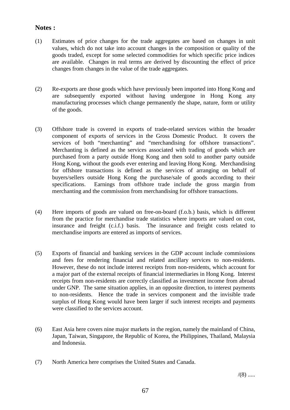#### **Notes :**

- (1) Estimates of price changes for the trade aggregates are based on changes in unit values, which do not take into account changes in the composition or quality of the goods traded, except for some selected commodities for which specific price indices are available. Changes in real terms are derived by discounting the effect of price changes from changes in the value of the trade aggregates.
- (2) Re-exports are those goods which have previously been imported into Hong Kong and are subsequently exported without having undergone in Hong Kong any manufacturing processes which change permanently the shape, nature, form or utility of the goods.
- (3) Offshore trade is covered in exports of trade-related services within the broader component of exports of services in the Gross Domestic Product. It covers the services of both "merchanting" and "merchandising for offshore transactions". Merchanting is defined as the services associated with trading of goods which are purchased from a party outside Hong Kong and then sold to another party outside Hong Kong, without the goods ever entering and leaving Hong Kong. Merchandising for offshore transactions is defined as the services of arranging on behalf of buyers/sellers outside Hong Kong the purchase/sale of goods according to their specifications. Earnings from offshore trade include the gross margin from merchanting and the commission from merchandising for offshore transactions.
- (4) Here imports of goods are valued on free-on-board (f.o.b.) basis, which is different from the practice for merchandise trade statistics where imports are valued on cost, insurance and freight (c.i.f.) basis. The insurance and freight costs related to merchandise imports are entered as imports of services.
- (5) Exports of financial and banking services in the GDP account include commissions and fees for rendering financial and related ancillary services to non-residents. However, these do not include interest receipts from non-residents, which account for a major part of the external receipts of financial intermediaries in Hong Kong. Interest receipts from non-residents are correctly classified as investment income from abroad under GNP. The same situation applies, in an opposite direction, to interest payments to non-residents. Hence the trade in services component and the invisible trade surplus of Hong Kong would have been larger if such interest receipts and payments were classified to the services account.
- (6) East Asia here covers nine major markets in the region, namely the mainland of China, Japan, Taiwan, Singapore, the Republic of Korea, the Philippines, Thailand, Malaysia and Indonesia.
- (7) North America here comprises the United States and Canada.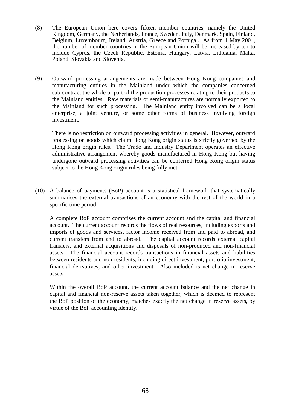- (8) The European Union here covers fifteen member countries, namely the United Kingdom, Germany, the Netherlands, France, Sweden, Italy, Denmark, Spain, Finland, Belgium, Luxembourg, Ireland, Austria, Greece and Portugal. As from 1 May 2004, the number of member countries in the European Union will be increased by ten to include Cyprus, the Czech Republic, Estonia, Hungary, Latvia, Lithuania, Malta, Poland, Slovakia and Slovenia.
- (9) Outward processing arrangements are made between Hong Kong companies and manufacturing entities in the Mainland under which the companies concerned sub-contract the whole or part of the production processes relating to their products to the Mainland entities. Raw materials or semi-manufactures are normally exported to the Mainland for such processing. The Mainland entity involved can be a local enterprise, a joint venture, or some other forms of business involving foreign investment.

There is no restriction on outward processing activities in general. However, outward processing on goods which claim Hong Kong origin status is strictly governed by the Hong Kong origin rules. The Trade and Industry Department operates an effective administrative arrangement whereby goods manufactured in Hong Kong but having undergone outward processing activities can be conferred Hong Kong origin status subject to the Hong Kong origin rules being fully met.

(10) A balance of payments (BoP) account is a statistical framework that systematically summarises the external transactions of an economy with the rest of the world in a specific time period.

A complete BoP account comprises the current account and the capital and financial account. The current account records the flows of real resources, including exports and imports of goods and services, factor income received from and paid to abroad, and current transfers from and to abroad. The capital account records external capital transfers, and external acquisitions and disposals of non-produced and non-financial assets. The financial account records transactions in financial assets and liabilities between residents and non-residents, including direct investment, portfolio investment, financial derivatives, and other investment. Also included is net change in reserve assets.

Within the overall BoP account, the current account balance and the net change in capital and financial non-reserve assets taken together, which is deemed to represent the BoP position of the economy, matches exactly the net change in reserve assets, by virtue of the BoP accounting identity.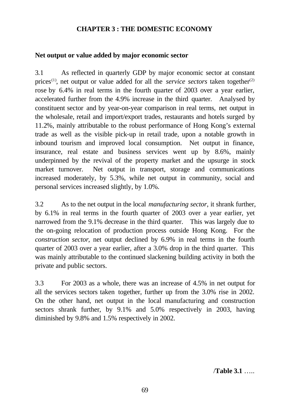### **CHAPTER 3 : THE DOMESTIC ECONOMY**

### **Net output or value added by major economic sector**

3.1 As reflected in quarterly GDP by major economic sector at constant prices<sup>(1)</sup>, net output or value added for all the *service sectors* taken together<sup>(2)</sup> rose by 6.4% in real terms in the fourth quarter of 2003 over a year earlier, accelerated further from the 4.9% increase in the third quarter. Analysed by constituent sector and by year-on-year comparison in real terms, net output in the wholesale, retail and import/export trades, restaurants and hotels surged by 11.2%, mainly attributable to the robust performance of Hong Kong's external trade as well as the visible pick-up in retail trade, upon a notable growth in inbound tourism and improved local consumption. Net output in finance, insurance, real estate and business services went up by 8.6%, mainly underpinned by the revival of the property market and the upsurge in stock market turnover. Net output in transport, storage and communications increased moderately, by 5.3%, while net output in community, social and personal services increased slightly, by 1.0%.

3.2 As to the net output in the local *manufacturing sector*, it shrank further, by 6.1% in real terms in the fourth quarter of 2003 over a year earlier, yet narrowed from the 9.1% decrease in the third quarter. This was largely due to the on-going relocation of production process outside Hong Kong. For the *construction sector*, net output declined by 6.9% in real terms in the fourth quarter of 2003 over a year earlier, after a 3.0% drop in the third quarter. This was mainly attributable to the continued slackening building activity in both the private and public sectors.

3.3 For 2003 as a whole, there was an increase of 4.5% in net output for all the services sectors taken together, further up from the 3.0% rise in 2002. On the other hand, net output in the local manufacturing and construction sectors shrank further, by 9.1% and 5.0% respectively in 2003, having diminished by 9.8% and 1.5% respectively in 2002.

/**Table 3.1** …..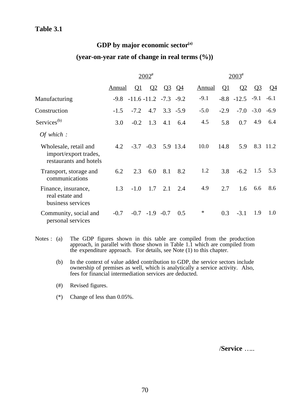# **GDP by major economic sector(a) (year-on-year rate of change in real terms (%))**

|                                                                          |        |                                      | $2002^*$         |     |              |        | $2003^{\text{*}}$ |                |             |           |
|--------------------------------------------------------------------------|--------|--------------------------------------|------------------|-----|--------------|--------|-------------------|----------------|-------------|-----------|
|                                                                          | Annual | $\Omega$                             | $\Omega$         |     | <u>03 04</u> | Annual | $\Omega$          | $\Omega$       | $Q_3$       | <u>Q4</u> |
| Manufacturing                                                            |        | $-9.8$ $-11.6$ $-11.2$ $-7.3$ $-9.2$ |                  |     |              | $-9.1$ |                   | $-8.8$ $-12.5$ | $-9.1$      | $-6.1$    |
| Construction                                                             | $-1.5$ | $-7.2$                               | 4.7              |     | $3.3 - 5.9$  | $-5.0$ | $-2.9$            |                | $-7.0 -3.0$ | $-6.9$    |
| Services <sup>(b)</sup>                                                  | 3.0    | $-0.2$                               | 1.3              | 4.1 | 6.4          | 4.5    | 5.8               | 0.7            | 4.9         | 6.4       |
| Of which :                                                               |        |                                      |                  |     |              |        |                   |                |             |           |
| Wholesale, retail and<br>import/export trades,<br>restaurants and hotels | 4.2    | $-3.7$                               | $-0.3$           |     | 5.9 13.4     | 10.0   | 14.8              | 5.9            |             | 8.3 11.2  |
| Transport, storage and<br>communications                                 | 6.2    | 2.3                                  | 6.0              | 8.1 | 8.2          | 1.2    | 3.8               | $-6.2$         | 1.5         | 5.3       |
| Finance, insurance,<br>real estate and<br>business services              | 1.3    | $-1.0$                               | 1.7              | 2.1 | 2.4          | 4.9    | 2.7               | 1.6            | 6.6         | 8.6       |
| Community, social and<br>personal services                               | $-0.7$ |                                      | $-0.7 -1.9 -0.7$ |     | 0.5          | $\ast$ | 0.3               | $-3.1$         | 1.9         | 1.0       |

- Notes : (a) The GDP figures shown in this table are compiled from the production approach, in parallel with those shown in Table 1.1 which are compiled from the expenditure approach. For details, see Note (1) to this chapter.
	- (b) In the context of value added contribution to GDP, the service sectors include ownership of premises as well, which is analytically a service activity. Also, fees for financial intermediation services are deducted.
	- (#) Revised figures.
	- (\*) Change of less than 0.05%.

/**Service** …..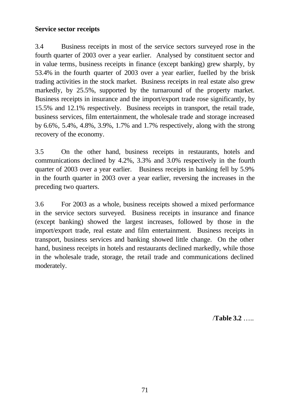### **Service sector receipts**

3.4 Business receipts in most of the service sectors surveyed rose in the fourth quarter of 2003 over a year earlier. Analysed by constituent sector and in value terms, business receipts in finance (except banking) grew sharply, by 53.4% in the fourth quarter of 2003 over a year earlier, fuelled by the brisk trading activities in the stock market. Business receipts in real estate also grew markedly, by 25.5%, supported by the turnaround of the property market. Business receipts in insurance and the import/export trade rose significantly, by 15.5% and 12.1% respectively. Business receipts in transport, the retail trade, business services, film entertainment, the wholesale trade and storage increased by 6.6%, 5.4%, 4.8%, 3.9%, 1.7% and 1.7% respectively, along with the strong recovery of the economy.

3.5 On the other hand, business receipts in restaurants, hotels and communications declined by 4.2%, 3.3% and 3.0% respectively in the fourth quarter of 2003 over a year earlier. Business receipts in banking fell by 5.9% in the fourth quarter in 2003 over a year earlier, reversing the increases in the preceding two quarters.

3.6 For 2003 as a whole, business receipts showed a mixed performance in the service sectors surveyed. Business receipts in insurance and finance (except banking) showed the largest increases, followed by those in the import/export trade, real estate and film entertainment. Business receipts in transport, business services and banking showed little change. On the other hand, business receipts in hotels and restaurants declined markedly, while those in the wholesale trade, storage, the retail trade and communications declined moderately.

/**Table 3.2** …..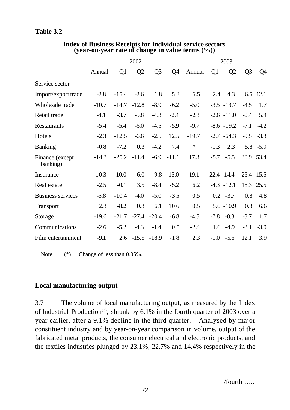|                             |         | 2002     |                |         |                |               |          | 2003          |           |             |  |  |
|-----------------------------|---------|----------|----------------|---------|----------------|---------------|----------|---------------|-----------|-------------|--|--|
|                             | Annual  | $\Omega$ | Q <sub>2</sub> | $Q_2^2$ | Q <sub>4</sub> | <b>Annual</b> | $\Omega$ | $\Omega$      | $Q_2^2$   | $\Omega$ 4  |  |  |
| Service sector              |         |          |                |         |                |               |          |               |           |             |  |  |
| Import/export trade         | $-2.8$  | $-15.4$  | $-2.6$         | 1.8     | 5.3            | 6.5           | 2.4      | 4.3           |           | 6.5 12.1    |  |  |
| Wholesale trade             | $-10.7$ | $-14.7$  | $-12.8$        | $-8.9$  | $-6.2$         | $-5.0$        |          | $-3.5 -13.7$  | $-4.5$    | 1.7         |  |  |
| Retail trade                | $-4.1$  | $-3.7$   | $-5.8$         | $-4.3$  | $-2.4$         | $-2.3$        |          | $-2.6 -11.0$  | $-0.4$    | 5.4         |  |  |
| <b>Restaurants</b>          | $-5.4$  | $-5.4$   | $-6.0$         | $-4.5$  | $-5.9$         | $-9.7$        |          | $-8.6 - 19.2$ | $-7.1$    | $-4.2$      |  |  |
| Hotels                      | $-2.3$  | $-12.5$  | $-6.6$         | $-2.5$  | 12.5           | $-19.7$       |          | $-2.7 -64.3$  | $-9.5$    | $-3.3$      |  |  |
| <b>Banking</b>              | $-0.8$  | $-7.2$   | 0.3            | $-4.2$  | 7.4            | $\ast$        | $-1.3$   | 2.3           |           | $5.8 - 5.9$ |  |  |
| Finance (except<br>banking) | $-14.3$ | $-25.2$  | $-11.4$        | $-6.9$  | $-11.1$        | 17.3          | $-5.7$   | $-5.5$        | 30.9 53.4 |             |  |  |
| Insurance                   | 10.3    | 10.0     | 6.0            | 9.8     | 15.0           | 19.1          |          | 22.4 14.4     | 25.4 15.5 |             |  |  |
| Real estate                 | $-2.5$  | $-0.1$   | 3.5            | $-8.4$  | $-5.2$         | 6.2           |          | $-4.3 - 12.1$ | 18.3      | 25.5        |  |  |
| <b>Business services</b>    | $-5.8$  | $-10.4$  | $-4.0$         | $-5.0$  | $-3.5$         | 0.5           |          | $0.2 -3.7$    | 0.8       | 4.8         |  |  |
| Transport                   | 2.3     | $-8.2$   | 0.3            | 6.1     | 10.6           | 0.5           |          | $5.6 - 10.9$  | 0.3       | 6.6         |  |  |
| Storage                     | $-19.6$ | $-21.7$  | $-27.4$        | $-20.4$ | $-6.8$         | $-4.5$        | $-7.8$   | $-8.3$        | $-3.7$    | 1.7         |  |  |
| Communications              | $-2.6$  | $-5.2$   | $-4.3$         | $-1.4$  | 0.5            | $-2.4$        | 1.6      | $-4.9$        | $-3.1$    | $-3.0$      |  |  |
| Film entertainment          | $-9.1$  | 2.6      | $-15.5$        | $-18.9$ | $-1.8$         | 2.3           | $-1.0$   | $-5.6$        | 12.1      | 3.9         |  |  |

#### **Index of Business Receipts for individual service sectors (year-on-year rate of change in value terms (%))**

Note :  $(*)$  Change of less than 0.05%.

# **Local manufacturing output**

3.7 The volume of local manufacturing output, as measured by the Index of Industrial Production<sup>(3)</sup>, shrank by  $6.1\%$  in the fourth quarter of 2003 over a year earlier, after a 9.1% decline in the third quarter. Analysed by major constituent industry and by year-on-year comparison in volume, output of the fabricated metal products, the consumer electrical and electronic products, and the textiles industries plunged by 23.1%, 22.7% and 14.4% respectively in the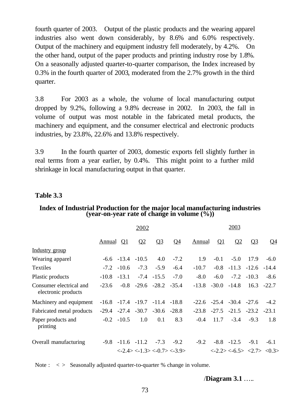fourth quarter of 2003. Output of the plastic products and the wearing apparel industries also went down considerably, by 8.6% and 6.0% respectively. Output of the machinery and equipment industry fell moderately, by 4.2%. On the other hand, output of the paper products and printing industry rose by 1.8%. On a seasonally adjusted quarter-to-quarter comparison, the Index increased by 0.3% in the fourth quarter of 2003, moderated from the 2.7% growth in the third quarter.

3.8 For 2003 as a whole, the volume of local manufacturing output dropped by 9.2%, following a 9.8% decrease in 2002. In 2003, the fall in volume of output was most notable in the fabricated metal products, the machinery and equipment, and the consumer electrical and electronic products industries, by 23.8%, 22.6% and 13.8% respectively.

3.9 In the fourth quarter of 2003, domestic exports fell slightly further in real terms from a year earlier, by 0.4%. This might point to a further mild shrinkage in local manufacturing output in that quarter.

### **Table 3.3**

#### **Index of Industrial Production for the major local manufacturing industries (year-on-year rate of change in volume (%))**

|                                                | 2002          |                        |          |                                         |                                                                                       | 2003    |           |                                 |                                                                                     |           |
|------------------------------------------------|---------------|------------------------|----------|-----------------------------------------|---------------------------------------------------------------------------------------|---------|-----------|---------------------------------|-------------------------------------------------------------------------------------|-----------|
|                                                | <b>Annual</b> | <u>01</u>              | $\Omega$ | Q <sub>3</sub>                          | <u>04</u>                                                                             | Annual  | <u>01</u> | Q <sub>2</sub>                  | <u>O3</u>                                                                           | <u>04</u> |
| <u>Industry</u> group                          |               |                        |          |                                         |                                                                                       |         |           |                                 |                                                                                     |           |
| Wearing apparel                                |               | $-6.6$ $-13.4$ $-10.5$ |          | 4.0                                     | $-7.2$                                                                                | 1.9     | $-0.1$    | $-5.0$                          | 17.9                                                                                | $-6.0$    |
| Textiles                                       |               | $-7.2 - 10.6$          | $-7.3$   | $-5.9$                                  | $-6.4$                                                                                | $-10.7$ |           | $-0.8$ $-11.3$ $-12.6$          |                                                                                     | $-14.4$   |
| Plastic products                               | $-10.8$       | $-13.1$                |          | $-7.4$ $-15.5$                          | $-7.0$                                                                                | $-8.0$  | $-6.0$    |                                 | $-7.2$ $-10.3$                                                                      | $-8.6$    |
| Consumer electrical and<br>electronic products | $-23.6$       |                        |          | $-0.8$ $-29.6$ $-28.2$ $-35.4$          |                                                                                       |         |           | $-13.8$ $-30.0$ $-14.8$         | 16.3                                                                                | $-22.7$   |
| Machinery and equipment                        |               |                        |          | $-16.8$ $-17.4$ $-19.7$ $-11.4$ $-18.8$ |                                                                                       |         |           | $-22.6$ $-25.4$ $-30.4$ $-27.6$ |                                                                                     | $-4.2$    |
| Fabricated metal products                      | $-29.4$       |                        |          | $-27.4$ $-30.7$ $-30.6$ $-28.8$         |                                                                                       | $-23.8$ |           | $-27.5$ $-21.5$ $-23.2$         |                                                                                     | $-23.1$   |
| Paper products and<br>printing                 |               | $-0.2 -10.5$           | 1.0      | 0.1                                     | 8.3                                                                                   | $-0.4$  | 11.7      | $-3.4$                          | $-9.3$                                                                              | 1.8       |
| Overall manufacturing                          |               | $-9.8$ $-11.6$ $-11.2$ |          | $-7.3$                                  | $-9.2$                                                                                | $-9.2$  |           | $-8.8$ $-12.5$                  | $-9.1$                                                                              | $-6.1$    |
|                                                |               |                        |          |                                         | $\langle -2.4 \rangle \langle -1.3 \rangle \langle -0.7 \rangle \langle -3.9 \rangle$ |         |           |                                 | $\langle -2.2 \rangle \langle -6.5 \rangle \langle 2.7 \rangle \langle 0.3 \rangle$ |           |

Note :  $\langle \rangle$  Seasonally adjusted quarter-to-quarter % change in volume.

/**Diagram 3.1** …..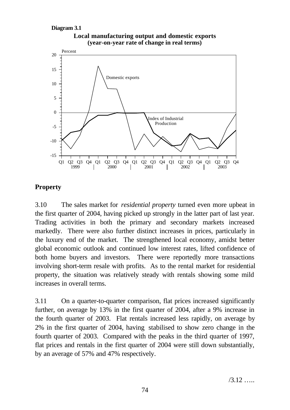```
Diagram 3.1
```




# **Property**

3.10 The sales market for *residential property* turned even more upbeat in the first quarter of 2004, having picked up strongly in the latter part of last year. Trading activities in both the primary and secondary markets increased markedly. There were also further distinct increases in prices, particularly in the luxury end of the market. The strengthened local economy, amidst better global economic outlook and continued low interest rates, lifted confidence of both home buyers and investors. There were reportedly more transactions involving short-term resale with profits. As to the rental market for residential property, the situation was relatively steady with rentals showing some mild increases in overall terms.

3.11 On a quarter-to-quarter comparison, flat prices increased significantly further, on average by 13% in the first quarter of 2004, after a 9% increase in the fourth quarter of 2003. Flat rentals increased less rapidly, on average by 2% in the first quarter of 2004, having stabilised to show zero change in the fourth quarter of 2003. Compared with the peaks in the third quarter of 1997, flat prices and rentals in the first quarter of 2004 were still down substantially, by an average of 57% and 47% respectively.

 $/3.12$  …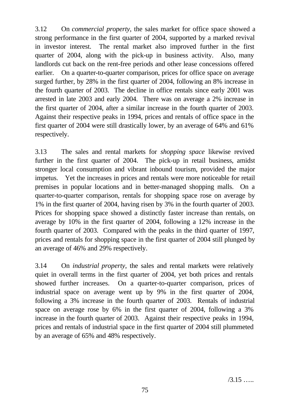3.12 On *commercial property*, the sales market for office space showed a strong performance in the first quarter of 2004, supported by a marked revival in investor interest. The rental market also improved further in the first quarter of 2004, along with the pick-up in business activity. Also, many landlords cut back on the rent-free periods and other lease concessions offered earlier. On a quarter-to-quarter comparison, prices for office space on average surged further, by 28% in the first quarter of 2004, following an 8% increase in the fourth quarter of 2003. The decline in office rentals since early 2001 was arrested in late 2003 and early 2004. There was on average a 2% increase in the first quarter of 2004, after a similar increase in the fourth quarter of 2003. Against their respective peaks in 1994, prices and rentals of office space in the first quarter of 2004 were still drastically lower, by an average of 64% and 61% respectively.

3.13 The sales and rental markets for *shopping space* likewise revived further in the first quarter of 2004. The pick-up in retail business, amidst stronger local consumption and vibrant inbound tourism, provided the major impetus. Yet the increases in prices and rentals were more noticeable for retail premises in popular locations and in better-managed shopping malls. On a quarter-to-quarter comparison, rentals for shopping space rose on average by 1% in the first quarter of 2004, having risen by 3% in the fourth quarter of 2003. Prices for shopping space showed a distinctly faster increase than rentals, on average by 10% in the first quarter of 2004, following a 12% increase in the fourth quarter of 2003. Compared with the peaks in the third quarter of 1997, prices and rentals for shopping space in the first quarter of 2004 still plunged by an average of 46% and 29% respectively.

3.14 On *industrial property*, the sales and rental markets were relatively quiet in overall terms in the first quarter of 2004, yet both prices and rentals showed further increases. On a quarter-to-quarter comparison, prices of industrial space on average went up by 9% in the first quarter of 2004, following a 3% increase in the fourth quarter of 2003. Rentals of industrial space on average rose by 6% in the first quarter of 2004, following a 3% increase in the fourth quarter of 2003. Against their respective peaks in 1994, prices and rentals of industrial space in the first quarter of 2004 still plummeted by an average of 65% and 48% respectively.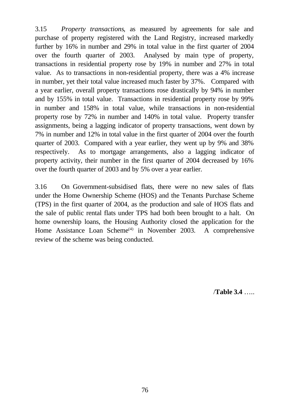3.15 *Property transactions*, as measured by agreements for sale and purchase of property registered with the Land Registry, increased markedly further by 16% in number and 29% in total value in the first quarter of 2004 over the fourth quarter of 2003. Analysed by main type of property, transactions in residential property rose by 19% in number and 27% in total value. As to transactions in non-residential property, there was a 4% increase in number, yet their total value increased much faster by 37%. Compared with a year earlier, overall property transactions rose drastically by 94% in number and by 155% in total value. Transactions in residential property rose by 99% in number and 158% in total value, while transactions in non-residential property rose by 72% in number and 140% in total value. Property transfer assignments, being a lagging indicator of property transactions, went down by 7% in number and 12% in total value in the first quarter of 2004 over the fourth quarter of 2003. Compared with a year earlier, they went up by 9% and 38% respectively. As to mortgage arrangements, also a lagging indicator of property activity, their number in the first quarter of 2004 decreased by 16% over the fourth quarter of 2003 and by 5% over a year earlier.

3.16 On Government-subsidised flats, there were no new sales of flats under the Home Ownership Scheme (HOS) and the Tenants Purchase Scheme (TPS) in the first quarter of 2004, as the production and sale of HOS flats and the sale of public rental flats under TPS had both been brought to a halt. On home ownership loans, the Housing Authority closed the application for the Home Assistance Loan Scheme<sup>(4)</sup> in November 2003. A comprehensive review of the scheme was being conducted.

/**Table 3.4** …..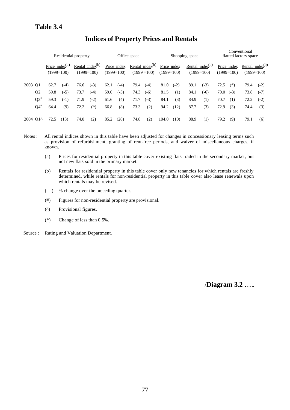# **Indices of Property Prices and Rentals**

|                      |                |                                            | Residential property |      |                                              | Office space |                             |      | Shopping space                               |                             |        | Conventional<br>flatted factory space |                                                    |      |                             |                             |              |
|----------------------|----------------|--------------------------------------------|----------------------|------|----------------------------------------------|--------------|-----------------------------|------|----------------------------------------------|-----------------------------|--------|---------------------------------------|----------------------------------------------------|------|-----------------------------|-----------------------------|--------------|
|                      |                | Price index <sup>(a)</sup><br>$(1999=100)$ |                      |      | <u>Rental</u> index $^{(b)}$<br>$(1999=100)$ |              | Price index<br>$(1999=100)$ |      | <u>Rental</u> index $^{(b)}$<br>$(1999=100)$ | Price index<br>$(1999=100)$ |        |                                       | <u>Rental</u> index <sup>(b)</sup><br>$(1999=100)$ |      | Price index<br>$(1999=100)$ | Rental index <sup>(b)</sup> | $(1999=100)$ |
| 2003 Q1              |                | 62.7                                       | $(-4)$               | 76.6 | $(-3)$                                       | 62.1         | $(-4)$                      | 79.4 | $(-4)$                                       | 81.0                        | $(-2)$ | 89.1                                  | $(-3)$                                             | 72.5 | $(*)$                       | 79.4                        | $(-2)$       |
|                      | Q <sub>2</sub> | 59.8                                       | $(-5)$               | 73.7 | $(-4)$                                       | 59.0         | $(-5)$                      | 74.3 | $(-6)$                                       | 81.5                        | (1)    | 84.1                                  | $(-6)$                                             | 70.0 | $(-3)$                      | 73.8                        | $(-7)$       |
|                      | $O3^*$         | 59.3                                       | $(-1)$               | 71.9 | $(-2)$                                       | 61.6         | (4)                         | 71.7 | $(-3)$                                       | 84.1                        | (3)    | 84.9                                  | (1)                                                | 70.7 | (1)                         | 72.2                        | $(-2)$       |
|                      | $O4^*$         | 64.4                                       | (9)                  | 72.2 | $(*)$                                        | 66.8         | (8)                         | 73.3 | (2)                                          | 94.2                        | (12)   | 87.7                                  | (3)                                                | 72.9 | (3)                         | 74.4                        | (3)          |
| 2004 O1 <sup>^</sup> |                | 72.5                                       | (13)                 | 74.0 | (2)                                          | 85.2         | (28)                        | 74.8 | (2)                                          | 104.0                       | (10)   | 88.9                                  | (1)                                                | 79.2 | (9)                         | 79.1                        | (6)          |

Notes : All rental indices shown in this table have been adjusted for changes in concessionary leasing terms such as provision of refurbishment, granting of rent-free periods, and waiver of miscellaneous charges, if known.

- (a) Prices for residential property in this table cover existing flats traded in the secondary market, but not new flats sold in the primary market.
- (b) Rentals for residential property in this table cover only new tenancies for which rentals are freshly determined, while rentals for non-residential property in this table cover also lease renewals upon which rentals may be revised.
- ( ) % change over the preceding quarter.
- (#) Figures for non-residential property are provisional.
- (^) Provisional figures.
- (\*) Change of less than 0.5%.

Source : Rating and Valuation Department.

/**Diagram 3.2** …..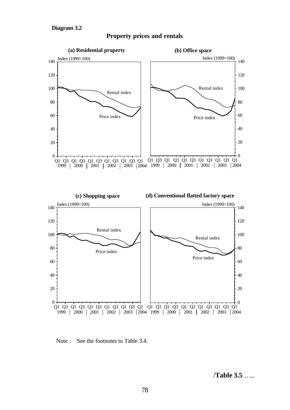

#### **Property prices and rentals**



Note : See the footnotes to Table 3.4.

/**Table 3.5** …..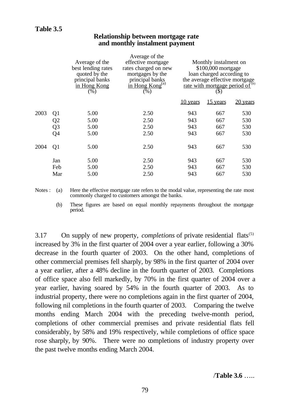|      |                | Average of the<br>best lending rates<br>quoted by the<br>principal banks<br>in Hong Kong<br>$(\sqrt{6})$ | Average of the<br>effective mortgage<br>rates charged on new<br>mortgages by the<br>principal banks<br>$\overline{\text{in}$ Hong Kong <sup>(a)</sup><br>$(\overline{\%})$ |          | Monthly instalment on<br>\$100,000 mortgage<br>loan charged according to<br>the average effective mortgage<br>rate with mortgage period of <sup>(b)</sup><br>(\$) |          |
|------|----------------|----------------------------------------------------------------------------------------------------------|----------------------------------------------------------------------------------------------------------------------------------------------------------------------------|----------|-------------------------------------------------------------------------------------------------------------------------------------------------------------------|----------|
|      |                |                                                                                                          |                                                                                                                                                                            | 10 years | 15 years                                                                                                                                                          | 20 years |
| 2003 | Q <sub>1</sub> | 5.00                                                                                                     | 2.50                                                                                                                                                                       | 943      | 667                                                                                                                                                               | 530      |
|      | Q <sub>2</sub> | 5.00                                                                                                     | 2.50                                                                                                                                                                       | 943      | 667                                                                                                                                                               | 530      |
|      | Q <sub>3</sub> | 5.00                                                                                                     | 2.50                                                                                                                                                                       | 943      | 667                                                                                                                                                               | 530      |
|      | Q4             | 5.00                                                                                                     | 2.50                                                                                                                                                                       | 943      | 667                                                                                                                                                               | 530      |
| 2004 | Q <sub>1</sub> | 5.00                                                                                                     | 2.50                                                                                                                                                                       | 943      | 667                                                                                                                                                               | 530      |
|      | Jan            | 5.00                                                                                                     | 2.50                                                                                                                                                                       | 943      | 667                                                                                                                                                               | 530      |
|      | Feb            | 5.00                                                                                                     | 2.50                                                                                                                                                                       | 943      | 667                                                                                                                                                               | 530      |

### **Relationship between mortgage rate and monthly instalment payment**

Notes : (a) Here the effective mortgage rate refers to the modal value, representing the rate most commonly charged to customers amongst the banks.

(b) These figures are based on equal monthly repayments throughout the mortgage period.

Mar 5.00 2.50 943 667 530

3.17 On supply of new property, *completions* of private residential flats<sup>(5)</sup> increased by 3% in the first quarter of 2004 over a year earlier, following a 30% decrease in the fourth quarter of 2003. On the other hand, completions of other commercial premises fell sharply, by 98% in the first quarter of 2004 over a year earlier, after a 48% decline in the fourth quarter of 2003. Completions of office space also fell markedly, by 70% in the first quarter of 2004 over a year earlier, having soared by 54% in the fourth quarter of 2003. As to industrial property, there were no completions again in the first quarter of 2004, following nil completions in the fourth quarter of 2003. Comparing the twelve months ending March 2004 with the preceding twelve-month period, completions of other commercial premises and private residential flats fell considerably, by 58% and 19% respectively, while completions of office space rose sharply, by 90%. There were no completions of industry property over the past twelve months ending March 2004.

/**Table 3.6** …..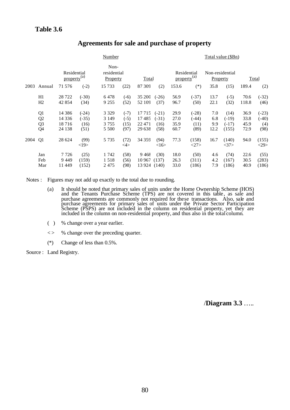|      |                                              |                                        |                                    | Number                                 |                                  |                                    |                                    |                              |                                        |                             | Total value (\$Bn)                  |                              |                                   |
|------|----------------------------------------------|----------------------------------------|------------------------------------|----------------------------------------|----------------------------------|------------------------------------|------------------------------------|------------------------------|----------------------------------------|-----------------------------|-------------------------------------|------------------------------|-----------------------------------|
|      |                                              | Residential<br>property <sup>(a)</sup> |                                    | Non-<br>residential<br>Property        |                                  | Total                              |                                    |                              | Residential<br>property <sup>(a)</sup> | Non-residential<br>Property |                                     |                              | Total                             |
| 2003 | Annual                                       | 71 576                                 | $(-2)$                             | 15 7 33                                | (22)                             | 87 309                             | (2)                                | 153.6                        | $(*)$                                  | 35.8                        | (15)                                | 189.4                        | (2)                               |
|      | H1<br>H2                                     | 28722<br>42 854                        | $(-30)$<br>(34)                    | 6478<br>9 2 5 5                        | $(-6)$<br>(52)                   | 35 200<br>52 109                   | $(-26)$<br>(37)                    | 56.9<br>96.7                 | $(-37)$<br>(50)                        | 13.7<br>22.1                | $(-5)$<br>(32)                      | 70.6<br>118.8                | $(-32)$<br>(46)                   |
|      | Q1<br>Q <sub>2</sub><br>Q <sub>3</sub><br>Q4 | 14 3 8 6<br>14 3 36<br>18716<br>24 138 | $(-24)$<br>$(-35)$<br>(16)<br>(51) | 3 3 2 9<br>3 1 4 9<br>3 7 5 5<br>5 500 | $(-7)$<br>$(-5)$<br>(15)<br>(97) | 17715<br>17485<br>22 471<br>29 638 | $(-21)$<br>$(-31)$<br>(16)<br>(58) | 29.9<br>27.0<br>35.9<br>60.7 | $(-28)$<br>$(-44)$<br>(11)<br>(89)     | 7.0<br>6.8<br>9.9<br>12.2   | (14)<br>$(-19)$<br>$(-17)$<br>(155) | 36.9<br>33.8<br>45.9<br>72.9 | $(-23)$<br>$(-40)$<br>(4)<br>(98) |
| 2004 | Q1                                           | 28 624                                 | (99)<br>$<$ 19>                    | 5 7 3 5                                | (72)<br>$<\!\!4\!\!>$            | 34 35 9                            | (94)<br><16>                       | 77.3                         | (158)<br>$<$ 27>                       | 16.7                        | (140)<br><37>                       | 94.0                         | (155)<br>$<$ 29>                  |
|      | Jan<br>Feb<br>Mar                            | 7 7 2 6<br>9449<br>11 4 49             | (25)<br>(159)<br>(152)             | 1 742<br>1 5 1 8<br>2475               | (58)<br>(56)<br>(98)             | 9468<br>10 967<br>13 9 24          | (30)<br>(137)<br>(140)             | 18.0<br>26.3<br>33.0         | (50)<br>(311)<br>(186)                 | 4.6<br>4.2<br>7.9           | (74)<br>(167)<br>(186)              | 22.6<br>30.5<br>40.9         | (55)<br>(283)<br>(186)            |

### **Agreements for sale and purchase of property**

Notes : Figures may not add up exactly to the total due to rounding.

- (a) It should be noted that primary sales of units under the Home Ownership Scheme (HOS) and the Tenants Purchase Scheme (TPS) are not covered in this table, as sale and purchase agreements are commonly not required for these transactions. Also, sale and purchase agreements for primary sales of units under the Private Sector Participation Scheme (PSPS) are not included in the column on residential property, yet they are included in the column on non-residential property, and thus also in the total column.
- ( ) % change over a year earlier.
- < > % change over the preceding quarter.
- (\*) Change of less than 0.5%.

Source : Land Registry.

/**Diagram 3.3** …..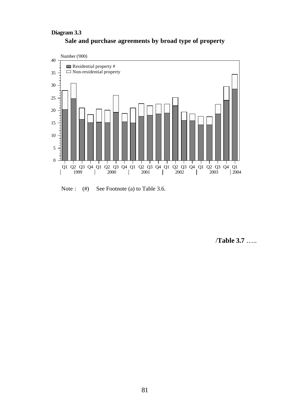### **Sale and purchase agreements by broad type of property Diagram 3.3**



Note : (#) See Footnote (a) to Table 3.6.

/**Table 3.7** …..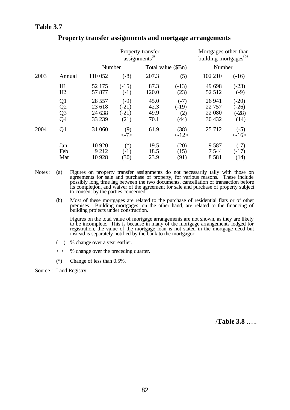|      |                                  |                                        | Property transfer<br>$\overline{assignments}^{(a)}$ |                              | Mortgages other than<br><u>building mortgages</u> <sup>(b)</sup> |                                         |                                     |
|------|----------------------------------|----------------------------------------|-----------------------------------------------------|------------------------------|------------------------------------------------------------------|-----------------------------------------|-------------------------------------|
|      |                                  | Number                                 |                                                     | Total value (\$Bn)           |                                                                  | Number                                  |                                     |
| 2003 | Annual                           | 110 052                                | $(-8)$                                              | 207.3                        | (5)                                                              | 102 210                                 | $(-16)$                             |
|      | H1<br>H2                         | 52 175<br>57 877                       | $(-15)$<br>$(-1)$                                   | 87.3<br>120.0                | $(-13)$<br>(23)                                                  | 49 698<br>52 512                        | $(-23)$<br>$(-9)$                   |
|      | Q1<br>Q2<br>Q <sub>3</sub><br>Q4 | 28 5 5 7<br>23 618<br>24 638<br>33 239 | $(-9)$<br>$(-21)$<br>$(-21)$<br>(21)                | 45.0<br>42.3<br>49.9<br>70.1 | $(-7)$<br>$(-19)$<br>(2)<br>(44)                                 | 26 941<br>22 7 5 7<br>22 080<br>30 4 32 | $(-20)$<br>$-26$<br>$(-28)$<br>(14) |
| 2004 | Q <sub>1</sub>                   | 31 060                                 | (9)<br>$\langle -7 \rangle$                         | 61.9                         | (38)<br>$\langle -12 \rangle$                                    | 25 7 12                                 | $(-5)$<br><16>                      |
|      | Jan<br>Feb<br>Mar                | 10 9 20<br>9 2 1 2<br>10 9 28          | $(\ast)$<br>$(-1)$<br>(30)                          | 19.5<br>18.5<br>23.9         | (20)<br>(15)<br>(91)                                             | 9 5 8 7<br>7 5 4 4<br>8581              | $(-7)$<br>$(-17)$<br>(14)           |

#### **Property transfer assignments and mortgage arrangements**

Notes : (a) Figures on property transfer assignments do not necessarily tally with those on agreements for sale and purchase of property, for various reasons. These include possibly long time lag between the two documents, cancellation of transaction before its completion, and waiver of the agreement for sale and purchase of property subject to consent by the parties concerned.

(b) Most of these mortgages are related to the purchase of residential flats or of other premises. Building mortgages, on the other hand, are related to the financing of building projects under construction.

Figures on the total value of mortgage arrangements are not shown, as they are likely to be incomplete. This is because in many of the mortgage arrangements lodged for registration, the value of the mortgage loan is not stated in the mortgage deed but instead is separately notified by the bank to the mortgagor.

- ( ) % change over a year earlier.
- $\langle \rangle$  % change over the preceding quarter.
- (\*) Change of less than 0.5%.

Source : Land Registry.

/**Table 3.8** …..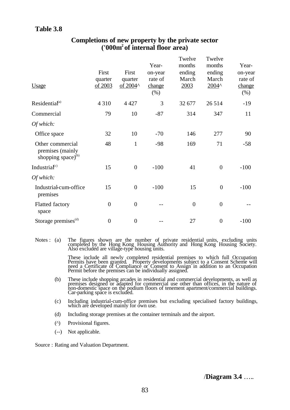| <b>Usage</b>                                                     | First<br>quarter<br>of 2003 | First<br>quarter<br>of 2004^ | Year-<br>on-year<br>rate of<br>change<br>$(\%)$ | Twelve<br>months<br>ending<br>March<br>2003 | Twelve<br>months<br>ending<br>March<br>2004^ | Year-<br>on-year<br>rate of<br>change<br>$(\%)$ |
|------------------------------------------------------------------|-----------------------------|------------------------------|-------------------------------------------------|---------------------------------------------|----------------------------------------------|-------------------------------------------------|
| Residential <sup>(a)</sup>                                       | 4 3 1 0                     | 4 4 2 7                      | 3                                               | 32 677                                      | 26 5 14                                      | $-19$                                           |
| Commercial                                                       | 79                          | 10                           | $-87$                                           | 314                                         | 347                                          | 11                                              |
| Of which:                                                        |                             |                              |                                                 |                                             |                                              |                                                 |
| Office space                                                     | 32                          | 10                           | $-70$                                           | 146                                         | 277                                          | 90                                              |
| Other commercial<br>premises (mainly<br>shopping space) $^{(b)}$ | 48                          | $\mathbf{1}$                 | $-98$                                           | 169                                         | 71                                           | $-58$                                           |
| Industrial <sup>c)</sup>                                         | 15                          | $\overline{0}$               | $-100$                                          | 41                                          | $\overline{0}$                               | $-100$                                          |
| Of which:                                                        |                             |                              |                                                 |                                             |                                              |                                                 |
| Industrial-cum-office<br>premises                                | 15                          | $\overline{0}$               | $-100$                                          | 15                                          | $\overline{0}$                               | $-100$                                          |
| <b>Flatted factory</b><br>space                                  | $\theta$                    | $\overline{0}$               |                                                 | $\boldsymbol{0}$                            | $\overline{0}$                               |                                                 |
| Storage premises <sup>(d)</sup>                                  | $\overline{0}$              | $\overline{0}$               |                                                 | 27                                          | $\overline{0}$                               | $-100$                                          |
|                                                                  |                             |                              |                                                 |                                             |                                              |                                                 |

### **Completions of new property by the private sector ('000m<sup>2</sup>of internal floor area)**

Notes : (a) The figures shown are the number of private residential units, excluding units completed by the Hong Kong Housing Authority and Hong Kong Housing Society. Also excluded are village-type housing units.

> These include all newly completed residential premises to which full Occupation Permits have been granted. Property developments subject to a Consent Scheme will need a Certificate of Compliance or Consent to Assign in addition to an Occupation Permit before the premises can be individually assigned.

- (b) These include shopping arcades in residential and commercial developments, as well as premises designed or adapted for commercial use other than offices, in the nature of non-domestic space on the podium floors of tenement apartment/commercial buildings. Car-parking space is excluded.
- (c) Including industrial-cum-office premises but excluding specialised factory buildings, which are developed mainly for own use.
- (d) Including storage premises at the container terminals and the airport.
- (^) Provisional figures.
- (--) Not applicable.

Source : Rating and Valuation Department.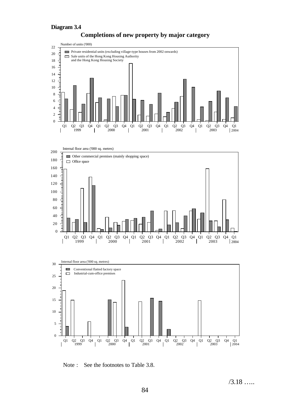

# **Completions of new property by major category**





Note : See the footnotes to Table 3.8.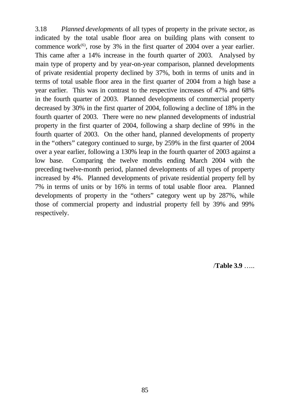3.18 *Planned developments* of all types of property in the private sector, as indicated by the total usable floor area on building plans with consent to commence work $^{(6)}$ , rose by 3% in the first quarter of 2004 over a year earlier. This came after a 14% increase in the fourth quarter of 2003. Analysed by main type of property and by year-on-year comparison, planned developments of private residential property declined by 37%, both in terms of units and in terms of total usable floor area in the first quarter of 2004 from a high base a year earlier. This was in contrast to the respective increases of 47% and 68% in the fourth quarter of 2003. Planned developments of commercial property decreased by 30% in the first quarter of 2004, following a decline of 18% in the fourth quarter of 2003. There were no new planned developments of industrial property in the first quarter of 2004, following a sharp decline of 99% in the fourth quarter of 2003. On the other hand, planned developments of property in the "others" category continued to surge, by 259% in the first quarter of 2004 over a year earlier, following a 130% leap in the fourth quarter of 2003 against a low base. Comparing the twelve months ending March 2004 with the preceding twelve-month period, planned developments of all types of property increased by 4%. Planned developments of private residential property fell by 7% in terms of units or by 16% in terms of total usable floor area. Planned developments of property in the "others" category went up by 287%, while those of commercial property and industrial property fell by 39% and 99% respectively.

/**Table 3.9** …..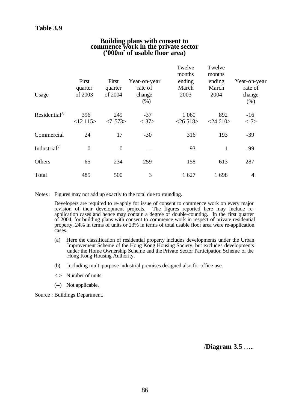#### **Building plans with consent to commence work in the private sector ('000m<sup>2</sup> of usable floor area)**

| Usage                      | First<br>quarter<br>of 2003 | First<br>quarter<br>of 2004 | Year-on-year<br>rate of<br>change<br>(% ) | Twelve<br>months<br>ending<br>March<br>2003 | Twelve<br>months<br>ending<br>March<br>2004 | Year-on-year<br>rate of<br>change<br>(% ) |
|----------------------------|-----------------------------|-----------------------------|-------------------------------------------|---------------------------------------------|---------------------------------------------|-------------------------------------------|
| Residential <sup>(a)</sup> | 396<br>$<12$ 115>           | 249<br><7573>               | $-37$<br>$< -37>$                         | 1 0 6 0<br>$<$ 26 518>                      | 892<br>$<$ 24 610 $>$                       | $-16$<br>$< -7>$                          |
| Commercial                 | 24                          | 17                          | $-30$                                     | 316                                         | 193                                         | $-39$                                     |
| Industrial <sup>(b)</sup>  | $\overline{0}$              | $\overline{0}$              |                                           | 93                                          | $\mathbf{1}$                                | $-99$                                     |
| Others                     | 65                          | 234                         | 259                                       | 158                                         | 613                                         | 287                                       |
| Total                      | 485                         | 500                         | 3                                         | 1 627                                       | 1698                                        | $\overline{4}$                            |

Notes : Figures may not add up exactly to the total due to rounding.

Developers are required to re-apply for issue of consent to commence work on every major revision of their development projects. The figures reported here may include re-The figures reported here may include reapplication cases and hence may contain a degree of double-counting. In the first quarter of 2004, for building plans with consent to commence work in respect of private residential property, 24% in terms of units or 23% in terms of total usable floor area were re-application cases.

- (a) Here the classification of residential property includes developments under the Urban Improvement Scheme of the Hong Kong Housing Society, but excludes developments under the Home Ownership Scheme and the Private Sector Participation Scheme of the Hong Kong Housing Authority.
- (b) Including multi-purpose industrial premises designed also for office use.
- $\langle \rangle$  Number of units.
- (--) Not applicable.

Source : Buildings Department.

/**Diagram 3.5** …..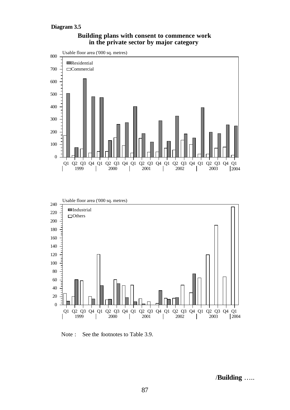

#### **Building plans with consent to commence work in the private sector by major category**

Note : See the footnotes to Table 3.9.

/**Building** …..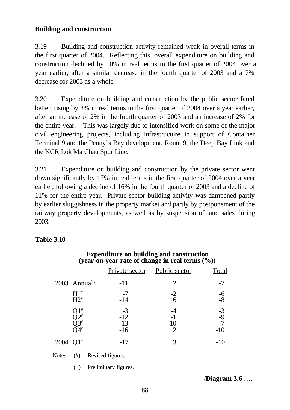# **Building and construction**

3.19 Building and construction activity remained weak in overall terms in the first quarter of 2004. Reflecting this, overall expenditure on building and construction declined by 10% in real terms in the first quarter of 2004 over a year earlier, after a similar decrease in the fourth quarter of 2003 and a 7% decrease for 2003 as a whole.

3.20 Expenditure on building and construction by the public sector fared better, rising by 3% in real terms in the first quarter of 2004 over a year earlier, after an increase of 2% in the fourth quarter of 2003 and an increase of 2% for the entire year. This was largely due to intensified work on some of the major civil engineering projects, including infrastructure in support of Container Terminal 9 and the Penny's Bay development, Route 9, the Deep Bay Link and the KCR Lok Ma Chau Spur Line.

3.21 Expenditure on building and construction by the private sector went down significantly by 17% in real terms in the first quarter of 2004 over a year earlier, following a decline of 16% in the fourth quarter of 2003 and a decline of 11% for the entire year. Private sector building activity was dampened partly by earlier sluggishness in the property market and partly by postponement of the railway property developments, as well as by suspension of land sales during 2003.

### **Table 3.10**

|                            |                                         |                                 | Private sector                  | Public sector        | Total                         |
|----------------------------|-----------------------------------------|---------------------------------|---------------------------------|----------------------|-------------------------------|
| $2003$ Annual <sup>#</sup> |                                         |                                 | $-11$                           | $\overline{2}$       | $-7$                          |
|                            | $H1^*$<br>$H2^*$                        |                                 | $-7$<br>$-14$                   | $-2$<br>6            | $-6 - 8$                      |
|                            | #<br>)2#<br>)3#<br>$\overline{)4}^{\#}$ |                                 | $-3$<br>$-12$<br>$-13$<br>$-16$ | 10<br>$\overline{2}$ | $-3$<br>$-9$<br>$-7$<br>$-10$ |
| $2004$ Q1 <sup>+</sup>     |                                         |                                 | $-17$                           | 3                    | $-10$                         |
|                            |                                         | Notes : $(\#)$ Revised figures. |                                 |                      |                               |
|                            | $(+)$                                   |                                 | Preliminary figures.            |                      |                               |

# **Expenditure on building and construction (year-on-year rate of change in real terms (%))**

/**Diagram 3.6** …..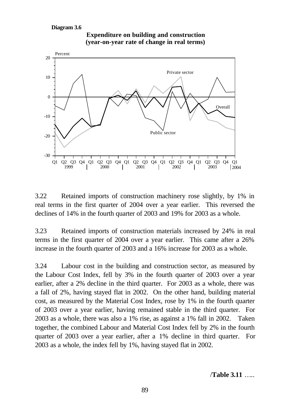

**Expenditure on building and construction (year-on-year rate of change in real terms)**

3.22 Retained imports of construction machinery rose slightly, by 1% in real terms in the first quarter of 2004 over a year earlier. This reversed the declines of 14% in the fourth quarter of 2003 and 19% for 2003 as a whole.

3.23 Retained imports of construction materials increased by 24% in real terms in the first quarter of 2004 over a year earlier. This came after a 26% increase in the fourth quarter of 2003 and a 16% increase for 2003 as a whole.

3.24 Labour cost in the building and construction sector, as measured by the Labour Cost Index, fell by 3% in the fourth quarter of 2003 over a year earlier, after a 2% decline in the third quarter. For 2003 as a whole, there was a fall of 2%, having stayed flat in 2002. On the other hand, building material cost, as measured by the Material Cost Index, rose by 1% in the fourth quarter of 2003 over a year earlier, having remained stable in the third quarter. For 2003 as a whole, there was also a 1% rise, as against a 1% fall in 2002. Taken together, the combined Labour and Material Cost Index fell by 2% in the fourth quarter of 2003 over a year earlier, after a 1% decline in third quarter. For 2003 as a whole, the index fell by 1%, having stayed flat in 2002.

/**Table 3.11** …..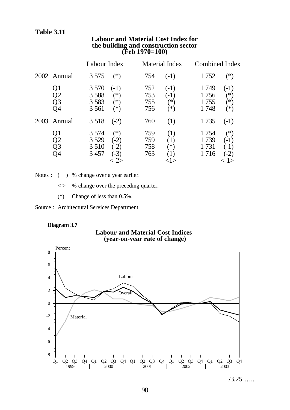|                      | Labour Index                                                                     | Material Index                                             | <b>Combined Index</b>                                                            |
|----------------------|----------------------------------------------------------------------------------|------------------------------------------------------------|----------------------------------------------------------------------------------|
| 2002 Annual          | 3 5 7 5<br>$(*)$                                                                 | 754<br>$(-1)$                                              | $(*)$<br>1 752                                                                   |
| Q1<br>Q2<br>Q3<br>Э4 | 3 5 7 0<br>$(-1)$<br>3 5 8 8<br>$(\ast)$<br>3 5 8 3<br>$(*)$<br>3 5 6 1<br>$(*)$ | 752<br>$(-1)$<br>753<br>$(-1)$<br>ั*)<br>755<br>756<br>′*) | 1749<br>$(-1)$<br>$^{(*)}$<br>1756<br>1755<br>$(\ast)$<br>1748<br>$(*)$          |
| 2003<br>Annual       | 3 5 18<br>$(-2)$                                                                 | 760<br>(1)                                                 | 1735<br>$(-1)$                                                                   |
| Q1<br>Q2<br>Q3<br>Э4 | 3 5 7 4<br>$(*)$<br>3 5 29<br>$(-2)$<br>3 5 1 0<br>$(-2)$<br>3 4 5 7<br>$-3)$    | 759<br>(1)<br>759<br>$\left(1\right)$<br>758<br>ั*)<br>763 | 1 754<br>$(*)$<br>1739<br>$(-1)$<br>1 731<br>$(-1)$<br>1 7 1 6<br>$(-2)$<br><-1> |

#### **Labour and Material Cost Index for the building and construction sector (Feb 1970=100)**

Notes : ( ) % change over a year earlier.

< > % change over the preceding quarter.

(\*) Change of less than 0.5%.

Source : Architectural Services Department.

#### **Diagram 3.7**

#### **Labour and Material Cost Indices (year-on-year rate of change)**



 $/3.25$  ……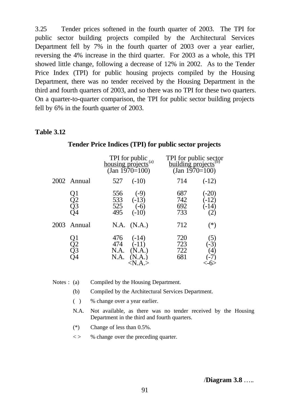3.25 Tender prices softened in the fourth quarter of 2003. The TPI for public sector building projects compiled by the Architectural Services Department fell by 7% in the fourth quarter of 2003 over a year earlier, reversing the 4% increase in the third quarter. For 2003 as a whole, this TPI showed little change, following a decrease of 12% in 2002. As to the Tender Price Index (TPI) for public housing projects compiled by the Housing Department, there was no tender received by the Housing Department in the third and fourth quarters of 2003, and so there was no TPI for these two quarters. On a quarter-to-quarter comparison, the TPI for public sector building projects fell by 6% in the fourth quarter of 2003.

#### **Table 3.12**

|                             | TPI for public<br>housing projects <sup>(a)</sup><br>$\text{(Jan } 1970=100)$       | TPI for public sector<br>building projects <sup>(b)</sup><br>$\text{(Jan 1970=100)}$ |
|-----------------------------|-------------------------------------------------------------------------------------|--------------------------------------------------------------------------------------|
| 2002 Annual                 | 527<br>$(-10)$                                                                      | 714<br>$(-12)$                                                                       |
| $\frac{Q1}{Q2}$<br>23<br>)4 | 556<br>$(-9)$<br>533<br>$(-13)$<br>525<br>$(-6)$<br>495<br>$(-10)$                  | 687<br>$(-20)$<br>742<br>$(-12)$<br>692<br>$(-14)$<br>733                            |
| 2003 Annual                 | N.A. (N.A.)                                                                         | 712<br>$(*)$                                                                         |
| Q1<br>Q2<br>Q3              | $476$ $(-14)$<br>$(-11)$<br>474<br>N.A.<br>(N.A.)<br>(N.A.)<br>N.A.<br>$<$ N.A. $>$ | 720<br>(5)<br>723<br>$(-3)$<br>$\Delta \hat{A}$<br>722<br>681<br>$-7)$               |

#### **Tender Price Indices (TPI) for public sector projects**

Notes : (a) Compiled by the Housing Department.

- (b) Compiled by the Architectural Services Department.
- ( ) % change over a year earlier.
- N.A. Not available, as there was no tender received by the Housing Department in the third and fourth quarters.
- (\*) Change of less than 0.5%.
- < > % change over the preceding quarter.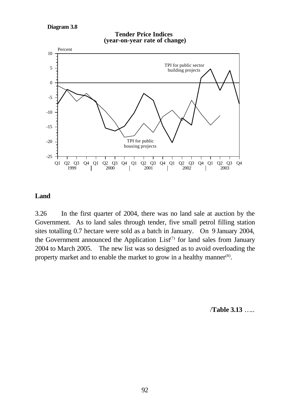**Diagram 3.8**



#### **Tender Price Indices (year-on-year rate of change)**

# **Land**

3.26 In the first quarter of 2004, there was no land sale at auction by the Government. As to land sales through tender, five small petrol filling station sites totalling 0.7 hectare were sold as a batch in January. On 9 January 2004, the Government announced the Application  $List^{(7)}$  for land sales from January 2004 to March 2005. The new list was so designed as to avoid overloading the property market and to enable the market to grow in a healthy manner $(8)$ .

/**Table 3.13** …..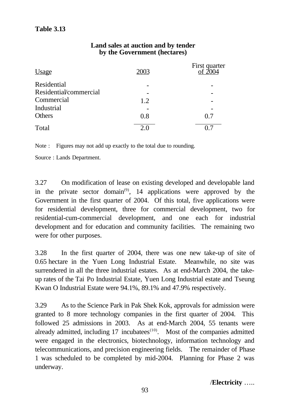#### **Land sales at auction and by tender by the Government (hectares)**

| <u>Usage</u>           | 2003 | First quarter<br>of 7004 |
|------------------------|------|--------------------------|
| Residential            |      |                          |
| Residential/commercial |      |                          |
| Commercial             | 1.2  |                          |
| Industrial             |      |                          |
| Others                 | 0.8  | 0.7                      |
| Total                  | 2.0  |                          |

Note : Figures may not add up exactly to the total due to rounding.

Source : Lands Department.

3.27 On modification of lease on existing developed and developable land in the private sector domain<sup>(9)</sup>, 14 applications were approved by the Government in the first quarter of 2004. Of this total, five applications were for residential development, three for commercial development, two for residential-cum-commercial development, and one each for industrial development and for education and community facilities. The remaining two were for other purposes.

3.28 In the first quarter of 2004, there was one new take-up of site of 0.65 hectare in the Yuen Long Industrial Estate. Meanwhile, no site was surrendered in all the three industrial estates. As at end-March 2004, the takeup rates of the Tai Po Industrial Estate, Yuen Long Industrial estate and Tseung Kwan O Industrial Estate were 94.1%, 89.1% and 47.9% respectively.

3.29 As to the Science Park in Pak Shek Kok, approvals for admission were granted to 8 more technology companies in the first quarter of 2004. This followed 25 admissions in 2003. As at end-March 2004, 55 tenants were already admitted, including  $17$  incubatees<sup> $(10)$ </sup>. Most of the companies admitted were engaged in the electronics, biotechnology, information technology and telecommunications, and precision engineering fields. The remainder of Phase 1 was scheduled to be completed by mid-2004. Planning for Phase 2 was underway.

/**Electricity** …..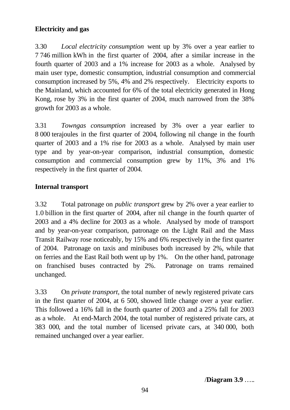# **Electricity and gas**

3.30 *Local electricity consumption* went up by 3% over a year earlier to 7 746 million kWh in the first quarter of 2004, after a similar increase in the fourth quarter of 2003 and a 1% increase for 2003 as a whole. Analysed by main user type, domestic consumption, industrial consumption and commercial consumption increased by 5%, 4% and 2% respectively. Electricity exports to the Mainland, which accounted for 6% of the total electricity generated in Hong Kong, rose by 3% in the first quarter of 2004, much narrowed from the 38% growth for 2003 as a whole.

3.31 *Towngas consumption* increased by 3% over a year earlier to 8 000 terajoules in the first quarter of 2004, following nil change in the fourth quarter of 2003 and a 1% rise for 2003 as a whole. Analysed by main user type and by year-on-year comparison, industrial consumption, domestic consumption and commercial consumption grew by 11%, 3% and 1% respectively in the first quarter of 2004.

# **Internal transport**

3.32 Total patronage on *public transport* grew by 2% over a year earlier to 1.0 billion in the first quarter of 2004, after nil change in the fourth quarter of 2003 and a 4% decline for 2003 as a whole. Analysed by mode of transport and by year-on-year comparison, patronage on the Light Rail and the Mass Transit Railway rose noticeably, by 15% and 6% respectively in the first quarter of 2004. Patronage on taxis and minibuses both increased by 2%, while that on ferries and the East Rail both went up by 1%. On the other hand, patronage on franchised buses contracted by 2%. Patronage on trams remained unchanged.

3.33 On *private transport*, the total number of newly registered private cars in the first quarter of 2004, at 6 500, showed little change over a year earlier. This followed a 16% fall in the fourth quarter of 2003 and a 25% fall for 2003 as a whole. At end-March 2004, the total number of registered private cars, at 383 000, and the total number of licensed private cars, at 340 000, both remained unchanged over a year earlier.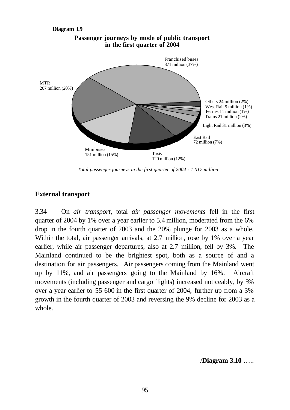

**Passenger journeys by mode of public transport in the first quarter of 2004**

*Total passenger journeys in the first quarter of 2004 : 1 017 million*

#### **External transport**

3.34 On *air transport*, total *air passenger movements* fell in the first quarter of 2004 by 1% over a year earlier to 5.4 million, moderated from the 6% drop in the fourth quarter of 2003 and the 20% plunge for 2003 as a whole. Within the total, air passenger arrivals, at 2.7 million, rose by 1% over a year earlier, while air passenger departures, also at 2.7 million, fell by 3%. The Mainland continued to be the brightest spot, both as a source of and a destination for air passengers. Air passengers coming from the Mainland went up by 11%, and air passengers going to the Mainland by 16%. Aircraft movements (including passenger and cargo flights) increased noticeably, by 5% over a year earlier to 55 600 in the first quarter of 2004, further up from a 3% growth in the fourth quarter of 2003 and reversing the 9% decline for 2003 as a whole.

/**Diagram 3.10** …..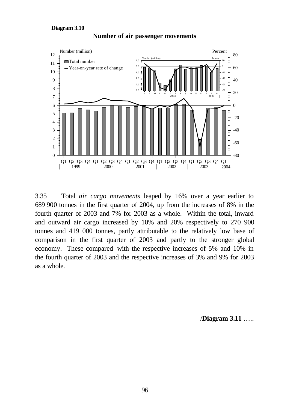

**Number of air passenger movements**

3.35 Total *air cargo movements* leaped by 16% over a year earlier to 689 900 tonnes in the first quarter of 2004, up from the increases of 8% in the fourth quarter of 2003 and 7% for 2003 as a whole. Within the total, inward and outward air cargo increased by 10% and 20% respectively to 270 900 tonnes and 419 000 tonnes, partly attributable to the relatively low base of comparison in the first quarter of 2003 and partly to the stronger global economy. These compared with the respective increases of 5% and 10% in the fourth quarter of 2003 and the respective increases of 3% and 9% for 2003 as a whole.

/**Diagram 3.11** …..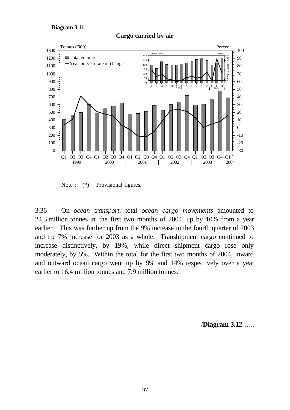

#### **Cargo carried by air**

Note :  $(*)$  Provisional figures.

3.36 On *ocean transport*, total *ocean cargo movements* amounted to 24.3 million tonnes in the first two months of 2004, up by 10% from a year earlier. This was further up from the 9% increase in the fourth quarter of 2003 and the 7% increase for 2003 as a whole. Transhipment cargo continued to increase distinctively, by 19%, while direct shipment cargo rose only moderately, by 5%. Within the total for the first two months of 2004, inward and outward ocean cargo went up by 9% and 14% respectively over a year earlier to 16.4 million tonnes and 7.9 million tonnes.

/**Diagram 3.12** …..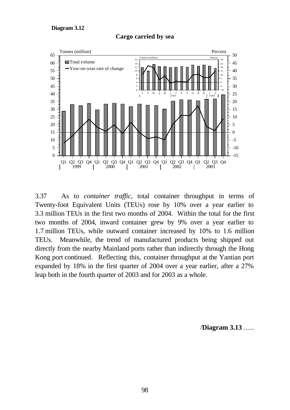

**Cargo carried by sea**

3.37 As to *container traffic*, total container throughput in terms of Twenty-foot Equivalent Units (TEUs) rose by 10% over a year earlier to 3.3 million TEUs in the first two months of 2004. Within the total for the first two months of 2004, inward container grew by 9% over a year earlier to 1.7 million TEUs, while outward container increased by 10% to 1.6 million TEUs. Meanwhile, the trend of manufactured products being shipped out directly from the nearby Mainland ports rather than indirectly through the Hong Kong port continued. Reflecting this, container throughput at the Yantian port expanded by 18% in the first quarter of 2004 over a year earlier, after a 27% leap both in the fourth quarter of 2003 and for 2003 as a whole.

/**Diagram 3.13** …..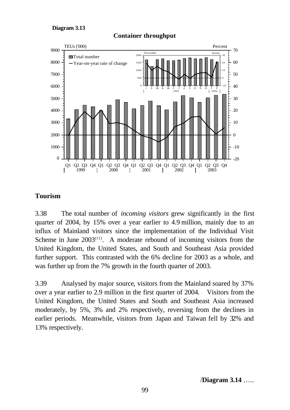



#### **Container throughput**

# **Tourism**

3.38 The total number of *incoming visitors* grew significantly in the first quarter of 2004, by 15% over a year earlier to 4.9 million, mainly due to an influx of Mainland visitors since the implementation of the Individual Visit Scheme in June  $2003^{(11)}$ . A moderate rebound of incoming visitors from the United Kingdom, the United States, and South and Southeast Asia provided further support. This contrasted with the 6% decline for 2003 as a whole, and was further up from the 7% growth in the fourth quarter of 2003.

3.39 Analysed by major source, visitors from the Mainland soared by 37% over a year earlier to 2.9 million in the first quarter of 2004. Visitors from the United Kingdom, the United States and South and Southeast Asia increased moderately, by 5%, 3% and 2% respectively, reversing from the declines in earlier periods. Meanwhile, visitors from Japan and Taiwan fell by 32% and 13% respectively.

/**Diagram 3.14** …..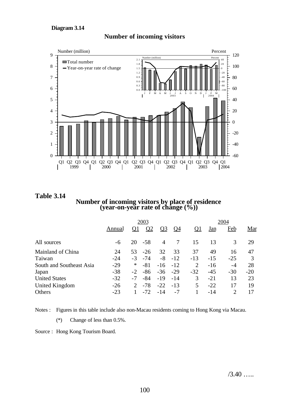

#### **Number of incoming visitors**

**Table 3.14 Number of incoming visitors by place of residence (year-on-year rate of change (%))**

|                          | 2003   |                             |          |                |           |           | 2004       |                |            |  |
|--------------------------|--------|-----------------------------|----------|----------------|-----------|-----------|------------|----------------|------------|--|
|                          | Annual | <u>Q1</u>                   | $\Omega$ | <u>O3</u>      | <u>Q4</u> | <u>01</u> | <u>Jan</u> | <u>Feb</u>     | <u>Mar</u> |  |
| All sources              | -6     | 20                          | $-58$    | $\overline{4}$ | 7         | 15        | 13         | 3              | 29         |  |
| Mainland of China        | 24     | 53                          | $-26$    | 32             | 33        | 37        | 49         | 16             | 47         |  |
| Taiwan                   | $-24$  | $-3$                        | $-74$    | $-8$           | $-12$     | $-13$     | $-15$      | $-25$          |            |  |
| South and Southeast Asia | $-29$  | $\ast$                      | $-81$    | $-16 -12$      |           | 2         | $-16$      | $-4$           | 28         |  |
| Japan                    | $-38$  | $-2$                        | -86      | $-36$          | $-29$     | $-32$     | $-45$      | $-30$          | $-20$      |  |
| <b>United States</b>     | $-32$  | $-7$                        | -84      | $-19$          | $-14$     | 3         | $-21$      | 13             | 23         |  |
| United Kingdom           | $-26$  | $\mathcal{D}_{\mathcal{L}}$ | $-78$    | $-22$          | $-13$     | 5         | $-22$      | 17             | 19         |  |
| Others                   | $-23$  |                             | $-72$    | $-14$          | $-7$      |           | -14        | $\overline{c}$ | 17         |  |

Notes : Figures in this table include also non-Macau residents coming to Hong Kong via Macau.

(\*) Change of less than 0.5%.

Source : Hong Kong Tourism Board.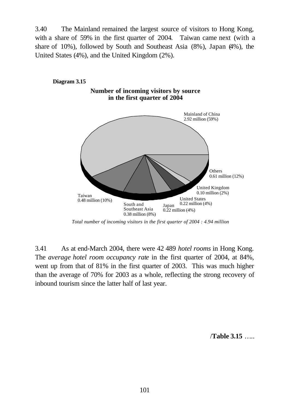3.40 The Mainland remained the largest source of visitors to Hong Kong, with a share of 59% in the first quarter of 2004. Taiwan came next (with a share of 10%), followed by South and Southeast Asia (8%), Japan (4%), the United States (4%), and the United Kingdom (2%).



*Total number of incoming visitors in the first quarter of 2004 : 4.94 million*

3.41 As at end-March 2004, there were 42 489 *hotel rooms* in Hong Kong. The *average hotel room occupancy rate* in the first quarter of 2004, at 84%, went up from that of 81% in the first quarter of 2003. This was much higher than the average of 70% for 2003 as a whole, reflecting the strong recovery of inbound tourism since the latter half of last year.

/**Table 3.15** …..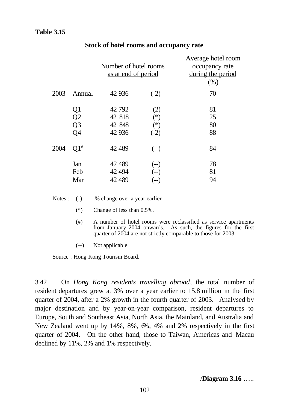|      |                                  | Number of hotel rooms<br>as at end of period |                                 | Average hotel room<br>occupancy rate<br>during the period<br>(% ) |
|------|----------------------------------|----------------------------------------------|---------------------------------|-------------------------------------------------------------------|
| 2003 | Annual                           | 42 9 36                                      | $(-2)$                          | 70                                                                |
|      | Q1<br>Q2<br>Q <sub>3</sub><br>Q4 | 42 792<br>42 818<br>42 848<br>42 936         | (2)<br>$(*)$<br>$(*)$<br>$(-2)$ | 81<br>25<br>80<br>88                                              |
| 2004 | $Q1^*$                           | 42 489                                       | $(-)$                           | 84                                                                |
|      | Jan<br>Feb<br>Mar                | 42 489<br>42 4 94<br>42 489                  | $(-)$<br>$(-)$<br>(--)          | 78<br>81<br>94                                                    |

#### **Stock of hotel rooms and occupancy rate**

Notes : ( ) % change over a year earlier.

(\*) Change of less than 0.5%.

- (#) A number of hotel rooms were reclassified as service apartments from January 2004 onwards. As such, the figures for the first quarter of 2004 are not strictly comparable to those for 2003.
- (--) Not applicable.

Source : Hong Kong Tourism Board.

3.42 On *Hong Kong residents travelling abroad*, the total number of resident departures grew at 3% over a year earlier to 15.8 million in the first quarter of 2004, after a 2% growth in the fourth quarter of 2003. Analysed by major destination and by year-on-year comparison, resident departures to Europe, South and Southeast Asia, North Asia, the Mainland, and Australia and New Zealand went up by 14%, 8%, 6%, 4% and 2% respectively in the first quarter of 2004. On the other hand, those to Taiwan, Americas and Macau declined by 11%, 2% and 1% respectively.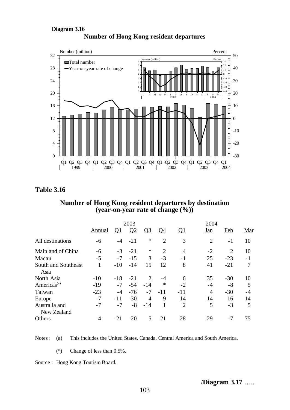#### **Number of Hong Kong resident departures Diagram 3.16**



**Table 3.16**

#### **Number of Hong Kong resident departures by destination (year-on-year rate of change (%))**

|                         | 2003          |           |          |                             |                | 2004           |                |                |      |
|-------------------------|---------------|-----------|----------|-----------------------------|----------------|----------------|----------------|----------------|------|
|                         | <u>Annual</u> | <u>01</u> | $\Omega$ | <u>Q3</u>                   | <u>O4</u>      | <u>01</u>      | Jan            | Feb            | Mar  |
| All destinations        | -6            | -4        | $-21$    | ∗                           | $\overline{2}$ | 3              | $\overline{2}$ | $-1$           | 10   |
| Mainland of China       | -6            | $-3$      | $-21$    | ∗                           | $\overline{2}$ | $\overline{4}$ | $-2$           | $\overline{2}$ | 10   |
| Macau                   | $-5$          | $-7$      | $-15$    | 3                           | $-3$           | $-1$           | 25             | $-23$          | $-1$ |
| South and Southeast     | 1             | $-10$     | $-14$    | 15                          | 12             | 8              | 41             | $-21$          | 7    |
| Asia                    |               |           |          |                             |                |                |                |                |      |
| North Asia              | $-10$         | $-18$     | $-21$    | $\mathcal{D}_{\mathcal{L}}$ | -4             | 6              | 35             | $-30$          | 10   |
| Americas <sup>(a)</sup> | $-19$         | $-7$      | $-54$    | $-14$                       | ∗              | $-2$           | $-4$           | $-8$           | 5    |
| Taiwan                  | $-23$         | -4        | $-76$    | $-7$                        | $-11$          | $-11$          | $\overline{4}$ | $-30$          | -4   |
| Europe                  | $-7$          | $-11$     | $-30$    | 4                           | 9              | 14             | 14             | 16             | 14   |
| Australia and           | $-7$          | $-7$      | $-8$     | $-14$                       | 1              | $\overline{2}$ | 5              | $-3$           | 5    |
| New Zealand             |               |           |          |                             |                |                |                |                |      |
| Others                  | -4            | $-21$     | $-20$    | 5                           | 21             | 28             | 29             | -7             | 75   |
|                         |               |           |          |                             |                |                |                |                |      |

Notes : (a) This includes the United States, Canada, Central America and South America.

(\*) Change of less than 0.5%.

Source : Hong Kong Tourism Board.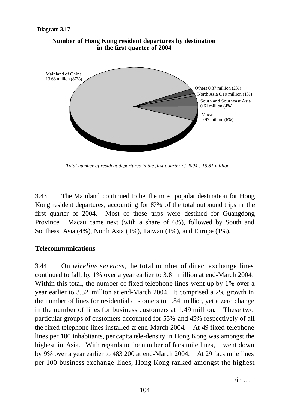

### **Number of Hong Kong resident departures by destination in the first quarter of 2004**

*Total number of resident departures in the first quarter of 2004 : 15.81 million*

3.43 The Mainland continued to be the most popular destination for Hong Kong resident departures, accounting for 87% of the total outbound trips in the first quarter of 2004. Most of these trips were destined for Guangdong Province. Macau came next (with a share of 6%), followed by South and Southeast Asia (4%), North Asia (1%), Taiwan (1%), and Europe (1%).

### **Telecommunications**

3.44 On *wireline services*, the total number of direct exchange lines continued to fall, by 1% over a year earlier to 3.81 million at end-March 2004. Within this total, the number of fixed telephone lines went up by 1% over a year earlier to 3.32 million at end-March 2004. It comprised a 2% growth in the number of lines for residential customers to 1.84 million, yet a zero change in the number of lines for business customers at 1.49 million. These two particular groups of customers accounted for 55% and 45% respectively of all the fixed telephone lines installed at end-March 2004. At 49 fixed telephone lines per 100 inhabitants, per capita tele-density in Hong Kong was amongst the highest in Asia. With regards to the number of facsimile lines, it went down by 9% over a year earlier to 483 200 at end-March 2004. At 29 facsimile lines per 100 business exchange lines, Hong Kong ranked amongst the highest

 $\sin$  …..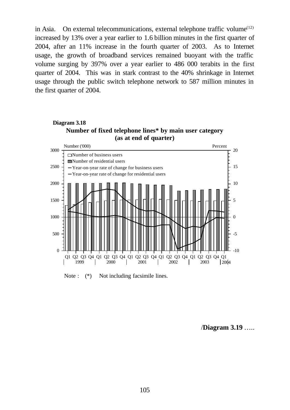in Asia. On external telecommunications, external telephone traffic volume<sup> $(12)$ </sup> increased by 13% over a year earlier to 1.6 billion minutes in the first quarter of 2004, after an 11% increase in the fourth quarter of 2003. As to Internet usage, the growth of broadband services remained buoyant with the traffic volume surging by 397% over a year earlier to 486 000 terabits in the first quarter of 2004. This was in stark contrast to the 40% shrinkage in Internet usage through the public switch telephone network to 587 million minutes in the first quarter of 2004.





Note :  $(*)$  Not including facsimile lines.

/**Diagram 3.19** …..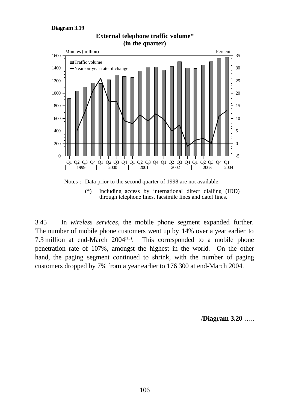#### **Diagram 3.19**



## **External telephone traffic volume\* (in the quarter)**

3.45 In *wireless services*, the mobile phone segment expanded further. The number of mobile phone customers went up by 14% over a year earlier to

through telephone lines, facsimile lines and datel lines.

7.3 million at end-March  $2004^{(13)}$ . . This corresponded to a mobile phone penetration rate of 107%, amongst the highest in the world. On the other hand, the paging segment continued to shrink, with the number of paging customers dropped by 7% from a year earlier to 176 300 at end-March 2004.

/**Diagram 3.20** …..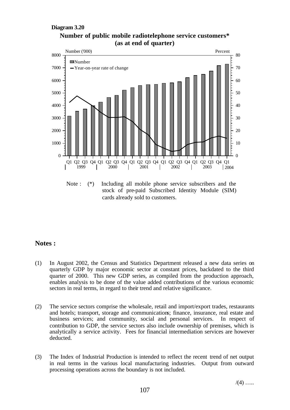#### **Diagram 3.20**





Note : (\*) Including all mobile phone service subscribers and the stock of pre-paid Subscribed Identity Module (SIM) cards already sold to customers.

#### **Notes :**

- (1) In August 2002, the Census and Statistics Department released a new data series on quarterly GDP by major economic sector at constant prices, backdated to the third quarter of 2000. This new GDP series, as compiled from the production approach, enables analysis to be done of the value added contributions of the various economic sectors in real terms, in regard to their trend and relative significance.
- (2) The service sectors comprise the wholesale, retail and import/export trades, restaurants and hotels; transport, storage and communications; finance, insurance, real estate and business services; and community, social and personal services. In respect of contribution to GDP, the service sectors also include ownership of premises, which is analytically a service activity. Fees for financial intermediation services are however deducted.
- (3) The Index of Industrial Production is intended to reflect the recent trend of net output in real terms in the various local manufacturing industries. Output from outward processing operations across the boundary is not included.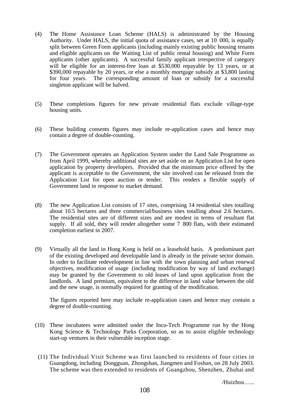- (4) The Home Assistance Loan Scheme (HALS) is administrated by the Housing Authority. Under HALS, the initial quota of assistance cases, set at 10 000, is equally split between Green Form applicants (including mainly existing public housing tenants and eligible applicants on the Waiting List of public rental housing) and White Form applicants (other applicants). A successful family applicant irrespective of category will be eligible for an interest-free loan at \$530,000 repayable by 13 years, or at \$390,000 repayable by 20 years, or else a monthly mortgage subsidy at \$3,800 lasting for four years. The corresponding amount of loan or subsidy for a successful singleton applicant will be halved.
- (5) These completions figures for new private residential flats exclude village-type housing units.
- (6) These building consents figures may include re-application cases and hence may contain a degree of double-counting.
- (7) The Government operates an Application System under the Land Sale Programme as from April 1999, whereby additional sites are set aside on an Application List for open application by property developers. Provided that the minimum price offered by the applicant is acceptable to the Government, the site involved can be released from the Application List for open auction or tender. This renders a flexible supply of Government land in response to market demand.
- (8) The new Application List consists of 17 sites, comprising 14 residential sites totalling about 10.5 hectares and three commercial/business sites totalling about 2.6 hectares. The residential sites are of different sizes and are modest in terms of resultant flat supply. If all sold, they will render altogether some 7 800 flats, with their estimated completion earliest in 2007.
- (9) Virtually all the land in Hong Kong is held on a leasehold basis. A predominant part of the existing developed and developable land is already in the private sector domain. In order to facilitate redevelopment in line with the town planning and urban renewal objectives, modification of usage (including modification by way of land exchange) may be granted by the Government to old leases of land upon application from the landlords. A land premium, equivalent to the difference in land value between the old and the new usage, is normally required for granting of the modification.

The figures reported here may include re-application cases and hence may contain a degree of double-counting.

- (10) These incubatees were admitted under the Incu-Tech Programme run by the Hong Kong Science & Technology Parks Corporation, so as to assist eligible technology start-up ventures in their vulnerable inception stage.
- (11) The Individual Visit Scheme was first launched to residents of four cities in Guangdong, including Dongguan, Zhongshan, Jiangmen and Foshan, on 28 July 2003. The scheme was then extended to residents of Guangzhou, Shenzhen, Zhuhai and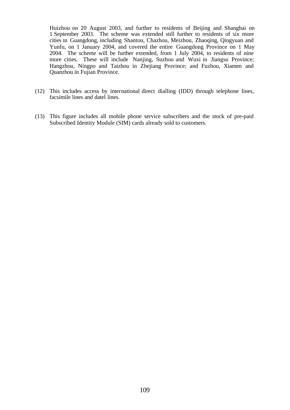Huizhou on 20 August 2003, and further to residents of Beijing and Shanghai on 1 September 2003. The scheme was extended still further to residents of six more cities in Guangdong, including Shantou, Chazhou, Meizhou, Zhaoqing, Qingyuan and Yunfu, on 1 January 2004, and covered the entire Guangdong Province on 1 May 2004. The scheme will be further extended, from 1 July 2004, to residents of nine more cities. These will include Nanjing, Suzhou and Wuxi in Jiangsu Province; Hangzhou, Ningpo and Taizhou in Zhejiang Province; and Fuzhou, Xiamen and Quanzhou in Fujian Province.

- (12) This includes access by international direct dialling (IDD) through telephone lines, facsimile lines and datel lines.
- (13) This figure includes all mobile phone service subscribers and the stock of pre-paid Subscribed Identity Module (SIM) cards already sold to customers.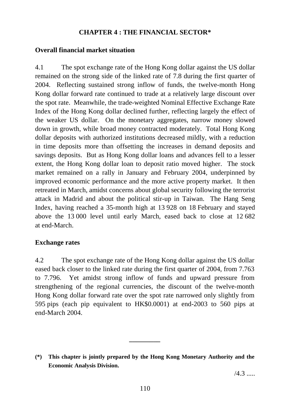# **CHAPTER 4 : THE FINANCIAL SECTOR\***

# **Overall financial market situation**

4.1 The spot exchange rate of the Hong Kong dollar against the US dollar remained on the strong side of the linked rate of 7.8 during the first quarter of 2004. Reflecting sustained strong inflow of funds, the twelve-month Hong Kong dollar forward rate continued to trade at a relatively large discount over the spot rate. Meanwhile, the trade-weighted Nominal Effective Exchange Rate Index of the Hong Kong dollar declined further, reflecting largely the effect of the weaker US dollar. On the monetary aggregates, narrow money slowed down in growth, while broad money contracted moderately. Total Hong Kong dollar deposits with authorized institutions decreased mildly, with a reduction in time deposits more than offsetting the increases in demand deposits and savings deposits. But as Hong Kong dollar loans and advances fell to a lesser extent, the Hong Kong dollar loan to deposit ratio moved higher. The stock market remained on a rally in January and February 2004, underpinned by improved economic performance and the more active property market. It then retreated in March, amidst concerns about global security following the terrorist attack in Madrid and about the political stir-up in Taiwan. The Hang Seng Index, having reached a 35-month high at 13 928 on 18 February and stayed above the 13 000 level until early March, eased back to close at 12 682 at end-March.

### **Exchange rates**

4.2 The spot exchange rate of the Hong Kong dollar against the US dollar eased back closer to the linked rate during the first quarter of 2004, from 7.763 to 7.796. Yet amidst strong inflow of funds and upward pressure from strengthening of the regional currencies, the discount of the twelve-month Hong Kong dollar forward rate over the spot rate narrowed only slightly from 595 pips (each pip equivalent to HK\$0.0001) at end-2003 to 560 pips at end-March 2004.

**\_\_\_\_\_\_\_\_\_**

 $/4.3$  .....

**<sup>(\*)</sup> This chapter is jointly prepared by the Hong Kong Monetary Authority and the Economic Analysis Division.**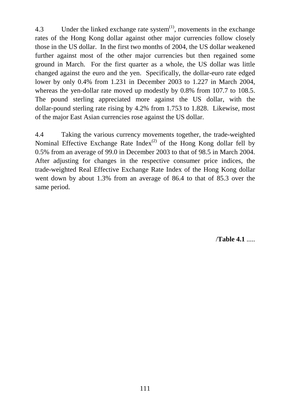4.3 Under the linked exchange rate system $^{(1)}$ , movements in the exchange rates of the Hong Kong dollar against other major currencies follow closely those in the US dollar. In the first two months of 2004, the US dollar weakened further against most of the other major currencies but then regained some ground in March. For the first quarter as a whole, the US dollar was little changed against the euro and the yen. Specifically, the dollar-euro rate edged lower by only 0.4% from 1.231 in December 2003 to 1.227 in March 2004, whereas the yen-dollar rate moved up modestly by 0.8% from 107.7 to 108.5. The pound sterling appreciated more against the US dollar, with the dollar-pound sterling rate rising by 4.2% from 1.753 to 1.828. Likewise, most of the major East Asian currencies rose against the US dollar.

4.4 Taking the various currency movements together, the trade-weighted Nominal Effective Exchange Rate  $Index^{(2)}$  of the Hong Kong dollar fell by 0.5% from an average of 99.0 in December 2003 to that of 98.5 in March 2004. After adjusting for changes in the respective consumer price indices, the trade-weighted Real Effective Exchange Rate Index of the Hong Kong dollar went down by about 1.3% from an average of 86.4 to that of 85.3 over the same period.

/**Table 4.1** .....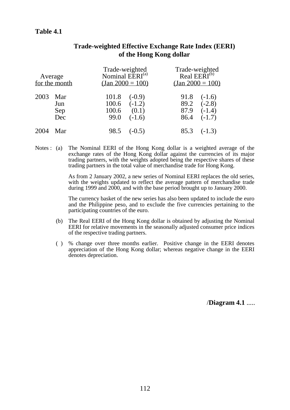# **Table 4.1**

| Average | for the month            | Trade-weighted<br>Nominal EERI <sup>(a)</sup><br>$\frac{(\text{Jan }2000 = 100)}{(\text{Jan }2000 = 100)}$ |                               | Trade-weighted<br>Real EERI <sup>(b)</sup><br>$(Jan\ 2000 = 100)$ |                                                         |
|---------|--------------------------|------------------------------------------------------------------------------------------------------------|-------------------------------|-------------------------------------------------------------------|---------------------------------------------------------|
| 2003    | Mar<br>Jun<br>Sep<br>Dec | 101.8<br>$100.6$ $(-1.2)$<br>100.6<br>99.0                                                                 | $(-0.9)$<br>(0.1)<br>$(-1.6)$ | 91.8<br>87.9<br>86.4                                              | $(-1.6)$<br>$89.2 \quad (-2.8)$<br>$(-1.4)$<br>$(-1.7)$ |
| 2004    | Mar                      | 98.5                                                                                                       | $(-0.5)$                      | 85.3                                                              | $(-1.3)$                                                |

# **Trade-weighted Effective Exchange Rate Index (EERI) of the Hong Kong dollar**

Notes : (a) The Nominal EERI of the Hong Kong dollar is a weighted average of the exchange rates of the Hong Kong dollar against the currencies of its major trading partners, with the weights adopted being the respective shares of these trading partners in the total value of merchandise trade for Hong Kong.

> As from 2 January 2002, a new series of Nominal EERI replaces the old series, with the weights updated to reflect the average pattern of merchandise trade during 1999 and 2000, and with the base period brought up to January 2000.

> The currency basket of the new series has also been updated to include the euro and the Philippine peso, and to exclude the five currencies pertaining to the participating countries of the euro.

- (b) The Real EERI of the Hong Kong dollar is obtained by adjusting the Nominal EERI for relative movements in the seasonally adjusted consumer price indices of the respective trading partners.
- ( ) % change over three months earlier. Positive change in the EERI denotes appreciation of the Hong Kong dollar; whereas negative change in the EERI denotes depreciation.

/**Diagram 4.1** .....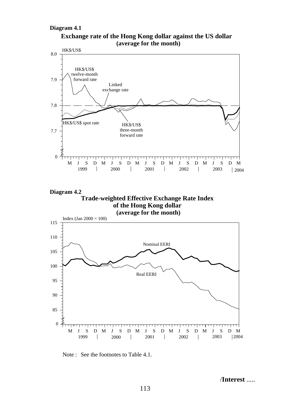#### **Diagram 4.1**





**Diagram 4.2 Trade-weighted Effective Exchange Rate Index of the Hong Kong dollar**



Note : See the footnotes to Table 4.1.

/**Interest** .....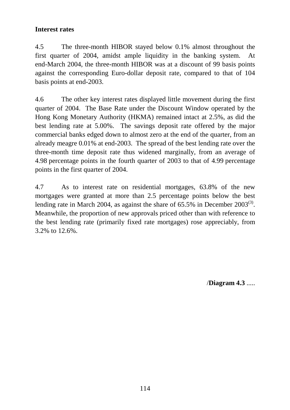# **Interest rates**

4.5 The three-month HIBOR stayed below 0.1% almost throughout the first quarter of 2004, amidst ample liquidity in the banking system. At end-March 2004, the three-month HIBOR was at a discount of 99 basis points against the corresponding Euro-dollar deposit rate, compared to that of 104 basis points at end-2003.

4.6 The other key interest rates displayed little movement during the first quarter of 2004. The Base Rate under the Discount Window operated by the Hong Kong Monetary Authority (HKMA) remained intact at 2.5%, as did the best lending rate at 5.00%. The savings deposit rate offered by the major commercial banks edged down to almost zero at the end of the quarter, from an already meagre 0.01% at end-2003. The spread of the best lending rate over the three-month time deposit rate thus widened marginally, from an average of 4.98 percentage points in the fourth quarter of 2003 to that of 4.99 percentage points in the first quarter of 2004.

4.7 As to interest rate on residential mortgages, 63.8% of the new mortgages were granted at more than 2.5 percentage points below the best lending rate in March 2004, as against the share of  $65.5\%$  in December 2003<sup>(3)</sup>. Meanwhile, the proportion of new approvals priced other than with reference to the best lending rate (primarily fixed rate mortgages) rose appreciably, from 3.2% to 12.6%.

/**Diagram 4.3** .....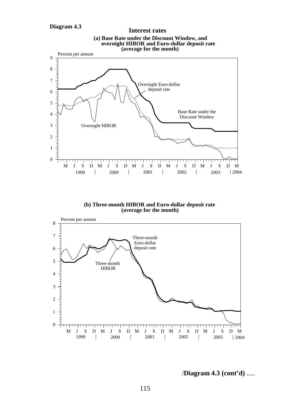

**(b) Three-month HIBOR and Euro-dollar deposit rate (average for the month)**



/**Diagram 4.3 (cont'd)** .....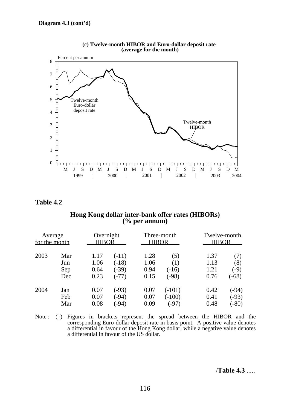

**(c) Twelve-month HIBOR and Euro-dollar deposit rate (average for the month)**

### **Table 4.2**

### **Hong Kong dollar inter-bank offer rates (HIBORs) (% per annum)**

| Average<br>for the month |     | Overnight<br><b>HIBOR</b> |         | Three-month<br><b>HIBOR</b> |          | Twelve-month<br><b>HIBOR</b> |         |
|--------------------------|-----|---------------------------|---------|-----------------------------|----------|------------------------------|---------|
| 2003                     | Mar | 1.17                      | $(-11)$ | 1.28                        | (5)      | 1.37                         | (7)     |
|                          | Jun | 1.06                      | $(-18)$ | 1.06                        | (1)      | 1.13                         | (8)     |
|                          | Sep | 0.64                      | $(-39)$ | 0.94                        | $(-16)$  | 1.21                         | $(-9)$  |
|                          | Dec | 0.23                      | $(-77)$ | 0.15                        | $(-98)$  | 0.76                         | $(-68)$ |
| 2004                     | Jan | 0.07                      | $(-93)$ | 0.07                        | $(-101)$ | 0.42                         | $(-94)$ |
|                          | Feb | 0.07                      | $(-94)$ | 0.07                        | $(-100)$ | 0.41                         | $(-93)$ |
|                          | Mar | 0.08                      | $-94)$  | 0.09                        | $(-97)$  | 0.48                         | $(-80)$ |

Note : ( ) Figures in brackets represent the spread between the HIBOR and the corresponding Euro-dollar deposit rate in basis point. A positive value denotes a differential in favour of the Hong Kong dollar, while a negative value denotes a differential in favour of the US dollar.

/**Table 4.3** .....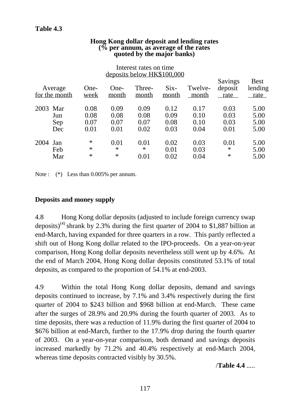| <b>Hong Kong dollar deposit and lending rates</b> |  |
|---------------------------------------------------|--|
| $\frac{6}{6}$ per annum, as average of the rates  |  |
| quoted by the major banks)                        |  |

|          | Average<br>for the month | One-<br>week                 | One-<br>month                | Three-<br>month              | $Six-$<br>month              | Twelve-<br>month             | Savings<br>deposit<br>rate   | <b>Best</b><br>lending<br>rate |
|----------|--------------------------|------------------------------|------------------------------|------------------------------|------------------------------|------------------------------|------------------------------|--------------------------------|
| 2003 Mar | Jun<br>Sep<br>Dec        | 0.08<br>0.08<br>0.07<br>0.01 | 0.09<br>0.08<br>0.07<br>0.01 | 0.09<br>0.08<br>0.07<br>0.02 | 0.12<br>0.09<br>0.08<br>0.03 | 0.17<br>0.10<br>0.10<br>0.04 | 0.03<br>0.03<br>0.03<br>0.01 | 5.00<br>5.00<br>5.00<br>5.00   |
| 2004 Jan | Feb<br>Mar               | $\ast$<br>$\ast$<br>∗        | 0.01<br>$\ast$<br>$\ast$     | 0.01<br>∗<br>0.01            | 0.02<br>0.01<br>0.02         | 0.03<br>0.03<br>0.04         | 0.01<br>$\ast$<br>$\ast$     | 5.00<br>5.00<br>5.00           |

### Interest rates on time deposits below HK\$100,000

Note :  $(*)$  Less than 0.005% per annum.

# **Deposits and money supply**

4.8 Hong Kong dollar deposits (adjusted to include foreign currency swap deposits)<sup>(4)</sup> shrank by 2.3% during the first quarter of 2004 to \$1,887 billion at end-March, having expanded for three quarters in a row. This partly reflected a shift out of Hong Kong dollar related to the IPO-proceeds. On a year-on-year comparison, Hong Kong dollar deposits nevertheless still went up by 4.6%. At the end of March 2004, Hong Kong dollar deposits constituted 53.1% of total deposits, as compared to the proportion of 54.1% at end-2003.

4.9 Within the total Hong Kong dollar deposits, demand and savings deposits continued to increase, by 7.1% and 3.4% respectively during the first quarter of 2004 to \$243 billion and \$968 billion at end-March. These came after the surges of 28.9% and 20.9% during the fourth quarter of 2003. As to time deposits, there was a reduction of 11.9% during the first quarter of 2004 to \$676 billion at end-March, further to the 17.9% drop during the fourth quarter of 2003. On a year-on-year comparison, both demand and savings deposits increased markedly by 71.2% and 40.4% respectively at end-March 2004, whereas time deposits contracted visibly by 30.5%.

/**Table 4.4** .....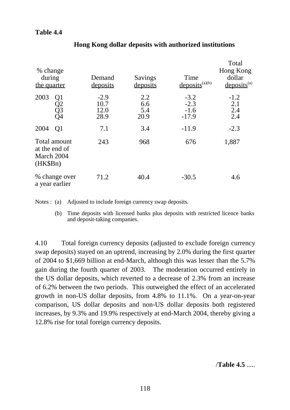# **Table 4.4**

| % change<br>during<br>the quarter                       | Demand<br>deposits             | Savings<br>deposits       | Time<br>$deposits^{(a)(b)}$           | Total<br>Hong Kong<br>dollar<br>$deposits^{(a)}$ |
|---------------------------------------------------------|--------------------------------|---------------------------|---------------------------------------|--------------------------------------------------|
| 2003<br>Q <sub>1</sub><br>Q2<br>Q3<br>Q4                | $-2.9$<br>10.7<br>12.0<br>28.9 | 2.2<br>6.6<br>5.4<br>20.9 | $-3.2$<br>$-2.3$<br>$-1.6$<br>$-17.9$ | $-1.2$<br>2.1<br>2.4<br>2.4                      |
| 2004<br>Q <sub>1</sub>                                  | 7.1                            | 3.4                       | $-11.9$                               | $-2.3$                                           |
| Total amount<br>at the end of<br>March 2004<br>(HK\$Bn) | 243                            | 968                       | 676                                   | 1,887                                            |
| % change over<br>a year earlier                         | 71.2                           | 40.4                      | $-30.5$                               | 4.6                                              |

# **Hong Kong dollar deposits with authorized institutions**

Notes : (a) Adjusted to include foreign currency swap deposits.

(b) Time deposits with licensed banks plus deposits with restricted licence banks and deposit-taking companies.

4.10 Total foreign currency deposits (adjusted to exclude foreign currency swap deposits) stayed on an uptrend, increasing by 2.0% during the first quarter of 2004 to \$1,669 billion at end-March, although this was lesser than the 5.7% gain during the fourth quarter of 2003. The moderation occurred entirely in the US dollar deposits, which reverted to a decrease of 2.3% from an increase of 6.2% between the two periods. This outweighed the effect of an accelerated growth in non-US dollar deposits, from 4.8% to 11.1%. On a year-on-year comparison, US dollar deposits and non-US dollar deposits both registered increases, by 9.3% and 19.9% respectively at end-March 2004, thereby giving a 12.8% rise for total foreign currency deposits.

/**Table 4.5** .....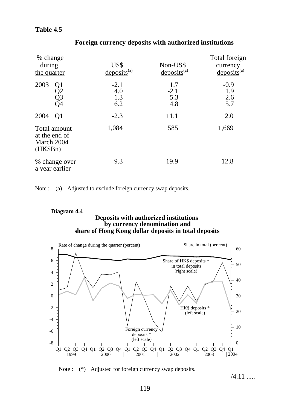# **Table 4.5**

| % change<br>during<br>the quarter                       | US\$<br>$deposits^{(a)}$    | Non-US\$<br>$deposits^{(a)}$ | Total foreign<br>currency<br>$deposits^{(a)}$ |
|---------------------------------------------------------|-----------------------------|------------------------------|-----------------------------------------------|
| 2003<br>Q1<br>Q2<br>Q3<br>Q4                            | $-2.1$<br>4.0<br>1.3<br>6.2 | 1.7<br>$-2.1$<br>5.3<br>4.8  | $-0.9$<br>1.9<br>2.6<br>5.7                   |
| 2004<br>Q <sub>1</sub>                                  | $-2.3$                      | 11.1                         | 2.0                                           |
| Total amount<br>at the end of<br>March 2004<br>(HK\$Bn) | 1,084                       | 585                          | 1,669                                         |
| % change over<br>a year earlier                         | 9.3                         | 19.9                         | 12.8                                          |

# **Foreign currency deposits with authorized institutions**

Note : (a) Adjusted to exclude foreign currency swap deposits.

#### **Deposits with authorized institutions by currency denomination and Diagram 4.4 share of Hong Kong dollar deposits in total deposits**



Note : (\*) Adjusted for foreign currency swap deposits.

 $/4.11$  .....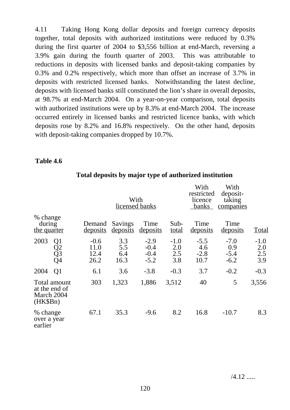4.11 Taking Hong Kong dollar deposits and foreign currency deposits together, total deposits with authorized institutions were reduced by 0.3% during the first quarter of 2004 to \$3,556 billion at end-March, reversing a 3.9% gain during the fourth quarter of 2003. This was attributable to reductions in deposits with licensed banks and deposit-taking companies by 0.3% and 0.2% respectively, which more than offset an increase of 3.7% in deposits with restricted licensed banks. Notwithstanding the latest decline, deposits with licensed banks still constituted the lion's share in overall deposits, at 98.7% at end-March 2004. On a year-on-year comparison, total deposits with authorized institutions were up by 8.3% at end-March 2004. The increase occurred entirely in licensed banks and restricted licence banks, with which deposits rose by 8.2% and 16.8% respectively. On the other hand, deposits with deposit-taking companies dropped by 10.7%.

## **Table 4.6**

|                                                         |                                  |                                | With<br>licensed banks    |                                      |                             | With<br>restricted<br>licence<br>banks | With<br>deposit-<br>taking<br>companies |                             |
|---------------------------------------------------------|----------------------------------|--------------------------------|---------------------------|--------------------------------------|-----------------------------|----------------------------------------|-----------------------------------------|-----------------------------|
| % change<br>during<br>the quarter                       |                                  | Demand<br>deposits             | Savings<br>deposits       | Time<br>deposits                     | Sub-<br><u>total</u>        | Time<br><u>deposits</u>                | Time<br>deposits                        | <b>Total</b>                |
| 2003                                                    | Q <sub>1</sub><br>Q2<br>Q3<br>Q4 | $-0.6$<br>11.0<br>12.4<br>26.2 | 3.3<br>5.5<br>6.4<br>16.3 | $-2.9$<br>$-0.4$<br>$-0.4$<br>$-5.2$ | $-1.0$<br>2.0<br>2.5<br>3.8 | $-5.5$<br>4.6<br>$-2.8$<br>10.7        | $-7.0$<br>0.9<br>$-5.4$<br>$-6.2$       | $-1.0$<br>2.0<br>2.5<br>3.9 |
| 2004                                                    | Q <sub>1</sub>                   | 6.1                            | 3.6                       | $-3.8$                               | $-0.3$                      | 3.7                                    | $-0.2$                                  | $-0.3$                      |
| Total amount<br>at the end of<br>March 2004<br>(HK\$Bn) |                                  | 303                            | 1,323                     | 1,886                                | 3,512                       | 40                                     | 5                                       | 3,556                       |
| % change<br>over a year<br>earlier                      |                                  | 67.1                           | 35.3                      | $-9.6$                               | 8.2                         | 16.8                                   | $-10.7$                                 | 8.3                         |

## **Total deposits by major type of authorized institution**

/4.12 .....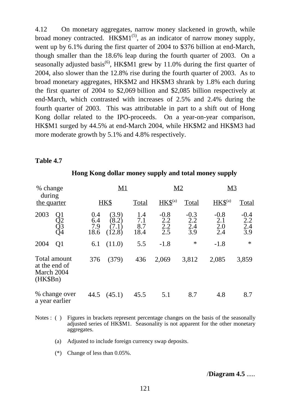4.12 On monetary aggregates, narrow money slackened in growth, while broad money contracted.  $HK$M1^{(5)}$ , as an indicator of narrow money supply, went up by 6.1% during the first quarter of 2004 to \$376 billion at end-March, though smaller than the 18.6% leap during the fourth quarter of 2003. On a seasonally adjusted basis<sup>(6)</sup>, HK\$M1 grew by 11.0% during the first quarter of 2004, also slower than the 12.8% rise during the fourth quarter of 2003. As to broad monetary aggregates, HK\$M2 and HK\$M3 shrank by 1.8% each during the first quarter of 2004 to \$2,069 billion and \$2,085 billion respectively at end-March, which contrasted with increases of 2.5% and 2.4% during the fourth quarter of 2003. This was attributable in part to a shift out of Hong Kong dollar related to the IPO-proceeds. On a year-on-year comparison, HK\$M1 surged by 44.5% at end-March 2004, while HK\$M2 and HK\$M3 had more moderate growth by 5.1% and 4.8% respectively.

## **Table 4.7**

| % change                                                |                           | M1                                                  |                           | <u>M2</u>                   |                             | <u>M3</u>                   |                                    |
|---------------------------------------------------------|---------------------------|-----------------------------------------------------|---------------------------|-----------------------------|-----------------------------|-----------------------------|------------------------------------|
| during<br>the quarter                                   |                           | HK\$                                                | Total                     | $HKS^{(a)}$                 | Total                       | $HKS^{(a)}$                 | <b>Total</b>                       |
| 2003<br>Q1<br>$\widetilde{Q}^{\bar{3}}_{\bar{Q}4}$      | 0.4<br>6.4<br>7.9<br>18.6 | (3.9)<br>$^{\circ}8.2^{\circ}$<br>$7.1\,$<br>(12.8) | 1.4<br>7.1<br>8.7<br>18.4 | $-0.8$<br>2.2<br>2.2<br>2.5 | $-0.3$<br>2.2<br>2.4<br>3.9 | $-0.8$<br>2.1<br>2.0<br>2.4 | $-0.4$<br>2.2<br>$\frac{2.4}{3.9}$ |
| 2004<br>Q <sub>1</sub>                                  | 6.1                       | (11.0)                                              | 5.5                       | $-1.8$                      | $\ast$                      | $-1.8$                      | $\ast$                             |
| Total amount<br>at the end of<br>March 2004<br>(HK\$Bn) | 376                       | (379)                                               | 436                       | 2,069                       | 3,812                       | 2,085                       | 3,859                              |
| % change over<br>a year earlier                         | 44.5                      | (45.1)                                              | 45.5                      | 5.1                         | 8.7                         | 4.8                         | 8.7                                |

### **Hong Kong dollar money supply and total money supply**

- Notes : ( ) Figures in brackets represent percentage changes on the basis of the seasonally adjusted series of HK\$M1. Seasonality is not apparent for the other monetary aggregates.
	- (a) Adjusted to include foreign currency swap deposits.
	- (\*) Change of less than 0.05%.

/**Diagram 4.5** .....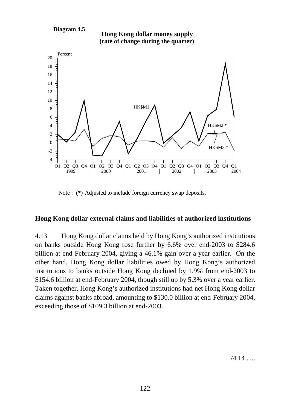#### **Diagram 4.5**





Note : (\*) Adjusted to include foreign currency swap deposits.

# **Hong Kong dollar external claims and liabilities of authorized institutions**

4.13 Hong Kong dollar claims held by Hong Kong's authorized institutions on banks outside Hong Kong rose further by 6.6% over end-2003 to \$284.6 billion at end-February 2004, giving a 46.1% gain over a year earlier. On the other hand, Hong Kong dollar liabilities owed by Hong Kong's authorized institutions to banks outside Hong Kong declined by 1.9% from end-2003 to \$154.6 billion at end-February 2004, though still up by 5.3% over a year earlier. Taken together, Hong Kong's authorized institutions had net Hong Kong dollar claims against banks abroad, amounting to \$130.0 billion at end-February 2004, exceeding those of \$109.3 billion at end-2003.

 $/4.14$  .....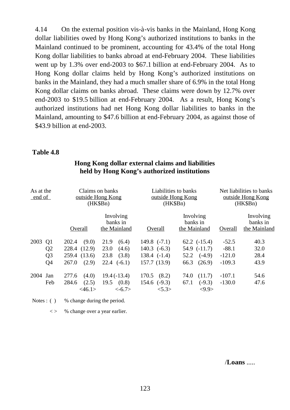4.14 On the external position vis-à-vis banks in the Mainland, Hong Kong dollar liabilities owed by Hong Kong's authorized institutions to banks in the Mainland continued to be prominent, accounting for 43.4% of the total Hong Kong dollar liabilities to banks abroad at end-February 2004. These liabilities went up by 1.3% over end-2003 to \$67.1 billion at end-February 2004. As to Hong Kong dollar claims held by Hong Kong's authorized institutions on banks in the Mainland, they had a much smaller share of 6.9% in the total Hong Kong dollar claims on banks abroad. These claims were down by 12.7% over end-2003 to \$19.5 billion at end-February 2004. As a result, Hong Kong's authorized institutions had net Hong Kong dollar liabilities to banks in the Mainland, amounting to \$47.6 billion at end-February 2004, as against those of \$43.9 billion at end-2003.

#### **Table 4.8**

| As at the<br>end of |                                                                      | Claims on banks<br>outside Hong Kong<br>(HK\$Bn)                 |                                                                    | Liabilities to banks<br>outside Hong Kong<br>(HK\$Bn)                  |                                                                            | Net liabilities to banks<br>outside Hong Kong<br>(HK\$Bn) |                                       |
|---------------------|----------------------------------------------------------------------|------------------------------------------------------------------|--------------------------------------------------------------------|------------------------------------------------------------------------|----------------------------------------------------------------------------|-----------------------------------------------------------|---------------------------------------|
|                     |                                                                      | Overall                                                          | Involving<br>banks in<br>the Mainland                              | Overall                                                                | Involving<br>banks in<br>the Mainland                                      | Overall                                                   | Involving<br>banks in<br>the Mainland |
| 2003                | Q <sub>1</sub><br>Q <sub>2</sub><br>Q <sub>3</sub><br>Q <sub>4</sub> | (9.0)<br>202.4<br>228.4 (12.9)<br>259.4 (13.6)<br>267.0<br>(2.9) | 21.9<br>(6.4)<br>23.0<br>(4.6)<br>(3.8)<br>23.8<br>$22.4$ $(-6.1)$ | 149.8 $(-7.1)$<br>$140.3$ $(-6.3)$<br>$138.4$ $(-1.4)$<br>157.7 (13.9) | $62.2$ $(-15.4)$<br>$54.9$ $(-11.7)$<br>$(-4.9)$<br>52.2<br>(26.9)<br>66.3 | $-52.5$<br>$-88.1$<br>$-121.0$<br>$-109.3$                | 40.3<br>32.0<br>28.4<br>43.9          |
| 2004                | Jan<br>Feb                                                           | 277.6<br>(4.0)<br>284.6<br>(2.5)<br>$<$ 46.1>                    | $19.4(-13.4)$<br>19.5<br>(0.8)<br>$< -6.7>$                        | 170.5<br>(8.2)<br>$154.6$ $(-9.3)$<br>5.3>                             | 74.0<br>(11.7)<br>67.1<br>$(-9.3)$<br>$<\!\!9.9\!\>$                       | $-107.1$<br>$-130.0$                                      | 54.6<br>47.6                          |

# **Hong Kong dollar external claims and liabilities held by Hong Kong's authorized institutions**

Notes : ( ) % change during the period.

 $\langle \rangle$  % change over a year earlier.

/**Loans** .....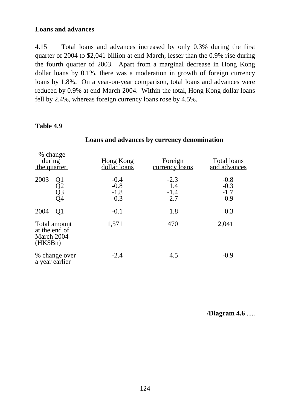## **Loans and advances**

4.15 Total loans and advances increased by only 0.3% during the first quarter of 2004 to \$2,041 billion at end-March, lesser than the 0.9% rise during the fourth quarter of 2003. Apart from a marginal decrease in Hong Kong dollar loans by 0.1%, there was a moderation in growth of foreign currency loans by 1.8%. On a year-on-year comparison, total loans and advances were reduced by 0.9% at end-March 2004. Within the total, Hong Kong dollar loans fell by 2.4%, whereas foreign currency loans rose by 4.5%.

## **Table 4.9**

| % change<br>during<br>the quarter                         | Hong Kong<br>dollar loans         | Foreign<br><u>currency</u> loans | Total loans<br>and advances       |  |
|-----------------------------------------------------------|-----------------------------------|----------------------------------|-----------------------------------|--|
| 2003<br>Ql<br>Q2<br>Q3<br>Q4                              | $-0.4$<br>$-0.8$<br>$-1.8$<br>0.3 | $-2.3$<br>1.4<br>$-1.4$<br>2.7   | $-0.8$<br>$-0.3$<br>$-1.7$<br>0.9 |  |
| 2004<br>Q <sub>1</sub>                                    | $-0.1$                            | 1.8                              | 0.3                               |  |
| Total amount<br>at the end of<br>March 2004<br>$(HK\$Bn)$ | 1,571                             | 470                              | 2,041                             |  |
| % change over<br>a year earlier                           | $-2.4$                            | 4.5                              | $-0.9$                            |  |

## **Loans and advances by currency denomination**

/**Diagram 4.6** .....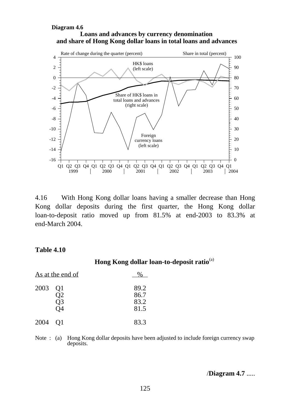#### **Loans and advances by currency denomination Diagram 4.6 and share of Hong Kong dollar loans in total loans and advances**



4.16 With Hong Kong dollar loans having a smaller decrease than Hong Kong dollar deposits during the first quarter, the Hong Kong dollar loan-to-deposit ratio moved up from 81.5% at end-2003 to 83.3% at end-March 2004.

### **Table 4.10**

**Hong Kong dollar loan-to-deposit ratio**(a)

| As at the end of |                      |                              |
|------------------|----------------------|------------------------------|
| 2003             | Q1<br>Q2<br>Q3<br>)4 | 89.2<br>86.7<br>83.2<br>81.5 |
| 2004             | 01                   | 83.3                         |

Note : (a) Hong Kong dollar deposits have been adjusted to include foreign currency swap deposits.

/**Diagram 4.7** .....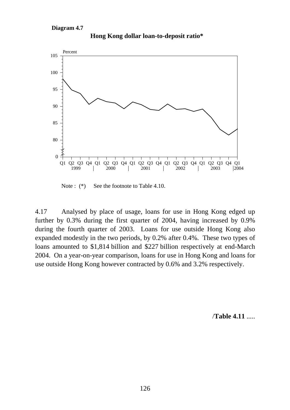

**Hong Kong dollar loan-to-deposit ratio\***

Note : (\*) See the footnote to Table 4.10.

4.17 Analysed by place of usage, loans for use in Hong Kong edged up further by 0.3% during the first quarter of 2004, having increased by 0.9% during the fourth quarter of 2003. Loans for use outside Hong Kong also expanded modestly in the two periods, by 0.2% after 0.4%. These two types of loans amounted to \$1,814 billion and \$227 billion respectively at end-March 2004. On a year-on-year comparison, loans for use in Hong Kong and loans for use outside Hong Kong however contracted by 0.6% and 3.2% respectively.

/**Table 4.11** .....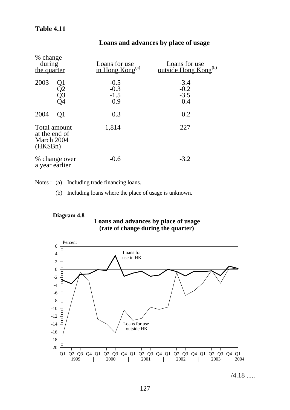# **Table 4.11**

| % change<br>during<br>the quarter                       | Loans for use<br>in Hong $Kong(a)$ | Loans for use<br>outside Hong Kong <sup>(b)</sup> |  |  |
|---------------------------------------------------------|------------------------------------|---------------------------------------------------|--|--|
| 2003<br>Q1<br>Q2<br>Q3<br>Q4                            | $-0.5$<br>$-0.3$<br>$-1.5$<br>0.9  | $-3.4$<br>$-0.2$<br>$-3.5$<br>0.4                 |  |  |
| 2004<br>Q1                                              | 0.3                                | 0.2                                               |  |  |
| Total amount<br>at the end of<br>March 2004<br>(HK\$Bn) | 1,814                              | 227                                               |  |  |
| % change over<br>a year earlier                         | $-0.6$                             | $-3.2$                                            |  |  |

# **Loans and advances by place of usage**

Notes : (a) Including trade financing loans.

(b) Including loans where the place of usage is unknown.

#### **Loans and advances by place of usage Diagram 4.8 (rate of change during the quarter)**



/4.18 .....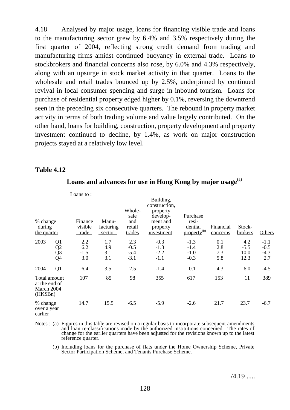4.18 Analysed by major usage, loans for financing visible trade and loans to the manufacturing sector grew by 6.4% and 3.5% respectively during the first quarter of 2004, reflecting strong credit demand from trading and manufacturing firms amidst continued buoyancy in external trade. Loans to stockbrokers and financial concerns also rose, by 6.0% and 4.3% respectively, along with an upsurge in stock market activity in that quarter. Loans to the wholesale and retail trades bounced up by 2.5%, underpinned by continued revival in local consumer spending and surge in inbound tourism. Loans for purchase of residential property edged higher by 0.1%, reversing the downtrend seen in the preceding six consecutive quarters. The rebound in property market activity in terms of both trading volume and value largely contributed. On the other hand, loans for building, construction, property development and property investment continued to decline, by 1.4%, as work on major construction projects stayed at a relatively low level.

### **Table 4.12**

|                                                         |                                          | Loans to:                          |                              |                                           |                                                                                                 |                                                         |                          |                               |                                   |
|---------------------------------------------------------|------------------------------------------|------------------------------------|------------------------------|-------------------------------------------|-------------------------------------------------------------------------------------------------|---------------------------------------------------------|--------------------------|-------------------------------|-----------------------------------|
| % change<br>during<br>the quarter                       |                                          | Finance<br>visible<br><u>trade</u> | Manu-<br>facturing<br>sector | Whole-<br>sale<br>and<br>retail<br>trades | Building,<br>construction,<br>property<br>develop-<br>ment and<br>property<br><u>investment</u> | Purchase<br>resi-<br>dential<br>property <sup>(b)</sup> | Financial<br>concerns    | Stock-<br><b>brokers</b>      | <b>Others</b>                     |
| 2003                                                    | Q1<br>$\frac{Q2}{Q3}$<br>$\overline{Q}4$ | 2.2<br>6.2<br>$-1.5$<br>3.0        | 1.7<br>4.9<br>3.1<br>3.1     | 2.3<br>$-0.5$<br>$-5.4$<br>$-3.1$         | $-0.3$<br>$-1.3$<br>$-2.2$<br>$-1.1$                                                            | $-1.3$<br>$-1.4$<br>$-1.0$<br>$-0.3$                    | 0.1<br>2.8<br>7.3<br>5.8 | 4.2<br>$-5.5$<br>10.0<br>12.3 | $-1.1$<br>$-0.5$<br>$-4.3$<br>2.7 |
| 2004                                                    | Q1                                       | 6.4                                | 3.5                          | 2.5                                       | $-1.4$                                                                                          | 0.1                                                     | 4.3                      | 6.0                           | $-4.5$                            |
| Total amount<br>at the end of<br>March 2004<br>(HK\$Bn) |                                          | 107                                | 85                           | 98                                        | 355                                                                                             | 617                                                     | 153                      | 11                            | 389                               |
| % change<br>over a year<br>earlier                      |                                          | 14.7                               | 15.5                         | $-6.5$                                    | $-5.9$                                                                                          | $-2.6$                                                  | 21.7                     | 23.7                          | $-6.7$                            |

## Loans and advances for use in Hong Kong by major usage<sup>(a)</sup>

Notes : (a) Figures in this table are revised on a regular basis to incorporate subsequent amendments and loan re-classifications made by the authorized institutions concerned. The rates of change for the earlier quarters have been adjusted for the revisions known up to the latest reference quarter.

(b) Including loans for the purchase of flats under the Home Ownership Scheme, Private Sector Participation Scheme, and Tenants Purchase Scheme.

 $/4.19$  .....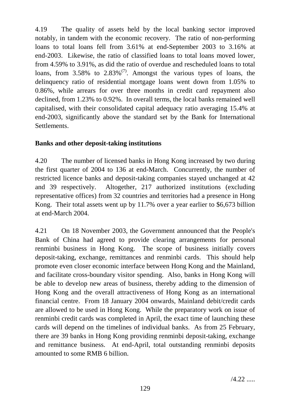4.19 The quality of assets held by the local banking sector improved notably, in tandem with the economic recovery. The ratio of non-performing loans to total loans fell from 3.61% at end-September 2003 to 3.16% at end-2003. Likewise, the ratio of classified loans to total loans moved lower, from 4.59% to 3.91%, as did the ratio of overdue and rescheduled loans to total loans, from  $3.58\%$  to  $2.83\%$ <sup>(7)</sup>. Amongst the various types of loans, the delinquency ratio of residential mortgage loans went down from 1.05% to 0.86%, while arrears for over three months in credit card repayment also declined, from 1.23% to 0.92%. In overall terms, the local banks remained well capitalised, with their consolidated capital adequacy ratio averaging 15.4% at end-2003, significantly above the standard set by the Bank for International Settlements.

# **Banks and other deposit-taking institutions**

4.20 The number of licensed banks in Hong Kong increased by two during the first quarter of 2004 to 136 at end-March. Concurrently, the number of restricted licence banks and deposit-taking companies stayed unchanged at 42 and 39 respectively. Altogether, 217 authorized institutions (excluding representative offices) from 32 countries and territories had a presence in Hong Kong. Their total assets went up by 11.7% over a year earlier to \$6,673 billion at end-March 2004.

4.21 On 18 November 2003, the Government announced that the People's Bank of China had agreed to provide clearing arrangements for personal renminbi business in Hong Kong. The scope of business initially covers deposit-taking, exchange, remittances and renminbi cards. This should help promote even closer economic interface between Hong Kong and the Mainland, and facilitate cross-boundary visitor spending. Also, banks in Hong Kong will be able to develop new areas of business, thereby adding to the dimension of Hong Kong and the overall attractiveness of Hong Kong as an international financial centre. From 18 January 2004 onwards, Mainland debit/credit cards are allowed to be used in Hong Kong. While the preparatory work on issue of renminbi credit cards was completed in April, the exact time of launching these cards will depend on the timelines of individual banks. As from 25 February, there are 39 banks in Hong Kong providing renminbi deposit-taking, exchange and remittance business. At end-April, total outstanding renminbi deposits amounted to some RMB 6 billion.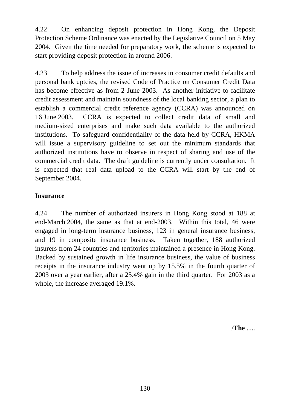4.22 On enhancing deposit protection in Hong Kong, the Deposit Protection Scheme Ordinance was enacted by the Legislative Council on 5 May 2004. Given the time needed for preparatory work, the scheme is expected to start providing deposit protection in around 2006.

4.23 To help address the issue of increases in consumer credit defaults and personal bankruptcies, the revised Code of Practice on Consumer Credit Data has become effective as from 2 June 2003. As another initiative to facilitate credit assessment and maintain soundness of the local banking sector, a plan to establish a commercial credit reference agency (CCRA) was announced on 16 June 2003. CCRA is expected to collect credit data of small and medium-sized enterprises and make such data available to the authorized institutions. To safeguard confidentiality of the data held by CCRA, HKMA will issue a supervisory guideline to set out the minimum standards that authorized institutions have to observe in respect of sharing and use of the commercial credit data. The draft guideline is currently under consultation. It is expected that real data upload to the CCRA will start by the end of September 2004.

# **Insurance**

4.24 The number of authorized insurers in Hong Kong stood at 188 at end-March 2004, the same as that at end-2003. Within this total, 46 were engaged in long-term insurance business, 123 in general insurance business, and 19 in composite insurance business. Taken together, 188 authorized insurers from 24 countries and territories maintained a presence in Hong Kong. Backed by sustained growth in life insurance business, the value of business receipts in the insurance industry went up by 15.5% in the fourth quarter of 2003 over a year earlier, after a 25.4% gain in the third quarter. For 2003 as a whole, the increase averaged 19.1%.

/**The** .....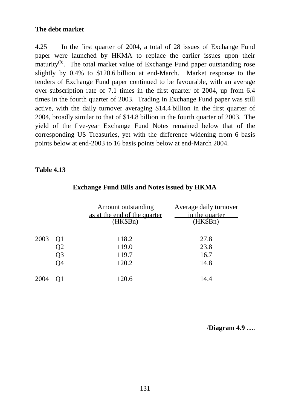# **The debt market**

4.25 In the first quarter of 2004, a total of 28 issues of Exchange Fund paper were launched by HKMA to replace the earlier issues upon their maturity<sup>(8)</sup>. The total market value of Exchange Fund paper outstanding rose slightly by 0.4% to \$120.6 billion at end-March. Market response to the tenders of Exchange Fund paper continued to be favourable, with an average over-subscription rate of 7.1 times in the first quarter of 2004, up from 6.4 times in the fourth quarter of 2003. Trading in Exchange Fund paper was still active, with the daily turnover averaging \$14.4 billion in the first quarter of 2004, broadly similar to that of \$14.8 billion in the fourth quarter of 2003. The yield of the five-year Exchange Fund Notes remained below that of the corresponding US Treasuries, yet with the difference widening from 6 basis points below at end-2003 to 16 basis points below at end-March 2004.

# **Table 4.13**

|      |    | Amount outstanding<br>as at the end of the quarter<br>(HK\$Bn) | Average daily turnover<br>in the quarter<br>(HK\$Bn) |
|------|----|----------------------------------------------------------------|------------------------------------------------------|
| 2003 | Q1 | 118.2                                                          | 27.8                                                 |
|      | Q2 | 119.0                                                          | 23.8                                                 |
|      | Q3 | 119.7                                                          | 16.7                                                 |
|      | Q4 | 120.2                                                          | 14.8                                                 |
| 2004 | O1 | 120.6                                                          | 14.4                                                 |

# **Exchange Fund Bills and Notes issued by HKMA**

/**Diagram 4.9** .....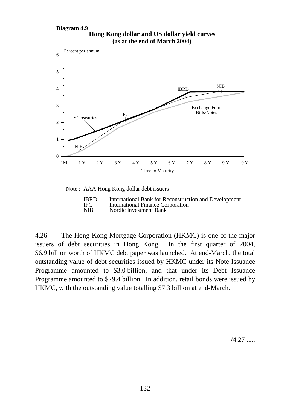#### **Hong Kong dollar and US dollar yield curves Diagram 4.9 (as at the end of March 2004)**



#### Note : AAA Hong Kong dollar debt issuers

| <b>IBRD</b> | International Bank for Reconstruction and Development |
|-------------|-------------------------------------------------------|
| <b>IFC</b>  | <b>International Finance Corporation</b>              |
| <b>NIB</b>  | Nordic Investment Bank                                |

4.26 The Hong Kong Mortgage Corporation (HKMC) is one of the major issuers of debt securities in Hong Kong. In the first quarter of 2004, \$6.9 billion worth of HKMC debt paper was launched. At end-March, the total outstanding value of debt securities issued by HKMC under its Note Issuance Programme amounted to \$3.0 billion, and that under its Debt Issuance Programme amounted to \$29.4 billion. In addition, retail bonds were issued by HKMC, with the outstanding value totalling \$7.3 billion at end-March.

/4.27 .....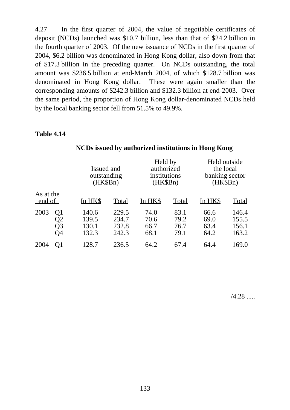4.27 In the first quarter of 2004, the value of negotiable certificates of deposit (NCDs) launched was \$10.7 billion, less than that of \$24.2 billion in the fourth quarter of 2003. Of the new issuance of NCDs in the first quarter of 2004, \$6.2 billion was denominated in Hong Kong dollar, also down from that of \$17.3 billion in the preceding quarter. On NCDs outstanding, the total amount was \$236.5 billion at end-March 2004, of which \$128.7 billion was denominated in Hong Kong dollar. These were again smaller than the corresponding amounts of \$242.3 billion and \$132.3 billion at end-2003. Over the same period, the proportion of Hong Kong dollar-denominated NCDs held by the local banking sector fell from 51.5% to 49.9%.

### **Table 4.14**

|                              |                                  | Issued and<br><u>outstanding</u><br>(HK\$Bn) | Held by<br>authorized<br>institutions<br>(HK\$Bn) |                              | Held outside<br>the local<br>banking sector<br>(HK\$Bn) |                                  |
|------------------------------|----------------------------------|----------------------------------------------|---------------------------------------------------|------------------------------|---------------------------------------------------------|----------------------------------|
| As at the<br>end of          | In HK\$                          | Total                                        | In HK\$                                           | Total                        | In HK\$                                                 | <b>Total</b>                     |
| 2003<br>Q1<br>Q2<br>Q3<br>O4 | 140.6<br>139.5<br>130.1<br>132.3 | 229.5<br>234.7<br>232.8<br>242.3             | 74.0<br>70.6<br>66.7<br>68.1                      | 83.1<br>79.2<br>76.7<br>79.1 | 66.6<br>69.0<br>63.4<br>64.2                            | 146.4<br>155.5<br>156.1<br>163.2 |
| 2004<br>O1                   | 128.7                            | 236.5                                        | 64.2                                              | 67.4                         | 64.4                                                    | 169.0                            |

# **NCDs issued by authorized institutions in Hong Kong**

 $/4.28$  .....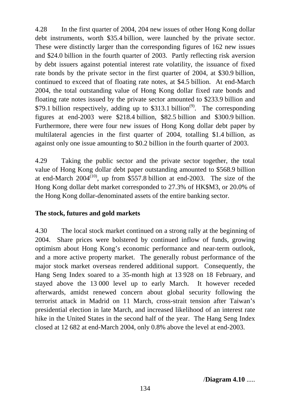4.28 In the first quarter of 2004, 204 new issues of other Hong Kong dollar debt instruments, worth \$35.4 billion, were launched by the private sector. These were distinctly larger than the corresponding figures of 162 new issues and \$24.0 billion in the fourth quarter of 2003. Partly reflecting risk aversion by debt issuers against potential interest rate volatility, the issuance of fixed rate bonds by the private sector in the first quarter of 2004, at \$30.9 billion, continued to exceed that of floating rate notes, at \$4.5 billion. At end-March 2004, the total outstanding value of Hong Kong dollar fixed rate bonds and floating rate notes issued by the private sector amounted to \$233.9 billion and \$79.1 billion respectively, adding up to \$313.1 billion<sup>(9)</sup>. The corresponding figures at end-2003 were \$218.4 billion, \$82.5 billion and \$300.9 billion. Furthermore, there were four new issues of Hong Kong dollar debt paper by multilateral agencies in the first quarter of 2004, totalling \$1.4 billion, as against only one issue amounting to \$0.2 billion in the fourth quarter of 2003.

4.29 Taking the public sector and the private sector together, the total value of Hong Kong dollar debt paper outstanding amounted to \$568.9 billion at end-March  $2004^{(10)}$ , up from \$557.8 billion at end-2003. The size of the Hong Kong dollar debt market corresponded to 27.3% of HK\$M3, or 20.0% of the Hong Kong dollar-denominated assets of the entire banking sector.

# **The stock, futures and gold markets**

4.30 The local stock market continued on a strong rally at the beginning of 2004. Share prices were bolstered by continued inflow of funds, growing optimism about Hong Kong's economic performance and near-term outlook, and a more active property market. The generally robust performance of the major stock market overseas rendered additional support. Consequently, the Hang Seng Index soared to a 35-month high at 13 928 on 18 February, and stayed above the 13 000 level up to early March. It however receded afterwards, amidst renewed concern about global security following the terrorist attack in Madrid on 11 March, cross-strait tension after Taiwan's presidential election in late March, and increased likelihood of an interest rate hike in the United States in the second half of the year. The Hang Seng Index closed at 12 682 at end-March 2004, only 0.8% above the level at end-2003.

/**Diagram 4.10** .....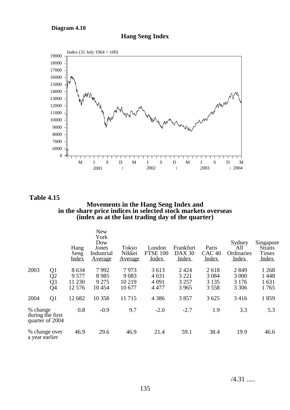**Diagram 4.10**





**Table 4.15**

**Movements in the Hang Seng Index and in the share price indices in selected stock markets overseas (index as at the last trading day of the quarter)**

|                                                 |                                              | Hang<br>Seng<br><b>Index</b>        | <b>New</b><br>York<br>Dow<br>Jones<br>Industrial<br><b>Average</b> | Tokyo<br>Nikkei<br><u>Average</u> | London<br><b>FTSE 100</b><br>Index       | Frankfurt<br><b>DAX 30</b><br>Index      | Paris<br>CAC <sub>40</sub><br>Index | Sydney<br>All<br>Ordinaries<br>Index  | Singapore<br><b>Straits</b><br><b>Times</b><br>Index |
|-------------------------------------------------|----------------------------------------------|-------------------------------------|--------------------------------------------------------------------|-----------------------------------|------------------------------------------|------------------------------------------|-------------------------------------|---------------------------------------|------------------------------------------------------|
| 2003                                            | Q1<br>Q <sub>2</sub><br>Q <sub>3</sub><br>Q4 | 8634<br>9 5 7 7<br>11 230<br>12 576 | 7992<br>8985<br>9 2 7 5<br>10454                                   | 7973<br>9083<br>10 219<br>10 677  | 3 6 1 3<br>4 0 3 1<br>4 0 9 1<br>4 4 7 7 | 2 4 2 4<br>3 2 2 1<br>3 2 5 7<br>3 9 6 5 | 2618<br>3 0 8 4<br>3 1 3 5<br>3558  | 2849<br>3 0 0 0<br>3 1 7 6<br>3 3 0 6 | 1 2 6 8<br>1448<br>1631<br>1765                      |
| 2004                                            | Q <sub>1</sub>                               | 12 682                              | 10 358                                                             | 11715                             | 4 3 8 6                                  | 3857                                     | 3 6 25                              | 3416                                  | 1859                                                 |
| % change<br>during the first<br>quarter of 2004 |                                              | 0.8                                 | $-0.9$                                                             | 9.7                               | $-2.0$                                   | $-2.7$                                   | 1.9                                 | 3.3                                   | 5.3                                                  |
| % change over<br>a year earlier                 |                                              | 46.9                                | 29.6                                                               | 46.9                              | 21.4                                     | 59.1                                     | 38.4                                | 19.9                                  | 46.6                                                 |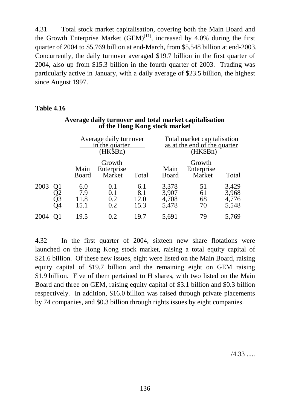4.31 Total stock market capitalisation, covering both the Main Board and the Growth Enterprise Market  $(GEM)^{(11)}$ , increased by 4.0% during the first quarter of 2004 to \$5,769 billion at end-March, from \$5,548 billion at end-2003. Concurrently, the daily turnover averaged \$19.7 billion in the first quarter of 2004, also up from \$15.3 billion in the fourth quarter of 2003. Trading was particularly active in January, with a daily average of \$23.5 billion, the highest since August 1997.

# **Table 4.16**

|      |                                   |                            | Average daily turnover<br>in the quarter<br>$(HK\$ Bn $)$ |                            |                                  | Total market capitalisation<br>as at the end of the quarter<br>(HK\$Bn) |                                  |  |
|------|-----------------------------------|----------------------------|-----------------------------------------------------------|----------------------------|----------------------------------|-------------------------------------------------------------------------|----------------------------------|--|
|      |                                   | Main<br>Board              | Growth<br>Enterprise<br>Market                            | Total                      | Main<br><b>Board</b>             | Growth<br>Enterprise<br>Market                                          | <b>Total</b>                     |  |
| 2003 | Q1<br>$\mathfrak{D}2$<br>Q3<br>Q4 | 6.0<br>7.9<br>11.8<br>15.1 | 0.1<br>0.1<br>0.2<br>0.2                                  | 6.1<br>8.1<br>12.0<br>15.3 | 3,378<br>3,907<br>4,708<br>5,478 | 51<br>61<br>68<br>70                                                    | 3,429<br>3,968<br>4,776<br>5,548 |  |
| 2004 |                                   | 19.5                       | 0.2                                                       | 19.7                       | 5,691                            | 79                                                                      | 5,769                            |  |

### **Average daily turnover and total market capitalisation of the Hong Kong stock market**

4.32 In the first quarter of 2004, sixteen new share flotations were launched on the Hong Kong stock market, raising a total equity capital of \$21.6 billion. Of these new issues, eight were listed on the Main Board, raising equity capital of \$19.7 billion and the remaining eight on GEM raising \$1.9 billion. Five of them pertained to H shares, with two listed on the Main Board and three on GEM, raising equity capital of \$3.1 billion and \$0.3 billion respectively. In addition, \$16.0 billion was raised through private placements by 74 companies, and \$0.3 billion through rights issues by eight companies.

/4.33 .....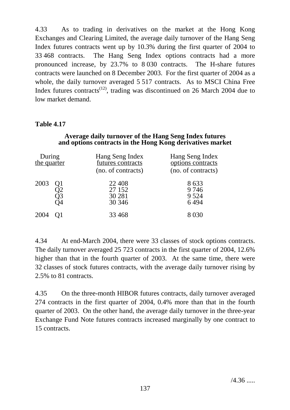4.33 As to trading in derivatives on the market at the Hong Kong Exchanges and Clearing Limited, the average daily turnover of the Hang Seng Index futures contracts went up by 10.3% during the first quarter of 2004 to 33 468 contracts. The Hang Seng Index options contracts had a more pronounced increase, by 23.7% to 8 030 contracts. The H-share futures contracts were launched on 8 December 2003. For the first quarter of 2004 as a whole, the daily turnover averaged 5 517 contracts. As to MSCI China Free Index futures contracts<sup> $(12)$ </sup>, trading was discontinued on 26 March 2004 due to low market demand.

# **Table 4.17**

### **Average daily turnover of the Hang Seng Index futures and options contracts in the Hong Kong derivatives market**

| During<br>the quarter |                | Hang Seng Index<br>futures contracts<br>(no. of contracts) | Hang Seng Index<br>options contracts<br>(no. of contracts) |
|-----------------------|----------------|------------------------------------------------------------|------------------------------------------------------------|
| 2003                  | Q1<br>Q3<br>)4 | 22 4 0 8<br>27 152<br>30 281<br>30 34 6                    | 8633<br>9746<br>9 5 2 4<br>6494                            |
| 2004                  |                | 33 4 68                                                    | 8 0 3 0                                                    |

4.34 At end-March 2004, there were 33 classes of stock options contracts. The daily turnover averaged 25 723 contracts in the first quarter of 2004, 12.6% higher than that in the fourth quarter of 2003. At the same time, there were 32 classes of stock futures contracts, with the average daily turnover rising by 2.5% to 81 contracts.

4.35 On the three-month HIBOR futures contracts, daily turnover averaged 274 contracts in the first quarter of 2004, 0.4% more than that in the fourth quarter of 2003. On the other hand, the average daily turnover in the three-year Exchange Fund Note futures contracts increased marginally by one contract to 15 contracts.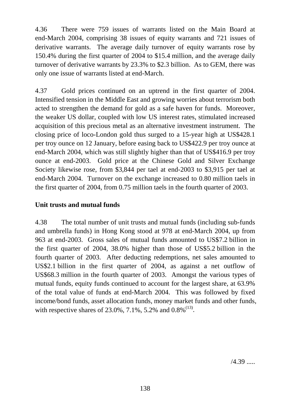4.36 There were 759 issues of warrants listed on the Main Board at end-March 2004, comprising 38 issues of equity warrants and 721 issues of derivative warrants. The average daily turnover of equity warrants rose by 150.4% during the first quarter of 2004 to \$15.4 million, and the average daily turnover of derivative warrants by 23.3% to \$2.3 billion. As to GEM, there was only one issue of warrants listed at end-March.

4.37 Gold prices continued on an uptrend in the first quarter of 2004. Intensified tension in the Middle East and growing worries about terrorism both acted to strengthen the demand for gold as a safe haven for funds. Moreover, the weaker US dollar, coupled with low US interest rates, stimulated increased acquisition of this precious metal as an alternative investment instrument. The closing price of loco-London gold thus surged to a 15-year high at US\$428.1 per troy ounce on 12 January, before easing back to US\$422.9 per troy ounce at end-March 2004, which was still slightly higher than that of US\$416.9 per troy ounce at end-2003. Gold price at the Chinese Gold and Silver Exchange Society likewise rose, from \$3,844 per tael at end-2003 to \$3,915 per tael at end-March 2004. Turnover on the exchange increased to 0.80 million taels in the first quarter of 2004, from 0.75 million taels in the fourth quarter of 2003.

# **Unit trusts and mutual funds**

4.38 The total number of unit trusts and mutual funds (including sub-funds and umbrella funds) in Hong Kong stood at 978 at end-March 2004, up from 963 at end-2003. Gross sales of mutual funds amounted to US\$7.2 billion in the first quarter of 2004, 38.0% higher than those of US\$5.2 billion in the fourth quarter of 2003. After deducting redemptions, net sales amounted to US\$2.1 billion in the first quarter of 2004, as against a net outflow of US\$68.3 million in the fourth quarter of 2003. Amongst the various types of mutual funds, equity funds continued to account for the largest share, at 63.9% of the total value of funds at end-March 2004. This was followed by fixed income/bond funds, asset allocation funds, money market funds and other funds, with respective shares of  $23.0\%$ ,  $7.1\%$ ,  $5.2\%$  and  $0.8\%$ <sup>(13)</sup>.

 $/4.39$  .....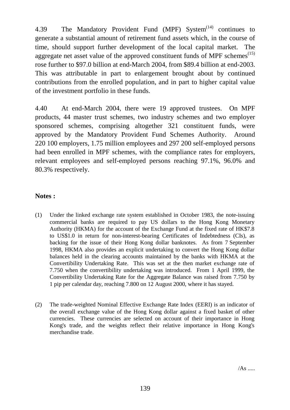4.39 The Mandatory Provident Fund (MPF) System<sup> $(14)$ </sup> continues to generate a substantial amount of retirement fund assets which, in the course of time, should support further development of the local capital market. The aggregate net asset value of the approved constituent funds of MPF schemes $(15)$ rose further to \$97.0 billion at end-March 2004, from \$89.4 billion at end-2003. This was attributable in part to enlargement brought about by continued contributions from the enrolled population, and in part to higher capital value of the investment portfolio in these funds.

4.40 At end-March 2004, there were 19 approved trustees. On MPF products, 44 master trust schemes, two industry schemes and two employer sponsored schemes, comprising altogether 321 constituent funds, were approved by the Mandatory Provident Fund Schemes Authority. Around 220 100 employers, 1.75 million employees and 297 200 self-employed persons had been enrolled in MPF schemes, with the compliance rates for employers, relevant employees and self-employed persons reaching 97.1%, 96.0% and 80.3% respectively.

# **Notes :**

- (1) Under the linked exchange rate system established in October 1983, the note-issuing commercial banks are required to pay US dollars to the Hong Kong Monetary Authority (HKMA) for the account of the Exchange Fund at the fixed rate of HK\$7.8 to US\$1.0 in return for non-interest-bearing Certificates of Indebtedness (CIs), as backing for the issue of their Hong Kong dollar banknotes. As from 7 September 1998, HKMA also provides an explicit undertaking to convert the Hong Kong dollar balances held in the clearing accounts maintained by the banks with HKMA at the Convertibility Undertaking Rate. This was set at the then market exchange rate of 7.750 when the convertibility undertaking was introduced. From 1 April 1999, the Convertibility Undertaking Rate for the Aggregate Balance was raised from 7.750 by 1 pip per calendar day, reaching 7.800 on 12 August 2000, where it has stayed.
- (2) The trade-weighted Nominal Effective Exchange Rate Index (EERI) is an indicator of the overall exchange value of the Hong Kong dollar against a fixed basket of other currencies. These currencies are selected on account of their importance in Hong Kong's trade, and the weights reflect their relative importance in Hong Kong's merchandise trade.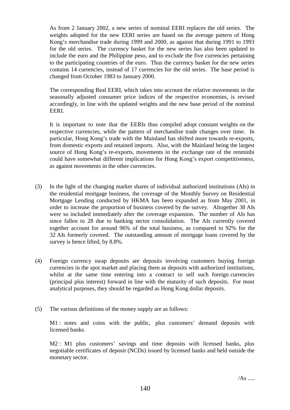As from 2 January 2002, a new series of nominal EERI replaces the old series. The weights adopted for the new EERI series are based on the average pattern of Hong Kong's merchandise trade during 1999 and 2000, as against that during 1991 to 1993 for the old series. The currency basket for the new series has also been updated to include the euro and the Philippine peso, and to exclude the five currencies pertaining to the participating countries of the euro. Thus the currency basket for the new series contains 14 currencies, instead of 17 currencies for the old series. The base period is changed from October 1983 to January 2000.

The corresponding Real EERI, which takes into account the relative movements in the seasonally adjusted consumer price indices of the respective economies, is revised accordingly, in line with the updated weights and the new base period of the nominal EERI.

It is important to note that the EERIs thus compiled adopt constant weights on the respective currencies, while the pattern of merchandise trade changes over time. In particular, Hong Kong's trade with the Mainland has shifted more towards re-exports, from domestic exports and retained imports. Also, with the Mainland being the largest source of Hong Kong's re-exports, movements in the exchange rate of the renminbi could have somewhat different implications for Hong Kong's export competitiveness, as against movements in the other currencies.

- (3) In the light of the changing market shares of individual authorized institutions (AIs) in the residential mortgage business, the coverage of the Monthly Survey on Residential Mortgage Lending conducted by HKMA has been expanded as from May 2001, in order to increase the proportion of business covered by the survey. Altogether 38 AIs were so included immediately after the coverage expansion. The number of AIs has since fallen to 28 due to banking sector consolidation. The AIs currently covered together account for around 96% of the total business, as compared to 92% for the 32 AIs formerly covered. The outstanding amount of mortgage loans covered by the survey is hence lifted, by 8.8%.
- (4) Foreign currency swap deposits are deposits involving customers buying foreign currencies in the spot market and placing them as deposits with authorized institutions, whilst at the same time entering into a contract to sell such foreign currencies (principal plus interest) forward in line with the maturity of such deposits. For most analytical purposes, they should be regarded as Hong Kong dollar deposits.
- (5) The various definitions of the money supply are as follows:

M1 : notes and coins with the public, plus customers' demand deposits with licensed banks.

M2 : M1 plus customers' savings and time deposits with licensed banks, plus negotiable certificates of deposit (NCDs) issued by licensed banks and held outside the monetary sector.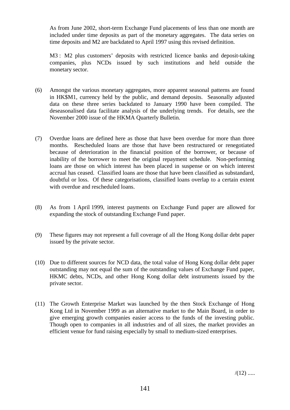As from June 2002, short-term Exchange Fund placements of less than one month are included under time deposits as part of the monetary aggregates. The data series on time deposits and M2 are backdated to April 1997 using this revised definition.

M3 : M2 plus customers' deposits with restricted licence banks and deposit-taking companies, plus NCDs issued by such institutions and held outside the monetary sector.

- (6) Amongst the various monetary aggregates, more apparent seasonal patterns are found in HK\$M1, currency held by the public, and demand deposits. Seasonally adjusted data on these three series backdated to January 1990 have been compiled. The deseasonalised data facilitate analysis of the underlying trends. For details, see the November 2000 issue of the HKMA Quarterly Bulletin.
- (7) Overdue loans are defined here as those that have been overdue for more than three months. Rescheduled loans are those that have been restructured or renegotiated because of deterioration in the financial position of the borrower, or because of inability of the borrower to meet the original repayment schedule. Non-performing loans are those on which interest has been placed in suspense or on which interest accrual has ceased. Classified loans are those that have been classified as substandard, doubtful or loss. Of these categorisations, classified loans overlap to a certain extent with overdue and rescheduled loans.
- (8) As from 1 April 1999, interest payments on Exchange Fund paper are allowed for expanding the stock of outstanding Exchange Fund paper.
- (9) These figures may not represent a full coverage of all the Hong Kong dollar debt paper issued by the private sector.
- (10) Due to different sources for NCD data, the total value of Hong Kong dollar debt paper outstanding may not equal the sum of the outstanding values of Exchange Fund paper, HKMC debts, NCDs, and other Hong Kong dollar debt instruments issued by the private sector.
- (11) The Growth Enterprise Market was launched by the then Stock Exchange of Hong Kong Ltd in November 1999 as an alternative market to the Main Board, in order to give emerging growth companies easier access to the funds of the investing public. Though open to companies in all industries and of all sizes, the market provides an efficient venue for fund raising especially by small to medium-sized enterprises.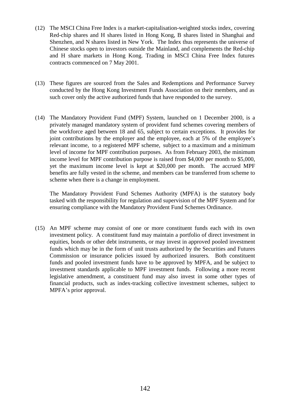- (12) The MSCI China Free Index is a market-capitalisation-weighted stocks index, covering Red-chip shares and H shares listed in Hong Kong, B shares listed in Shanghai and Shenzhen, and N shares listed in New York. The Index thus represents the universe of Chinese stocks open to investors outside the Mainland, and complements the Red-chip and H share markets in Hong Kong. Trading in MSCI China Free Index futures contracts commenced on 7 May 2001.
- (13) These figures are sourced from the Sales and Redemptions and Performance Survey conducted by the Hong Kong Investment Funds Association on their members, and as such cover only the active authorized funds that have responded to the survey.
- (14) The Mandatory Provident Fund (MPF) System, launched on 1 December 2000, is a privately managed mandatory system of provident fund schemes covering members of the workforce aged between 18 and 65, subject to certain exceptions. It provides for joint contributions by the employer and the employee, each at 5% of the employee's relevant income, to a registered MPF scheme, subject to a maximum and a minimum level of income for MPF contribution purposes. As from February 2003, the minimum income level for MPF contribution purpose is raised from \$4,000 per month to \$5,000, yet the maximum income level is kept at \$20,000 per month. The accrued MPF benefits are fully vested in the scheme, and members can be transferred from scheme to scheme when there is a change in employment.

The Mandatory Provident Fund Schemes Authority (MPFA) is the statutory body tasked with the responsibility for regulation and supervision of the MPF System and for ensuring compliance with the Mandatory Provident Fund Schemes Ordinance.

(15) An MPF scheme may consist of one or more constituent funds each with its own investment policy. A constituent fund may maintain a portfolio of direct investment in equities, bonds or other debt instruments, or may invest in approved pooled investment funds which may be in the form of unit trusts authorized by the Securities and Futures Commission or insurance policies issued by authorized insurers. Both constituent funds and pooled investment funds have to be approved by MPFA, and be subject to investment standards applicable to MPF investment funds. Following a more recent legislative amendment, a constituent fund may also invest in some other types of financial products, such as index-tracking collective investment schemes, subject to MPFA's prior approval.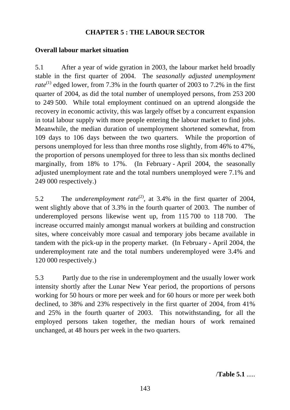# **CHAPTER 5 : THE LABOUR SECTOR**

## **Overall labour market situation**

5.1 After a year of wide gyration in 2003, the labour market held broadly stable in the first quarter of 2004. The *seasonally adjusted unemployment rate*<sup>(1)</sup> edged lower, from 7.3% in the fourth quarter of 2003 to 7.2% in the first quarter of 2004, as did the total number of unemployed persons, from 253 200 to 249 500. While total employment continued on an uptrend alongside the recovery in economic activity, this was largely offset by a concurrent expansion in total labour supply with more people entering the labour market to find jobs. Meanwhile, the median duration of unemployment shortened somewhat, from 109 days to 106 days between the two quarters. While the proportion of persons unemployed for less than three months rose slightly, from 46% to 47%, the proportion of persons unemployed for three to less than six months declined marginally, from 18% to 17%. (In February - April 2004, the seasonally adjusted unemployment rate and the total numbers unemployed were 7.1% and 249 000 respectively.)

5.2 The *underemployment rate*<sup>(2)</sup>, at 3.4% in the first quarter of 2004, went slightly above that of 3.3% in the fourth quarter of 2003. The number of underemployed persons likewise went up, from 115 700 to 118 700. The increase occurred mainly amongst manual workers at building and construction sites, where conceivably more casual and temporary jobs became available in tandem with the pick-up in the property market. (In February - April 2004, the underemployment rate and the total numbers underemployed were 3.4% and 120 000 respectively.)

5.3 Partly due to the rise in underemployment and the usually lower work intensity shortly after the Lunar New Year period, the proportions of persons working for 50 hours or more per week and for 60 hours or more per week both declined, to 38% and 23% respectively in the first quarter of 2004, from 41% and 25% in the fourth quarter of 2003. This notwithstanding, for all the employed persons taken together, the median hours of work remained unchanged, at 48 hours per week in the two quarters.

/**Table 5.1** .....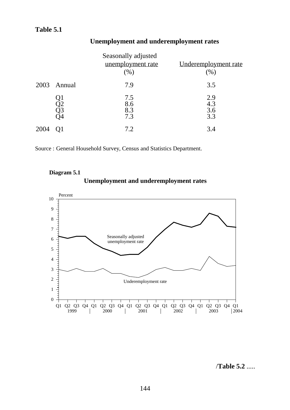|      |                | Seasonally adjusted<br>unemployment rate<br>(% ) | Underemployment rate<br>(%) |
|------|----------------|--------------------------------------------------|-----------------------------|
|      | 2003 Annual    | 7.9                                              | 3.5                         |
|      | Q2<br>Q3<br>Q3 | 7.5<br>8.6<br>8.3<br>7.3                         | 2.9<br>4.3<br>3.6<br>3.3    |
| 2004 |                | 7.2                                              | 3.4                         |

# **Unemployment and underemployment rates**

Source : General Household Survey, Census and Statistics Department.







/**Table 5.2** .....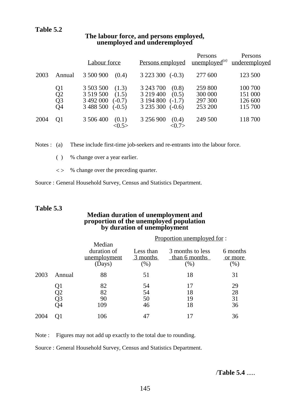|      |                                  | Labour force                                                                                 | Persons employed                                                                           | Persons<br>unemployed <sup>(a)</sup>     | Persons<br>underemployed                 |
|------|----------------------------------|----------------------------------------------------------------------------------------------|--------------------------------------------------------------------------------------------|------------------------------------------|------------------------------------------|
| 2003 | Annual                           | 3 500 900<br>(0.4)                                                                           | 3 2 2 3 3 0 0<br>$(-0.3)$                                                                  | 277 600                                  | 123 500                                  |
|      | Q1<br>Q2<br>Q <sub>3</sub><br>Q4 | 3 503 500<br>(1.3)<br>3 5 19 5 00<br>(1.5)<br>3 492 000<br>$(-0.7)$<br>3 488 500<br>$(-0.5)$ | 3 243 700<br>(0.8)<br>3 219 400<br>(0.5)<br>3 194 800<br>$(-1.7)$<br>3 235 300<br>$(-0.6)$ | 259 800<br>300 000<br>297 300<br>253 200 | 100 700<br>151 000<br>126 600<br>115 700 |
| 2004 | O1                               | 3 506 400<br>(0.1)<br>< 0.5                                                                  | 3 256 900<br>(0.4)<br>$<\!\!0.7\!\!>$                                                      | 249 500                                  | 118 700                                  |

#### **The labour force, and persons employed, unemployed and underemployed**

Notes : (a) These include first-time job-seekers and re-entrants into the labour force.

( ) % change over a year earlier.

< > % change over the preceding quarter.

Source : General Household Survey, Census and Statistics Department.

#### **Table 5.3**

#### **Median duration of unemployment and proportion of the unemployed population by duration of unemployment**

|      |                      |                                                 | Proportion unemployed for:       |                                          |                            |  |  |
|------|----------------------|-------------------------------------------------|----------------------------------|------------------------------------------|----------------------------|--|--|
|      |                      | Median<br>duration of<br>unemployment<br>(Days) | Less than<br>3 months<br>$(\% )$ | 3 months to less<br>than 6 months<br>(%) | 6 months<br>or more<br>(%) |  |  |
| 2003 | Annual               | 88                                              | 51                               | 18                                       | 31                         |  |  |
|      | Ql<br>Q2<br>Q3<br>Q4 | 82<br>82<br>90<br>109                           | 54<br>54<br>50<br>46             | 17<br>18<br>19<br>18                     | 29<br>28<br>31<br>36       |  |  |
| 2004 |                      | 106                                             |                                  |                                          | 36                         |  |  |

Note : Figures may not add up exactly to the total due to rounding.

Source : General Household Survey, Census and Statistics Department.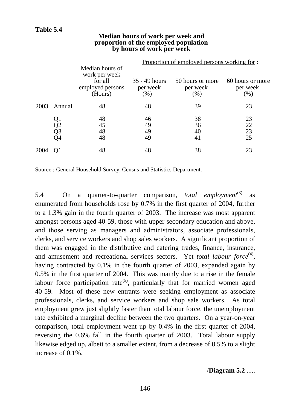|      |                      |                                                                            |                                   | <u>Proportion of employed persons working for:</u> |                                        |
|------|----------------------|----------------------------------------------------------------------------|-----------------------------------|----------------------------------------------------|----------------------------------------|
|      |                      | Median hours of<br>work per week<br>for all<br>employed persons<br>(Hours) | 35 - 49 hours<br>per week<br>(% ) | 50 hours or more<br>per week<br>$(\% )$            | 60 hours or more<br>per week<br>$(\%)$ |
| 2003 | Annual               | 48                                                                         | 48                                | 39                                                 | 23                                     |
|      | Q1<br>Q2<br>Q3<br>Q4 | 48<br>45<br>48<br>48                                                       | 46<br>49<br>49<br>49              | 38<br>36<br>40<br>41                               | 23<br>22<br>23<br>25                   |
| 2004 |                      | 48                                                                         | 48                                | 38                                                 | 23                                     |

#### **Median hours of work per week and proportion of the employed population by hours of work per week**

Source : General Household Survey, Census and Statistics Department.

5.4 On a quarter-to-quarter comparison, *total employment*<sup>(3)</sup> as enumerated from households rose by 0.7% in the first quarter of 2004, further to a 1.3% gain in the fourth quarter of 2003. The increase was most apparent amongst persons aged 40-59, those with upper secondary education and above, and those serving as managers and administrators, associate professionals, clerks, and service workers and shop sales workers. A significant proportion of them was engaged in the distributive and catering trades, finance, insurance, and amusement and recreational services sectors. Yet *total labour force*<sup>(4)</sup>, having contracted by 0.1% in the fourth quarter of 2003, expanded again by 0.5% in the first quarter of 2004. This was mainly due to a rise in the female labour force participation rate<sup>(5)</sup>, particularly that for married women aged 40-59. Most of these new entrants were seeking employment as associate professionals, clerks, and service workers and shop sale workers. As total employment grew just slightly faster than total labour force, the unemployment rate exhibited a marginal decline between the two quarters. On a year-on-year comparison, total employment went up by 0.4% in the first quarter of 2004, reversing the 0.6% fall in the fourth quarter of 2003. Total labour supply likewise edged up, albeit to a smaller extent, from a decrease of 0.5% to a slight increase of 0.1%.

/**Diagram 5.2** .....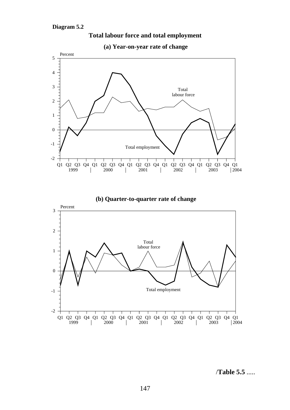

**(a) Year-on-year rate of change**

**Total labour force and total employment**

**(b) Quarter-to-quarter rate of change**



/**Table 5.5** .....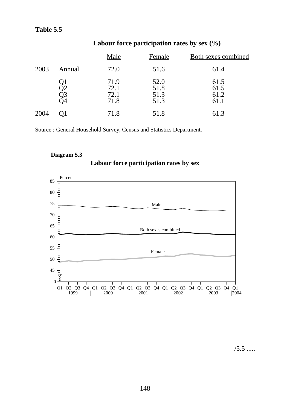# **Labour force participation rates by sex (%)**

|      |                | <b>Male</b>                  | Female                       | <b>Both sexes combined</b>   |
|------|----------------|------------------------------|------------------------------|------------------------------|
| 2003 | Annual         | 72.0                         | 51.6                         | 61.4                         |
|      | ĴΤ<br>Q3<br>94 | 71.9<br>72.1<br>72.1<br>71.8 | 52.0<br>51.8<br>51.3<br>51.3 | 61.5<br>61.5<br>61.2<br>61.1 |
| 2004 |                | 71.8                         | 51.8                         | 61.3                         |

Source : General Household Survey, Census and Statistics Department.

### **Diagram 5.3**





 $/5.5$  .....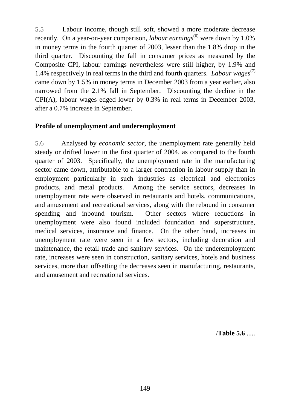5.5 Labour income, though still soft, showed a more moderate decrease recently. On a year-on-year comparison, *labour earnings*<sup>(6)</sup> were down by 1.0% in money terms in the fourth quarter of 2003, lesser than the 1.8% drop in the third quarter. Discounting the fall in consumer prices as measured by the Composite CPI, labour earnings nevertheless were still higher, by 1.9% and 1.4% respectively in real terms in the third and fourth quarters. *Labour wages*(7) came down by 1.5% in money terms in December 2003 from a year earlier, also narrowed from the 2.1% fall in September. Discounting the decline in the CPI(A), labour wages edged lower by 0.3% in real terms in December 2003, after a 0.7% increase in September.

## **Profile of unemployment and underemployment**

5.6 Analysed by *economic sector*, the unemployment rate generally held steady or drifted lower in the first quarter of 2004, as compared to the fourth quarter of 2003. Specifically, the unemployment rate in the manufacturing sector came down, attributable to a larger contraction in labour supply than in employment particularly in such industries as electrical and electronics products, and metal products. Among the service sectors, decreases in unemployment rate were observed in restaurants and hotels, communications, and amusement and recreational services, along with the rebound in consumer spending and inbound tourism. Other sectors where reductions in unemployment were also found included foundation and superstructure, medical services, insurance and finance. On the other hand, increases in unemployment rate were seen in a few sectors, including decoration and maintenance, the retail trade and sanitary services. On the underemployment rate, increases were seen in construction, sanitary services, hotels and business services, more than offsetting the decreases seen in manufacturing, restaurants, and amusement and recreational services.

/**Table 5.6** .....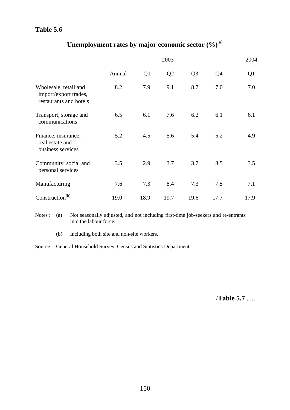# Unemployment rates by major economic sector  $(\%)^{(a)}$

|                                                                          |               |                          | 2003 |       |       | 2004      |
|--------------------------------------------------------------------------|---------------|--------------------------|------|-------|-------|-----------|
|                                                                          | <b>Annual</b> | $\overline{\mathsf{Q1}}$ | Q2   | $Q_3$ | $Q_4$ | <u>Q1</u> |
| Wholesale, retail and<br>import/export trades,<br>restaurants and hotels | 8.2           | 7.9                      | 9.1  | 8.7   | 7.0   | 7.0       |
| Transport, storage and<br>communications                                 | 6.5           | 6.1                      | 7.6  | 6.2   | 6.1   | 6.1       |
| Finance, insurance,<br>real estate and<br>business services              | 5.2           | 4.5                      | 5.6  | 5.4   | 5.2   | 4.9       |
| Community, social and<br>personal services                               | 3.5           | 2.9                      | 3.7  | 3.7   | 3.5   | 3.5       |
| Manufacturing                                                            | 7.6           | 7.3                      | 8.4  | 7.3   | 7.5   | 7.1       |
| Construction <sup>(b)</sup>                                              | 19.0          | 18.9                     | 19.7 | 19.6  | 17.7  | 17.9      |

Notes : (a) Not seasonally adjusted, and not including first-time job-seekers and re-entrants into the labour force.

(b) Including both site and non-site workers.

Source : General Household Survey, Census and Statistics Department.

/**Table 5.7** .....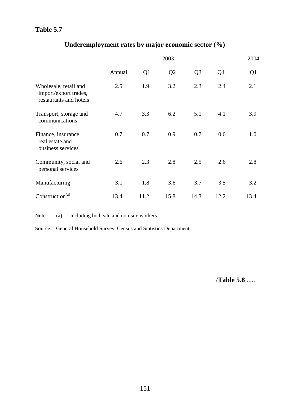# **Underemployment rates by major economic sector (%)**

|                                                                          |               |               | 2003 |                |       | 2004          |
|--------------------------------------------------------------------------|---------------|---------------|------|----------------|-------|---------------|
|                                                                          | <b>Annual</b> | $\mathbf{Q}1$ | Q2   | Q <sub>3</sub> | $Q_4$ | $\mathbf{Q}1$ |
| Wholesale, retail and<br>import/export trades,<br>restaurants and hotels | 2.5           | 1.9           | 3.2  | 2.3            | 2.4   | 2.1           |
| Transport, storage and<br>communications                                 | 4.7           | 3.3           | 6.2  | 5.1            | 4.1   | 3.9           |
| Finance, insurance,<br>real estate and<br>business services              | 0.7           | 0.7           | 0.9  | 0.7            | 0.6   | 1.0           |
| Community, social and<br>personal services                               | 2.6           | 2.3           | 2.8  | 2.5            | 2.6   | 2.8           |
| Manufacturing                                                            | 3.1           | 1.8           | 3.6  | 3.7            | 3.5   | 3.2           |
| Construction <sup>(a)</sup>                                              | 13.4          | 11.2          | 15.8 | 14.3           | 12.2  | 13.4          |

Note : (a) Including both site and non-site workers.

Source : General Household Survey, Census and Statistics Department.

/**Table 5.8** .....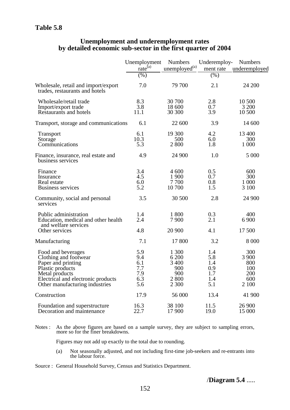#### **Unemployment and underemployment rates by detailed economic sub-sector in the first quarter of 2004**

|                                                                                                                                                                                 | Unemployment<br>rate <sup>(a)</sup>           | <b>Numbers</b><br>unemployed <sup>(a)</sup>             | Underemploy-<br>ment rate                     | <b>Numbers</b><br>underemployed                   |
|---------------------------------------------------------------------------------------------------------------------------------------------------------------------------------|-----------------------------------------------|---------------------------------------------------------|-----------------------------------------------|---------------------------------------------------|
|                                                                                                                                                                                 | (%)                                           |                                                         | (% )                                          |                                                   |
| Wholesale, retail and import/export<br>trades, restaurants and hotels                                                                                                           | 7.0                                           | 79 700                                                  | 2.1                                           | 24 200                                            |
| Wholesale/retail trade<br>Import/export trade<br>Restaurants and hotels                                                                                                         | 8.3<br>3.8<br>11.1                            | 30 700<br>18 600<br>30 300                              | 2.8<br>0.7<br>3.9                             | 10 500<br>3 200<br>10 500                         |
| Transport, storage and communications                                                                                                                                           | 6.1                                           | 22 600                                                  | 3.9                                           | 14 600                                            |
| <b>Transport</b><br>Storage<br>Communications                                                                                                                                   | 6.1<br>10.3<br>5.3                            | 19 300<br>500<br>2 800                                  | 4.2<br>6.0<br>1.8                             | 13 400<br>300<br>1 000                            |
| Finance, insurance, real estate and<br>business services                                                                                                                        | 4.9                                           | 24 900                                                  | 1.0                                           | 5 000                                             |
| Finance<br>Insurance<br>Real estate<br><b>Business services</b>                                                                                                                 | 3.4<br>4.5<br>6.0<br>5.2                      | 4 600<br>1 900<br>7700<br>10 700                        | 0.5<br>0.7<br>0.8<br>1.5                      | 600<br>300<br>1 000<br>3 100                      |
| Community, social and personal<br>services                                                                                                                                      | 3.5                                           | 30 500                                                  | 2.8                                           | 24 900                                            |
| Public administration<br>Education, medical and other health<br>and welfare services                                                                                            | 1.4<br>2.4                                    | 1 800<br>7 900                                          | 0.3<br>2.1                                    | 400<br>6 9 0 0                                    |
| Other services                                                                                                                                                                  | 4.8                                           | 20 900                                                  | 4.1                                           | 17 500                                            |
| Manufacturing                                                                                                                                                                   | 7.1                                           | 17 800                                                  | 3.2                                           | 8 0 0 0                                           |
| Food and beverages<br>Clothing and footwear<br>Paper and printing<br>Plastic products<br>Metal products<br>Electrical and electronic products<br>Other manufacturing industries | 5.9<br>9.4<br>6.1<br>7.7<br>7.9<br>6.3<br>5.6 | 1 300<br>6 200<br>3 400<br>900<br>900<br>2 800<br>2 300 | 1.4<br>5.8<br>1.4<br>0.9<br>1.7<br>1.4<br>5.1 | 300<br>3 900<br>800<br>100<br>200<br>600<br>2 100 |
| Construction                                                                                                                                                                    | 17.9                                          | 56 000                                                  | 13.4                                          | 41 900                                            |
| Foundation and superstructure<br>Decoration and maintenance                                                                                                                     | 16.3<br>22.7                                  | 38 100<br>17 900                                        | 11.5<br>19.0                                  | 26 900<br>15 000                                  |

Notes : As the above figures are based on a sample survey, they are subject to sampling errors, more so for the finer breakdowns.

Figures may not add up exactly to the total due to rounding.

- (a) Not seasonally adjusted, and not including first-time job-seekers and re-entrants into the labour force.
- Source : General Household Survey, Census and Statistics Department.

/**Diagram 5.4** .....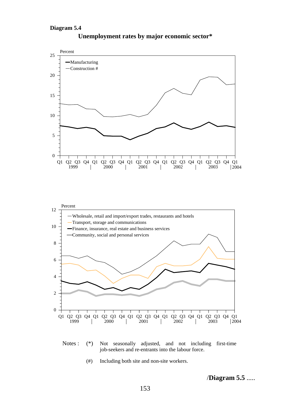

**Unemployment rates by major economic sector\***



(#) Including both site and non-site workers.

/**Diagram 5.5** .....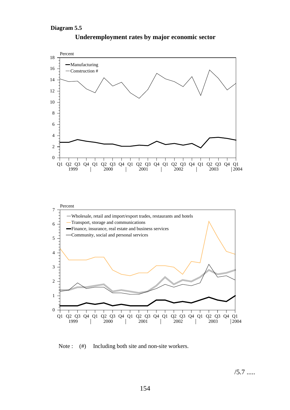#### **Diagram 5.5**



#### **Underemployment rates by major economic sector**

Note : (#) Including both site and non-site workers.

 $/5.7$  .....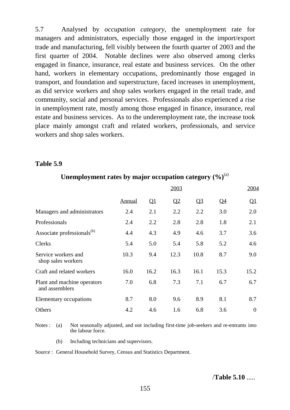5.7 Analysed by *occupation category*, the unemployment rate for managers and administrators, especially those engaged in the import/export trade and manufacturing, fell visibly between the fourth quarter of 2003 and the first quarter of 2004. Notable declines were also observed among clerks engaged in finance, insurance, real estate and business services. On the other hand, workers in elementary occupations, predominantly those engaged in transport, and foundation and superstructure, faced increases in unemployment, as did service workers and shop sales workers engaged in the retail trade, and community, social and personal services. Professionals also experienced a rise in unemployment rate, mostly among those engaged in finance, insurance, real estate and business services. As to the underemployment rate, the increase took place mainly amongst craft and related workers, professionals, and service workers and shop sales workers.

#### **Table 5.9**

|                                               |               |              | 2003 |                         |                 | 2004                     |
|-----------------------------------------------|---------------|--------------|------|-------------------------|-----------------|--------------------------|
|                                               | <b>Annual</b> | $\mathbf{Q}$ | Q2   | $\overline{\mathbf{Q}}$ | $\overline{Q4}$ | $\overline{\mathsf{Q1}}$ |
| Managers and administrators                   | 2.4           | 2.1          | 2.2  | 2.2                     | 3.0             | 2.0                      |
| Professionals                                 | 2.4           | 2.2          | 2.8  | 2.8                     | 1.8             | 2.1                      |
| Associate professionals <sup>(b)</sup>        | 4.4           | 4.3          | 4.9  | 4.6                     | 3.7             | 3.6                      |
| <b>Clerks</b>                                 | 5.4           | 5.0          | 5.4  | 5.8                     | 5.2             | 4.6                      |
| Service workers and<br>shop sales workers     | 10.3          | 9.4          | 12.3 | 10.8                    | 8.7             | 9.0                      |
| Craft and related workers                     | 16.0          | 16.2         | 16.3 | 16.1                    | 15.3            | 15.2                     |
| Plant and machine operators<br>and assemblers | 7.0           | 6.8          | 7.3  | 7.1                     | 6.7             | 6.7                      |
| Elementary occupations                        | 8.7           | 8.0          | 9.6  | 8.9                     | 8.1             | 8.7                      |
| Others                                        | 4.2           | 4.6          | 1.6  | 6.8                     | 3.6             | $\boldsymbol{0}$         |

# Unemployment rates by major occupation category  $(\%)^{(a)}$

Notes : (a) Not seasonally adjusted, and not including first-time job-seekers and re-entrants into the labour force.

(b) Including technicians and supervisors.

Source : General Household Survey, Census and Statistics Department.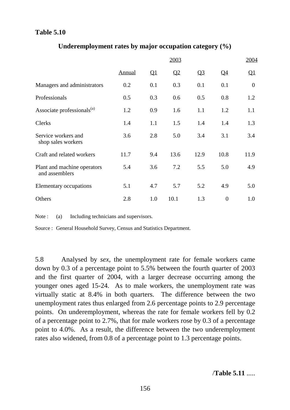|                                               |               |              | 2003                    |                |                          | 2004           |
|-----------------------------------------------|---------------|--------------|-------------------------|----------------|--------------------------|----------------|
|                                               | <b>Annual</b> | $\mathbf{Q}$ | $\overline{\mathbf{Q}}$ | Q <sub>3</sub> | $\overline{\mathsf{Q4}}$ | <u>Q1</u>      |
| Managers and administrators                   | 0.2           | 0.1          | 0.3                     | 0.1            | 0.1                      | $\overline{0}$ |
| Professionals                                 | 0.5           | 0.3          | 0.6                     | 0.5            | 0.8                      | 1.2            |
| Associate professionals <sup>(a)</sup>        | 1.2           | 0.9          | 1.6                     | 1.1            | 1.2                      | 1.1            |
| Clerks                                        | 1.4           | 1.1          | 1.5                     | 1.4            | 1.4                      | 1.3            |
| Service workers and<br>shop sales workers     | 3.6           | 2.8          | 5.0                     | 3.4            | 3.1                      | 3.4            |
| Craft and related workers                     | 11.7          | 9.4          | 13.6                    | 12.9           | 10.8                     | 11.9           |
| Plant and machine operators<br>and assemblers | 5.4           | 3.6          | 7.2                     | 5.5            | 5.0                      | 4.9            |
| <b>Elementary occupations</b>                 | 5.1           | 4.7          | 5.7                     | 5.2            | 4.9                      | 5.0            |
| Others                                        | 2.8           | 1.0          | 10.1                    | 1.3            | $\overline{0}$           | 1.0            |

### **Underemployment rates by major occupation category (%)**

Note : (a) Including technicians and supervisors.

Source : General Household Survey, Census and Statistics Department.

5.8 Analysed by *sex*, the unemployment rate for female workers came down by 0.3 of a percentage point to 5.5% between the fourth quarter of 2003 and the first quarter of 2004, with a larger decrease occurring among the younger ones aged 15-24. As to male workers, the unemployment rate was virtually static at 8.4% in both quarters. The difference between the two unemployment rates thus enlarged from 2.6 percentage points to 2.9 percentage points. On underemployment, whereas the rate for female workers fell by 0.2 of a percentage point to 2.7%, that for male workers rose by 0.3 of a percentage point to 4.0%. As a result, the difference between the two underemployment rates also widened, from 0.8 of a percentage point to 1.3 percentage points.

/**Table 5.11** .....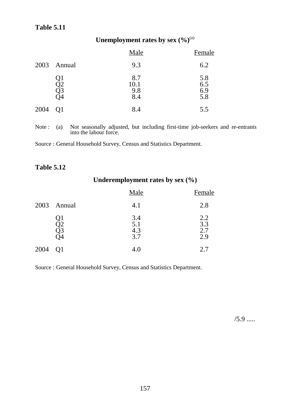# Unemployment rates by sex  $(\frac{6}{9})^{(a)}$

|      |                      | <b>Male</b>               | Female                   |
|------|----------------------|---------------------------|--------------------------|
| 2003 | Annual               | 9.3                       | 6.2                      |
|      | Ql<br>Q2<br>Q3<br>)4 | 8.7<br>10.1<br>9.8<br>8.4 | 5.8<br>6.5<br>6.9<br>5.8 |
| 2004 | Q1                   | 8.4                       | 5.5                      |

Note : (a) Not seasonally adjusted, but including first-time job-seekers and re-entrants into the labour force.

Source : General Household Survey, Census and Statistics Department.

### **Table 5.12**

# **Underemployment rates by sex (%)**

|      |                      | Male                     | Female                         |
|------|----------------------|--------------------------|--------------------------------|
| 2003 | Annual               | 4.1                      | 2.8                            |
|      | ſλ<br>QΖ<br>Q3<br>)4 | 3.4<br>5.1<br>4.3<br>3.7 | $2.2$<br>$3.3$<br>$2.7$<br>2.9 |
| 2004 |                      | 4.0                      | 2.7                            |

Source : General Household Survey, Census and Statistics Department.

 $/5.9$  .....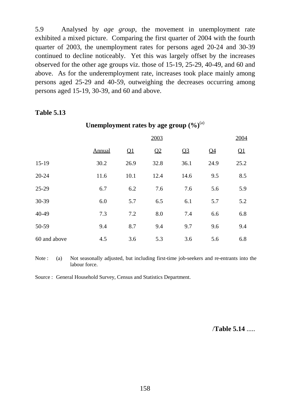5.9 Analysed by *age group*, the movement in unemployment rate exhibited a mixed picture. Comparing the first quarter of 2004 with the fourth quarter of 2003, the unemployment rates for persons aged 20-24 and 30-39 continued to decline noticeably. Yet this was largely offset by the increases observed for the other age groups viz. those of 15-19, 25-29, 40-49, and 60 and above. As for the underemployment rate, increases took place mainly among persons aged 25-29 and 40-59, outweighing the decreases occurring among persons aged 15-19, 30-39, and 60 and above.

#### **Table 5.13**

|              |        |                           | 2003 |                |                | 2004 |
|--------------|--------|---------------------------|------|----------------|----------------|------|
|              | Annual | $\overline{\mathsf{Q}}$ 1 | Q2   | Q <sub>3</sub> | Q <sub>4</sub> | Q1   |
| $15-19$      | 30.2   | 26.9                      | 32.8 | 36.1           | 24.9           | 25.2 |
| 20-24        | 11.6   | 10.1                      | 12.4 | 14.6           | 9.5            | 8.5  |
| $25-29$      | 6.7    | 6.2                       | 7.6  | 7.6            | 5.6            | 5.9  |
| 30-39        | 6.0    | 5.7                       | 6.5  | 6.1            | 5.7            | 5.2  |
| 40-49        | 7.3    | 7.2                       | 8.0  | 7.4            | 6.6            | 6.8  |
| 50-59        | 9.4    | 8.7                       | 9.4  | 9.7            | 9.6            | 9.4  |
| 60 and above | 4.5    | 3.6                       | 5.3  | 3.6            | 5.6            | 6.8  |

#### Unemployment rates by age group  $(\frac{6}{6})^{(a)}$

Note : (a) Not seasonally adjusted, but including first-time job-seekers and re-entrants into the labour force.

Source : General Household Survey, Census and Statistics Department.

/**Table 5.14** .....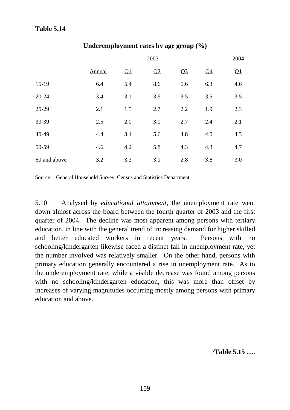|              | 2003   |     |     |                |                |     |  |  |  |  |  |
|--------------|--------|-----|-----|----------------|----------------|-----|--|--|--|--|--|
|              | Annual | Q1  | Q2  | Q <sub>3</sub> | Q <sub>4</sub> | Q1  |  |  |  |  |  |
| $15-19$      | 6.4    | 5.4 | 8.6 | 5.6            | 6.3            | 4.6 |  |  |  |  |  |
| 20-24        | 3.4    | 3.1 | 3.6 | 3.5            | 3.5            | 3.5 |  |  |  |  |  |
| 25-29        | 2.1    | 1.5 | 2.7 | 2.2            | 1.9            | 2.3 |  |  |  |  |  |
| 30-39        | 2.5    | 2.0 | 3.0 | 2.7            | 2.4            | 2.1 |  |  |  |  |  |
| 40-49        | 4.4    | 3.4 | 5.6 | 4.8            | 4.0            | 4.3 |  |  |  |  |  |
| 50-59        | 4.6    | 4.2 | 5.8 | 4.3            | 4.3            | 4.7 |  |  |  |  |  |
| 60 and above | 3.2    | 3.3 | 3.1 | 2.8            | 3.8            | 3.0 |  |  |  |  |  |

#### **Underemployment rates by age group (%)**

Source : General Household Survey, Census and Statistics Department.

5.10 Analysed by *educational attainment*, the unemployment rate went down almost across-the-board between the fourth quarter of 2003 and the first quarter of 2004. The decline was most apparent among persons with tertiary education, in line with the general trend of increasing demand for higher skilled and better educated workers in recent years. Persons with no schooling/kindergarten likewise faced a distinct fall in unemployment rate, yet the number involved was relatively smaller. On the other hand, persons with primary education generally encountered a rise in unemployment rate. As to the underemployment rate, while a visible decrease was found among persons with no schooling/kindergarten education, this was more than offset by increases of varying magnitudes occurring mostly among persons with primary education and above.

/**Table 5.15** .....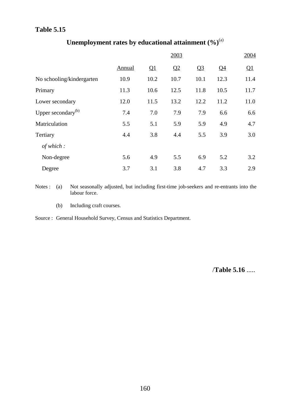|                                |        |      | 2003 |                |       | 2004 |
|--------------------------------|--------|------|------|----------------|-------|------|
|                                | Annual | Q1   | Q2   | Q <sub>3</sub> | $Q_4$ | Q1   |
| No schooling/kindergarten      | 10.9   | 10.2 | 10.7 | 10.1           | 12.3  | 11.4 |
| Primary                        | 11.3   | 10.6 | 12.5 | 11.8           | 10.5  | 11.7 |
| Lower secondary                | 12.0   | 11.5 | 13.2 | 12.2           | 11.2  | 11.0 |
| Upper secondary <sup>(b)</sup> | 7.4    | 7.0  | 7.9  | 7.9            | 6.6   | 6.6  |
| Matriculation                  | 5.5    | 5.1  | 5.9  | 5.9            | 4.9   | 4.7  |
| Tertiary                       | 4.4    | 3.8  | 4.4  | 5.5            | 3.9   | 3.0  |
| of which:                      |        |      |      |                |       |      |
| Non-degree                     | 5.6    | 4.9  | 5.5  | 6.9            | 5.2   | 3.2  |
| Degree                         | 3.7    | 3.1  | 3.8  | 4.7            | 3.3   | 2.9  |

# Unemployment rates by educational attainment  $(\%)^{(a)}$

Notes : (a) Not seasonally adjusted, but including first-time job-seekers and re-entrants into the labour force.

(b) Including craft courses.

Source : General Household Survey, Census and Statistics Department.

/**Table 5.16** .....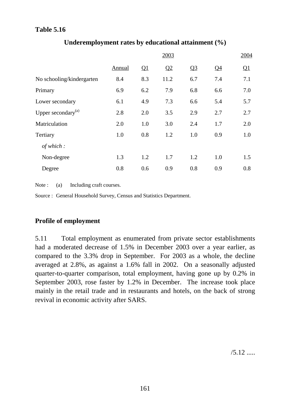|                                |        |     | 2003 |                |                 | 2004 |
|--------------------------------|--------|-----|------|----------------|-----------------|------|
|                                | Annual | Q1  | Q2   | Q <sub>3</sub> | $\overline{Q4}$ | Q1   |
| No schooling/kindergarten      | 8.4    | 8.3 | 11.2 | 6.7            | 7.4             | 7.1  |
| Primary                        | 6.9    | 6.2 | 7.9  | 6.8            | 6.6             | 7.0  |
| Lower secondary                | 6.1    | 4.9 | 7.3  | 6.6            | 5.4             | 5.7  |
| Upper secondary <sup>(a)</sup> | 2.8    | 2.0 | 3.5  | 2.9            | 2.7             | 2.7  |
| Matriculation                  | 2.0    | 1.0 | 3.0  | 2.4            | 1.7             | 2.0  |
| Tertiary                       | 1.0    | 0.8 | 1.2  | 1.0            | 0.9             | 1.0  |
| of which:                      |        |     |      |                |                 |      |
| Non-degree                     | 1.3    | 1.2 | 1.7  | 1.2            | 1.0             | 1.5  |
| Degree                         | 0.8    | 0.6 | 0.9  | 0.8            | 0.9             | 0.8  |

# **Underemployment rates by educational attainment (%)**

Note : (a) Including craft courses.

Source : General Household Survey, Census and Statistics Department.

# **Profile of employment**

5.11 Total employment as enumerated from private sector establishments had a moderated decrease of 1.5% in December 2003 over a year earlier, as compared to the 3.3% drop in September. For 2003 as a whole, the decline averaged at 2.8%, as against a 1.6% fall in 2002. On a seasonally adjusted quarter-to-quarter comparison, total employment, having gone up by 0.2% in September 2003, rose faster by 1.2% in December. The increase took place mainly in the retail trade and in restaurants and hotels, on the back of strong revival in economic activity after SARS.

 $/5.12$  .....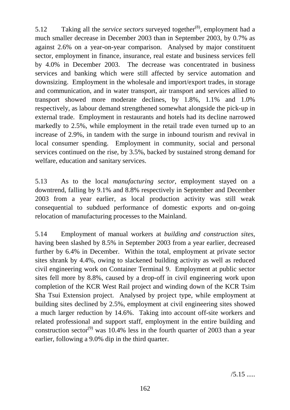5.12 Taking all the *service sectors* surveyed together<sup>(8)</sup>, employment had a much smaller decrease in December 2003 than in September 2003, by 0.7% as against 2.6% on a year-on-year comparison. Analysed by major constituent sector, employment in finance, insurance, real estate and business services fell by 4.0% in December 2003. The decrease was concentrated in business services and banking which were still affected by service automation and downsizing. Employment in the wholesale and import/export trades, in storage and communication, and in water transport, air transport and services allied to transport showed more moderate declines, by 1.8%, 1.1% and 1.0% respectively, as labour demand strengthened somewhat alongside the pick-up in external trade. Employment in restaurants and hotels had its decline narrowed markedly to 2.5%, while employment in the retail trade even turned up to an increase of 2.9%, in tandem with the surge in inbound tourism and revival in local consumer spending. Employment in community, social and personal services continued on the rise, by 3.5%, backed by sustained strong demand for welfare, education and sanitary services.

5.13 As to the local *manufacturing sector*, employment stayed on a downtrend, falling by 9.1% and 8.8% respectively in September and December 2003 from a year earlier, as local production activity was still weak consequential to subdued performance of domestic exports and on-going relocation of manufacturing processes to the Mainland.

5.14 Employment of manual workers at *building and construction sites*, having been slashed by 8.5% in September 2003 from a year earlier, decreased further by 6.4% in December. Within the total, employment at private sector sites shrank by 4.4%, owing to slackened building activity as well as reduced civil engineering work on Container Terminal 9. Employment at public sector sites fell more by 8.8%, caused by a drop-off in civil engineering work upon completion of the KCR West Rail project and winding down of the KCR Tsim Sha Tsui Extension project. Analysed by project type, while employment at building sites declined by 2.5%, employment at civil engineering sites showed a much larger reduction by 14.6%. Taking into account off-site workers and related professional and support staff, employment in the entire building and construction sector<sup>(9)</sup> was 10.4% less in the fourth quarter of 2003 than a year earlier, following a 9.0% dip in the third quarter.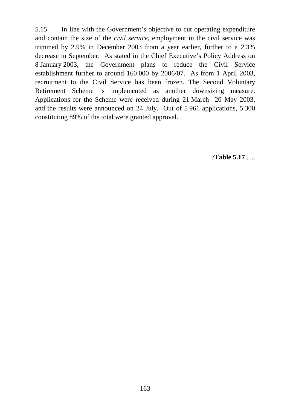5.15 In line with the Government's objective to cut operating expenditure and contain the size of the *civil service*, employment in the civil service was trimmed by 2.9% in December 2003 from a year earlier, further to a 2.3% decrease in September. As stated in the Chief Executive's Policy Address on 8 January 2003, the Government plans to reduce the Civil Service establishment further to around 160 000 by 2006/07. As from 1 April 2003, recruitment to the Civil Service has been frozen. The Second Voluntary Retirement Scheme is implemented as another downsizing measure. Applications for the Scheme were received during 21 March - 20 May 2003, and the results were announced on 24 July. Out of 5 961 applications, 5 300 constituting 89% of the total were granted approval.

/**Table 5.17** .....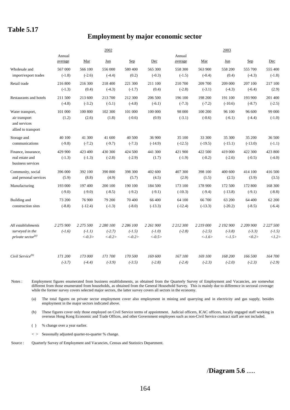# **Employment by major economic sector**

|                                                                          |                           |                                   | 2002                               |                                    |                                    |                           |                                                 | 2003                               |                                |                                    |
|--------------------------------------------------------------------------|---------------------------|-----------------------------------|------------------------------------|------------------------------------|------------------------------------|---------------------------|-------------------------------------------------|------------------------------------|--------------------------------|------------------------------------|
|                                                                          | Annual<br>average         | Mar                               | Jun                                | Sep                                | Dec                                | Annual<br>average         | Mar                                             | Jun                                | Sep                            | Dec                                |
| Wholesale and                                                            | 567 000                   | 566 100                           | 556 000                            | 580 400                            | 565 300                            | 558 300                   | 563 900                                         | 558 200                            | 555 700                        | 555 400                            |
| import/export trades                                                     | $(-1.8)$                  | $(-2.6)$                          | $(-4.4)$                           | (0.2)                              | $(-0.3)$                           | $(-1.5)$                  | $(-0.4)$                                        | (0.4)                              | $(-4.3)$                       | $(-1.8)$                           |
| Retail trade                                                             | 216 800                   | 216 300                           | 218 400                            | 221 300                            | 211 100                            | 210 700                   | 209 700                                         | 209 000                            | 207 100                        | 217 100                            |
|                                                                          | $(-1.3)$                  | (0.4)                             | $(-4.3)$                           | $(-1.7)$                           | (0.4)                              | $(-2.8)$                  | $(-3.1)$                                        | $(-4.3)$                           | $(-6.4)$                       | (2.9)                              |
| Restaurants and hotels                                                   | 211 500                   | 213 600                           | 213 700                            | 212 300                            | 206 500                            | 196 100                   | 198 200                                         | 191 100                            | 193 900                        | 201 400                            |
|                                                                          | $(-4.8)$                  | $(-3.2)$                          | $(-5.1)$                           | $(-4.8)$                           | $(-6.1)$                           | $(-7.3)$                  | $(-7.2)$                                        | $(-10.6)$                          | $(-8.7)$                       | $(-2.5)$                           |
| Water transport,<br>air transport<br>and services<br>allied to transport | 101 000<br>(1.2)          | 100 800<br>(2.6)                  | 102 300<br>(1.8)                   | 101 000<br>$(-0.6)$                | 100 000<br>(0.9)                   | 98 000<br>$(-3.1)$        | 100 200<br>$(-0.6)$                             | 96 100<br>$(-6.1)$                 | 96 600<br>$(-4.4)$             | 99 000<br>$(-1.0)$                 |
| Storage and                                                              | 40 100                    | 41 300                            | 41 600                             | 40 500                             | 36 900                             | 35 100                    | 33 300                                          | 35 300                             | 35 200                         | 36 500                             |
| communications                                                           | $(-9.8)$                  | $(-7.2)$                          | $(-9.7)$                           | $(-7.3)$                           | $(-14.9)$                          | $(-12.5)$                 | $(-19.5)$                                       | $(-15.1)$                          | $(-13.0)$                      | $(-1.1)$                           |
| Finance, insurance,<br>real estate and<br>business services              | 429 900<br>$(-1.3)$       | 423 400<br>$(-1.3)$               | 430 300<br>$(-2.8)$                | 424 500<br>$(-2.9)$                | 441 300<br>(1.7)                   | 421 900<br>$(-1.9)$       | 422 500<br>$(-0.2)$                             | 419 000<br>$(-2.6)$                | 422 300<br>$(-0.5)$            | 423 800<br>$(-4.0)$                |
| Community, social                                                        | 396 000                   | 392 100                           | 390 800                            | 398 300                            | 402 600                            | 407 300                   | 398 100                                         | 400 600                            | 414 100                        | 416 500                            |
| and personal services                                                    | (5.9)                     | (8.8)                             | (4.9)                              | (5.7)                              | (4.5)                              | (2.9)                     | (1.5)                                           | (2.5)                              | (3.9)                          | (3.5)                              |
| Manufacturing                                                            | 193 000                   | 197 400                           | 200 100                            | 190 100                            | 184 500                            | 173 100                   | 178 900                                         | 172 500                            | 172 800                        | 168 300                            |
|                                                                          | $(-9.0)$                  | $(-9.0)$                          | $(-8.5)$                           | $(-9.2)$                           | $(-9.1)$                           | $(-10.3)$                 | $(-9.4)$                                        | $(-13.8)$                          | $(-9.1)$                       | $(-8.8)$                           |
| Building and                                                             | 73 200                    | 76 900                            | 79 200                             | 70 400                             | 66 400                             | 64 100                    | 66 700                                          | 63 200                             | 64 400                         | 62 200                             |
| construction sites                                                       | $(-8.8)$                  | $(-12.4)$                         | $(-1.3)$                           | $(-8.0)$                           | $(-13.3)$                          | $(-12.4)$                 | $(-13.3)$                                       | $(-20.2)$                          | $(-8.5)$                       | $(-6.4)$                           |
| All establishments<br>surveyed in the<br>private sector <sup>(a)</sup>   | 2 2 7 5 9 0 0<br>$(-1.6)$ | 2 275 500<br>$(-1.1)$<br>$<-0.3>$ | 2 280 100<br>$(-2.7)$<br>$< -0.2>$ | 2 286 100<br>$(-1.5)$<br>$< -0.2>$ | 2 261 900<br>$(-1.0)$<br>$< -0.5>$ | 2 2 1 2 3 0 0<br>$(-2.8)$ | 2 219 000<br>$(-2.5)$<br>$\langle -1.6 \rangle$ | 2 192 900<br>$(-3.8)$<br>$< -1.5>$ | 2 209 900<br>$(-3.3)$<br><0.2> | 2 2 2 7 5 0 0<br>$(-1.5)$<br><1.2> |
| Civil Service <sup>(b)</sup>                                             | 171 200                   | 173 000                           | 171 700                            | 170 500                            | 169 600                            | 167 100                   | 169 100                                         | 168 200                            | 166 500                        | 164 700                            |
|                                                                          | $(-3.7)$                  | $(-4.4)$                          | $(-3.9)$                           | $(-3.5)$                           | $(-2.8)$                           | $(-2.4)$                  | $(-2.3)$                                        | $(-2.0)$                           | $(-2.3)$                       | $(-2.9)$                           |

Notes : Employment figures enumerated from business establishments, as obtained from the Quarterly Survey of Employment and Vacancies, are somewhat different from those enumerated from households, as obtained from the General Household Survey. This is mainly due to difference in sectoral coverage: while the former survey covers selected major sectors, the latter survey covers all sectors in the economy.

(a) The total figures on private sector employment cover also employment in mining and quarrying and in electricity and gas supply, besides employment in the major sectors indicated above.

(b) These figures cover only those employed on Civil Service terms of appointment. Judicial officers, ICAC officers, locally engaged staff working in overseas Hong Kong Economic and Trade Offices, and other Government employees such as non-Civil Service contract staff are not included.

( ) % change over a year earlier.

< > Seasonally adjusted quarter-to-quarter % change.

Source : Quarterly Survey of Employment and Vacancies, Census and Statistics Department.

/**Diagram 5.6** .....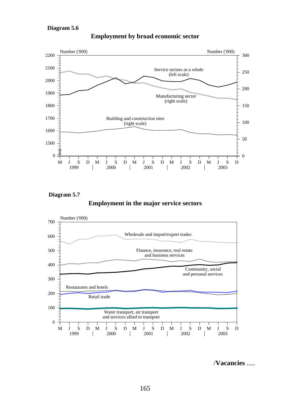

**Employment by broad economic sector**

**Diagram 5.7**

**Employment in the major service sectors**



/**Vacancies** .....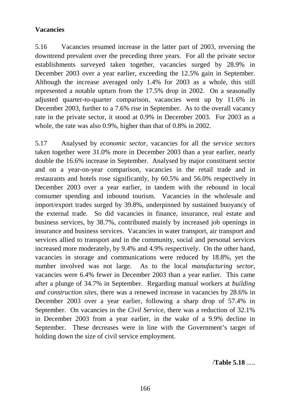# **Vacancies**

5.16 Vacancies resumed increase in the latter part of 2003, reversing the downtrend prevalent over the preceding three years. For all the private sector establishments surveyed taken together, vacancies surged by 28.9% in December 2003 over a year earlier, exceeding the 12.5% gain in September. Although the increase averaged only 1.4% for 2003 as a whole, this still represented a notable upturn from the 17.5% drop in 2002. On a seasonally adjusted quarter-to-quarter comparison, vacancies went up by 11.6% in December 2003, further to a 7.6% rise in September. As to the overall vacancy rate in the private sector, it stood at 0.9% in December 2003. For 2003 as a whole, the rate was also 0.9%, higher than that of 0.8% in 2002.

5.17 Analysed by *economic sector*, vacancies for all the *service sectors* taken together were 31.0% more in December 2003 than a year earlier, nearly double the 16.6% increase in September. Analysed by major constituent sector and on a year-on-year comparison, vacancies in the retail trade and in restaurants and hotels rose significantly, by 60.5% and 56.0% respectively in December 2003 over a year earlier, in tandem with the rebound in local consumer spending and inbound tourism. Vacancies in the wholesale and import/export trades surged by 39.8%, underpinned by sustained buoyancy of the external trade. So did vacancies in finance, insurance, real estate and business services, by 38.7%, contributed mainly by increased job openings in insurance and business services. Vacancies in water transport, air transport and services allied to transport and in the community, social and personal services increased more moderately, by 9.4% and 4.9% respectively. On the other hand, vacancies in storage and communications were reduced by 18.8%, yet the number involved was not large. As to the local *manufacturing sector*, vacancies were 6.4% fewer in December 2003 than a year earlier. This came after a plunge of 34.7% in September. Regarding manual workers at *building and construction sites*, there was a renewed increase in vacancies by 28.6% in December 2003 over a year earlier, following a sharp drop of 57.4% in September. On vacancies in the *Civil Service*, there was a reduction of 32.1% in December 2003 from a year earlier, in the wake of a 9.9% decline in September. These decreases were in line with the Government's target of holding down the size of civil service employment.

/**Table 5.18** .....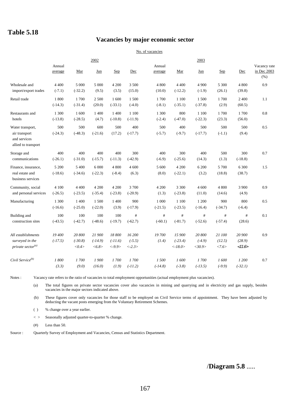#### **Vacancies by major economic sector**

#### No. of vacancies

|                                                      |                   |                 | 2002                      |           |                        |                   |            | 2003      |           |           |                                     |
|------------------------------------------------------|-------------------|-----------------|---------------------------|-----------|------------------------|-------------------|------------|-----------|-----------|-----------|-------------------------------------|
|                                                      | Annual<br>average | Mar             | Jun                       | Sep       | Dec                    | Annual<br>average | Mar        | Jun       | Sep       | Dec       | Vacancy rate<br>in Dec 2003<br>(% ) |
| Wholesale and                                        | 4 4 0 0           | 5 000           | 5 000                     | 4 200     | 3 500                  | 4 800             | 4 4 0 0    | 4 9 0 0   | 5 300     | 4 800     | 0.9                                 |
| import/export trades                                 | $(-7.1)$          | $(-32.2)$       | (9.5)                     | (3.5)     | (15.0)                 | (10.0)            | $(-12.2)$  | $(-1.9)$  | (26.1)    | (39.8)    |                                     |
| Retail trade                                         | 1800              | 1700            | 2 500                     | 1 600     | 1 500                  | 1700              | 1 1 0 0    | 1 500     | 1700      | 2 4 0 0   | 1.1                                 |
|                                                      | $(-14.3)$         | $(-31.4)$       | (20.0)                    | $(-33.1)$ | $(-4.0)$               | $(-8.1)$          | $(-35.1)$  | $(-37.8)$ | (2.9)     | (60.5)    |                                     |
| Restaurants and                                      | 1 300             | 1 600           | 1 400                     | 1 400     | 1 1 0 0                | 1 300             | 800        | 1 100     | 1700      | 1700      | 0.8                                 |
| hotels                                               | $(-13.8)$         | $(-28.5)$       | (4.7)                     | $(-10.8)$ | $(-11.9)$              | $(-2.4)$          | $(-47.0)$  | $(-22.3)$ | (23.3)    | (56.0)    |                                     |
| Water transport,                                     | 500               | 500             | 600                       | 500       | 400                    | 500               | 400        | 500       | 500       | 500       | 0.5                                 |
| air transport<br>and services<br>allied to transport | $(-24.3)$         | $(-48.3)$       | $(-21.6)$                 | (17.2)    | $(-17.7)$              | $(-5.7)$          | $(-9.7)$   | $(-17.7)$ | $(-1.1)$  | (9.4)     |                                     |
| Storage and                                          | 400               | 400             | 400                       | 400       | 300                    | 400               | 300        | 400       | 500       | 300       | 0.7                                 |
| communications                                       | $(-26.1)$         | $(-31.0)$       | $(-15.7)$                 | $(-11.3)$ | $(-42.9)$              | $(-6.9)$          | $(-25.6)$  | (14.3)    | (1.3)     | $(-18.8)$ |                                     |
| Finance, insurance,                                  | 5 200             | 5 400           | 6 0 0 0                   | 4 800     | 4 600                  | 5 600             | 4 200      | 6 200     | 5 700     | 6 300     | 1.5                                 |
| real estate and<br>business services                 | $(-18.6)$         | $(-34.6)$       | $(-22.3)$                 | $(-8.4)$  | (6.3)                  | (8.0)             | $(-22.1)$  | (3.2)     | (18.8)    | (38.7)    |                                     |
| Community, social                                    | 4 100             | 4 4 0 0         | 4 200                     | 4 200     | 3700                   | 4 200             | 3 3 0 0    | 4 600     | 4 800     | 3 900     | 0.9                                 |
| and personal services                                | $(-26.5)$         | $(-23.5)$       | $(-35.4)$                 | $(-23.8)$ | $(-20.9)$              | (1.3)             | $(-23.8)$  | (11.0)    | (14.6)    | (4.9)     |                                     |
| Manufacturing                                        | 1 300             | 1 400           | 1 500                     | 1 400     | 900                    | 1 000             | 1 1 0 0    | 1 200     | 900       | 800       | 0.5                                 |
|                                                      | $(-16.6)$         | $(-25.0)$       | $(-22.0)$                 | (3.9)     | $(-17.9)$              | $(-21.5)$         | $(-23.5)$  | $(-16.4)$ | $(-34.7)$ | $(-6.4)$  |                                     |
| Building and                                         | 100               | 100             | 100                       | 100       | $\#$                   | #                 | #          | #         | #         | #         | 0.1                                 |
| construction sites                                   | $(-43.5)$         | $(-42.7)$       | $(-48.6)$                 | $(-19.7)$ | $(-62.7)$              | $(-60.1)$         | $(-81.7)$  | $(-52.6)$ | $(-57.4)$ | (28.6)    |                                     |
| All establishments                                   | 19 400            | 20 800          | 21 900                    | 18800     | 16 200                 | 19700             | 15 900     | 20 800    | 21 100    | 20 900    | 0.9                                 |
| surveyed in the                                      | $(-17.5)$         | $(-30.8)$       | $(-14.9)$                 | $(-11.6)$ | $(-5.5)$               | (1.4)             | $(-23.4)$  | $(-4.9)$  | (12.5)    | (28.9)    |                                     |
| private sector <sup>(a)</sup>                        |                   | $<\!\!0.4\!\!>$ | $<\!\!\delta.\delta\!\!>$ | $< -9.9>$ | $\langle -2.3 \rangle$ |                   | $< -18.0>$ | $<$ 30.9> | <7.6>     | 11.6      |                                     |
| Civil Service <sup>(b)</sup>                         | 1800              | 1700            | 1900                      | 1700      | 1700                   | 1500              | 1600       | 1700      | 1600      | 1 200     | 0.7                                 |
|                                                      | (3.3)             | (9.0)           | (16.0)                    | (1.9)     | $(-11.2)$              | $(-14.8)$         | $(-3.8)$   | $(-13.5)$ | $(-9.9)$  | $(-32.1)$ |                                     |

Notes : Vacancy rate refers to the ratio of vacancies to total employment opportunities (actual employment plus vacancies).

(a) The total figures on private sector vacancies cover also vacancies in mining and quarrying and in electricity and gas supply, besides vacancies in the major sectors indicated above.

(b) These figures cover only vacancies for those staff to be employed on Civil Service terms of appointment. They have been adjusted by deducting the vacant posts emerging from the Voluntary Retirement Schemes.

( ) % change over a year earlier.

< > Seasonally adjusted quarter-to-quarter % change.

 $(\#)$  Less than 50.

Source : Quarterly Survey of Employment and Vacancies, Census and Statistics Department.

/**Diagram 5.8** .....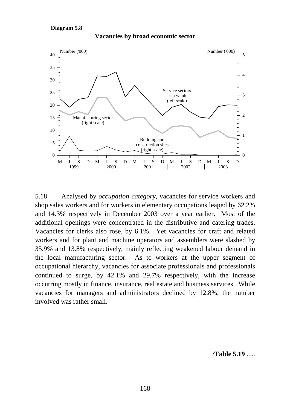#### **Diagram 5.8**



**Vacancies by broad economic sector**

5.18 Analysed by *occupation category*, vacancies for service workers and shop sales workers and for workers in elementary occupations leaped by 62.2% and 14.3% respectively in December 2003 over a year earlier. Most of the additional openings were concentrated in the distributive and catering trades. Vacancies for clerks also rose, by 6.1%. Yet vacancies for craft and related workers and for plant and machine operators and assemblers were slashed by 35.9% and 13.8% respectively, mainly reflecting weakened labour demand in the local manufacturing sector. As to workers at the upper segment of occupational hierarchy, vacancies for associate professionals and professionals continued to surge, by 42.1% and 29.7% respectively, with the increase occurring mostly in finance, insurance, real estate and business services. While vacancies for managers and administrators declined by 12.8%, the number involved was rather small.

/**Table 5.19** .....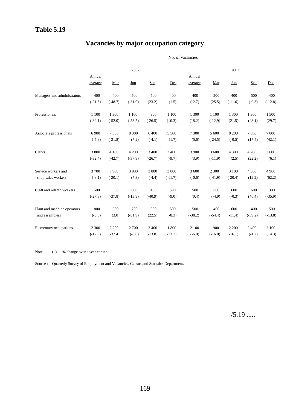# **Vacancies by major occupation category**

No. of vacancies

|                             |           |           | 2002      |           |           |           |           | 2003      |           |           |
|-----------------------------|-----------|-----------|-----------|-----------|-----------|-----------|-----------|-----------|-----------|-----------|
|                             | Annual    |           |           |           |           | Annual    |           |           |           |           |
|                             | average   | Mar       | Jun       | Sep       | Dec       | average   | Mar       | Jun       | Sep       | Dec       |
| Managers and administrators | 400       | 400       | 500       | 500       | 400       | 400       | 500       | 400       | 500       | 400       |
|                             | $(-21.5)$ | $(-48.7)$ | $(-31.0)$ | (23.2)    | (1.5)     | $(-2.7)$  | (25.5)    | $(-11.6)$ | $(-9.3)$  | $(-12.8)$ |
| Professionals               | 1 100     | 1 300     | 1 1 0 0   | 900       | 1 100     | 1 300     | 1 100     | 1 300     | 1 300     | 1 500     |
|                             | $(-39.1)$ | $(-52.0)$ | $(-53.5)$ | $(-26.5)$ | (10.3)    | (18.2)    | $(-12.9)$ | (21.5)    | (43.1)    | (29.7)    |
| Associate professionals     | 6 9 0 0   | 7 500     | 8 3 0 0   | 6 400     | 5 500     | 7 300     | 5 600     | 8 200     | 7500      | 7800      |
|                             | $(-5.8)$  | $(-21.8)$ | (7.2)     | $(-4.1)$  | (1.7)     | (5.6)     | $(-24.5)$ | $(-0.5)$  | (17.5)    | (42.1)    |
| Clerks                      | 3 800     | 4 100     | 4 200     | 3 4 0 0   | 3 4 0 0   | 3 900     | 3 600     | 4 3 0 0   | 4 200     | 3 600     |
|                             | $(-32.4)$ | $(-42.7)$ | $(-37.9)$ | $(-26.7)$ | $(-9.7)$  | (3.9)     | $(-11.9)$ | (2.5)     | (22.2)    | (6.1)     |
| Service workers and         | 3 700     | 3 9 0 0   | 3 9 0 0   | 3 800     | 3 000     | 3 600     | 2 3 0 0   | 3 100     | 4 3 0 0   | 4 9 0 0   |
| shop sales workers          | $(-8.1)$  | $(-20.1)$ | (7.3)     | $(-4.4)$  | $(-11.7)$ | $(-0.6)$  | $(-41.9)$ | $(-20.4)$ | (12.2)    | (62.2)    |
| Craft and related workers   | 500       | 600       | 600       | 400       | 500       | 500       | 600       | 600       | 600       | 300       |
|                             | $(-27.8)$ | $(-37.8)$ | $(-13.9)$ | $(-40.9)$ | $(-9.0)$  | (0.4)     | $(-4.9)$  | $(-0.3)$  | (46.4)    | $(-35.9)$ |
| Plant and machine operators | 800       | 900       | 700       | 900       | 500       | 500       | 400       | 600       | 400       | 500       |
| and assemblers              | $(-6.3)$  | (3.0)     | $(-31.9)$ | (22.5)    | $(-8.3)$  | $(-38.2)$ | $(-54.4)$ | $(-11.4)$ | $(-59.2)$ | $(-13.8)$ |
| Elementary occupations      | 2 3 0 0   | 2 2 0 0   | 2 700     | 2 400     | 1800      | 2 100     | 1 900     | 2 2 0 0   | 2 4 0 0   | 2 100     |
|                             | $(-17.8)$ | $(-32.4)$ | $(-8.0)$  | $(-13.8)$ | $(-13.7)$ | $(-6.0)$  | $(-16.0)$ | $(-16.1)$ | $(-1.2)$  | (14.3)    |

Note : ( ) % change over a year earlier.

Source : Quarterly Survey of Employment and Vacancies, Census and Statistics Department.

 $/5.19$  .....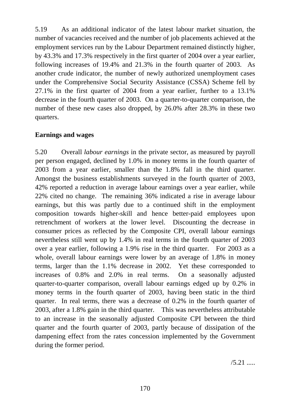5.19 As an additional indicator of the latest labour market situation, the number of vacancies received and the number of job placements achieved at the employment services run by the Labour Department remained distinctly higher, by 43.3% and 17.3% respectively in the first quarter of 2004 over a year earlier, following increases of 19.4% and 21.3% in the fourth quarter of 2003. As another crude indicator, the number of newly authorized unemployment cases under the Comprehensive Social Security Assistance (CSSA) Scheme fell by 27.1% in the first quarter of 2004 from a year earlier, further to a 13.1% decrease in the fourth quarter of 2003. On a quarter-to-quarter comparison, the number of these new cases also dropped, by 26.0% after 28.3% in these two quarters.

## **Earnings and wages**

5.20 Overall *labour earnings* in the private sector, as measured by payroll per person engaged, declined by 1.0% in money terms in the fourth quarter of 2003 from a year earlier, smaller than the 1.8% fall in the third quarter. Amongst the business establishments surveyed in the fourth quarter of 2003, 42% reported a reduction in average labour earnings over a year earlier, while 22% cited no change. The remaining 36% indicated a rise in average labour earnings, but this was partly due to a continued shift in the employment composition towards higher-skill and hence better-paid employees upon retrenchment of workers at the lower level. Discounting the decrease in consumer prices as reflected by the Composite CPI, overall labour earnings nevertheless still went up by 1.4% in real terms in the fourth quarter of 2003 over a year earlier, following a 1.9% rise in the third quarter. For 2003 as a whole, overall labour earnings were lower by an average of 1.8% in money terms, larger than the 1.1% decrease in 2002. Yet these corresponded to increases of 0.8% and 2.0% in real terms. On a seasonally adjusted quarter-to-quarter comparison, overall labour earnings edged up by 0.2% in money terms in the fourth quarter of 2003, having been static in the third quarter. In real terms, there was a decrease of 0.2% in the fourth quarter of 2003, after a 1.8% gain in the third quarter. This was nevertheless attributable to an increase in the seasonally adjusted Composite CPI between the third quarter and the fourth quarter of 2003, partly because of dissipation of the dampening effect from the rates concession implemented by the Government during the former period.

 $/5.21$  .....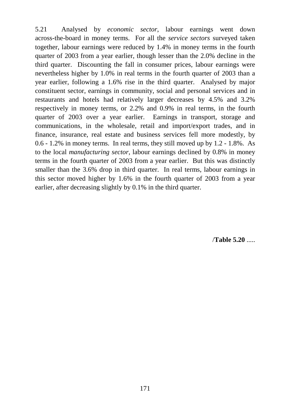5.21 Analysed by *economic sector*, labour earnings went down across-the-board in money terms. For all the *service sectors* surveyed taken together, labour earnings were reduced by 1.4% in money terms in the fourth quarter of 2003 from a year earlier, though lesser than the 2.0% decline in the third quarter. Discounting the fall in consumer prices, labour earnings were nevertheless higher by 1.0% in real terms in the fourth quarter of 2003 than a year earlier, following a 1.6% rise in the third quarter. Analysed by major constituent sector, earnings in community, social and personal services and in restaurants and hotels had relatively larger decreases by 4.5% and 3.2% respectively in money terms, or 2.2% and 0.9% in real terms, in the fourth quarter of 2003 over a year earlier. Earnings in transport, storage and communications, in the wholesale, retail and import/export trades, and in finance, insurance, real estate and business services fell more modestly, by 0.6 - 1.2% in money terms. In real terms, they still moved up by 1.2 - 1.8%. As to the local *manufacturing sector*, labour earnings declined by 0.8% in money terms in the fourth quarter of 2003 from a year earlier. But this was distinctly smaller than the 3.6% drop in third quarter. In real terms, labour earnings in this sector moved higher by 1.6% in the fourth quarter of 2003 from a year earlier, after decreasing slightly by 0.1% in the third quarter.

/**Table 5.20** .....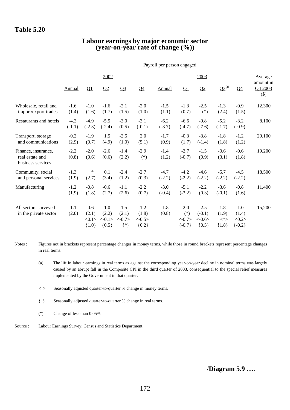#### **Labour earnings by major economic sector (year-on-year rate of change (%))**

|                                                             | Payroll per person engaged |                                     |                                        |                                     |                                        |                    |                                         |                                             |                                       |                                        |                   |  |
|-------------------------------------------------------------|----------------------------|-------------------------------------|----------------------------------------|-------------------------------------|----------------------------------------|--------------------|-----------------------------------------|---------------------------------------------|---------------------------------------|----------------------------------------|-------------------|--|
|                                                             |                            |                                     | 2002                                   |                                     |                                        |                    |                                         | Average<br>amount in                        |                                       |                                        |                   |  |
|                                                             | Annual                     | $\mathbf{Q}$                        | Q2                                     | Q <sub>3</sub>                      | Q <sub>4</sub>                         | Annual             | Q1                                      | Q2                                          | $Q3^{(a)}$                            | Q <sub>4</sub>                         | Q4 2003<br>$(\$)$ |  |
| Wholesale, retail and<br>import/export trades               | $-1.6$<br>(1.4)            | $-1.0$<br>(1.6)                     | $-1.6$<br>(1.7)                        | $-2.1$<br>(1.5)                     | $-2.0$<br>(1.0)                        | $-1.5$<br>(1.1)    | $-1.3$<br>(0.7)                         | $-2.5$<br>$(*)$                             | $-1.3$<br>(2.4)                       | $-0.9$<br>(1.5)                        | 12,300            |  |
| Restaurants and hotels                                      | $-4.2$<br>$(-1.1)$         | $-4.9$<br>$(-2.3)$                  | $-5.5$<br>$(-2.4)$                     | $-3.0$<br>(0.5)                     | $-3.1$<br>$(-0.1)$                     | $-6.2$<br>$(-3.7)$ | $-6.6$<br>$(-4.7)$                      | $-9.8$<br>$(-7.6)$                          | $-5.2$<br>$(-1.7)$                    | $-3.2$<br>$(-0.9)$                     | 8,100             |  |
| Transport, storage<br>and communications                    | $-0.2$<br>(2.9)            | $-1.9$<br>(0.7)                     | 1.5<br>(4.9)                           | $-2.5$<br>(1.0)                     | 2.0<br>(5.1)                           | $-1.7$<br>(0.9)    | $-0.3$<br>(1.7)                         | $-3.8$<br>$(-1.4)$                          | $-1.8$<br>(1.8)                       | $-1.2$<br>(1.2)                        | 20,100            |  |
| Finance, insurance,<br>real estate and<br>business services | $-2.2$<br>(0.8)            | $-2.0$<br>(0.6)                     | $-2.6$<br>(0.6)                        | $-1.4$<br>(2.2)                     | $-2.9$<br>$(*)$                        | $-1.4$<br>(1.2)    | $-2.7$<br>$(-0.7)$                      | $-1.5$<br>(0.9)                             | $-0.6$<br>(3.1)                       | $-0.6$<br>(1.8)                        | 19,200            |  |
| Community, social<br>and personal services                  | $-1.3$<br>(1.9)            | $\ast$<br>(2.7)                     | 0.1<br>(3.4)                           | $-2.4$<br>(1.2)                     | $-2.7$<br>(0.3)                        | $-4.7$<br>$(-2.2)$ | $-4.2$<br>$(-2.2)$                      | $-4.6$<br>$(-2.2)$                          | $-5.7$<br>$(-2.2)$                    | $-4.5$<br>$(-2.2)$                     | 18,500            |  |
| Manufacturing                                               | $-1.2$<br>(1.9)            | $-0.8$<br>(1.8)                     | $-0.6$<br>(2.7)                        | $-1.1$<br>(2.6)                     | $-2.2$<br>(0.7)                        | $-3.0$<br>$(-0.4)$ | $-5.1$<br>$(-3.2)$                      | $-2.2$<br>(0.3)                             | $-3.6$<br>$(-0.1)$                    | $-0.8$<br>(1.6)                        | 11,400            |  |
| All sectors surveyed<br>in the private sector               | $-1.1$<br>(2.0)            | $-0.6$<br>(2.1)<br><0.1><br>${1.0}$ | $-1.0$<br>(2.2)<br>$<-0.1>$<br>${0.5}$ | $-1.5$<br>(2.1)<br>< 0.7<br>$\{*\}$ | $-1.2$<br>(1.8)<br>$<-0.5>$<br>${0.2}$ | $-1.8$<br>(0.8)    | $-2.0$<br>$(*)$<br>< 0.7><br>$\{-0.7\}$ | $-2.5$<br>$(-0.1)$<br>$< -0.6 >$<br>${0.5}$ | $-1.8$<br>(1.9)<br>$\lt^*$<br>${1.8}$ | $-1.0$<br>(1.4)<br><0.2><br>$\{-0.2\}$ | 15,200            |  |

Notes : Figures not in brackets represent percentage changes in money terms, while those in round brackets represent percentage changes in real terms.

- (a) The lift in labour earnings in real terms as against the corresponding year-on-year decline in nominal terms was largely caused by an abrupt fall in the Composite CPI in the third quarter of 2003, consequential to the special relief measures implemented by the Government in that quarter.
- < > Seasonally adjusted quarter-to-quarter % change in money terms.
- { } Seasonally adjusted quarter-to-quarter % change in real terms.
- (\*) Change of less than 0.05%.
- Source : Labour Earnings Survey, Census and Statistics Department.

/**Diagram 5.9** .....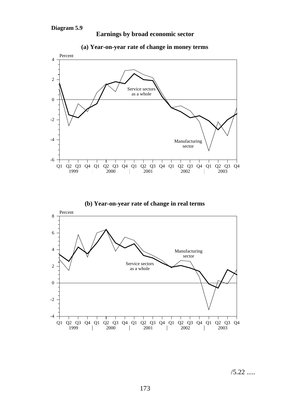



**Earnings by broad economic sector**





/5.22 .....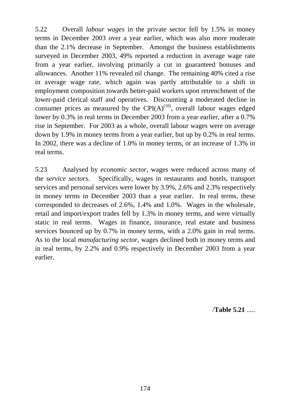5.22 Overall *labour wages* in the private sector fell by 1.5% in money terms in December 2003 over a year earlier, which was also more moderate than the 2.1% decrease in September. Amongst the business establishments surveyed in December 2003, 49% reported a reduction in average wage rate from a year earlier, involving primarily a cut in guaranteed bonuses and allowances. Another 11% revealed nil change. The remaining 40% cited a rise in average wage rate, which again was partly attributable to a shift in employment composition towards better-paid workers upon retrenchment of the lower-paid clerical staff and operatives. Discounting a moderated decline in consumer prices as measured by the  $CPI(A)^{(10)}$ , overall labour wages edged lower by 0.3% in real terms in December 2003 from a year earlier, after a 0.7% rise in September. For 2003 as a whole, overall labour wages were on average down by 1.9% in money terms from a year earlier, but up by 0.2% in real terms. In 2002, there was a decline of 1.0% in money terms, or an increase of 1.3% in real terms.

5.23 Analysed by *economic sector*, wages were reduced across many of the *service sectors*. Specifically, wages in restaurants and hotels, transport services and personal services were lower by 3.9%, 2.6% and 2.3% respectively in money terms in December 2003 than a year earlier. In real terms, these corresponded to decreases of 2.6%, 1.4% and 1.0%. Wages in the wholesale, retail and import/export trades fell by 1.3% in money terms, and were virtually static in real terms. Wages in finance, insurance, real estate and business services bounced up by 0.7% in money terms, with a 2.0% gain in real terms. As to the local *manufacturing sector*, wages declined both in money terms and in real terms, by 2.2% and 0.9% respectively in December 2003 from a year earlier.

/**Table 5.21** .....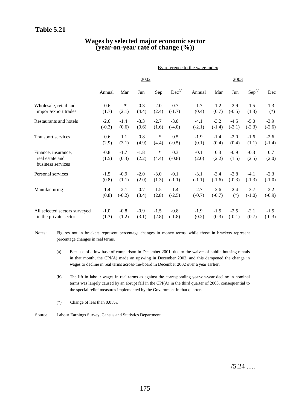#### **Wages by selected major economic sector (year-on-year rate of change (%))**

|                                                             |                 | By reference to the wage index |                 |                 |                    |                 |              |                 |                 |              |  |  |
|-------------------------------------------------------------|-----------------|--------------------------------|-----------------|-----------------|--------------------|-----------------|--------------|-----------------|-----------------|--------------|--|--|
|                                                             |                 |                                | 2002            |                 |                    |                 | 2003         |                 |                 |              |  |  |
|                                                             | Annual          | Mar                            | Jun             | Sep             | Dec <sup>(a)</sup> | Annual          | Mar          | Jun             | $Sep^{(b)}$     | Dec          |  |  |
| Wholesale, retail and                                       | $-0.6$          | ∗                              | 0.3             | $-2.0$          | $-0.7$             | $-1.7$          | $-1.2$       | $-2.9$          | $-1.5$          | $-1.3$       |  |  |
| import/export trades                                        | (1.7)           | (2.1)                          | (4.4)           | (2.4)           | $(-1.7)$           | (0.4)           | (0.7)        | $(-0.5)$        | (1.3)           | $(*)$        |  |  |
| Restaurants and hotels                                      | $-2.6$          | $-1.4$                         | $-3.3$          | $-2.7$          | $-3.0$             | $-4.1$          | $-3.2$       | $-4.5$          | $-5.0$          | $-3.9$       |  |  |
|                                                             | $(-0.3)$        | (0.6)                          | (0.6)           | (1.6)           | $(-4.0)$           | $(-2.1)$        | $(-1.4)$     | $(-2.1)$        | $(-2.3)$        | $(-2.6)$     |  |  |
| <b>Transport services</b>                                   | 0.6             | 1.1                            | 0.8             | ∗               | 0.5                | $-1.9$          | $-1.4$       | $-2.0$          | $-1.6$          | $-2.6$       |  |  |
|                                                             | (2.9)           | (3.1)                          | (4.9)           | (4.4)           | $(-0.5)$           | (0.1)           | (0.4)        | (0.4)           | (1.1)           | $(-1.4)$     |  |  |
| Finance, insurance,<br>real estate and<br>business services | $-0.8$<br>(1.5) | $-1.7$<br>(0.3)                | $-1.8$<br>(2.2) | $\ast$<br>(4.4) | 0.3<br>$(-0.8)$    | $-0.1$<br>(2.0) | 0.3<br>(2.2) | $-0.9$<br>(1.5) | $-0.3$<br>(2.5) | 0.7<br>(2.0) |  |  |
| Personal services                                           | $-1.5$          | $-0.9$                         | $-2.0$          | $-3.0$          | $-0.1$             | $-3.1$          | $-3.4$       | $-2.8$          | $-4.1$          | $-2.3$       |  |  |
|                                                             | (0.8)           | (1.1)                          | (2.0)           | (1.3)           | $(-1.1)$           | $(-1.1)$        | $(-1.6)$     | $(-0.3)$        | $(-1.3)$        | $(-1.0)$     |  |  |
| Manufacturing                                               | $-1.4$          | $-2.1$                         | $-0.7$          | $-1.5$          | $-1.4$             | $-2.7$          | $-2.6$       | $-2.4$          | $-3.7$          | $-2.2$       |  |  |
|                                                             | (0.8)           | $(-0.2)$                       | (3.4)           | (2.8)           | $(-2.5)$           | $(-0.7)$        | $(-0.7)$     | $(*)$           | $(-1.0)$        | $(-0.9)$     |  |  |
| All selected sectors surveyed                               | $-1.0$          | $-0.8$                         | $-0.9$          | $-1.5$          | $-0.8$             | $-1.9$          | $-1.5$       | $-2.5$          | $-2.1$          | $-1.5$       |  |  |
| in the private sector                                       | (1.3)           | (1.2)                          | (3.1)           | (2.8)           | $(-1.8)$           | (0.2)           | (0.3)        | $(-0.1)$        | (0.7)           | $(-0.3)$     |  |  |

Notes : Figures not in brackets represent percentage changes in money terms, while those in brackets represent percentage changes in real terms.

- (a) Because of a low base of comparison in December 2001, due to the waiver of public housing rentals in that month, the CPI(A) made an upswing in December 2002, and this dampened the change in wages to decline in real terms across-the-board in December 2002 over a year earlier.
- (b) The lift in labour wages in real terms as against the corresponding year-on-year decline in nominal terms was largely caused by an abrupt fall in the CPI(A) in the third quarter of 2003, consequential to the special relief measures implemented by the Government in that quarter.
- (\*) Change of less than 0.05%.
- Source : Labour Earnings Survey, Census and Statistics Department.

 $/5.24$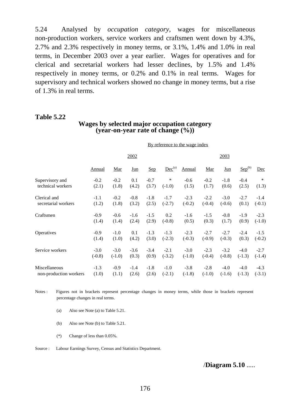5.24 Analysed by *occupation category*, wages for miscellaneous non-production workers, service workers and craftsmen went down by 4.3%, 2.7% and 2.3% respectively in money terms, or 3.1%, 1.4% and 1.0% in real terms, in December 2003 over a year earlier. Wages for operatives and for clerical and secretarial workers had lesser declines, by 1.5% and 1.4% respectively in money terms, or 0.2% and 0.1% in real terms. Wages for supervisory and technical workers showed no change in money terms, but a rise of 1.3% in real terms.

#### **Table 5.22**

#### **Wages by selected major occupation category (year-on-year rate of change (%))**

By reference to the wage index

|                        |               |            | 2002       |        |                    | 2003          |          |          |             |          |
|------------------------|---------------|------------|------------|--------|--------------------|---------------|----------|----------|-------------|----------|
|                        | <b>Annual</b> | <u>Mar</u> | <u>Jun</u> | Sep    | Dec <sup>(a)</sup> | <b>Annual</b> | Mar      | Jun      | $Sep^{(b)}$ | Dec      |
| Supervisory and        | $-0.2$        | $-0.2$     | 0.1        | $-0.7$ | $\ast$             | $-0.6$        | $-0.2$   | $-1.8$   | $-0.4$      | $\ast$   |
| technical workers      | (2.1)         | (1.8)      | (4.2)      | (3.7)  | $(-1.0)$           | (1.5)         | (1.7)    | (0.6)    | (2.5)       | (1.3)    |
| Clerical and           | $-1.1$        | $-0.2$     | $-0.8$     | $-1.8$ | $-1.7$             | $-2.3$        | $-2.2$   | $-3.0$   | $-2.7$      | $-1.4$   |
| secretarial workers    | (1.2)         | (1.8)      | (3.2)      | (2.5)  | $(-2.7)$           | $(-0.2)$      | $(-0.4)$ | $(-0.6)$ | (0.1)       | $(-0.1)$ |
| Craftsmen              | $-0.9$        | $-0.6$     | $-1.6$     | $-1.5$ | 0.2                | $-1.6$        | $-1.5$   | $-0.8$   | $-1.9$      | $-2.3$   |
|                        | (1.4)         | (1.4)      | (2.4)      | (2.9)  | $(-0.8)$           | (0.5)         | (0.3)    | (1.7)    | (0.9)       | $(-1.0)$ |
| Operatives             | $-0.9$        | $-1.0$     | 0.1        | $-1.3$ | $-1.3$             | $-2.3$        | $-2.7$   | $-2.7$   | $-2.4$      | $-1.5$   |
|                        | (1.4)         | (1.0)      | (4.2)      | (3.0)  | $(-2.3)$           | $(-0.3)$      | $(-0.9)$ | $(-0.3)$ | (0.3)       | $(-0.2)$ |
| Service workers        | $-3.0$        | $-3.0$     | $-3.6$     | $-3.4$ | $-2.1$             | $-3.0$        | $-2.3$   | $-3.2$   | $-4.0$      | $-2.7$   |
|                        | $(-0.8)$      | $(-1.0)$   | (0.3)      | (0.9)  | $(-3.2)$           | $(-1.0)$      | $(-0.4)$ | $(-0.8)$ | $(-1.3)$    | $(-1.4)$ |
| Miscellaneous          | $-1.3$        | $-0.9$     | $-1.4$     | $-1.8$ | $-1.0$             | $-3.8$        | $-2.8$   | $-4.0$   | $-4.0$      | $-4.3$   |
| non-production workers | (1.0)         | (1.1)      | (2.6)      | (2.6)  | $(-2.1)$           | $(-1.8)$      | $(-1.0)$ | $(-1.6)$ | $(-1.3)$    | $(-3.1)$ |

Notes : Figures not in brackets represent percentage changes in money terms, while those in brackets represent percentage changes in real terms.

- (a) Also see Note (a) to Table 5.21.
- (b) Also see Note (b) to Table 5.21.
- (\*) Change of less than 0.05%.

Source : Labour Earnings Survey, Census and Statistics Department.

/**Diagram 5.10** .....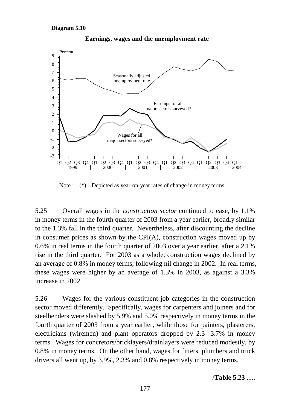

**Earnings, wages and the unemployment rate**

Note :  $(*)$  Depicted as year-on-year rates of change in money terms.

5.25 Overall wages in the *construction sector* continued to ease, by 1.1% in money terms in the fourth quarter of 2003 from a year earlier, broadly similar to the 1.3% fall in the third quarter. Nevertheless, after discounting the decline in consumer prices as shown by the CPI(A), construction wages moved up by 0.6% in real terms in the fourth quarter of 2003 over a year earlier, after a 2.1% rise in the third quarter. For 2003 as a whole, construction wages declined by an average of 0.8% in money terms, following nil change in 2002. In real terms, these wages were higher by an average of 1.3% in 2003, as against a 3.3% increase in 2002.

5.26 Wages for the various constituent job categories in the construction sector moved differently. Specifically, wages for carpenters and joiners and for steelbenders were slashed by 5.9% and 5.0% respectively in money terms in the fourth quarter of 2003 from a year earlier, while those for painters, plasterers, electricians (wiremen) and plant operators dropped by 2.3 - 3.7% in money terms. Wages for concretors/bricklayers/drainlayers were reduced modestly, by 0.8% in money terms. On the other hand, wages for fitters, plumbers and truck drivers all went up, by 3.9%, 2.3% and 0.8% respectively in money terms.

/**Table 5.23** .....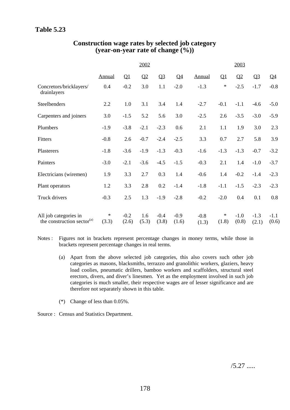|                                                                 | 2002          |                 |                |                 |                 | 2003            |                 |                 |                 |                 |
|-----------------------------------------------------------------|---------------|-----------------|----------------|-----------------|-----------------|-----------------|-----------------|-----------------|-----------------|-----------------|
|                                                                 | <b>Annual</b> | $\mathbf{Q}$    | Q <sub>2</sub> | Q <sub>3</sub>  | Q <sub>4</sub>  | Annual          | $\mathbf{Q}$    | Q <sub>2</sub>  | Q <sub>3</sub>  | $Q_4$           |
| Concretors/bricklayers/<br>drainlayers                          | 0.4           | $-0.2$          | 3.0            | 1.1             | $-2.0$          | $-1.3$          | $\ast$          | $-2.5$          | $-1.7$          | $-0.8$          |
| Steelbenders                                                    | 2.2           | 1.0             | 3.1            | 3.4             | 1.4             | $-2.7$          | $-0.1$          | $-1.1$          | $-4.6$          | $-5.0$          |
| Carpenters and joiners                                          | 3.0           | $-1.5$          | 5.2            | 5.6             | 3.0             | $-2.5$          | 2.6             | $-3.5$          | $-3.0$          | $-5.9$          |
| Plumbers                                                        | $-1.9$        | $-3.8$          | $-2.1$         | $-2.3$          | 0.6             | 2.1             | 1.1             | 1.9             | 3.0             | 2.3             |
| Fitters                                                         | $-0.8$        | 2.6             | $-0.7$         | $-2.4$          | $-2.5$          | 3.3             | 0.7             | 2.7             | 5.8             | 3.9             |
| Plasterers                                                      | $-1.8$        | $-3.6$          | $-1.9$         | $-1.3$          | $-0.3$          | $-1.6$          | $-1.3$          | $-1.3$          | $-0.7$          | $-3.2$          |
| Painters                                                        | $-3.0$        | $-2.1$          | $-3.6$         | $-4.5$          | $-1.5$          | $-0.3$          | 2.1             | 1.4             | $-1.0$          | $-3.7$          |
| Electricians (wiremen)                                          | 1.9           | 3.3             | 2.7            | 0.3             | 1.4             | $-0.6$          | 1.4             | $-0.2$          | $-1.4$          | $-2.3$          |
| Plant operators                                                 | 1.2           | 3.3             | 2.8            | 0.2             | $-1.4$          | $-1.8$          | $-1.1$          | $-1.5$          | $-2.3$          | $-2.3$          |
| Truck drivers                                                   | $-0.3$        | 2.5             | 1.3            | $-1.9$          | $-2.8$          | $-0.2$          | $-2.0$          | 0.4             | 0.1             | 0.8             |
| All job categories in<br>the construction sector <sup>(a)</sup> | ∗<br>(3.3)    | $-0.2$<br>(2.6) | 1.6<br>(5.3)   | $-0.4$<br>(3.8) | $-0.9$<br>(1.6) | $-0.8$<br>(1.3) | $\ast$<br>(1.8) | $-1.0$<br>(0.8) | $-1.3$<br>(2.1) | $-1.1$<br>(0.6) |

## **Construction wage rates by selected job category (year-on-year rate of change (%))**

Notes : Figures not in brackets represent percentage changes in money terms, while those in brackets represent percentage changes in real terms.

- (a) Apart from the above selected job categories, this also covers such other job categories as masons, blacksmiths, terrazzo and granolithic workers, glaziers, heavy load coolies, pneumatic drillers, bamboo workers and scaffolders, structural steel erectors, divers, and diver's linesmen. Yet as the employment involved in such job categories is much smaller, their respective wages are of lesser significance and are therefore not separately shown in this table.
- (\*) Change of less than 0.05%.
- Source : Census and Statistics Department.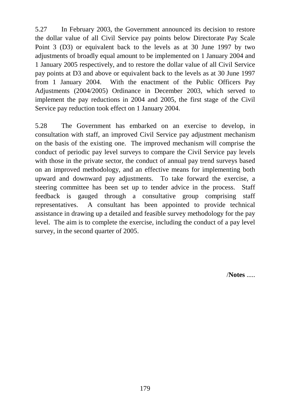5.27 In February 2003, the Government announced its decision to restore the dollar value of all Civil Service pay points below Directorate Pay Scale Point 3 (D3) or equivalent back to the levels as at 30 June 1997 by two adjustments of broadly equal amount to be implemented on 1 January 2004 and 1 January 2005 respectively, and to restore the dollar value of all Civil Service pay points at D3 and above or equivalent back to the levels as at 30 June 1997 from 1 January 2004. With the enactment of the Public Officers Pay Adjustments (2004/2005) Ordinance in December 2003, which served to implement the pay reductions in 2004 and 2005, the first stage of the Civil Service pay reduction took effect on 1 January 2004.

5.28 The Government has embarked on an exercise to develop, in consultation with staff, an improved Civil Service pay adjustment mechanism on the basis of the existing one. The improved mechanism will comprise the conduct of periodic pay level surveys to compare the Civil Service pay levels with those in the private sector, the conduct of annual pay trend surveys based on an improved methodology, and an effective means for implementing both upward and downward pay adjustments. To take forward the exercise, a steering committee has been set up to tender advice in the process. Staff feedback is gauged through a consultative group comprising staff representatives. A consultant has been appointed to provide technical assistance in drawing up a detailed and feasible survey methodology for the pay level. The aim is to complete the exercise, including the conduct of a pay level survey, in the second quarter of 2005.

/**Notes** .....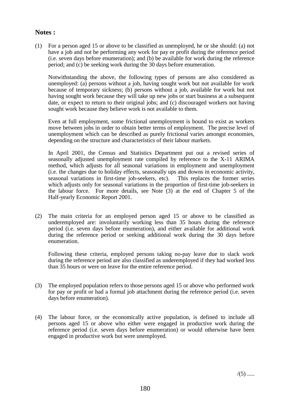#### **Notes :**

(1) For a person aged 15 or above to be classified as unemployed, he or she should: (a) not have a job and not be performing any work for pay or profit during the reference period (i.e. seven days before enumeration); and (b) be available for work during the reference period; and (c) be seeking work during the 30 days before enumeration.

Notwithstanding the above, the following types of persons are also considered as unemployed: (a) persons without a job, having sought work but not available for work because of temporary sickness; (b) persons without a job, available for work but not having sought work because they will take up new jobs or start business at a subsequent date, or expect to return to their original jobs; and (c) discouraged workers not having sought work because they believe work is not available to them.

Even at full employment, some frictional unemployment is bound to exist as workers move between jobs in order to obtain better terms of employment. The precise level of unemployment which can be described as purely frictional varies amongst economies, depending on the structure and characteristics of their labour markets.

In April 2001, the Census and Statistics Department put out a revised series of seasonally adjusted unemployment rate compiled by reference to the X-11 ARIMA method, which adjusts for all seasonal variations in employment and unemployment (i.e. the changes due to holiday effects, seasonally ups and downs in economic activity, seasonal variations in first-time job-seekers, etc). This replaces the former series which adjusts only for seasonal variations in the proportion of first-time job-seekers in the labour force. For more details, see Note (3) at the end of Chapter 5 of the Half-yearly Economic Report 2001.

(2) The main criteria for an employed person aged 15 or above to be classified as underemployed are: involuntarily working less than 35 hours during the reference period (i.e. seven days before enumeration), and either available for additional work during the reference period or seeking additional work during the 30 days before enumeration.

Following these criteria, employed persons taking no-pay leave due to slack work during the reference period are also classified as underemployed if they had worked less than 35 hours or were on leave for the entire reference period.

- (3) The employed population refers to those persons aged 15 or above who performed work for pay or profit or had a formal job attachment during the reference period (i.e. seven days before enumeration).
- (4) The labour force, or the economically active population, is defined to include all persons aged 15 or above who either were engaged in productive work during the reference period (i.e. seven days before enumeration) or would otherwise have been engaged in productive work but were unemployed.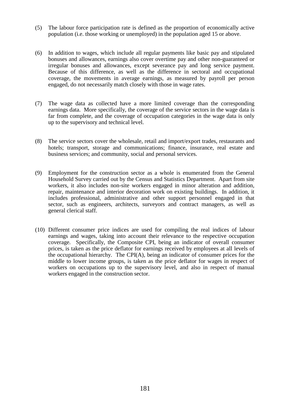- (5) The labour force participation rate is defined as the proportion of economically active population (i.e. those working or unemployed) in the population aged 15 or above.
- (6) In addition to wages, which include all regular payments like basic pay and stipulated bonuses and allowances, earnings also cover overtime pay and other non-guaranteed or irregular bonuses and allowances, except severance pay and long service payment. Because of this difference, as well as the difference in sectoral and occupational coverage, the movements in average earnings, as measured by payroll per person engaged, do not necessarily match closely with those in wage rates.
- (7) The wage data as collected have a more limited coverage than the corresponding earnings data. More specifically, the coverage of the service sectors in the wage data is far from complete, and the coverage of occupation categories in the wage data is only up to the supervisory and technical level.
- (8) The service sectors cover the wholesale, retail and import/export trades, restaurants and hotels; transport, storage and communications; finance, insurance, real estate and business services; and community, social and personal services.
- (9) Employment for the construction sector as a whole is enumerated from the General Household Survey carried out by the Census and Statistics Department. Apart from site workers, it also includes non-site workers engaged in minor alteration and addition, repair, maintenance and interior decoration work on existing buildings. In addition, it includes professional, administrative and other support personnel engaged in that sector, such as engineers, architects, surveyors and contract managers, as well as general clerical staff.
- (10) Different consumer price indices are used for compiling the real indices of labour earnings and wages, taking into account their relevance to the respective occupation coverage. Specifically, the Composite CPI, being an indicator of overall consumer prices, is taken as the price deflator for earnings received by employees at all levels of the occupational hierarchy. The CPI(A), being an indicator of consumer prices for the middle to lower income groups, is taken as the price deflator for wages in respect of workers on occupations up to the supervisory level, and also in respect of manual workers engaged in the construction sector.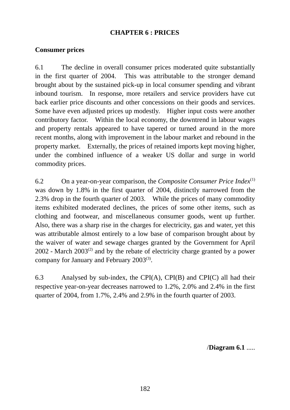# **CHAPTER 6 : PRICES**

# **Consumer prices**

6.1 The decline in overall consumer prices moderated quite substantially in the first quarter of 2004. This was attributable to the stronger demand brought about by the sustained pick-up in local consumer spending and vibrant inbound tourism. In response, more retailers and service providers have cut back earlier price discounts and other concessions on their goods and services. Some have even adjusted prices up modestly. Higher input costs were another contributory factor. Within the local economy, the downtrend in labour wages and property rentals appeared to have tapered or turned around in the more recent months, along with improvement in the labour market and rebound in the property market. Externally, the prices of retained imports kept moving higher, under the combined influence of a weaker US dollar and surge in world commodity prices.

6.2 On a year-on-year comparison, the *Composite Consumer Price Index*(1) was down by 1.8% in the first quarter of 2004, distinctly narrowed from the 2.3% drop in the fourth quarter of 2003. While the prices of many commodity items exhibited moderated declines, the prices of some other items, such as clothing and footwear, and miscellaneous consumer goods, went up further. Also, there was a sharp rise in the charges for electricity, gas and water, yet this was attributable almost entirely to a low base of comparison brought about by the waiver of water and sewage charges granted by the Government for April  $2002$  - March  $2003^{(2)}$  and by the rebate of electricity charge granted by a power company for January and February 2003(3).

6.3 Analysed by sub-index, the CPI(A), CPI(B) and CPI(C) all had their respective year-on-year decreases narrowed to 1.2%, 2.0% and 2.4% in the first quarter of 2004, from 1.7%, 2.4% and 2.9% in the fourth quarter of 2003.

/**Diagram 6.1** .....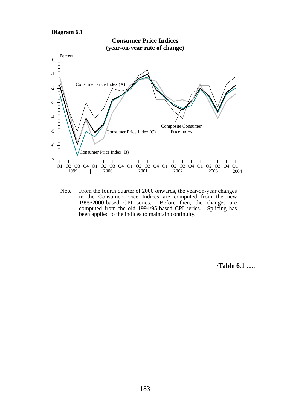#### **Diagram 6.1**



Note : From the fourth quarter of 2000 onwards, the year-on-year changes in the Consumer Price Indices are computed from the new 1999/2000-based CPI series. Before then, the changes are computed from the old 1994/95-based CPI series. Splicing has been applied to the indices to maintain continuity.

/**Table 6.1** .....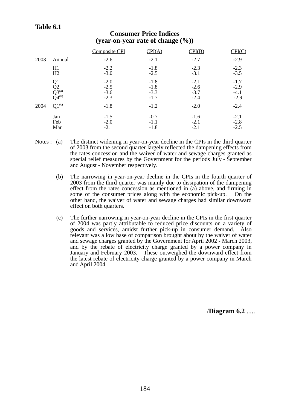#### **Table 6.1**

| 2003 | Annual                | <b>Composite CPI</b><br>$-2.6$ | CPI(A)<br>$-2.1$ | CPI(B)<br>$-2.7$ | CPI(C)<br>$-2.9$ |
|------|-----------------------|--------------------------------|------------------|------------------|------------------|
|      | H1                    | $-2.2$                         | $-1.8$           | $-2.3$           | $-2.3$           |
|      | H2                    | $-3.0$                         | $-2.5$           | $-3.1$           | $-3.5$           |
|      | Q1                    | $-2.0$                         | $-1.8$           | $-2.1$           | $-1.7$           |
|      | Q2                    | $-2.5$                         | $-1.8$           | $-2.6$           | $-2.9$           |
|      | $\overline{Q}3^{(a)}$ | $-3.6$                         | $-3.3$           | $-3.7$           | $-4.1$           |
|      | $\tilde{Q}4^{(b)}$    | $-2.3$                         | $-1.7$           | $-2.4$           | $-2.9$           |
| 2004 | $Q1^{(c)}$            | $-1.8$                         | $-1.2$           | $-2.0$           | $-2.4$           |
|      | Jan                   | $-1.5$                         | $-0.7$           | $-1.6$           | $-2.1$           |
|      | Feb                   | $-2.0$                         | $-1.1$           | $-2.1$           | $-2.8$           |
|      | Mar                   | $-2.1$                         | $-1.8$           | $-2.1$           | $-2.5$           |

#### **Consumer Price Indices (year-on-year rate of change (%))**

- Notes : (a) The distinct widening in year-on-year decline in the CPIs in the third quarter of 2003 from the second quarter largely reflected the dampening effects from the rates concession and the waiver of water and sewage charges granted as special relief measures by the Government for the periods July - September and August - November respectively.
	- (b) The narrowing in year-on-year decline in the CPIs in the fourth quarter of 2003 from the third quarter was mainly due to dissipation of the dampening effect from the rates concession as mentioned in (a) above, and firming in some of the consumer prices along with the economic pick-up. On the other hand, the waiver of water and sewage charges had similar downward effect on both quarters.
	- (c) The further narrowing in year-on-year decline in the CPIs in the first quarter of 2004 was partly attributable to reduced price discounts on a variety of goods and services, amidst further pick-up in consumer demand. Also relevant was a low base of comparison brought about by the waiver of water and sewage charges granted by the Government for April 2002 - March 2003, and by the rebate of electricity charge granted by a power company in January and February 2003. These outweighed the downward effect from the latest rebate of electricity charge granted by a power company in March and April 2004.

/**Diagram 6.2** .....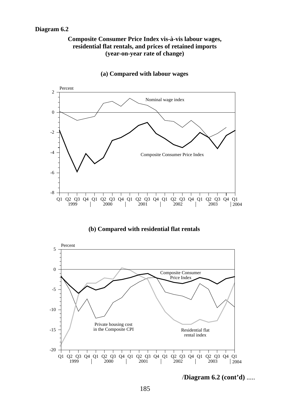#### **Diagram 6.2**

#### **Composite Consumer Price Index vis-à-vis labour wages, residential flat rentals, and prices of retained imports (year-on-year rate of change)**



**(a) Compared with labour wages**

#### **(b) Compared with residential flat rentals**



/**Diagram 6.2 (cont'd)** .....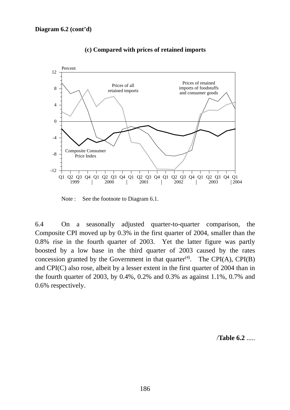

**(c) Compared with prices of retained imports**

Note : See the footnote to Diagram 6.1.

6.4 On a seasonally adjusted quarter-to-quarter comparison, the Composite CPI moved up by 0.3% in the first quarter of 2004, smaller than the 0.8% rise in the fourth quarter of 2003. Yet the latter figure was partly boosted by a low base in the third quarter of 2003 caused by the rates concession granted by the Government in that quarter<sup> $(4)$ </sup>. The CPI(A), CPI(B) and CPI(C) also rose, albeit by a lesser extent in the first quarter of 2004 than in the fourth quarter of 2003, by 0.4%, 0.2% and 0.3% as against 1.1%, 0.7% and 0.6% respectively.

/**Table 6.2** .....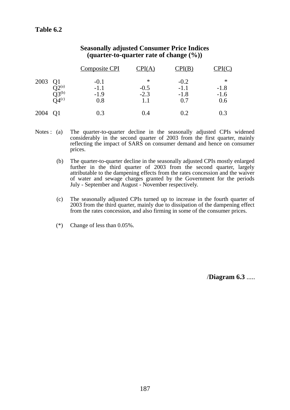|         |                         | <b>Composite CPI</b> | CPI(A)      | CPI(B)           | CPI(C)           |
|---------|-------------------------|----------------------|-------------|------------------|------------------|
| 2003    | Q1<br>$O2^{(a)}$        | $-0.1$<br>$-1.1$     | ∗<br>$-0.5$ | $-0.2$<br>$-1.1$ | $\ast$<br>$-1.8$ |
|         | $Q^{3^{(b)}}_{9^{(c)}}$ | $-1.9$<br>$0.8\,$    | $-2.3$      | $-1.8$<br>0.7    | $-1.6$<br>0.6    |
| 2004 Q1 |                         | 0.3                  | 0.4         | 0.2              | 0.3              |

#### **Seasonally adjusted Consumer Price Indices (quarter-to-quarter rate of change (%))**

- Notes : (a) The quarter-to-quarter decline in the seasonally adjusted CPIs widened considerably in the second quarter of 2003 from the first quarter, mainly reflecting the impact of SARS on consumer demand and hence on consumer prices.
	- (b) The quarter-to-quarter decline in the seasonally adjusted CPIs mostly enlarged further in the third quarter of 2003 from the second quarter, largely attributable to the dampening effects from the rates concession and the waiver of water and sewage charges granted by the Government for the periods July - September and August - November respectively.
	- (c) The seasonally adjusted CPIs turned up to increase in the fourth quarter of 2003 from the third quarter, mainly due to dissipation of the dampening effect from the rates concession, and also firming in some of the consumer prices.
	- (\*) Change of less than 0.05%.

/**Diagram 6.3** .....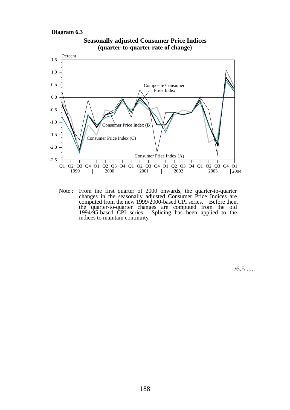#### **Diagram 6.3**



**Seasonally adjusted Consumer Price Indices (quarter-to-quarter rate of change)** 

Note : From the first quarter of 2000 onwards, the quarter-to-quarter changes in the seasonally adjusted Consumer Price Indices are computed from the new  $1999/2000$ -based CPI series. Before then, the quarter-to-quarter changes are computed from the old 1994/95-based CPI series. Splicing has been applied to the indices to maintain continuity.

 $/6.5$  .....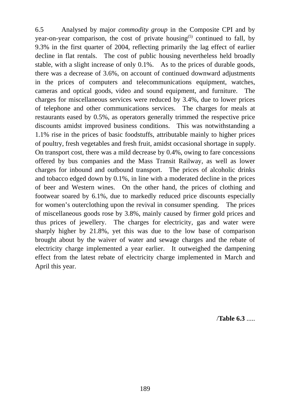6.5 Analysed by major *commodity group* in the Composite CPI and by year-on-year comparison, the cost of private housing<sup>(5)</sup> continued to fall, by 9.3% in the first quarter of 2004, reflecting primarily the lag effect of earlier decline in flat rentals. The cost of public housing nevertheless held broadly stable, with a slight increase of only 0.1%. As to the prices of durable goods, there was a decrease of 3.6%, on account of continued downward adjustments in the prices of computers and telecommunications equipment, watches, cameras and optical goods, video and sound equipment, and furniture. The charges for miscellaneous services were reduced by 3.4%, due to lower prices of telephone and other communications services. The charges for meals at restaurants eased by 0.5%, as operators generally trimmed the respective price discounts amidst improved business conditions. This was notwithstanding a 1.1% rise in the prices of basic foodstuffs, attributable mainly to higher prices of poultry, fresh vegetables and fresh fruit, amidst occasional shortage in supply. On transport cost, there was a mild decrease by 0.4%, owing to fare concessions offered by bus companies and the Mass Transit Railway, as well as lower charges for inbound and outbound transport. The prices of alcoholic drinks and tobacco edged down by 0.1%, in line with a moderated decline in the prices of beer and Western wines. On the other hand, the prices of clothing and footwear soared by 6.1%, due to markedly reduced price discounts especially for women's outerclothing upon the revival in consumer spending. The prices of miscellaneous goods rose by 3.8%, mainly caused by firmer gold prices and thus prices of jewellery. The charges for electricity, gas and water were sharply higher by 21.8%, yet this was due to the low base of comparison brought about by the waiver of water and sewage charges and the rebate of electricity charge implemented a year earlier. It outweighed the dampening effect from the latest rebate of electricity charge implemented in March and April this year.

/**Table 6.3** .....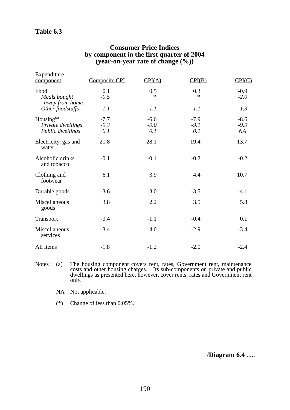## **Table 6.3**

| Expenditure<br>component                                  | <b>Composite CPI</b>    | CPI(A)                  | CPI(B)                  | CPI(C)                 |
|-----------------------------------------------------------|-------------------------|-------------------------|-------------------------|------------------------|
| Food<br>Meals bought<br>away from home                    | 0.1<br>$-0.5$           | 0.5<br>$\ast$           | 0.3<br>∗                | $-0.9$<br>$-2.0$       |
| Other foodstuffs                                          | 1.1                     | 1.1                     | 1.1                     | 1.3                    |
| Housing $^{(a)}$<br>Private dwellings<br>Public dwellings | $-7.7$<br>$-9.3$<br>0.1 | $-6.6$<br>$-9.0$<br>0.1 | $-7.9$<br>$-9.1$<br>0.1 | $-8.6$<br>$-9.9$<br>NA |
| Electricity, gas and<br>water                             | 21.8                    | 28.1                    | 19.4                    | 13.7                   |
| Alcoholic drinks<br>and tobacco                           | $-0.1$                  | $-0.1$                  | $-0.2$                  | $-0.2$                 |
| Clothing and<br>footwear                                  | 6.1                     | 3.9                     | 4.4                     | 10.7                   |
| Durable goods                                             | $-3.6$                  | $-3.0$                  | $-3.5$                  | $-4.1$                 |
| Miscellaneous<br>goods                                    | 3.8                     | 2.2                     | 3.5                     | 5.8                    |
| Transport                                                 | $-0.4$                  | $-1.1$                  | $-0.4$                  | 0.1                    |
| Miscellaneous<br>services                                 | $-3.4$                  | $-4.0$                  | $-2.9$                  | $-3.4$                 |
| All items                                                 | $-1.8$                  | $-1.2$                  | $-2.0$                  | $-2.4$                 |

#### **Consumer Price Indices by component in the first quarter of 2004 (year-on-year rate of change (%))**

- Notes : (a) The housing component covers rent, rates, Government rent, maintenance costs and other housing charges. Its sub-components on private and public dwellings as presented here, however, cover rents, rates and Government rent only.
	- NA Not applicable.
	- (\*) Change of less than 0.05%.

/**Diagram 6.4** .....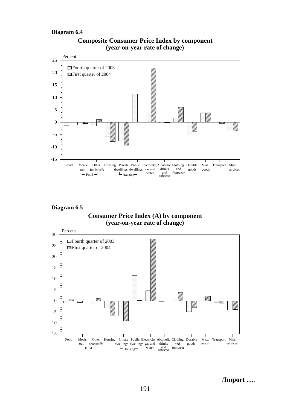#### **Diagram 6.4**



#### **Composite Consumer Price Index by component (year-on-year rate of change)**

**Diagram 6.5**





/**Import** .....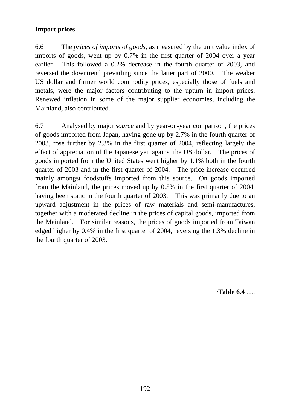# **Import prices**

6.6 The *prices of imports of goods*, as measured by the unit value index of imports of goods, went up by 0.7% in the first quarter of 2004 over a year earlier. This followed a 0.2% decrease in the fourth quarter of 2003, and reversed the downtrend prevailing since the latter part of 2000. The weaker US dollar and firmer world commodity prices, especially those of fuels and metals, were the major factors contributing to the upturn in import prices. Renewed inflation in some of the major supplier economies, including the Mainland, also contributed.

6.7 Analysed by major *source* and by year-on-year comparison, the prices of goods imported from Japan, having gone up by 2.7% in the fourth quarter of 2003, rose further by 2.3% in the first quarter of 2004, reflecting largely the effect of appreciation of the Japanese yen against the US dollar. The prices of goods imported from the United States went higher by 1.1% both in the fourth quarter of 2003 and in the first quarter of 2004. The price increase occurred mainly amongst foodstuffs imported from this source. On goods imported from the Mainland, the prices moved up by 0.5% in the first quarter of 2004, having been static in the fourth quarter of 2003. This was primarily due to an upward adjustment in the prices of raw materials and semi-manufactures, together with a moderated decline in the prices of capital goods, imported from the Mainland. For similar reasons, the prices of goods imported from Taiwan edged higher by 0.4% in the first quarter of 2004, reversing the 1.3% decline in the fourth quarter of 2003.

/**Table 6.4** .....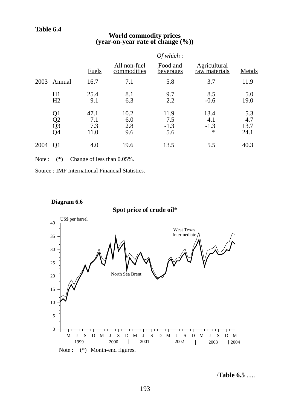## **Table 6.4**

# **World commodity prices (year-on-year rate of change (%))**

|      |                                              |                            |                             | Of which:                    |                                 |                            |
|------|----------------------------------------------|----------------------------|-----------------------------|------------------------------|---------------------------------|----------------------------|
|      |                                              | <b>Fuels</b>               | All non-fuel<br>commodities | Food and<br><u>beverages</u> | Agricultural<br>raw materials   | Metals                     |
| 2003 | Annual                                       | 16.7                       | 7.1                         | 5.8                          | 3.7                             | 11.9                       |
|      | H1<br>H <sub>2</sub>                         | 25.4<br>9.1                | 8.1<br>6.3                  | 9.7<br>2.2                   | 8.5<br>$-0.6$                   | 5.0<br>19.0                |
|      | Q <sub>1</sub><br>Q <sub>2</sub><br>Q3<br>Q4 | 47.1<br>7.1<br>7.3<br>11.0 | 10.2<br>6.0<br>2.8<br>9.6   | 11.9<br>7.5<br>$-1.3$<br>5.6 | 13.4<br>4.1<br>$-1.3$<br>$\ast$ | 5.3<br>4.7<br>13.7<br>24.1 |
| 2004 | Q1                                           | 4.0                        | 19.6                        | 13.5                         | 5.5                             | 40.3                       |

Note :  $(*)$  Change of less than 0.05%.

Source : IMF International Financial Statistics.



**Diagram 6.6**

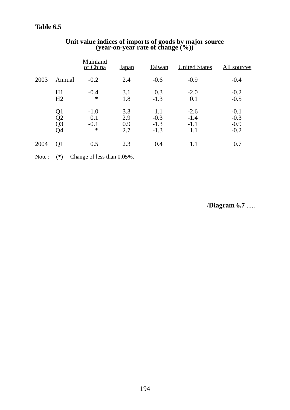|      |                                              | Mainland<br>of China              | <b>Japan</b>             | Taiwan                            | <b>United States</b>              | <u>All sources</u>                   |
|------|----------------------------------------------|-----------------------------------|--------------------------|-----------------------------------|-----------------------------------|--------------------------------------|
| 2003 | Annual                                       | $-0.2$                            | 2.4                      | $-0.6$                            | $-0.9$                            | $-0.4$                               |
|      | H1<br>H <sub>2</sub>                         | $-0.4$<br>$\ast$                  | 3.1<br>1.8               | 0.3<br>$-1.3$                     | $-2.0$<br>0.1                     | $-0.2$<br>$-0.5$                     |
|      | Q <sub>1</sub><br>Q2<br>Q <sub>3</sub><br>Q4 | $-1.0$<br>0.1<br>$-0.1$<br>$\ast$ | 3.3<br>2.9<br>0.9<br>2.7 | 1.1<br>$-0.3$<br>$-1.3$<br>$-1.3$ | $-2.6$<br>$-1.4$<br>$-1.1$<br>1.1 | $-0.1$<br>$-0.3$<br>$-0.9$<br>$-0.2$ |
| 2004 | Q <sub>1</sub>                               | 0.5                               | 2.3                      | 0.4                               | 1.1                               | 0.7                                  |

# **Unit value indices of imports of goods by major source (year-on-year rate of change (%))**

Note :  $(*)$  Change of less than 0.05%.

/**Diagram 6.7** .....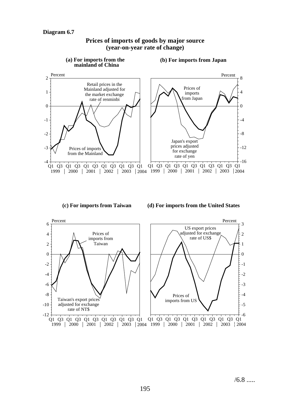

#### **Prices of imports of goods by major source (year-on-year rate of change)**

**(c) For imports from Taiwan**

**(d) For imports from the United States**

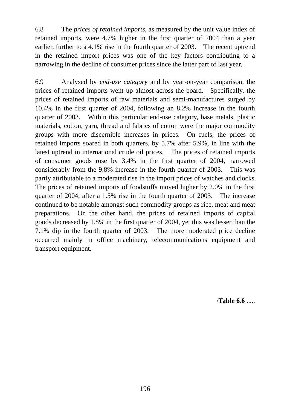6.8 The *prices of retained imports*, as measured by the unit value index of retained imports, were 4.7% higher in the first quarter of 2004 than a year earlier, further to a 4.1% rise in the fourth quarter of 2003. The recent uptrend in the retained import prices was one of the key factors contributing to a narrowing in the decline of consumer prices since the latter part of last year.

6.9 Analysed by *end-use category* and by year-on-year comparison, the prices of retained imports went up almost across-the-board. Specifically, the prices of retained imports of raw materials and semi-manufactures surged by 10.4% in the first quarter of 2004, following an 8.2% increase in the fourth quarter of 2003. Within this particular end-use category, base metals, plastic materials, cotton, yarn, thread and fabrics of cotton were the major commodity groups with more discernible increases in prices. On fuels, the prices of retained imports soared in both quarters, by 5.7% after 5.9%, in line with the latest uptrend in international crude oil prices. The prices of retained imports of consumer goods rose by 3.4% in the first quarter of 2004, narrowed considerably from the 9.8% increase in the fourth quarter of 2003. This was partly attributable to a moderated rise in the import prices of watches and clocks. The prices of retained imports of foodstuffs moved higher by 2.0% in the first quarter of 2004, after a 1.5% rise in the fourth quarter of 2003. The increase continued to be notable amongst such commodity groups as rice, meat and meat preparations. On the other hand, the prices of retained imports of capital goods decreased by 1.8% in the first quarter of 2004, yet this was lesser than the 7.1% dip in the fourth quarter of 2003. The more moderated price decline occurred mainly in office machinery, telecommunications equipment and transport equipment.

/**Table 6.6** .....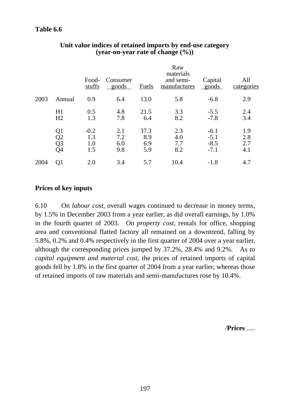|      |                                                       | Food-<br>stuffs             | Consumer<br>goods        | <b>Fuels</b>              | Raw<br>materials<br>and semi-<br>manufactures | Capital<br>goods                     | All<br>categories        |
|------|-------------------------------------------------------|-----------------------------|--------------------------|---------------------------|-----------------------------------------------|--------------------------------------|--------------------------|
| 2003 | Annual                                                | 0.9                         | 6.4                      | 13.0                      | 5.8                                           | $-6.8$                               | 2.9                      |
|      | H1<br>H2                                              | 0.5<br>1.3                  | 4.8<br>7.8               | 21.5<br>6.4               | 3.3<br>8.2                                    | $-5.5$<br>$-7.8$                     | 2.4<br>3.4               |
|      | Q1<br>$\tilde{Q2}$<br>$\tilde{Q}3$<br>$\overline{Q}4$ | $-0.2$<br>1.3<br>1.0<br>1.5 | 2.1<br>7.2<br>6.0<br>9.8 | 37.3<br>8.9<br>6.9<br>5.9 | 2.3<br>4.0<br>7.7<br>8.2                      | $-6.1$<br>$-5.1$<br>$-8.5$<br>$-7.1$ | 1.9<br>2.8<br>2.7<br>4.1 |
| 2004 | Q1                                                    | 2.0                         | 3.4                      | 5.7                       | 10.4                                          | $-1.8$                               | 4.7                      |

### **Unit value indices of retained imports by end-use category (year-on-year rate of change (%))**

# **Prices of key inputs**

6.10 On *labour cost*, overall wages continued to decrease in money terms, by 1.5% in December 2003 from a year earlier, as did overall earnings, by 1.0% in the fourth quarter of 2003. On *property cost*, rentals for office, shopping area and conventional flatted factory all remained on a downtrend, falling by 5.8%, 0.2% and 0.4% respectively in the first quarter of 2004 over a year earlier, although the corresponding prices jumped by 37.2%, 28.4% and 9.2%. As to *capital equipment and material cost*, the prices of retained imports of capital goods fell by 1.8% in the first quarter of 2004 from a year earlier, whereas those of retained imports of raw materials and semi-manufactures rose by 10.4%.

/**Prices** .....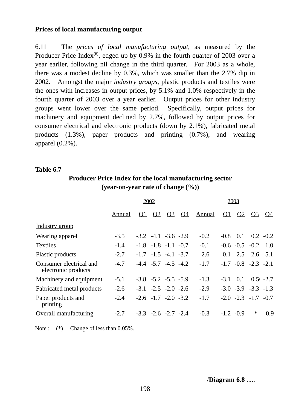## **Prices of local manufacturing output**

6.11 The *prices of local manufacturing output*, as measured by the Producer Price Index<sup>(6)</sup>, edged up by  $0.9\%$  in the fourth quarter of 2003 over a year earlier, following nil change in the third quarter. For 2003 as a whole, there was a modest decline by 0.3%, which was smaller than the 2.7% dip in 2002. Amongst the major *industry groups*, plastic products and textiles were the ones with increases in output prices, by 5.1% and 1.0% respectively in the fourth quarter of 2003 over a year earlier. Output prices for other industry groups went lower over the same period. Specifically, output prices for machinery and equipment declined by 2.7%, followed by output prices for consumer electrical and electronic products (down by 2.1%), fabricated metal products (1.3%), paper products and printing (0.7%), and wearing apparel (0.2%).

#### **Table 6.7**

# **Producer Price Index for the local manufacturing sector (year-on-year rate of change (%))**

|                                                | 2002          |  |                             |           | 2003      |               |          |                |                             |             |
|------------------------------------------------|---------------|--|-----------------------------|-----------|-----------|---------------|----------|----------------|-----------------------------|-------------|
|                                                | <b>Annual</b> |  | $Q1 \t Q2$                  | <u>Q3</u> | <u>O4</u> | <b>Annual</b> | $\Omega$ | Q <sub>2</sub> | <u>O3</u>                   | <u>04</u>   |
| Industry group                                 |               |  |                             |           |           |               |          |                |                             |             |
| Wearing apparel                                | $-3.5$        |  | $-3.2$ $-4.1$ $-3.6$ $-2.9$ |           |           | $-0.2$        |          | $-0.8$ 0.1     | $0.2 - 0.2$                 |             |
| <b>Textiles</b>                                | $-1.4$        |  | $-1.8$ $-1.8$ $-1.1$ $-0.7$ |           |           | $-0.1$        |          |                | $-0.6$ $-0.5$ $-0.2$ 1.0    |             |
| Plastic products                               | $-2.7$        |  | $-1.7$ $-1.5$ $-4.1$ $-3.7$ |           |           | 2.6           | 0.1      |                | $2.5$ $2.6$ $5.1$           |             |
| Consumer electrical and<br>electronic products | $-4.7$        |  | $-4.4$ $-5.7$ $-4.5$ $-4.2$ |           |           | $-1.7$        |          |                | $-1.7$ $-0.8$ $-2.3$ $-2.1$ |             |
| Machinery and equipment                        | $-5.1$        |  | $-3.8$ $-5.2$ $-5.5$ $-5.9$ |           |           | $-1.3$        | $-3.1$   | 0.1            |                             | $0.5 - 2.7$ |
| Fabricated metal products                      | $-2.6$        |  | $-3.1$ $-2.5$ $-2.0$ $-2.6$ |           |           | $-2.9$        |          |                | $-3.0$ $-3.9$ $-3.3$ $-1.3$ |             |
| Paper products and<br>printing                 | $-2.4$        |  | $-2.6$ $-1.7$ $-2.0$ $-3.2$ |           |           | $-1.7$        |          |                | $-2.0$ $-2.3$ $-1.7$ $-0.7$ |             |
| Overall manufacturing                          | $-2.7$        |  | $-3.3$ $-2.6$ $-2.7$ $-2.4$ |           |           | $-0.3$        |          | $-1.2 -0.9$    | ∗                           | 0.9         |

Note :  $(*)$  Change of less than 0.05%.

/**Diagram 6.8** .....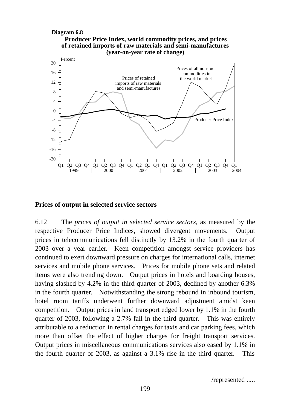#### **Producer Price Index, world commodity prices, and prices (year-on-year rate of change)** Q1 Q2 Q3 Q4 Q1 Q2 Q3 Q4 Q1 Q2 Q3 Q4 Q1 Q2 Q3 Q4 Q1 Q2 Q3 Q4 Q1 1999 | 2000 | 2001 | 2002 | 2003 | 200 0 4 8 12 16 20 -4 -8 -12 -16 -20 Percent **Diagram 6.8 of retained imports of raw materials and semi-manufactures** Prices of all non-fuel commodities in Prices of retained the world market imports of raw materials and semi-manufactures Producer Price Index  $\mid$  2004

#### **Prices of output in selected service sectors**

6.12 The *prices of output in selected service sectors*, as measured by the respective Producer Price Indices, showed divergent movements. Output prices in telecommunications fell distinctly by 13.2% in the fourth quarter of 2003 over a year earlier. Keen competition amongst service providers has continued to exert downward pressure on charges for international calls, internet services and mobile phone services. Prices for mobile phone sets and related items were also trending down. Output prices in hotels and boarding houses, having slashed by 4.2% in the third quarter of 2003, declined by another 6.3% in the fourth quarter. Notwithstanding the strong rebound in inbound tourism, hotel room tariffs underwent further downward adjustment amidst keen competition. Output prices in land transport edged lower by 1.1% in the fourth quarter of 2003, following a 2.7% fall in the third quarter. This was entirely attributable to a reduction in rental charges for taxis and car parking fees, which more than offset the effect of higher charges for freight transport services. Output prices in miscellaneous communications services also eased by 1.1% in the fourth quarter of 2003, as against a 3.1% rise in the third quarter. This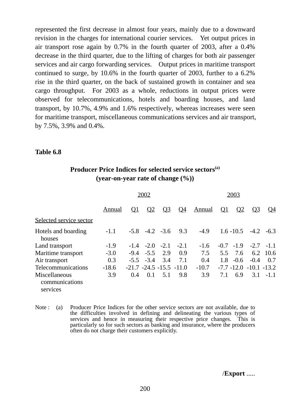represented the first decrease in almost four years, mainly due to a downward revision in the charges for international courier services. Yet output prices in air transport rose again by 0.7% in the fourth quarter of 2003, after a 0.4% decrease in the third quarter, due to the lifting of charges for both air passenger services and air cargo forwarding services. Output prices in maritime transport continued to surge, by 10.6% in the fourth quarter of 2003, further to a 6.2% rise in the third quarter, on the back of sustained growth in container and sea cargo throughput. For 2003 as a whole, reductions in output prices were observed for telecommunications, hotels and boarding houses, and land transport, by 10.7%, 4.9% and 1.6% respectively, whereas increases were seen for maritime transport, miscellaneous communications services and air transport, by 7.5%, 3.9% and 0.4%.

#### **Table 6.8**

# Producer Price Indices for selected service sectors<sup>(a)</sup> **(year-on-year rate of change (%))**

|                                             |         | 2002     |             |                                 |        |               | 2003      |              |                             |             |
|---------------------------------------------|---------|----------|-------------|---------------------------------|--------|---------------|-----------|--------------|-----------------------------|-------------|
|                                             | Annual  | $\Omega$ | $\Omega$    | $Q_3$                           | $Q_4$  | <u>Annual</u> | <u>O1</u> | $\Omega$     | $\Omega$                    | <u>Q4</u>   |
| Selected service sector                     |         |          |             |                                 |        |               |           |              |                             |             |
| Hotels and boarding<br>houses               | $-1.1$  |          |             | $-5.8$ $-4.2$ $-3.6$            | 9.3    | $-4.9$        |           | $1.6 - 10.5$ |                             | $-4.2 -6.3$ |
| Land transport                              | $-1.9$  |          |             | $-1.4$ $-2.0$ $-2.1$            | $-2.1$ | $-1.6$        |           | $-0.7 -1.9$  |                             | $-2.7 -1.1$ |
| Maritime transport                          | $-3.0$  | $-9.4$   | $-5.5$      | 2.9                             | 0.9    | 7.5           | 5.5       | 7.6          | 6.2                         | -10.6       |
| Air transport                               | 0.3     |          | $-5.5 -3.4$ | 3.4                             | 7.1    | 0.4           | 1.8       | $-0.6$       | $-0.4$                      | 0.7         |
| Telecommunications                          | $-18.6$ |          |             | $-21.7$ $-24.5$ $-15.5$ $-11.0$ |        | $-10.7$       |           |              | $-7.7 - 12.0 - 10.1 - 13.2$ |             |
| Miscellaneous<br>communications<br>services | 3.9     | 0.4      | 0.1         | 5.1                             | 9.8    | 3.9           | 7.1       | 6.9          |                             | $3.1 - 1.1$ |

Note : (a) Producer Price Indices for the other service sectors are not available, due to the difficulties involved in defining and delineating the various types of services and hence in measuring their respective price changes. This is particularly so for such sectors as banking and insurance, where the producers often do not charge their customers explicitly.

/**Export** .....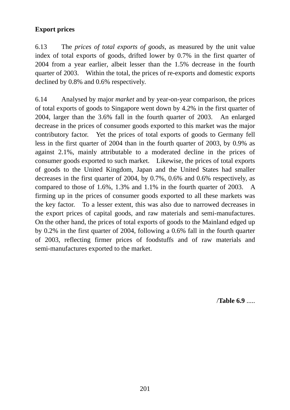# **Export prices**

6.13 The *prices of total exports of goods*, as measured by the unit value index of total exports of goods, drifted lower by 0.7% in the first quarter of 2004 from a year earlier, albeit lesser than the 1.5% decrease in the fourth quarter of 2003. Within the total, the prices of re-exports and domestic exports declined by 0.8% and 0.6% respectively.

6.14 Analysed by major *market* and by year-on-year comparison, the prices of total exports of goods to Singapore went down by 4.2% in the first quarter of 2004, larger than the 3.6% fall in the fourth quarter of 2003. An enlarged decrease in the prices of consumer goods exported to this market was the major contributory factor. Yet the prices of total exports of goods to Germany fell less in the first quarter of 2004 than in the fourth quarter of 2003, by 0.9% as against 2.1%, mainly attributable to a moderated decline in the prices of consumer goods exported to such market. Likewise, the prices of total exports of goods to the United Kingdom, Japan and the United States had smaller decreases in the first quarter of 2004, by 0.7%, 0.6% and 0.6% respectively, as compared to those of 1.6%, 1.3% and 1.1% in the fourth quarter of 2003. A firming up in the prices of consumer goods exported to all these markets was the key factor. To a lesser extent, this was also due to narrowed decreases in the export prices of capital goods, and raw materials and semi-manufactures. On the other hand, the prices of total exports of goods to the Mainland edged up by 0.2% in the first quarter of 2004, following a 0.6% fall in the fourth quarter of 2003, reflecting firmer prices of foodstuffs and of raw materials and semi-manufactures exported to the market.

/**Table 6.9** .....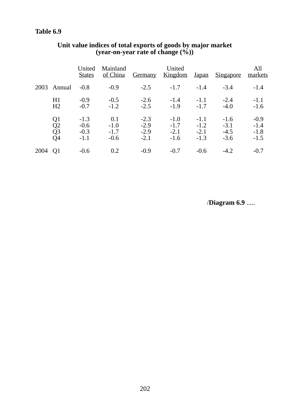# **Table 6.9**

|      |                                                            | United<br><b>States</b>              | Mainland<br>of China              | <b>Germany</b>                       | United<br><u>Kingdom</u>             | <u>Japan</u>                         | <u>Singapore</u>                     | All<br>markets                       |
|------|------------------------------------------------------------|--------------------------------------|-----------------------------------|--------------------------------------|--------------------------------------|--------------------------------------|--------------------------------------|--------------------------------------|
|      | 2003 Annual                                                | $-0.8$                               | $-0.9$                            | $-2.5$                               | $-1.7$                               | $-1.4$                               | $-3.4$                               | $-1.4$                               |
|      | H1<br>H2                                                   | $-0.9$<br>$-0.7$                     | $-0.5$<br>$-1.2$                  | $-2.6$<br>$-2.5$                     | $-1.4$<br>$-1.9$                     | $-1.1$<br>$-1.7$                     | $-2.4$<br>$-4.0$                     | $-1.1$<br>$-1.6$                     |
|      | Q1<br>$\overline{Q}$<br>$\overline{Q}$ 3<br>Q <sub>4</sub> | $-1.3$<br>$-0.6$<br>$-0.3$<br>$-1.1$ | 0.1<br>$-1.0$<br>$-1.7$<br>$-0.6$ | $-2.3$<br>$-2.9$<br>$-2.9$<br>$-2.1$ | $-1.0$<br>$-1.7$<br>$-2.1$<br>$-1.6$ | $-1.1$<br>$-1.2$<br>$-2.1$<br>$-1.3$ | $-1.6$<br>$-3.1$<br>$-4.5$<br>$-3.6$ | $-0.9$<br>$-1.4$<br>$-1.8$<br>$-1.5$ |
| 2004 | Q1                                                         | $-0.6$                               | 0.2                               | $-0.9$                               | $-0.7$                               | $-0.6$                               | $-4.2$                               | $-0.7$                               |

### **Unit value indices of total exports of goods by major market (year-on-year rate of change (%))**

/**Diagram 6.9** .....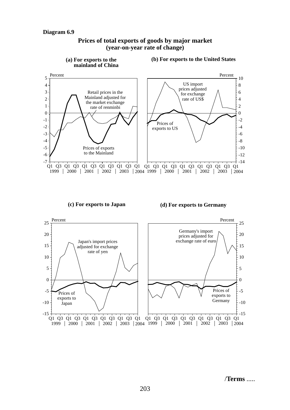

#### **Prices of total exports of goods by major market (year-on-year rate of change)**

**(c) For exports to Japan**

**(d) For exports to Germany**



/**Terms** .....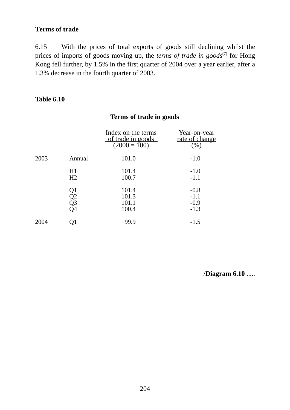# **Terms of trade**

6.15 With the prices of total exports of goods still declining whilst the prices of imports of goods moving up, the *terms of trade in goods*<sup>(7)</sup> for Hong Kong fell further, by 1.5% in the first quarter of 2004 over a year earlier, after a 1.3% decrease in the fourth quarter of 2003.

## **Table 6.10**

# **Terms of trade in goods**

|      |                      | Index on the terms<br>of trade in goods<br>$(2000 = 100)$ | Year-on-year<br>rate of change<br>(% ) |
|------|----------------------|-----------------------------------------------------------|----------------------------------------|
| 2003 | Annual               | 101.0                                                     | $-1.0$                                 |
|      | H1<br>H <sub>2</sub> | 101.4<br>100.7                                            | $-1.0$<br>$-1.1$                       |
|      | Q1<br>Q2<br>Q3<br>Q4 | 101.4<br>101.3<br>101.1<br>100.4                          | $-0.8$<br>$-1.1$<br>$-0.9$<br>$-1.3$   |
| 2004 | 21                   | 99.9                                                      | $-1.5$                                 |

/**Diagram 6.10** .....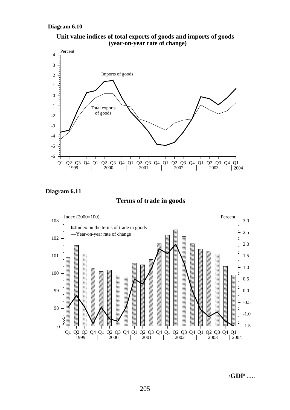#### **Diagram 6.10**







#### **Terms of trade in goods**



/**GDP** .....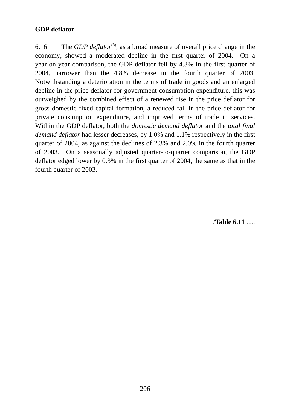# **GDP deflator**

6.16 The *GDP deflator*(8), as a broad measure of overall price change in the economy, showed a moderated decline in the first quarter of 2004. On a year-on-year comparison, the GDP deflator fell by 4.3% in the first quarter of 2004, narrower than the 4.8% decrease in the fourth quarter of 2003. Notwithstanding a deterioration in the terms of trade in goods and an enlarged decline in the price deflator for government consumption expenditure, this was outweighed by the combined effect of a renewed rise in the price deflator for gross domestic fixed capital formation, a reduced fall in the price deflator for private consumption expenditure, and improved terms of trade in services. Within the GDP deflator, both the *domestic demand deflator* and the *total final demand deflator* had lesser decreases, by 1.0% and 1.1% respectively in the first quarter of 2004, as against the declines of 2.3% and 2.0% in the fourth quarter of 2003. On a seasonally adjusted quarter-to-quarter comparison, the GDP deflator edged lower by 0.3% in the first quarter of 2004, the same as that in the fourth quarter of 2003.

/**Table 6.11** .....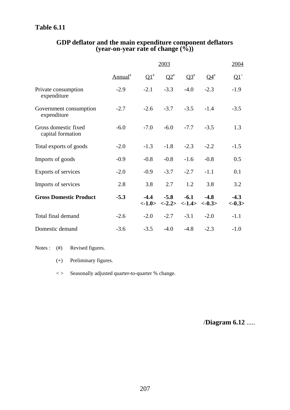# **Table 6.11**

|                                           |                     | 2004         |                                                                                                       |                   |              |                    |
|-------------------------------------------|---------------------|--------------|-------------------------------------------------------------------------------------------------------|-------------------|--------------|--------------------|
|                                           | Annual <sup>#</sup> | $\Omega^{1}$ | $\mathbf{Q2}^*$                                                                                       | $\Omega^{3^{\#}}$ | $\Omega_4^*$ | $\mathbf{Q1}^+$    |
| Private consumption<br>expenditure        | $-2.9$              | $-2.1$       | $-3.3$                                                                                                | $-4.0$            | $-2.3$       | $-1.9$             |
| Government consumption<br>expenditure     | $-2.7$              | $-2.6$       | $-3.7$                                                                                                | $-3.5$            | $-1.4$       | $-3.5$             |
| Gross domestic fixed<br>capital formation | $-6.0$              | $-7.0$       | $-6.0$                                                                                                | $-7.7$            | $-3.5$       | 1.3                |
| Total exports of goods                    | $-2.0$              | $-1.3$       | $-1.8$                                                                                                | $-2.3$            | $-2.2$       | $-1.5$             |
| Imports of goods                          | $-0.9$              | $-0.8$       | $-0.8$                                                                                                | $-1.6$            | $-0.8$       | 0.5                |
| Exports of services                       | $-2.0$              | $-0.9$       | $-3.7$                                                                                                | $-2.7$            | $-1.1$       | 0.1                |
| Imports of services                       | 2.8                 | 3.8          | 2.7                                                                                                   | 1.2               | 3.8          | 3.2                |
| <b>Gross Domestic Product</b>             | $-5.3$              | $-4.4$       | $-5.8$<br>$\langle -1.0 \rangle$ $\langle -2.2 \rangle$ $\langle -1.4 \rangle$ $\langle -0.3 \rangle$ | $-6.1$            | $-4.8$       | $-4.3$<br>$<-0.3>$ |
| Total final demand                        | $-2.6$              | $-2.0$       | $-2.7$                                                                                                | $-3.1$            | $-2.0$       | $-1.1$             |
| Domestic demand                           | $-3.6$              | $-3.5$       | $-4.0$                                                                                                | $-4.8$            | $-2.3$       | $-1.0$             |

#### **GDP deflator and the main expenditure component deflators (year-on-year rate of change (%))**

Notes : (#) Revised figures.

- (+) Preliminary figures.
- < > Seasonally adjusted quarter-to-quarter % change.

/**Diagram 6.12** .....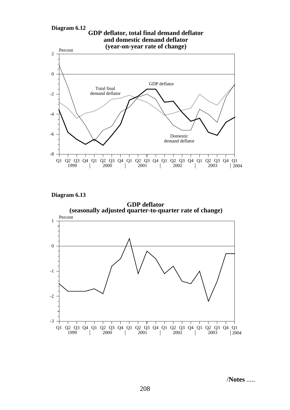





/**Notes** .....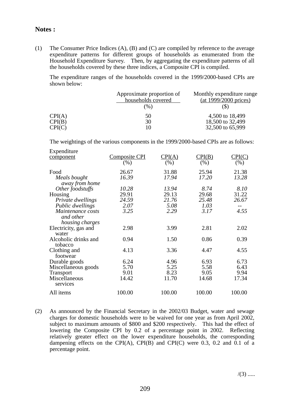#### **Notes :**

(1) The Consumer Price Indices (A), (B) and (C) are compiled by reference to the average expenditure patterns for different groups of households as enumerated from the Household Expenditure Survey. Then, by aggregating the expenditure patterns of all the households covered by these three indices, a Composite CPI is compiled.

The expenditure ranges of the households covered in the 1999/2000-based CPIs are shown below:

|                  | Approximate proportion of<br>households covered<br>(96) | Monthly expenditure range<br>$(at 1999/2000 \text{ prices})$ |  |
|------------------|---------------------------------------------------------|--------------------------------------------------------------|--|
| CPI(A)<br>CPI(B) | 50<br>30                                                | 4,500 to 18,499<br>18,500 to 32,499                          |  |
| CPI(C)           |                                                         | 32,500 to 65,999                                             |  |

The weightings of the various components in the 1999/2000-based CPIs are as follows:

| Expenditure                     |                      |        |        |        |
|---------------------------------|----------------------|--------|--------|--------|
| component                       | <b>Composite CPI</b> | CPI(A) | CPI(B) | CPI(C) |
|                                 | $(\%)$               | (% )   | (% )   | (% )   |
| Food                            | 26.67                | 31.88  | 25.94  | 21.38  |
| Meals bought<br>away from home  | 16.39                | 17.94  | 17.20  | 13.28  |
| Other foodstuffs                | 10.28                | 13.94  | 8.74   | 8.10   |
| Housing                         | 29.91                | 29.13  | 29.68  | 31.22  |
| Private dwellings               | 24.59                | 21.76  | 25.48  | 26.67  |
| Public dwellings                | 2.07                 | 5.08   | 1.03   |        |
| Maintenance costs               | 3.25                 | 2.29   | 3.17   | 4.55   |
| and other                       |                      |        |        |        |
| housing charges                 |                      |        |        |        |
| Electricity, gas and            | 2.98                 | 3.99   | 2.81   | 2.02   |
| water                           |                      |        |        |        |
| Alcoholic drinks and<br>tobacco | 0.94                 | 1.50   | 0.86   | 0.39   |
| Clothing and                    | 4.13                 | 3.36   | 4.47   | 4.55   |
| footwear                        |                      |        |        |        |
| Durable goods                   | 6.24                 | 4.96   | 6.93   | 6.73   |
| Miscellaneous goods             | 5.70                 | 5.25   | 5.58   | 6.43   |
| <b>Transport</b>                | 9.01                 | 8.23   | 9.05   | 9.94   |
| Miscellaneous                   | 14.42                | 11.70  | 14.68  | 17.34  |
| services                        |                      |        |        |        |
| All items                       | 100.00               | 100.00 | 100.00 | 100.00 |

(2) As announced by the Financial Secretary in the 2002/03 Budget, water and sewage charges for domestic households were to be waived for one year as from April 2002, subject to maximum amounts of \$800 and \$200 respectively. This had the effect of lowering the Composite CPI by 0.2 of a percentage point in 2002. Reflecting relatively greater effect on the lower expenditure households, the corresponding dampening effects on the CPI(A), CPI(B) and CPI(C) were 0.3, 0.2 and 0.1 of a percentage point.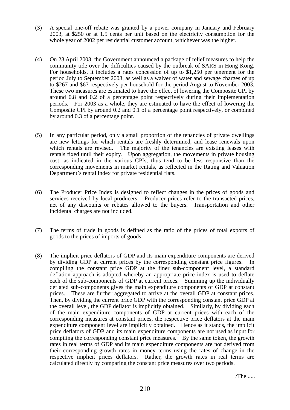- (3) A special one-off rebate was granted by a power company in January and February 2003, at \$250 or at 1.5 cents per unit based on the electricity consumption for the whole year of 2002 per residential customer account, whichever was the higher.
- (4) On 23 April 2003, the Government announced a package of relief measures to help the community tide over the difficulties caused by the outbreak of SARS in Hong Kong. For households, it includes a rates concession of up to \$1,250 per tenement for the period July to September 2003, as well as a waiver of water and sewage charges of up to \$267 and \$67 respectively per household for the period August to November 2003. These two measures are estimated to have the effect of lowering the Composite CPI by around 0.8 and 0.2 of a percentage point respectively during their implementation periods. For 2003 as a whole, they are estimated to have the effect of lowering the Composite CPI by around 0.2 and 0.1 of a percentage point respectively, or combined by around 0.3 of a percentage point.
- (5) In any particular period, only a small proportion of the tenancies of private dwellings are new lettings for which rentals are freshly determined, and lease renewals upon which rentals are revised. The majority of the tenancies are existing leases with rentals fixed until their expiry. Upon aggregation, the movements in private housing cost, as indicated in the various CPIs, thus tend to be less responsive than the corresponding movements in market rentals, as reflected in the Rating and Valuation Department's rental index for private residential flats.
- (6) The Producer Price Index is designed to reflect changes in the prices of goods and services received by local producers. Producer prices refer to the transacted prices, net of any discounts or rebates allowed to the buyers. Transportation and other incidental charges are not included.
- (7) The terms of trade in goods is defined as the ratio of the prices of total exports of goods to the prices of imports of goods.
- (8) The implicit price deflators of GDP and its main expenditure components are derived by dividing GDP at current prices by the corresponding constant price figures. In compiling the constant price GDP at the finer sub-component level, a standard deflation approach is adopted whereby an appropriate price index is used to deflate each of the sub-components of GDP at current prices. Summing up the individually deflated sub-components gives the main expenditure components of GDP at constant prices. These are further aggregated to arrive at the overall GDP at constant prices. Then, by dividing the current price GDP with the corresponding constant price GDP at the overall level, the GDP deflator is implicitly obtained. Similarly, by dividing each of the main expenditure components of GDP at current prices with each of the corresponding measures at constant prices, the respective price deflators at the main expenditure component level are implicitly obtained. Hence as it stands, the implicit price deflators of GDP and its main expenditure components are not used as input for compiling the corresponding constant price measures. By the same token, the growth rates in real terms of GDP and its main expenditure components are not derived from their corresponding growth rates in money terms using the rates of change in the respective implicit prices deflators. Rather, the growth rates in real terms are calculated directly by comparing the constant price measures over two periods.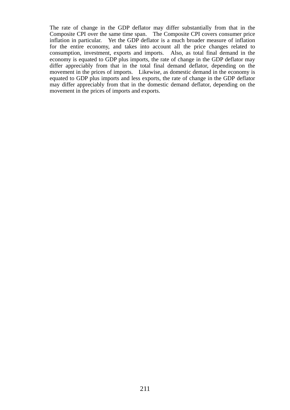The rate of change in the GDP deflator may differ substantially from that in the Composite CPI over the same time span. The Composite CPI covers consumer price inflation in particular. Yet the GDP deflator is a much broader measure of inflation for the entire economy, and takes into account all the price changes related to consumption, investment, exports and imports. Also, as total final demand in the economy is equated to GDP plus imports, the rate of change in the GDP deflator may differ appreciably from that in the total final demand deflator, depending on the movement in the prices of imports. Likewise, as domestic demand in the economy is equated to GDP plus imports and less exports, the rate of change in the GDP deflator may differ appreciably from that in the domestic demand deflator, depending on the movement in the prices of imports and exports.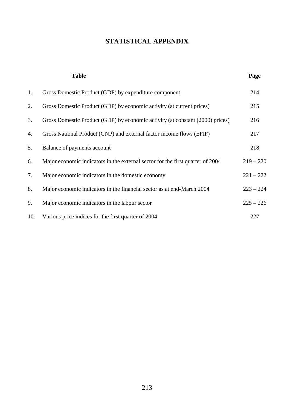## **STATISTICAL APPENDIX**

|     | <b>Table</b>                                                                   | Page        |
|-----|--------------------------------------------------------------------------------|-------------|
| 1.  | Gross Domestic Product (GDP) by expenditure component                          | 214         |
| 2.  | Gross Domestic Product (GDP) by economic activity (at current prices)          | 215         |
| 3.  | Gross Domestic Product (GDP) by economic activity (at constant (2000) prices)  | 216         |
| 4.  | Gross National Product (GNP) and external factor income flows (EFIF)           | 217         |
| 5.  | Balance of payments account                                                    | 218         |
| 6.  | Major economic indicators in the external sector for the first quarter of 2004 | $219 - 220$ |
| 7.  | Major economic indicators in the domestic economy                              | $221 - 222$ |
| 8.  | Major economic indicators in the financial sector as at end-March 2004         | $223 - 224$ |
| 9.  | Major economic indicators in the labour sector                                 | $225 - 226$ |
| 10. | Various price indices for the first quarter of 2004                            | 227         |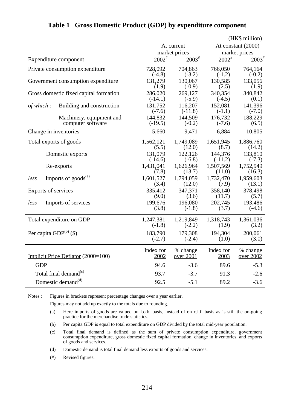|                                        |                   |                   |             | (HK\$ million)     |
|----------------------------------------|-------------------|-------------------|-------------|--------------------|
|                                        |                   | At current        |             | At constant (2000) |
|                                        |                   | market prices     |             | market prices      |
| Expenditure component                  | $2002^{\text{*}}$ | $2003^{\text{*}}$ | $2002^{\#}$ | $2003^{\text{\#}}$ |
| Private consumption expenditure        | 728,092           | 704,863           | 766,050     | 764,164            |
|                                        | $(-4.8)$          | $(-3.2)$          | $(-1.2)$    | $(-0.2)$           |
| Government consumption expenditure     | 131,279           | 130,067           | 130,585     | 133,056            |
|                                        | (1.9)             | $(-0.9)$          | (2.5)       | (1.9)              |
| Gross domestic fixed capital formation | 286,020           | 269,127           | 340,354     | 340,842            |
|                                        | $(-14.1)$         | $(-5.9)$          | $(-4.5)$    | (0.1)              |
| of which:                              | 131,752           | 116,207           | 152,081     | 141,396            |
| Building and construction              | $(-7.6)$          | $(-11.8)$         | $(-1.1)$    | $(-7.0)$           |
| Machinery, equipment and               | 144,832           | 144,509           | 176,732     | 188,229            |
| computer software                      | $(-19.5)$         | $(-0.2)$          | $(-7.6)$    | (6.5)              |
| Change in inventories                  | 5,660             | 9,471             | 6,884       | 10,805             |
| Total exports of goods                 | 1,562,121         | 1,749,089         | 1,651,945   | 1,886,760          |
|                                        | (5.5)             | (12.0)            | (8.7)       | (14.2)             |
| Domestic exports                       | 131,079           | 122,126           | 144,376     | 133,810            |
|                                        | $(-14.6)$         | $(-6.8)$          | $(-11.2)$   | $(-7.3)$           |
| Re-exports                             | 1,431,041         | 1,626,964         | 1,507,569   | 1,752,949          |
|                                        | (7.8)             | (13.7)            | (11.0)      | (16.3)             |
| Imports of goods <sup>(a)</sup>        | 1,601,527         | 1,794,059         | 1,732,470   | 1,959,603          |
| less                                   | (3.4)             | (12.0)            | (7.9)       | (13.1)             |
| Exports of services                    | 335,412           | 347,371           | 358,140     | 378,498            |
|                                        | (9.0)             | (3.6)             | (11.7)      | (5.7)              |
| Imports of services                    | 199,676           | 196,080           | 202,745     | 193,486            |
| less                                   | (3.8)             | $(-1.8)$          | (3.7)       | $(-4.6)$           |
| Total expenditure on GDP               | 1,247,381         | 1,219,849         | 1,318,743   | 1,361,036          |
|                                        | $(-1.8)$          | $(-2.2)$          | (1.9)       | (3.2)              |
| Per capita $GDP^{(b)}(\$)$             | 183,790           | 179,308           | 194,304     | 200,061            |
|                                        | $(-2.7)$          | $(-2.4)$          | (1.0)       | (3.0)              |
| Implicit Price Deflator (2000=100)     | Index for         | % change          | Index for   | % change           |
|                                        | 2002              | over 2001         | 2003        | <u>over 2002</u>   |
| <b>GDP</b>                             | 94.6              | $-3.6$            | 89.6        | $-5.3$             |
| Total final demand <sup>(c)</sup>      | 93.7              | $-3.7$            | 91.3        | $-2.6$             |
| Domestic demand <sup>(d)</sup>         | 92.5              | $-5.1$            | 89.2        | $-3.6$             |

#### **Table 1 Gross Domestic Product (GDP) by expenditure component**

Notes : Figures in brackets represent percentage changes over a year earlier.

Figures may not add up exactly to the totals due to rounding.

- (a) Here imports of goods are valued on f.o.b. basis, instead of on c.i.f. basis as is still the on-going practice for the merchandise trade statistics.
- (b) Per capita GDP is equal to total expenditure on GDP divided by the total mid-year population.
- (c) Total final demand is defined as the sum of private consumption expenditure, government consumption expenditure, gross domestic fixed capital formation, change in inventories, and exports of goods and services.
- (d) Domestic demand is total final demand less exports of goods and services.
- (#) Revised figures.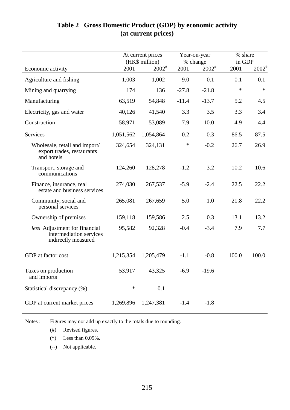## **Table 2 Gross Domestic Product (GDP) by economic activity (at current prices)**

|                                                                                 |           | At current prices<br>(HK\$ million) |         | Year-on-year<br>% change |        | % share<br>in GDP   |  |
|---------------------------------------------------------------------------------|-----------|-------------------------------------|---------|--------------------------|--------|---------------------|--|
| Economic activity                                                               | 2001      | $2002^{\text{*}}$                   | 2001    | $2002^{\text{*}}$        | 2001   | $2002$ <sup>#</sup> |  |
| Agriculture and fishing                                                         | 1,003     | 1,002                               | 9.0     | $-0.1$                   | 0.1    | 0.1                 |  |
| Mining and quarrying                                                            | 174       | 136                                 | $-27.8$ | $-21.8$                  | $\ast$ | $\ast$              |  |
| Manufacturing                                                                   | 63,519    | 54,848                              | $-11.4$ | $-13.7$                  | 5.2    | 4.5                 |  |
| Electricity, gas and water                                                      | 40,126    | 41,540                              | 3.3     | 3.5                      | 3.3    | 3.4                 |  |
| Construction                                                                    | 58,971    | 53,089                              | $-7.9$  | $-10.0$                  | 4.9    | 4.4                 |  |
| Services                                                                        | 1,051,562 | 1,054,864                           | $-0.2$  | 0.3                      | 86.5   | 87.5                |  |
| Wholesale, retail and import/<br>export trades, restaurants<br>and hotels       | 324,654   | 324,131                             | *       | $-0.2$                   | 26.7   | 26.9                |  |
| Transport, storage and<br>communications                                        | 124,260   | 128,278                             | $-1.2$  | 3.2                      | 10.2   | 10.6                |  |
| Finance, insurance, real<br>estate and business services                        | 274,030   | 267,537                             | $-5.9$  | $-2.4$                   | 22.5   | 22.2                |  |
| Community, social and<br>personal services                                      | 265,081   | 267,659                             | 5.0     | 1.0                      | 21.8   | 22.2                |  |
| Ownership of premises                                                           | 159,118   | 159,586                             | 2.5     | 0.3                      | 13.1   | 13.2                |  |
| less Adjustment for financial<br>intermediation services<br>indirectly measured | 95,582    | 92,328                              | $-0.4$  | $-3.4$                   | 7.9    | 7.7                 |  |
| GDP at factor cost                                                              | 1,215,354 | 1,205,479                           | $-1.1$  | $-0.8$                   | 100.0  | 100.0               |  |
| Taxes on production<br>and imports                                              | 53,917    | 43,325                              | $-6.9$  | $-19.6$                  |        |                     |  |
| Statistical discrepancy (%)                                                     | *         | $-0.1$                              |         |                          |        |                     |  |
| GDP at current market prices                                                    | 1,269,896 | 1,247,381                           | $-1.4$  | $-1.8$                   |        |                     |  |

Notes : Figures may not add up exactly to the totals due to rounding.

(#) Revised figures.

(\*) Less than 0.05%.

(--) Not applicable.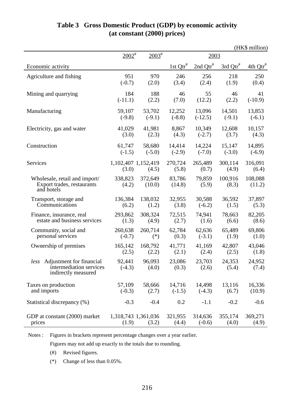|                                                                                    |                    |                              |                        |                        |                  | (HK\$ million)    |
|------------------------------------------------------------------------------------|--------------------|------------------------------|------------------------|------------------------|------------------|-------------------|
|                                                                                    | $2002^{\text{*}}$  | $2003^{\text{*}}$            |                        | 2003                   |                  |                   |
| Economic activity                                                                  |                    |                              | $1st$ Qtr <sup>#</sup> | $2nd$ Qtr <sup>#</sup> | 3rd $Qtr^*$      | $4th$ $Qtr^*$     |
| Agriculture and fishing                                                            | 951                | 970                          | 246                    | 256                    | 218              | 250               |
|                                                                                    | $(-0.7)$           | (2.0)                        | (3.4)                  | (2.4)                  | (1.9)            | (0.4)             |
| Mining and quarrying                                                               | 184                | 188                          | 46                     | 55                     | 46               | 41                |
|                                                                                    | $(-11.1)$          | (2.2)                        | (7.0)                  | (12.2)                 | (2.2)            | $(-10.9)$         |
| Manufacturing                                                                      | 59,107             | 53,702                       | 12,252                 | 13,096                 | 14,501           | 13,853            |
|                                                                                    | $(-9.8)$           | $(-9.1)$                     | $(-8.8)$               | $(-12.5)$              | $(-9.1)$         | $(-6.1)$          |
| Electricity, gas and water                                                         | 41,029             | 41,981                       | 8,867                  | 10,349                 | 12,608           | 10,157            |
|                                                                                    | (3.0)              | (2.3)                        | (4.3)                  | $(-2.7)$               | (3.7)            | (4.3)             |
| Construction                                                                       | 61,747             | 58,680                       | 14,414                 | 14,224                 | 15,147           | 14,895            |
|                                                                                    | $(-1.5)$           | $(-5.0)$                     | $(-2.9)$               | $(-7.0)$               | $(-3.0)$         | $(-6.9)$          |
| Services                                                                           | (3.0)              | 1,102,407 1,152,419<br>(4.5) | 270,724<br>(5.8)       | 265,489<br>(0.7)       | 300,114<br>(4.9) | 316,091<br>(6.4)  |
| Wholesale, retail and import/<br>Export trades, restaurants<br>and hotels          | 338,823<br>(4.2)   | 372,649<br>(10.0)            | 83,786<br>(14.8)       | 79,859<br>(5.9)        | 100,916<br>(8.3) | 108,088<br>(11.2) |
| Transport, storage and                                                             | 136,384            | 138,032                      | 32,955                 | 30,588                 | 36,592           | 37,897            |
| Communications                                                                     | (6.2)              | (1.2)                        | (3.8)                  | $(-6.2)$               | (1.5)            | (5.3)             |
| Finance, insurance, real                                                           | 293,862            | 308,324                      | 72,515                 | 74,941                 | 78,663           | 82,205            |
| estate and business services                                                       | (1.3)              | (4.9)                        | (2.7)                  | (1.6)                  | (6.6)            | (8.6)             |
| Community, social and                                                              | 260,638            | 260,714                      | 62,784                 | 62,636                 | 65,489           | 69,806            |
| personal services                                                                  | $(-0.7)$           | $(*)$                        | (0.3)                  | $(-3.1)$               | (1.9)            | (1.0)             |
| Ownership of premises                                                              | 165,142            | 168,792                      | 41,771                 | 41,169                 | 42,807           | 43,046            |
|                                                                                    | (2.5)              | (2.2)                        | (2.1)                  | (2.4)                  | (2.5)            | (1.8)             |
| Adjustment for financial<br>less<br>intermediation services<br>indirectly measured | 92,441<br>$(-4.3)$ | 96,093<br>(4.0)              | 23,086<br>(0.3)        | 23,703<br>(2.6)        | 24,353<br>(5.4)  | 24,952<br>(7.4)   |
| Taxes on production                                                                | 57,109             | 58,666                       | 14,716                 | 14,498                 | 13,116           | 16,336            |
| and imports                                                                        | $(-0.3)$           | (2.7)                        | $(-1.5)$               | $(-4.3)$               | (6.7)            | (10.9)            |
| Statistical discrepancy (%)                                                        | $-0.3$             | $-0.4$                       | 0.2                    | $-1.1$                 | $-0.2$           | $-0.6$            |
| GDP at constant (2000) market                                                      | (1.9)              | 1,318,743 1,361,036          | 321,955                | 314,636                | 355,174          | 369,271           |
| prices                                                                             |                    | (3.2)                        | (4.4)                  | $(-0.6)$               | (4.0)            | (4.9)             |

## **Table 3 Gross Domestic Product (GDP) by economic activity (at constant (2000) prices)**

Notes : Figures in brackets represent percentage changes over a year earlier.

Figures may not add up exactly to the totals due to rounding.

(#) Revised figures.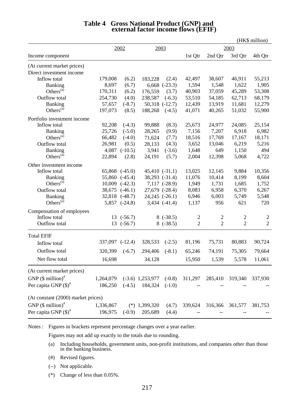|                                    |           |                    |                    |                    |                |                |                | (HK\$ million) |
|------------------------------------|-----------|--------------------|--------------------|--------------------|----------------|----------------|----------------|----------------|
|                                    |           | 2002               |                    | 2003               |                |                | 2003           |                |
| Income component                   |           |                    |                    |                    | 1st Qtr        | 2nd Qtr        | 3rd Qtr        | 4th Qtr        |
| (At current market prices)         |           |                    |                    |                    |                |                |                |                |
| Direct investment income           |           |                    |                    |                    |                |                |                |                |
| Inflow total                       | 179,008   | (6.2)              | 183,228            | (2.4)              | 42,497         | 38,607         | 46,911         | 55,213         |
| <b>Banking</b>                     | 8,697     | (6.7)              | 6,668              | $(-23.3)$          | 1,594          | 1,548          | 1,622          | 1,905          |
| Others $(a)$                       | 170,311   | (6.2)              | 176,559            | (3.7)              | 40,903         | 37,059         | 45,289         | 53,308         |
| Outflow total                      | 254,730   | (4.0)              | 238,587            | $(-6.3)$           | 53,510         | 54,185         | 62,713         | 68,179         |
| Banking                            | 57,657    | $(-8.7)$           | 50,318             | $(-12.7)$          | 12,439         | 13,919         | 11,681         | 12,279         |
| Others $(a)$                       | 197,073   | (8.5)              | 188,268            | $(-4.5)$           | 41,071         | 40,265         | 51,032         | 55,900         |
| Portfolio investment income        |           |                    |                    |                    |                |                |                |                |
| Inflow total                       | 92,208    | $(-4.3)$           | 99,888             | (8.3)              | 25,673         | 24,977         | 24,085         | 25,154         |
| Banking                            | 25,726    | $(-5.0)$           | 28,265             | (9.9)              | 7,156          | 7,207          | 6,918          | 6,982          |
| Others $(a)$                       | 66,482    | $(-4.0)$           | 71,624             | (7.7)              | 18,516         | 17,769         | 17,167         | 18,171         |
| Outflow total                      | 26,981    | (0.5)              | 28,133             | (4.3)              | 3,652          | 13,046         | 6,219          | 5,216          |
| Banking                            | 4,087     | $(-10.5)$          | 3,941              | $(-3.6)$           | 1,648          | 649            | 1,150          | 494            |
| Others <sup>(a)</sup>              | 22,894    | (2.8)              | 24,191             | (5.7)              | 2,004          | 12,398         | 5,068          | 4,722          |
| Other investment income            |           |                    |                    |                    |                |                |                |                |
| Inflow total                       |           | $65,868$ $(-45.0)$ |                    | $45,410$ $(-31.1)$ | 13,025         | 12,145         | 9,884          | 10,356         |
| Banking                            | 55,860    | $(-45.4)$          |                    | 38,293 (-31.4)     | 11,076         | 10,414         | 8,199          | 8,604          |
| Others $(a)$                       | 10,009    | $(-42.3)$          |                    | 7,117 (-28.9)      | 1,949          | 1,731          | 1,685          | 1,752          |
| Outflow total                      | 38,675    | $(-46.1)$          |                    | 27,679 (-28.4)     | 8,083          | 6,958          | 6,370          | 6,267          |
| <b>Banking</b>                     | 32,818    | $(-48.7)$          |                    | 24,245 (-26.1)     | 6,946          | 6,003          | 5,749          | 5,548          |
| Others $(a)$                       |           | $5,857$ $(-24.8)$  |                    | $3,434$ $(-41.4)$  | 1,137          | 956            | 621            | 720            |
| Compensation of employees          |           |                    |                    |                    |                |                |                |                |
| Inflow total                       | 13        | $(-56.7)$          |                    | 8(.38.5)           | $\overline{c}$ | $\overline{2}$ | $\overline{c}$ | $\overline{2}$ |
| Outflow total                      | 13        | $(-56.7)$          |                    | 8(.38.5)           | $\overline{2}$ | $\overline{2}$ | $\overline{2}$ | $\overline{2}$ |
| <b>Total EFIF</b>                  |           |                    |                    |                    |                |                |                |                |
| Inflow total                       | 337,097   | $(-12.4)$          | 328,533            | $(-2.5)$           | 81,196         | 75,731         | 80,883         | 90,724         |
| Outflow total                      | 320,399   | $(-6.7)$           | 294,406            | $(-8.1)$           | 65,246         | 74,191         | 75,305         | 79,664         |
| Net flow total                     | 16,698    |                    | 34,128             |                    | 15,950         | 1,539          | 5,578          | 11,061         |
| (At current market prices)         |           |                    |                    |                    |                |                |                |                |
| GNP $(\$$ million) <sup>#</sup>    | 1,264,079 |                    | $(-3.6)$ 1,253,977 | $(-0.8)$           | 311,297        | 285,410        | 319,340        | 337,930        |
| Per capita GNP $(\text{\$})^{\#}$  | 186,250   | $(-4.5)$           | 184,324            | $(-1.0)$           |                |                |                |                |
| (At constant (2000) market prices) |           |                    |                    |                    |                |                |                |                |
| GNP $(\$$ million) <sup>#</sup>    | 1,336,867 |                    | $(*)$ 1,399,320    | (4.7)              | 339,624        | 316,366        | 361,577        | 381,753        |
| Per capita GNP $(\text{\$})^{\#}$  | 196,975   | $(-0.9)$           | 205,689            | (4.4)              |                |                |                |                |
|                                    |           |                    |                    |                    |                |                |                |                |

# **Table 4 Gross National Product (GNP) and external factor income flows (EFIF)**

Notes : Figures in brackets represent percentage changes over a year earlier.

Figures may not add up exactly to the totals due to rounding.

- (a) Including households, government units, non-profit institutions, and companies other than those in the banking business.
- (#) Revised figures.
- (--) Not applicable.
- (\*) Change of less than 0.05%.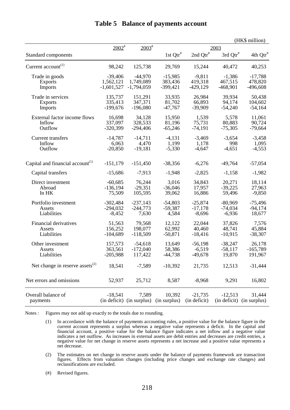|                                                           |              |                           |              |              |              | (HK\$ million)       |
|-----------------------------------------------------------|--------------|---------------------------|--------------|--------------|--------------|----------------------|
|                                                           | $2002^*$     | $2003^{\text{*}}$         |              |              | 2003         |                      |
| Standard components                                       |              |                           | 1st $Qtr^*$  | 2nd $Qtr^*$  | $3rd Qtr^*$  | 4th Qtr <sup>#</sup> |
| Current account <sup>(1)</sup>                            | 98,242       | 125,738                   | 29,769       | 15,244       | 40,472       | 40,253               |
| Trade in goods                                            | $-39,406$    | $-44,970$                 | $-15,985$    | $-9,811$     | $-1,386$     | $-17,788$            |
| Exports                                                   | 1,562,121    | 1,749,089                 | 383,436      | 419,318      | 467,515      | 478,820              |
| <b>Imports</b>                                            | $-1,601,527$ | $-1,794,059$              | $-399,421$   | $-429,129$   | $-468,901$   | $-496,608$           |
| Trade in services                                         | 135,737      | 151,291                   | 33,935       | 26,984       | 39,934       | 50,438               |
| <b>Exports</b>                                            | 335,413      | 347,371                   | 81,702       | 66,893       | 94,174       | 104,602              |
| Imports                                                   | $-199,676$   | $-196,080$                | $-47,767$    | $-39,909$    | $-54,240$    | $-54,164$            |
| External factor income flows                              | 16,698       | 34,128                    | 15,950       | 1,539        | 5,578        | 11,061               |
| Inflow                                                    | 337,097      | 328,533                   | 81,196       | 75,731       | 80,883       | 90,724               |
| Outflow                                                   | $-320,399$   | $-294,406$                | $-65,246$    | $-74,191$    | $-75,305$    | $-79,664$            |
| Current transfers                                         | $-14,787$    | $-14,711$                 | $-4,131$     | $-3,469$     | $-3,654$     | $-3,458$             |
| Inflow                                                    | 6,063        | 4,470                     | 1,199        | 1,178        | 998          | 1,095                |
| Outflow                                                   | $-20,850$    | $-19,181$                 | $-5,330$     | $-4,647$     | $-4,651$     | $-4,553$             |
|                                                           |              |                           |              |              |              |                      |
| Capital and financial account <sup><math>(1)</math></sup> | $-151,179$   | $-151,450$                | $-38,356$    | $-6,276$     | $-49,764$    | $-57,054$            |
| Capital transfers                                         | $-15,686$    | $-7,913$                  | $-1,948$     | $-2,825$     | $-1,158$     | $-1,982$             |
| Direct investment                                         | $-60,685$    | 76,244                    | 3,016        | 34,843       | 20,271       | 18,114               |
| Abroad                                                    | $-136,194$   | $-29,351$                 | $-36,046$    | 17,957       | $-39,225$    | 27,963               |
| In HK                                                     | 75,509       | 105,595                   | 39,062       | 16,886       | 59,496       | $-9,850$             |
| Portfolio investment                                      | $-302,484$   | $-237,143$                | $-54,803$    | $-25,874$    | $-80,969$    | $-75,496$            |
| Assets                                                    | $-294,032$   | $-244,773$                | $-59,387$    | $-17,178$    | $-74,034$    | $-94,174$            |
| Liabilities                                               | $-8,452$     | 7,630                     | 4,584        | $-8,696$     | $-6,936$     | 18,677               |
| Financial derivatives                                     | 51,563       | 79,568                    | 12,122       | 22,044       | 37,826       | 7,576                |
| Assets                                                    | 156,252      | 198,077                   | 62,992       | 40,460       | 48,741       | 45,884               |
| Liabilities                                               | $-104,689$   | $-118,509$                | $-50,871$    | $-18,416$    | $-10,915$    | $-38,307$            |
| Other investment                                          | 157,573      | $-54,618$                 | 13,649       | $-56,198$    | $-38,247$    | 26,178               |
| Assets                                                    | 363,561      | $-172,040$                | 58,386       | $-6,519$     | $-58,117$    | $-165,789$           |
| Liabilities                                               | $-205,988$   | 117,422                   | $-44,738$    | $-49,678$    | 19,870       | 191,967              |
| Net change in reserve assets $^{(2)}$                     | 18,541       | $-7,589$                  | $-10,392$    | 21,735       | 12,513       | $-31,444$            |
| Net errors and omissions                                  | 52,937       | 25,712                    | 8,587        | $-8,968$     | 9,291        | 16,802               |
| Overall balance of                                        | $-18,541$    | 7,589                     | 10,392       | $-21,735$    | $-12,513$    | 31,444               |
| payments                                                  |              | (in deficit) (in surplus) | (in surplus) | (in deficit) | (in deficit) | (in surplus)         |

#### **Table 5 Balance of payments account**

Notes : Figures may not add up exactly to the totals due to rounding.

- (1) In accordance with the balance of payments accounting rules, a positive value for the balance figure in the current account represents a surplus whereas a negative value represents a deficit. In the capital and financial account, a positive value for the balance figure indicates a net inflow and a negative value indicates a net outflow. As increases in external assets are debit entries and decreases are credit entries, a negative value for net change in reserve assets represents a net increase and a positive value represents a net decrease.
- (2) The estimates on net change in reserve assets under the balance of payments framework are transaction figures. Effects from valuation changes (including price changes and exchange rate changes) and reclassifications are excluded.
- (#) Revised figures.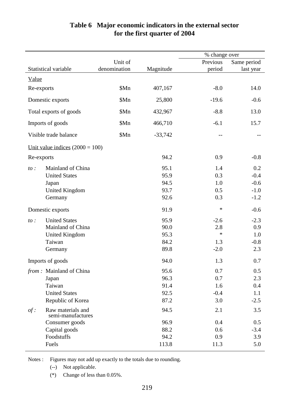|            |                                        |              |           | % change over |             |
|------------|----------------------------------------|--------------|-----------|---------------|-------------|
|            |                                        | Unit of      |           | Previous      | Same period |
|            | Statistical variable                   | denomination | Magnitude | period        | last year   |
|            |                                        |              |           |               |             |
| Value      |                                        |              |           |               |             |
| Re-exports |                                        | \$Mn         | 407,167   | $-8.0$        | 14.0        |
|            | Domestic exports                       | \$Mn         | 25,800    | $-19.6$       | $-0.6$      |
|            | Total exports of goods                 | \$Mn         | 432,967   | $-8.8$        | 13.0        |
|            | Imports of goods                       | \$Mn         | 466,710   | $-6.1$        | 15.7        |
|            | Visible trade balance                  | \$Mn         | $-33,742$ | $-$           |             |
|            | Unit value indices $(2000 = 100)$      |              |           |               |             |
| Re-exports |                                        |              | 94.2      | 0.9           | $-0.8$      |
| to:        | Mainland of China                      |              | 95.1      | 1.4           | 0.2         |
|            | <b>United States</b>                   |              | 95.9      | 0.3           | $-0.4$      |
|            | Japan                                  |              | 94.5      | 1.0           | $-0.6$      |
|            | <b>United Kingdom</b>                  |              | 93.7      | 0.5           | $-1.0$      |
|            | Germany                                |              | 92.6      | 0.3           | $-1.2$      |
|            | Domestic exports                       |              | 91.9      | $\ast$        | $-0.6$      |
| to:        | <b>United States</b>                   |              | 95.9      | $-2.6$        | $-2.3$      |
|            | Mainland of China                      |              | 90.0      | 2.8           | 0.9         |
|            | <b>United Kingdom</b>                  |              | 95.3      | $\ast$        | 1.0         |
|            | Taiwan                                 |              | 84.2      | 1.3           | $-0.8$      |
|            | Germany                                |              | 89.8      | $-2.0$        | 2.3         |
|            | Imports of goods                       |              | 94.0      | 1.3           | 0.7         |
|            | <i>from</i> : Mainland of China        |              | 95.6      | 0.7           | 0.5         |
|            | Japan                                  |              | 96.3      | 0.7           | 2.3         |
|            | Taiwan                                 |              | 91.4      | 1.6           | 0.4         |
|            | <b>United States</b>                   |              | 92.5      | $-0.4$        | 1.1         |
|            | Republic of Korea                      |              | 87.2      | 3.0           | $-2.5$      |
| $of$ :     | Raw materials and<br>semi-manufactures |              | 94.5      | 2.1           | 3.5         |
|            | Consumer goods                         |              | 96.9      | 0.4           | 0.5         |
|            | Capital goods                          |              | 88.2      | 0.6           | $-3.4$      |
|            | Foodstuffs                             |              | 94.2      | 0.9           | 3.9         |
|            | Fuels                                  |              | 113.8     | 11.3          | 5.0         |

#### **Table 6 Major economic indicators in the external sector for the first quarter of 2004**

Notes : Figures may not add up exactly to the totals due to rounding.

(--) Not applicable.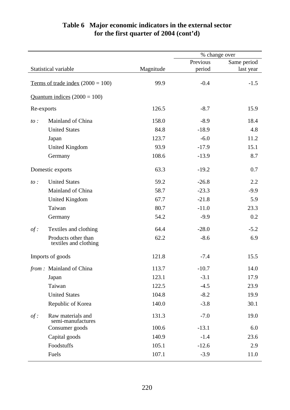## **Table 6 Major economic indicators in the external sector for the first quarter of 2004 (cont'd)**

|            |                                              |           |          | % change over |  |
|------------|----------------------------------------------|-----------|----------|---------------|--|
|            |                                              |           | Previous | Same period   |  |
|            | Statistical variable                         | Magnitude | period   | last year     |  |
|            | Terms of trade index $(2000 = 100)$          | 99.9      | $-0.4$   | $-1.5$        |  |
|            | Quantum indices $(2000 = 100)$               |           |          |               |  |
| Re-exports |                                              | 126.5     | $-8.7$   | 15.9          |  |
| $to$ :     | Mainland of China                            | 158.0     | $-8.9$   | 18.4          |  |
|            | <b>United States</b>                         | 84.8      | $-18.9$  | 4.8           |  |
|            | Japan                                        | 123.7     | $-6.0$   | 11.2          |  |
|            | <b>United Kingdom</b>                        | 93.9      | $-17.9$  | 15.1          |  |
|            | Germany                                      | 108.6     | $-13.9$  | 8.7           |  |
|            | Domestic exports                             | 63.3      | $-19.2$  | 0.7           |  |
| $to$ :     | <b>United States</b>                         | 59.2      | $-26.8$  | 2.2           |  |
|            | Mainland of China                            | 58.7      | $-23.3$  | $-9.9$        |  |
|            | <b>United Kingdom</b>                        | 67.7      | $-21.8$  | 5.9           |  |
|            | Taiwan                                       | 80.7      | $-11.0$  | 23.3          |  |
|            | Germany                                      | 54.2      | $-9.9$   | 0.2           |  |
| $of$ :     | Textiles and clothing                        | 64.4      | $-28.0$  | $-5.2$        |  |
|            | Products other than<br>textiles and clothing | 62.2      | $-8.6$   | 6.9           |  |
|            | Imports of goods                             | 121.8     | $-7.4$   | 15.5          |  |
|            | from: Mainland of China                      | 113.7     | $-10.7$  | 14.0          |  |
|            | Japan                                        | 123.1     | $-3.1$   | 17.9          |  |
|            | Taiwan                                       | 122.5     | $-4.5$   | 23.9          |  |
|            | <b>United States</b>                         | 104.8     | $-8.2$   | 19.9          |  |
|            | Republic of Korea                            | 140.0     | $-3.8$   | 30.1          |  |
| $of$ :     | Raw materials and<br>semi-manufactures       | 131.3     | $-7.0$   | 19.0          |  |
|            | Consumer goods                               | 100.6     | $-13.1$  | 6.0           |  |
|            | Capital goods                                | 140.9     | $-1.4$   | 23.6          |  |
|            | Foodstuffs                                   | 105.1     | $-12.6$  | 2.9           |  |
|            | Fuels                                        | 107.1     | $-3.9$   | 11.0          |  |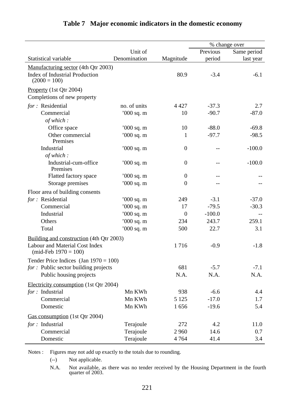|                                                           |              |                  |          | % change over |
|-----------------------------------------------------------|--------------|------------------|----------|---------------|
|                                                           | Unit of      |                  | Previous | Same period   |
| Statistical variable                                      | Denomination | Magnitude        | period   | last year     |
| Manufacturing sector (4th Qtr 2003)                       |              |                  |          |               |
| <b>Index of Industrial Production</b><br>$(2000 = 100)$   |              | 80.9             | $-3.4$   | $-6.1$        |
| Property (1st Qtr 2004)<br>Completions of new property    |              |                  |          |               |
| for : Residential                                         | no. of units | 4 4 2 7          | $-37.3$  | 2.7           |
| Commercial                                                | '000 sq. m   | 10               | $-90.7$  | $-87.0$       |
| of which:                                                 |              |                  |          |               |
| Office space                                              | $000$ sq. m  | 10               | $-88.0$  | $-69.8$       |
| Other commercial<br>Premises                              | '000 sq. m   | 1                | $-97.7$  | $-98.5$       |
| Industrial                                                | $000$ sq. m  | $\boldsymbol{0}$ |          | $-100.0$      |
| of which:                                                 |              |                  |          |               |
| Industrial-cum-office<br>Premises                         | '000 sq. m   | $\overline{0}$   |          | $-100.0$      |
| Flatted factory space                                     | '000 sq. m   | $\overline{0}$   |          |               |
| Storage premises                                          | '000 sq. m   | $\boldsymbol{0}$ |          |               |
| Floor area of building consents                           |              |                  |          |               |
| for: Residential                                          | $000$ sq. m  | 249              | $-3.1$   | $-37.0$       |
| Commercial                                                | '000 sq. m   | 17               | $-79.5$  | $-30.3$       |
| Industrial                                                | '000 sq. m   | $\overline{0}$   | $-100.0$ |               |
| Others                                                    | $000$ sq. m  | 234              | 243.7    | 259.1         |
| Total                                                     | '000 sq. m   | 500              | 22.7     | 3.1           |
| Building and construction (4th Qtr 2003)                  |              |                  |          |               |
| Labour and Material Cost Index<br>(mid-Feb $1970 = 100$ ) |              | 1716             | $-0.9$   | $-1.8$        |
| Tender Price Indices (Jan $1970 = 100$ )                  |              |                  |          |               |
| for : Public sector building projects                     |              | 681              | $-5.7$   | $-7.1$        |
| Public housing projects                                   |              | N.A.             | N.A.     | N.A.          |
| Electricity consumption (1st Qtr 2004)                    |              |                  |          |               |
| for : Industrial                                          | Mn KWh       | 938              | $-6.6$   | 4.4           |
| Commercial                                                | Mn KWh       | 5 1 2 5          | $-17.0$  | 1.7           |
| Domestic                                                  | Mn KWh       | 1656             | $-19.6$  | 5.4           |
|                                                           |              |                  |          |               |
| Gas consumption (1st Qtr 2004)                            |              |                  |          |               |
| for : Industrial                                          | Terajoule    | 272              | 4.2      | 11.0          |
| Commercial                                                | Terajoule    | 2 9 6 0          | 14.6     | 0.7           |
| Domestic                                                  | Terajoule    | 4 7 6 4          | 41.4     | 3.4           |

## **Table 7 Major economic indicators in the domestic economy**

Notes : Figures may not add up exactly to the totals due to rounding.

(--) Not applicable.

N.A. Not available, as there was no tender received by the Housing Department in the fourth quarter of 2003.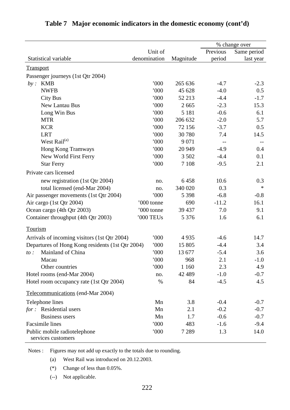|                                                    |              |           |          | % change over |
|----------------------------------------------------|--------------|-----------|----------|---------------|
|                                                    | Unit of      |           | Previous | Same period   |
| Statistical variable                               | denomination | Magnitude | period   | last year     |
| <b>Transport</b>                                   |              |           |          |               |
| Passenger journeys (1st Qtr 2004)                  |              |           |          |               |
| <b>KMB</b><br>by:                                  | 000          | 265 636   | $-4.7$   | $-2.3$        |
| <b>NWFB</b>                                        | 000          | 45 628    | $-4.0$   | 0.5           |
| <b>City Bus</b>                                    | 000          | 52 213    | $-4.4$   | $-1.7$        |
| New Lantau Bus                                     | '000         | 2 6 6 5   | $-2.3$   | 15.3          |
| Long Win Bus                                       | 000          | 5 1 8 1   | $-0.6$   | 6.1           |
| <b>MTR</b>                                         | 000          | 206 632   | $-2.0$   | 5.7           |
| <b>KCR</b>                                         | 000          | 72 156    | $-3.7$   | 0.5           |
| <b>LRT</b>                                         | 000          | 30 780    | 7.4      | 14.5          |
| West Rail <sup>(a)</sup>                           | 000          | 9 0 7 1   |          |               |
| Hong Kong Tramways                                 | '000         | 20 949    | $-4.9$   | 0.4           |
| New World First Ferry                              | 000          | 3 5 0 2   | $-4.4$   | 0.1           |
| <b>Star Ferry</b>                                  | 000          | 7 1 0 8   | $-9.5$   | 2.1           |
| Private cars licensed                              |              |           |          |               |
| new registration (1st Qtr 2004)                    | no.          | 6458      | 10.6     | 0.3           |
| total licensed (end-Mar 2004)                      | no.          | 340 020   | 0.3      | $\ast$        |
| Air passenger movements (1st Qtr 2004)             | 000          | 5 3 9 8   | $-6.8$   | $-0.8$        |
| Air cargo (1st Qtr 2004)                           | '000 tonne   | 690       | $-11.2$  | 16.1          |
| Ocean cargo (4th Qtr 2003)                         | '000 tonne   | 39 437    | 7.0      | 9.1           |
| Container throughput (4th Qtr 2003)                | '000 TEUs    | 5 3 7 6   | 1.6      | 6.1           |
| Tourism                                            |              |           |          |               |
| Arrivals of incoming visitors (1st Qtr 2004)       | 000          | 4935      | $-4.6$   | 14.7          |
| Departures of Hong Kong residents (1st Qtr 2004)   | 000          | 15 805    | $-4.4$   | 3.4           |
| Mainland of China<br>$to$ :                        | 000          | 13 677    | $-5.4$   | 3.6           |
| Macau                                              | $000^\circ$  | 968       | 2.1      | $-1.0$        |
| Other countries                                    | 000          | 1 1 6 0   | 2.3      | 4.9           |
| Hotel rooms (end-Mar 2004)                         | no.          | 42 489    | $-1.0$   | $-0.7$        |
| Hotel room occupancy rate (1st Qtr 2004)           | $\%$         | 84        | $-4.5$   | 4.5           |
| Telecommunications (end-Mar 2004)                  |              |           |          |               |
| Telephone lines                                    | Mn           | 3.8       | $-0.4$   | $-0.7$        |
| for: Residential users                             | Mn           | 2.1       | $-0.2$   | $-0.7$        |
| <b>Business users</b>                              | Mn           | 1.7       | $-0.6$   | $-0.7$        |
| <b>Facsimile</b> lines                             | '000         | 483       | $-1.6$   | $-9.4$        |
| Public mobile radiotelephone<br>services customers | 000          | 7 2 8 9   | 1.3      | 14.0          |

## **Table 7 Major economic indicators in the domestic economy (cont'd)**

Notes : Figures may not add up exactly to the totals due to rounding.

(a) West Rail was introduced on 20.12.2003.

(\*) Change of less than 0.05%.

(--) Not applicable.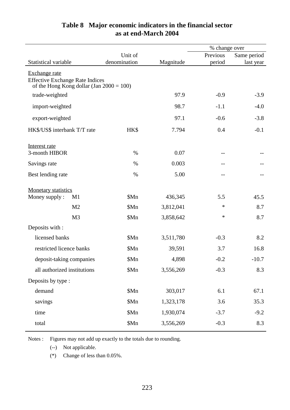|                                                                                       |              |           | % change over |             |
|---------------------------------------------------------------------------------------|--------------|-----------|---------------|-------------|
|                                                                                       | Unit of      |           | Previous      | Same period |
| Statistical variable                                                                  | denomination | Magnitude | period        | last year   |
| Exchange rate                                                                         |              |           |               |             |
| <b>Effective Exchange Rate Indices</b><br>of the Hong Kong dollar (Jan $2000 = 100$ ) |              |           |               |             |
| trade-weighted                                                                        |              | 97.9      | $-0.9$        | $-3.9$      |
| import-weighted                                                                       |              | 98.7      | $-1.1$        | $-4.0$      |
| export-weighted                                                                       |              | 97.1      | $-0.6$        | $-3.8$      |
| HK\$/US\$ interbank T/T rate                                                          | HK\$         | 7.794     | 0.4           | $-0.1$      |
| Interest rate                                                                         |              |           |               |             |
| 3-month HIBOR                                                                         | $\%$         | 0.07      | --            |             |
| Savings rate                                                                          | %            | 0.003     | $-$           |             |
| Best lending rate                                                                     | $\%$         | 5.00      | $-1$          |             |
| <b>Monetary statistics</b>                                                            |              |           |               |             |
| Money supply:<br>M1                                                                   | \$Mn         | 436,345   | 5.5           | 45.5        |
| M <sub>2</sub>                                                                        | \$Mn         | 3,812,041 | $\ast$        | 8.7         |
| M <sub>3</sub>                                                                        | \$Mn         | 3,858,642 | $\ast$        | 8.7         |
| Deposits with :                                                                       |              |           |               |             |
| licensed banks                                                                        | \$Mn         | 3,511,780 | $-0.3$        | 8.2         |
| restricted licence banks                                                              | \$Mn         | 39,591    | 3.7           | 16.8        |
| deposit-taking companies                                                              | \$Mn         | 4,898     | $-0.2$        | $-10.7$     |
| all authorized institutions                                                           | \$Mn         | 3,556,269 | $-0.3$        | 8.3         |
| Deposits by type :                                                                    |              |           |               |             |
| demand                                                                                | \$Mn         | 303,017   | 6.1           | 67.1        |
| savings                                                                               | \$Mn         | 1,323,178 | 3.6           | 35.3        |
| time                                                                                  | \$Mn         | 1,930,074 | $-3.7$        | $-9.2$      |
| total                                                                                 | \$Mn         | 3,556,269 | $-0.3$        | 8.3         |

## **Table 8 Major economic indicators in the financial sector as at end-March 2004**

Notes : Figures may not add up exactly to the totals due to rounding.

(--) Not applicable.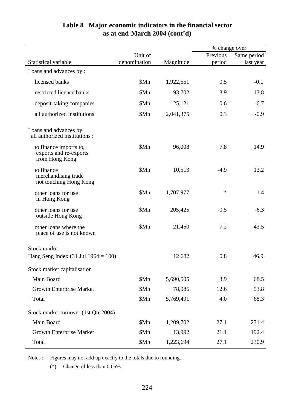|                                                                    |              |           | % change over |             |
|--------------------------------------------------------------------|--------------|-----------|---------------|-------------|
|                                                                    | Unit of      |           | Previous      | Same period |
| <b>Statistical variable</b>                                        | denomination | Magnitude | period        | last year   |
| Loans and advances by:                                             |              |           |               |             |
| licensed banks                                                     | \$Mn         | 1,922,551 | 0.5           | $-0.1$      |
| restricted licence banks                                           | \$Mn         | 93,702    | $-3.9$        | $-13.8$     |
| deposit-taking companies                                           | \$Mn         | 25,121    | 0.6           | $-6.7$      |
| all authorized institutions                                        | \$Mn         | 2,041,375 | 0.3           | $-0.9$      |
| Loans and advances by<br>all authorized institutions :             |              |           |               |             |
| to finance imports to,<br>exports and re-exports<br>from Hong Kong | \$Mn         | 96,008    | 7.8           | 14.9        |
| to finance<br>merchandising trade<br>not touching Hong Kong        | \$Mn         | 10,513    | $-4.9$        | 13.2        |
| other loans for use<br>in Hong Kong                                | \$Mn         | 1,707,977 | $\ast$        | $-1.4$      |
| other loans for use<br>outside Hong Kong                           | \$Mn         | 205,425   | $-0.5$        | $-6.3$      |
| other loans where the<br>place of use is not known                 | \$Mn         | 21,450    | 7.2           | 43.5        |
| <b>Stock market</b>                                                |              |           |               |             |
| Hang Seng Index $(31 \text{ Jul } 1964 = 100)$                     |              | 12 682    | 0.8           | 46.9        |
| Stock market capitalisation                                        |              |           |               |             |
| Main Board                                                         | \$Mn         | 5,690,505 | 3.9           | 68.5        |
| <b>Growth Enterprise Market</b>                                    | \$Mn         | 78,986    | 12.6          | 53.8        |
| Total                                                              | \$Mn         | 5,769,491 | 4.0           | 68.3        |
| Stock market turnover (1st Qtr 2004)                               |              |           |               |             |
| Main Board                                                         | \$Mn         | 1,209,702 | 27.1          | 231.4       |
| <b>Growth Enterprise Market</b>                                    | \$Mn         | 13,992    | 21.1          | 192.4       |
| Total                                                              | \$Mn         | 1,223,694 | 27.1          | 230.9       |

## **Table 8 Major economic indicators in the financial sector as at end-March 2004 (cont'd)**

Notes : Figures may not add up exactly to the totals due to rounding.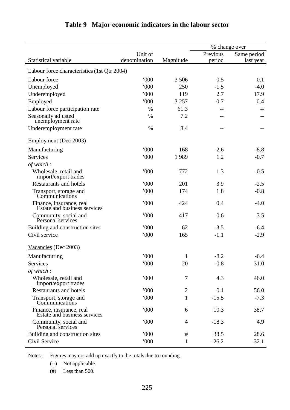|                                                          |              |                | % change over |             |  |  |
|----------------------------------------------------------|--------------|----------------|---------------|-------------|--|--|
|                                                          | Unit of      |                | Previous      | Same period |  |  |
| Statistical variable                                     | denomination | Magnitude      | period        | last year   |  |  |
| Labour force characteristics (1st Qtr 2004)              |              |                |               |             |  |  |
| Labour force                                             | 000          | 3 5 0 6        | 0.5           | 0.1         |  |  |
| Unemployed                                               | 000          | 250            | $-1.5$        | $-4.0$      |  |  |
| Underemployed                                            | 000          | 119            | 2.7           | 17.9        |  |  |
| Employed                                                 | 000          | 3 2 5 7        | 0.7           | 0.4         |  |  |
| Labour force participation rate                          | $\%$         | 61.3           |               |             |  |  |
| Seasonally adjusted<br>unemployment rate                 | $\%$         | 7.2            |               |             |  |  |
| Underemployment rate                                     | $\%$         | 3.4            |               |             |  |  |
| Employment (Dec 2003)                                    |              |                |               |             |  |  |
| Manufacturing                                            | 000          | 168            | $-2.6$        | $-8.8$      |  |  |
| Services                                                 | 000          | 1989           | 1.2           | $-0.7$      |  |  |
| of which:                                                |              |                |               |             |  |  |
| Wholesale, retail and<br>import/export trades            | 000          | 772            | 1.3           | $-0.5$      |  |  |
| <b>Restaurants and hotels</b>                            | 000          | 201            | 3.9           | $-2.5$      |  |  |
| Transport, storage and<br>Communications                 | 000          | 174            | 1.8           | $-0.8$      |  |  |
| Finance, insurance, real<br>Estate and business services | 000          | 424            | 0.4           | $-4.0$      |  |  |
| Community, social and<br>Personal services               | 000          | 417            | 0.6           | 3.5         |  |  |
| Building and construction sites                          | 000          | 62             | $-3.5$        | $-6.4$      |  |  |
| Civil service                                            | 000          | 165            | $-1.1$        | $-2.9$      |  |  |
| Vacancies (Dec 2003)                                     |              |                |               |             |  |  |
| Manufacturing                                            | '000         | 1              | $-8.2$        | $-6.4$      |  |  |
| Services                                                 | '000         | 20             | $-0.8$        | 31.0        |  |  |
| of which:                                                |              |                |               |             |  |  |
| Wholesale, retail and<br>import/export trades            | 000          | 7              | 4.3           | 46.0        |  |  |
| Restaurants and hotels                                   | 000          | $\overline{2}$ | 0.1           | 56.0        |  |  |
| Transport, storage and<br>Communications                 | 000          | 1              | $-15.5$       | $-7.3$      |  |  |
| Finance, insurance, real<br>Estate and business services | 000          | 6              | 10.3          | 38.7        |  |  |
| Community, social and<br>Personal services               | 000          | 4              | $-18.3$       | 4.9         |  |  |
| Building and construction sites                          | 000          | $\#$           | 38.5          | 28.6        |  |  |
| Civil Service                                            | 000          | 1              | $-26.2$       | $-32.1$     |  |  |

## **Table 9 Major economic indicators in the labour sector**

Notes : Figures may not add up exactly to the totals due to rounding.

(--) Not applicable.

(#) Less than 500.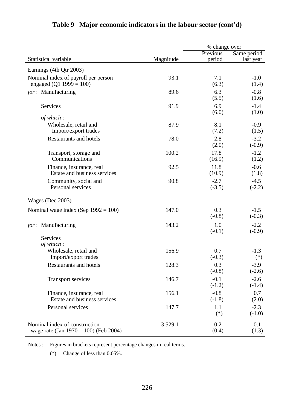|                                                                           |           | % change over      |                    |
|---------------------------------------------------------------------------|-----------|--------------------|--------------------|
|                                                                           |           | Previous           | Same period        |
| Statistical variable                                                      | Magnitude | period             | last year          |
| Earnings (4th Qtr 2003)                                                   |           |                    |                    |
| Nominal index of payroll per person<br>engaged (Q1 1999 = 100)            | 93.1      | 7.1<br>(6.3)       | $-1.0$<br>(1.4)    |
| for: Manufacturing                                                        | 89.6      | 6.3<br>(5.5)       | $-0.8$<br>(1.6)    |
| <b>Services</b>                                                           | 91.9      | 6.9<br>(6.0)       | $-1.4$<br>(1.0)    |
| of which:                                                                 |           |                    |                    |
| Wholesale, retail and<br>Import/export trades                             | 87.9      | 8.1<br>(7.2)       | $-0.9$<br>(1.5)    |
| <b>Restaurants and hotels</b>                                             | 78.0      | 2.8<br>(2.0)       | $-3.2$<br>$(-0.9)$ |
| Transport, storage and<br>Communications                                  | 100.2     | 17.8<br>(16.9)     | $-1.2$<br>(1.2)    |
| Finance, insurance, real<br>Estate and business services                  | 92.5      | 11.8<br>(10.9)     | $-0.6$<br>(1.8)    |
| Community, social and<br>Personal services                                | 90.8      | $-2.7$<br>$(-3.5)$ | $-4.5$<br>$(-2.2)$ |
| $Wages$ (Dec 2003)                                                        |           |                    |                    |
| Nominal wage index (Sep $1992 = 100$ )                                    | 147.0     | 0.3<br>$(-0.8)$    | $-1.5$<br>$(-0.3)$ |
| for: Manufacturing                                                        | 143.2     | 1.0<br>$(-0.1)$    | $-2.2$<br>$(-0.9)$ |
| Services<br>of which:                                                     |           |                    |                    |
| Wholesale, retail and<br>Import/export trades                             | 156.9     | 0.7<br>$(-0.3)$    | $-1.3$<br>$(*)$    |
| <b>Restaurants and hotels</b>                                             | 128.3     | 0.3<br>$(-0.8)$    | $-3.9$<br>$(-2.6)$ |
| Transport services                                                        | 146.7     | $-0.1$<br>$(-1.2)$ | $-2.6$<br>$(-1.4)$ |
| Finance, insurance, real<br>Estate and business services                  | 156.1     | $-0.8$<br>$(-1.8)$ | 0.7<br>(2.0)       |
| Personal services                                                         | 147.7     | 1.1<br>$(*)$       | $-2.3$<br>$(-1.0)$ |
| Nominal index of construction<br>wage rate (Jan $1970 = 100$ ) (Feb 2004) | 3 5 29.1  | $-0.2$<br>(0.4)    | 0.1<br>(1.3)       |

## **Table 9 Major economic indicators in the labour sector (cont'd)**

Notes : Figures in brackets represent percentage changes in real terms.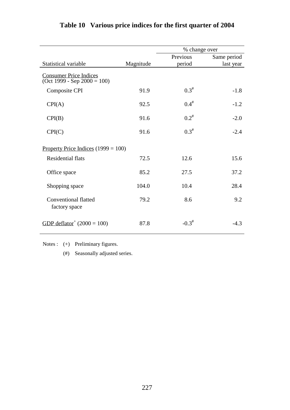|                                                                |           |           | % change over |  |
|----------------------------------------------------------------|-----------|-----------|---------------|--|
|                                                                |           | Previous  | Same period   |  |
| Statistical variable                                           | Magnitude | period    | last year     |  |
| <b>Consumer Price Indices</b><br>$(Oct 1999 - Sep 2000 = 100)$ |           |           |               |  |
| <b>Composite CPI</b>                                           | 91.9      | $0.3^{#}$ | $-1.8$        |  |
| CPI(A)                                                         | 92.5      | $0.4^{#}$ | $-1.2$        |  |
| CPI(B)                                                         | 91.6      | $0.2^*$   | $-2.0$        |  |
| CPI(C)                                                         | 91.6      | $0.3^{#}$ | $-2.4$        |  |
| Property Price Indices $(1999 = 100)$                          |           |           |               |  |
| <b>Residential flats</b>                                       | 72.5      | 12.6      | 15.6          |  |
| Office space                                                   | 85.2      | 27.5      | 37.2          |  |
| Shopping space                                                 | 104.0     | 10.4      | 28.4          |  |
| <b>Conventional flatted</b><br>factory space                   | 79.2      | 8.6       | 9.2           |  |
| GDP deflator <sup>+</sup> $(2000 = 100)$                       | 87.8      | $-0.3^*$  | $-4.3$        |  |

## **Table 10 Various price indices for the first quarter of 2004**

Notes : (+) Preliminary figures.

(#) Seasonally adjusted series.